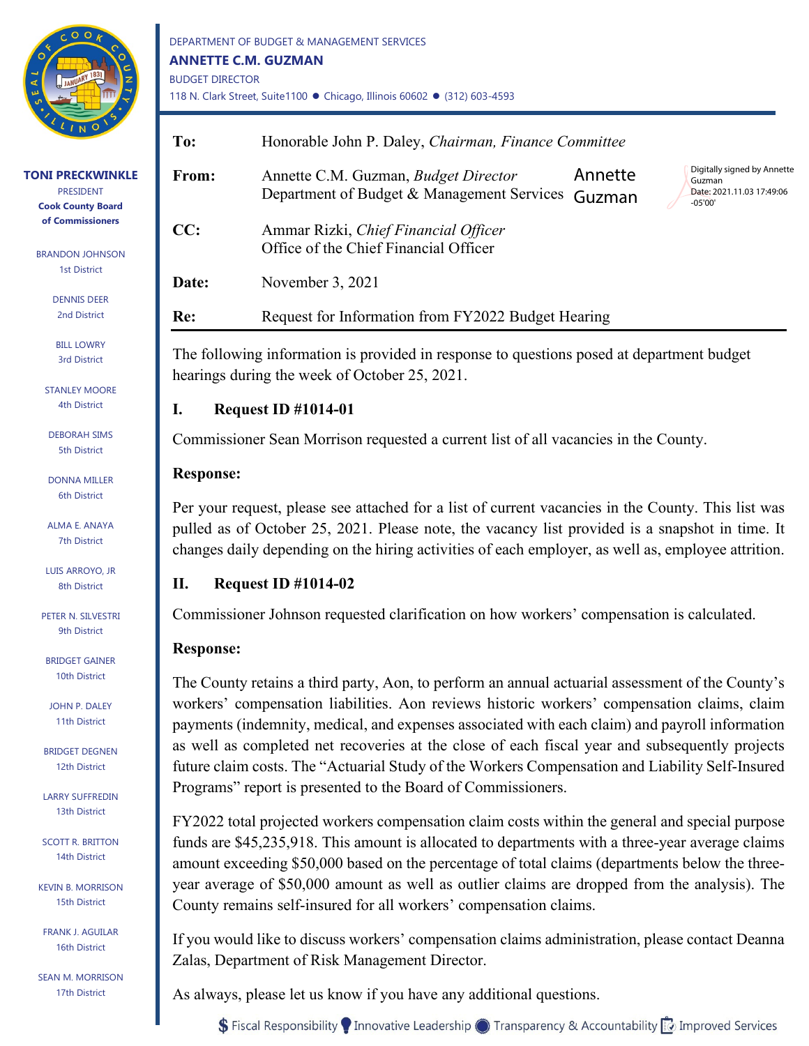

**TONI PRECKWINKLE** PRESIDENT **Cook County Board of Commissioners**

BRANDON JOHNSON 1st District

> DENNIS DEER 2nd District

**BILL LOWRY** 3rd District

STANLEY MOORE 4th District

DEBORAH SIMS 5th District

DONNA MILLER 6th District

ALMA E. ANAYA 7th District

LUIS ARROYO, JR 8th District

PETER N. SILVESTRI 9th District

BRIDGET GAINER 10th District

JOHN P. DALEY 11th District

BRIDGET DEGNEN 12th District

LARRY SUFFREDIN 13th District

SCOTT R. BRITTON 14th District

KEVIN B. MORRISON 15th District

FRANK J. AGUILAR 16th District

SEAN M. MORRISON 17th District

DEPARTMENT OF BUDGET & MANAGEMENT SERVICES **ANNETTE C.M. GUZMAN** BUDGET DIRECTOR 118 N. Clark Street, Suite1100 · Chicago, Illinois 60602 · (312) 603-4593

| To:   | Honorable John P. Daley, Chairman, Finance Committee                                      |                   |                                                                                 |
|-------|-------------------------------------------------------------------------------------------|-------------------|---------------------------------------------------------------------------------|
| From: | Annette C.M. Guzman, <i>Budget Director</i><br>Department of Budget & Management Services | Annette<br>Guzman | Digitally signed by Annette<br>Guzman<br>Date: 2021.11.03 17:49:06<br>$-05'00'$ |
| CC:   | Ammar Rizki, Chief Financial Officer<br>Office of the Chief Financial Officer             |                   |                                                                                 |
| Date: | November 3, 2021                                                                          |                   |                                                                                 |
| Re:   | Request for Information from FY2022 Budget Hearing                                        |                   |                                                                                 |

The following information is provided in response to questions posed at department budget hearings during the week of October 25, 2021.

## **I. Request ID #1014-01**

Commissioner Sean Morrison requested a current list of all vacancies in the County.

## **Response:**

Per your request, please see attached for a list of current vacancies in the County. This list was pulled as of October 25, 2021. Please note, the vacancy list provided is a snapshot in time. It changes daily depending on the hiring activities of each employer, as well as, employee attrition.

## **II. Request ID #1014-02**

Commissioner Johnson requested clarification on how workers' compensation is calculated.

## **Response:**

The County retains a third party, Aon, to perform an annual actuarial assessment of the County's workers' compensation liabilities. Aon reviews historic workers' compensation claims, claim payments (indemnity, medical, and expenses associated with each claim) and payroll information as well as completed net recoveries at the close of each fiscal year and subsequently projects future claim costs. The "Actuarial Study of the Workers Compensation and Liability Self-Insured Programs" report is presented to the Board of Commissioners.

FY2022 total projected workers compensation claim costs within the general and special purpose funds are \$45,235,918. This amount is allocated to departments with a three-year average claims amount exceeding \$50,000 based on the percentage of total claims (departments below the threeyear average of \$50,000 amount as well as outlier claims are dropped from the analysis). The County remains self-insured for all workers' compensation claims.

If you would like to discuss workers' compensation claims administration, please contact Deanna Zalas, Department of Risk Management Director.

As always, please let us know if you have any additional questions.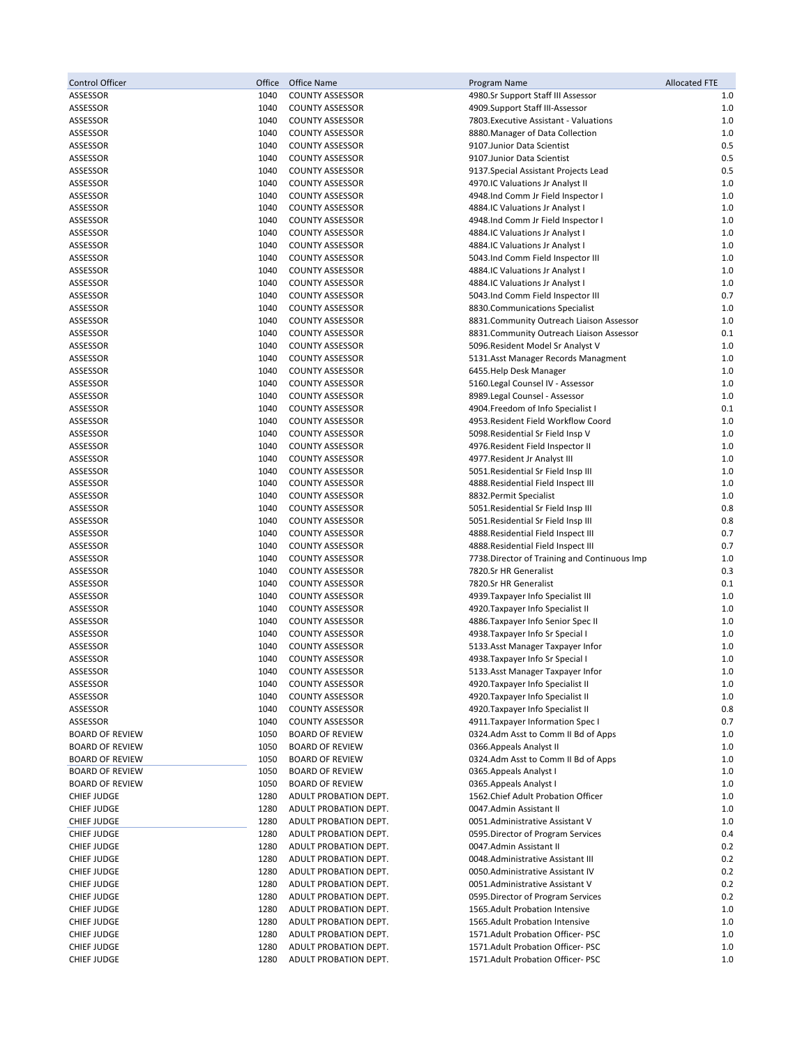| <b>Control Officer</b> | Office | Office Name            | Program Name                                  | <b>Allocated FTE</b> |
|------------------------|--------|------------------------|-----------------------------------------------|----------------------|
| ASSESSOR               | 1040   | <b>COUNTY ASSESSOR</b> | 4980.Sr Support Staff III Assessor            | 1.0                  |
| ASSESSOR               | 1040   | <b>COUNTY ASSESSOR</b> | 4909.Support Staff III-Assessor               | 1.0                  |
| ASSESSOR               | 1040   | <b>COUNTY ASSESSOR</b> | 7803. Executive Assistant - Valuations        | $1.0$                |
| ASSESSOR               | 1040   | <b>COUNTY ASSESSOR</b> | 8880. Manager of Data Collection              | 1.0                  |
| ASSESSOR               | 1040   | <b>COUNTY ASSESSOR</b> | 9107. Junior Data Scientist                   | 0.5                  |
| ASSESSOR               | 1040   | <b>COUNTY ASSESSOR</b> | 9107. Junior Data Scientist                   | 0.5                  |
| ASSESSOR               | 1040   | <b>COUNTY ASSESSOR</b> | 9137. Special Assistant Projects Lead         | 0.5                  |
| ASSESSOR               | 1040   | <b>COUNTY ASSESSOR</b> | 4970.IC Valuations Jr Analyst II              | $1.0$                |
| ASSESSOR               | 1040   | <b>COUNTY ASSESSOR</b> | 4948.Ind Comm Jr Field Inspector I            | 1.0                  |
| ASSESSOR               | 1040   | <b>COUNTY ASSESSOR</b> | 4884.IC Valuations Jr Analyst I               | 1.0                  |
| ASSESSOR               | 1040   | <b>COUNTY ASSESSOR</b> | 4948.Ind Comm Jr Field Inspector I            | $1.0$                |
| ASSESSOR               | 1040   | <b>COUNTY ASSESSOR</b> | 4884.IC Valuations Jr Analyst I               | 1.0                  |
| <b>ASSESSOR</b>        | 1040   | <b>COUNTY ASSESSOR</b> | 4884.IC Valuations Jr Analyst I               | 1.0                  |
|                        | 1040   | <b>COUNTY ASSESSOR</b> |                                               | $1.0$                |
| ASSESSOR               | 1040   |                        | 5043.Ind Comm Field Inspector III             | $1.0$                |
| ASSESSOR               |        | <b>COUNTY ASSESSOR</b> | 4884.IC Valuations Jr Analyst I               |                      |
| ASSESSOR               | 1040   | <b>COUNTY ASSESSOR</b> | 4884.IC Valuations Jr Analyst I               | $1.0$                |
| ASSESSOR               | 1040   | <b>COUNTY ASSESSOR</b> | 5043.Ind Comm Field Inspector III             | 0.7                  |
| ASSESSOR               | 1040   | <b>COUNTY ASSESSOR</b> | 8830. Communications Specialist               | 1.0                  |
| ASSESSOR               | 1040   | <b>COUNTY ASSESSOR</b> | 8831. Community Outreach Liaison Assessor     | 1.0                  |
| ASSESSOR               | 1040   | <b>COUNTY ASSESSOR</b> | 8831.Community Outreach Liaison Assessor      | 0.1                  |
| ASSESSOR               | 1040   | <b>COUNTY ASSESSOR</b> | 5096. Resident Model Sr Analyst V             | $1.0$                |
| ASSESSOR               | 1040   | <b>COUNTY ASSESSOR</b> | 5131.Asst Manager Records Managment           | 1.0                  |
| ASSESSOR               | 1040   | <b>COUNTY ASSESSOR</b> | 6455.Help Desk Manager                        | 1.0                  |
| ASSESSOR               | 1040   | <b>COUNTY ASSESSOR</b> | 5160.Legal Counsel IV - Assessor              | 1.0                  |
| ASSESSOR               | 1040   | <b>COUNTY ASSESSOR</b> | 8989.Legal Counsel - Assessor                 | $1.0$                |
| ASSESSOR               | 1040   | <b>COUNTY ASSESSOR</b> | 4904.Freedom of Info Specialist I             | 0.1                  |
| ASSESSOR               | 1040   | <b>COUNTY ASSESSOR</b> | 4953. Resident Field Workflow Coord           | $1.0$                |
| ASSESSOR               | 1040   | <b>COUNTY ASSESSOR</b> | 5098. Residential Sr Field Insp V             | 1.0                  |
| ASSESSOR               | 1040   | <b>COUNTY ASSESSOR</b> | 4976. Resident Field Inspector II             | 1.0                  |
| ASSESSOR               | 1040   | <b>COUNTY ASSESSOR</b> | 4977. Resident Jr Analyst III                 | $1.0$                |
| ASSESSOR               | 1040   | <b>COUNTY ASSESSOR</b> | 5051. Residential Sr Field Insp III           | 1.0                  |
| ASSESSOR               | 1040   | <b>COUNTY ASSESSOR</b> | 4888. Residential Field Inspect III           | 1.0                  |
| ASSESSOR               | 1040   | <b>COUNTY ASSESSOR</b> | 8832. Permit Specialist                       | $1.0$                |
| ASSESSOR               | 1040   | <b>COUNTY ASSESSOR</b> | 5051. Residential Sr Field Insp III           | 0.8                  |
| ASSESSOR               | 1040   | <b>COUNTY ASSESSOR</b> | 5051. Residential Sr Field Insp III           | 0.8                  |
| ASSESSOR               | 1040   | <b>COUNTY ASSESSOR</b> |                                               | 0.7                  |
|                        |        |                        | 4888. Residential Field Inspect III           | 0.7                  |
| ASSESSOR               | 1040   | <b>COUNTY ASSESSOR</b> | 4888. Residential Field Inspect III           |                      |
| ASSESSOR               | 1040   | <b>COUNTY ASSESSOR</b> | 7738. Director of Training and Continuous Imp | 1.0                  |
| ASSESSOR               | 1040   | <b>COUNTY ASSESSOR</b> | 7820.Sr HR Generalist                         | 0.3                  |
| ASSESSOR               | 1040   | <b>COUNTY ASSESSOR</b> | 7820.Sr HR Generalist                         | 0.1                  |
| ASSESSOR               | 1040   | <b>COUNTY ASSESSOR</b> | 4939. Taxpayer Info Specialist III            | 1.0                  |
| ASSESSOR               | 1040   | <b>COUNTY ASSESSOR</b> | 4920. Taxpayer Info Specialist II             | 1.0                  |
| ASSESSOR               | 1040   | <b>COUNTY ASSESSOR</b> | 4886. Taxpayer Info Senior Spec II            | 1.0                  |
| ASSESSOR               | 1040   | <b>COUNTY ASSESSOR</b> | 4938. Taxpayer Info Sr Special I              | 1.0                  |
| ASSESSOR               | 1040   | <b>COUNTY ASSESSOR</b> | 5133. Asst Manager Taxpayer Infor             | 1.0                  |
| ASSESSOR               | 1040   | <b>COUNTY ASSESSOR</b> | 4938. Taxpayer Info Sr Special I              | 1.0                  |
| ASSESSOR               | 1040   | <b>COUNTY ASSESSOR</b> | 5133. Asst Manager Taxpayer Infor             | 1.0                  |
| ASSESSOR               | 1040   | <b>COUNTY ASSESSOR</b> | 4920. Taxpayer Info Specialist II             | 1.0                  |
| ASSESSOR               | 1040   | <b>COUNTY ASSESSOR</b> | 4920. Taxpayer Info Specialist II             | 1.0                  |
| ASSESSOR               | 1040   | <b>COUNTY ASSESSOR</b> | 4920. Taxpayer Info Specialist II             | 0.8                  |
| ASSESSOR               | 1040   | <b>COUNTY ASSESSOR</b> | 4911. Taxpayer Information Spec I             | 0.7                  |
| <b>BOARD OF REVIEW</b> | 1050   | <b>BOARD OF REVIEW</b> | 0324.Adm Asst to Comm II Bd of Apps           | 1.0                  |
| <b>BOARD OF REVIEW</b> | 1050   | <b>BOARD OF REVIEW</b> | 0366. Appeals Analyst II                      | 1.0                  |
| <b>BOARD OF REVIEW</b> | 1050   | <b>BOARD OF REVIEW</b> | 0324.Adm Asst to Comm II Bd of Apps           | 1.0                  |
| <b>BOARD OF REVIEW</b> | 1050   | <b>BOARD OF REVIEW</b> | 0365. Appeals Analyst I                       | 1.0                  |
| <b>BOARD OF REVIEW</b> | 1050   | <b>BOARD OF REVIEW</b> | 0365. Appeals Analyst I                       | 1.0                  |
| <b>CHIEF JUDGE</b>     | 1280   | ADULT PROBATION DEPT.  | 1562. Chief Adult Probation Officer           | 1.0                  |
| <b>CHIEF JUDGE</b>     | 1280   | ADULT PROBATION DEPT.  | 0047.Admin Assistant II                       | 1.0                  |
| <b>CHIEF JUDGE</b>     | 1280   | ADULT PROBATION DEPT.  | 0051.Administrative Assistant V               | 1.0                  |
| <b>CHIEF JUDGE</b>     | 1280   | ADULT PROBATION DEPT.  | 0595. Director of Program Services            | 0.4                  |
| <b>CHIEF JUDGE</b>     | 1280   | ADULT PROBATION DEPT.  | 0047.Admin Assistant II                       | 0.2                  |
| <b>CHIEF JUDGE</b>     | 1280   | ADULT PROBATION DEPT.  | 0048.Administrative Assistant III             | 0.2                  |
| <b>CHIEF JUDGE</b>     | 1280   | ADULT PROBATION DEPT.  | 0050.Administrative Assistant IV              | 0.2                  |
| <b>CHIEF JUDGE</b>     | 1280   | ADULT PROBATION DEPT.  | 0051.Administrative Assistant V               | 0.2                  |
| <b>CHIEF JUDGE</b>     | 1280   | ADULT PROBATION DEPT.  | 0595. Director of Program Services            | 0.2                  |
| <b>CHIEF JUDGE</b>     | 1280   | ADULT PROBATION DEPT.  | 1565. Adult Probation Intensive               | 1.0                  |
| <b>CHIEF JUDGE</b>     | 1280   | ADULT PROBATION DEPT.  | 1565.Adult Probation Intensive                | 1.0                  |
| <b>CHIEF JUDGE</b>     | 1280   | ADULT PROBATION DEPT.  | 1571. Adult Probation Officer-PSC             | 1.0                  |
| <b>CHIEF JUDGE</b>     | 1280   | ADULT PROBATION DEPT.  | 1571. Adult Probation Officer-PSC             | 1.0                  |
|                        |        |                        |                                               | $1.0$                |
| <b>CHIEF JUDGE</b>     | 1280   | ADULT PROBATION DEPT.  | 1571.Adult Probation Officer- PSC             |                      |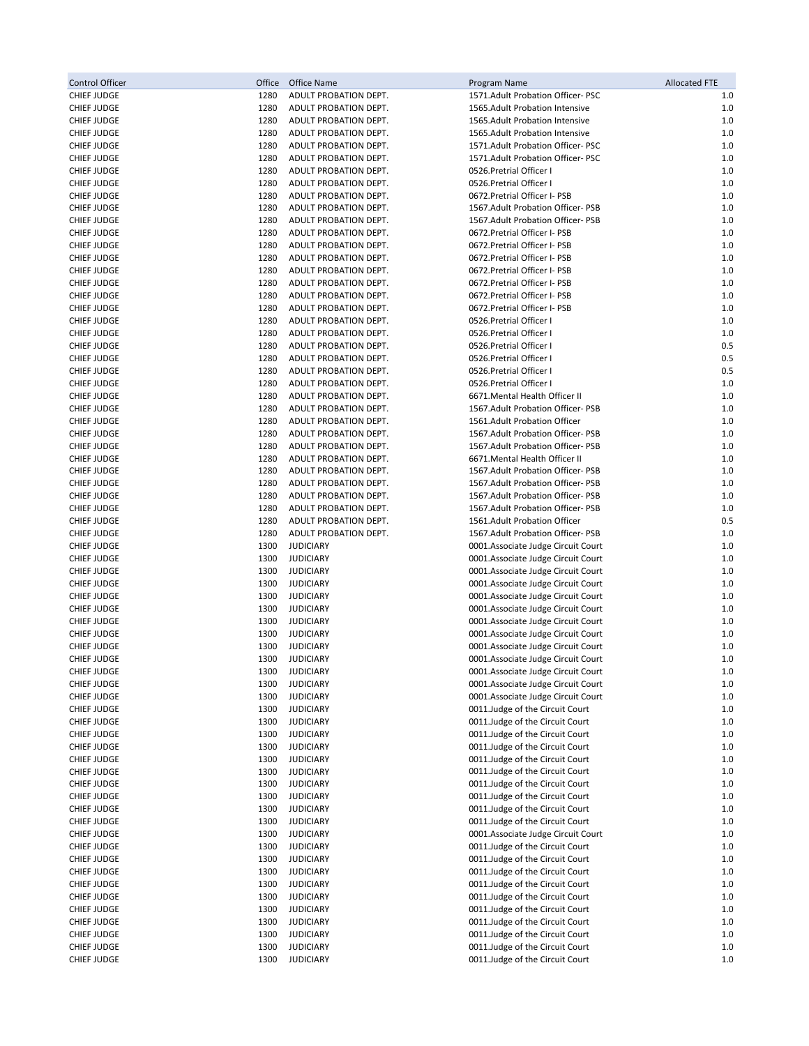| Control Officer                          | Office       | Office Name                                    | Program Name                                                             | <b>Allocated FTE</b> |
|------------------------------------------|--------------|------------------------------------------------|--------------------------------------------------------------------------|----------------------|
| <b>CHIEF JUDGE</b>                       | 1280         | ADULT PROBATION DEPT.                          | 1571.Adult Probation Officer- PSC                                        | 1.0                  |
| <b>CHIEF JUDGE</b>                       | 1280         | ADULT PROBATION DEPT.                          | 1565.Adult Probation Intensive                                           | 1.0                  |
| <b>CHIEF JUDGE</b>                       | 1280         | ADULT PROBATION DEPT.                          | 1565.Adult Probation Intensive                                           | $1.0$                |
| <b>CHIEF JUDGE</b>                       | 1280         | ADULT PROBATION DEPT.                          | 1565.Adult Probation Intensive                                           | 1.0                  |
| <b>CHIEF JUDGE</b>                       | 1280         | ADULT PROBATION DEPT.                          | 1571. Adult Probation Officer-PSC                                        | 1.0                  |
| <b>CHIEF JUDGE</b>                       | 1280         | ADULT PROBATION DEPT.                          | 1571. Adult Probation Officer-PSC                                        | 1.0                  |
| <b>CHIEF JUDGE</b>                       | 1280         | ADULT PROBATION DEPT.                          | 0526. Pretrial Officer I                                                 | 1.0                  |
| <b>CHIEF JUDGE</b>                       | 1280         | ADULT PROBATION DEPT.                          | 0526. Pretrial Officer I                                                 | 1.0                  |
| <b>CHIEF JUDGE</b>                       | 1280         | ADULT PROBATION DEPT.                          | 0672. Pretrial Officer I- PSB                                            | 1.0                  |
| <b>CHIEF JUDGE</b>                       | 1280         | ADULT PROBATION DEPT.                          | 1567. Adult Probation Officer-PSB                                        | 1.0                  |
| <b>CHIEF JUDGE</b>                       | 1280         | ADULT PROBATION DEPT.                          | 1567. Adult Probation Officer-PSB                                        | 1.0                  |
| <b>CHIEF JUDGE</b>                       | 1280         | ADULT PROBATION DEPT.                          | 0672. Pretrial Officer I- PSB                                            | $1.0$                |
| <b>CHIEF JUDGE</b>                       | 1280<br>1280 | ADULT PROBATION DEPT.                          | 0672. Pretrial Officer I- PSB<br>0672. Pretrial Officer I- PSB           | 1.0<br>1.0           |
| <b>CHIEF JUDGE</b><br><b>CHIEF JUDGE</b> | 1280         | ADULT PROBATION DEPT.<br>ADULT PROBATION DEPT. | 0672. Pretrial Officer I- PSB                                            | 1.0                  |
| <b>CHIEF JUDGE</b>                       | 1280         | ADULT PROBATION DEPT.                          | 0672. Pretrial Officer I- PSB                                            | 1.0                  |
| <b>CHIEF JUDGE</b>                       | 1280         | ADULT PROBATION DEPT.                          | 0672. Pretrial Officer I- PSB                                            | $1.0$                |
| <b>CHIEF JUDGE</b>                       | 1280         | ADULT PROBATION DEPT.                          | 0672. Pretrial Officer I- PSB                                            | $1.0$                |
| <b>CHIEF JUDGE</b>                       | 1280         | ADULT PROBATION DEPT.                          | 0526. Pretrial Officer I                                                 | 1.0                  |
| <b>CHIEF JUDGE</b>                       | 1280         | ADULT PROBATION DEPT.                          | 0526. Pretrial Officer I                                                 | 1.0                  |
| <b>CHIEF JUDGE</b>                       | 1280         | ADULT PROBATION DEPT.                          | 0526. Pretrial Officer I                                                 | 0.5                  |
| <b>CHIEF JUDGE</b>                       | 1280         | ADULT PROBATION DEPT.                          | 0526. Pretrial Officer I                                                 | 0.5                  |
| <b>CHIEF JUDGE</b>                       | 1280         | ADULT PROBATION DEPT.                          | 0526. Pretrial Officer I                                                 | 0.5                  |
| <b>CHIEF JUDGE</b>                       | 1280         | ADULT PROBATION DEPT.                          | 0526. Pretrial Officer I                                                 | $1.0$                |
| <b>CHIEF JUDGE</b>                       | 1280         | ADULT PROBATION DEPT.                          | 6671. Mental Health Officer II                                           | 1.0                  |
| <b>CHIEF JUDGE</b>                       | 1280         | ADULT PROBATION DEPT.                          | 1567. Adult Probation Officer-PSB                                        | 1.0                  |
| <b>CHIEF JUDGE</b>                       | 1280         | ADULT PROBATION DEPT.                          | 1561.Adult Probation Officer                                             | 1.0                  |
| <b>CHIEF JUDGE</b>                       | 1280         | ADULT PROBATION DEPT.                          | 1567. Adult Probation Officer-PSB                                        | 1.0                  |
| <b>CHIEF JUDGE</b>                       | 1280         | ADULT PROBATION DEPT.                          | 1567. Adult Probation Officer-PSB                                        | 1.0                  |
| <b>CHIEF JUDGE</b>                       | 1280         | ADULT PROBATION DEPT.                          | 6671. Mental Health Officer II                                           | 1.0                  |
| <b>CHIEF JUDGE</b>                       | 1280         | ADULT PROBATION DEPT.                          | 1567. Adult Probation Officer-PSB                                        | $1.0$                |
| <b>CHIEF JUDGE</b>                       | 1280         | ADULT PROBATION DEPT.                          | 1567. Adult Probation Officer-PSB                                        | 1.0                  |
| <b>CHIEF JUDGE</b>                       | 1280         | ADULT PROBATION DEPT.                          | 1567. Adult Probation Officer-PSB                                        | 1.0                  |
| <b>CHIEF JUDGE</b>                       | 1280         | ADULT PROBATION DEPT.                          | 1567. Adult Probation Officer-PSB                                        | 1.0                  |
| <b>CHIEF JUDGE</b>                       | 1280         | ADULT PROBATION DEPT.                          | 1561.Adult Probation Officer                                             | 0.5                  |
| <b>CHIEF JUDGE</b>                       | 1280         | ADULT PROBATION DEPT.                          | 1567. Adult Probation Officer-PSB                                        | 1.0                  |
| <b>CHIEF JUDGE</b>                       | 1300         | <b>JUDICIARY</b>                               | 0001.Associate Judge Circuit Court                                       | 1.0                  |
| <b>CHIEF JUDGE</b>                       | 1300         | <b>JUDICIARY</b>                               | 0001.Associate Judge Circuit Court                                       | 1.0                  |
| <b>CHIEF JUDGE</b>                       | 1300         | <b>JUDICIARY</b>                               | 0001.Associate Judge Circuit Court                                       | 1.0                  |
| <b>CHIEF JUDGE</b>                       | 1300         | <b>JUDICIARY</b>                               | 0001.Associate Judge Circuit Court                                       | 1.0                  |
| <b>CHIEF JUDGE</b>                       | 1300         | <b>JUDICIARY</b>                               | 0001.Associate Judge Circuit Court                                       | 1.0                  |
| <b>CHIEF JUDGE</b>                       | 1300         | <b>JUDICIARY</b>                               | 0001.Associate Judge Circuit Court                                       | 1.0                  |
| <b>CHIEF JUDGE</b>                       | 1300         | <b>JUDICIARY</b>                               | 0001.Associate Judge Circuit Court                                       | 1.0                  |
| <b>CHIEF JUDGE</b>                       | 1300         | <b>JUDICIARY</b>                               | 0001.Associate Judge Circuit Court                                       | 1.0                  |
| <b>CHIEF JUDGE</b>                       | 1300         | <b>JUDICIARY</b>                               | 0001.Associate Judge Circuit Court                                       | 1.0                  |
| <b>CHIEF JUDGE</b>                       | 1300         | <b>JUDICIARY</b>                               | 0001.Associate Judge Circuit Court                                       | 1.0                  |
| <b>CHIEF JUDGE</b>                       | 1300         | <b>JUDICIARY</b>                               | 0001.Associate Judge Circuit Court                                       | 1.0                  |
| <b>CHIEF JUDGE</b><br><b>CHIEF JUDGE</b> | 1300<br>1300 | <b>JUDICIARY</b><br><b>JUDICIARY</b>           | 0001.Associate Judge Circuit Court<br>0001.Associate Judge Circuit Court | 1.0<br>1.0           |
| <b>CHIEF JUDGE</b>                       | 1300         | <b>JUDICIARY</b>                               | 0011.Judge of the Circuit Court                                          | $1.0$                |
| <b>CHIEF JUDGE</b>                       | 1300         | <b>JUDICIARY</b>                               | 0011.Judge of the Circuit Court                                          | 1.0                  |
| <b>CHIEF JUDGE</b>                       | 1300         | <b>JUDICIARY</b>                               | 0011.Judge of the Circuit Court                                          | $1.0\,$              |
| CHIEF JUDGE                              | 1300         | <b>JUDICIARY</b>                               | 0011.Judge of the Circuit Court                                          | 1.0                  |
| <b>CHIEF JUDGE</b>                       | 1300         | <b>JUDICIARY</b>                               | 0011.Judge of the Circuit Court                                          | $1.0$                |
| <b>CHIEF JUDGE</b>                       | 1300         | <b>JUDICIARY</b>                               | 0011.Judge of the Circuit Court                                          | 1.0                  |
| <b>CHIEF JUDGE</b>                       | 1300         | <b>JUDICIARY</b>                               | 0011.Judge of the Circuit Court                                          | 1.0                  |
| <b>CHIEF JUDGE</b>                       | 1300         | <b>JUDICIARY</b>                               | 0011. Judge of the Circuit Court                                         | 1.0                  |
| <b>CHIEF JUDGE</b>                       | 1300         | <b>JUDICIARY</b>                               | 0011. Judge of the Circuit Court                                         | 1.0                  |
| <b>CHIEF JUDGE</b>                       | 1300         | <b>JUDICIARY</b>                               | 0011.Judge of the Circuit Court                                          | 1.0                  |
| <b>CHIEF JUDGE</b>                       | 1300         | <b>JUDICIARY</b>                               | 0001.Associate Judge Circuit Court                                       | 1.0                  |
| <b>CHIEF JUDGE</b>                       | 1300         | <b>JUDICIARY</b>                               | 0011. Judge of the Circuit Court                                         | 1.0                  |
| <b>CHIEF JUDGE</b>                       | 1300         | <b>JUDICIARY</b>                               | 0011.Judge of the Circuit Court                                          | 1.0                  |
| <b>CHIEF JUDGE</b>                       | 1300         | <b>JUDICIARY</b>                               | 0011.Judge of the Circuit Court                                          | 1.0                  |
| <b>CHIEF JUDGE</b>                       | 1300         | <b>JUDICIARY</b>                               | 0011. Judge of the Circuit Court                                         | 1.0                  |
| <b>CHIEF JUDGE</b>                       | 1300         | <b>JUDICIARY</b>                               | 0011. Judge of the Circuit Court                                         | 1.0                  |
| <b>CHIEF JUDGE</b>                       | 1300         | <b>JUDICIARY</b>                               | 0011.Judge of the Circuit Court                                          | $1.0\,$              |
| <b>CHIEF JUDGE</b>                       | 1300         | <b>JUDICIARY</b>                               | 0011.Judge of the Circuit Court                                          | 1.0                  |
| <b>CHIEF JUDGE</b>                       | 1300         | <b>JUDICIARY</b>                               | 0011. Judge of the Circuit Court                                         | 1.0                  |
| <b>CHIEF JUDGE</b>                       | 1300         | <b>JUDICIARY</b>                               | 0011.Judge of the Circuit Court                                          | 1.0                  |
| <b>CHIEF JUDGE</b>                       | 1300         | <b>JUDICIARY</b>                               | 0011.Judge of the Circuit Court                                          | $1.0$                |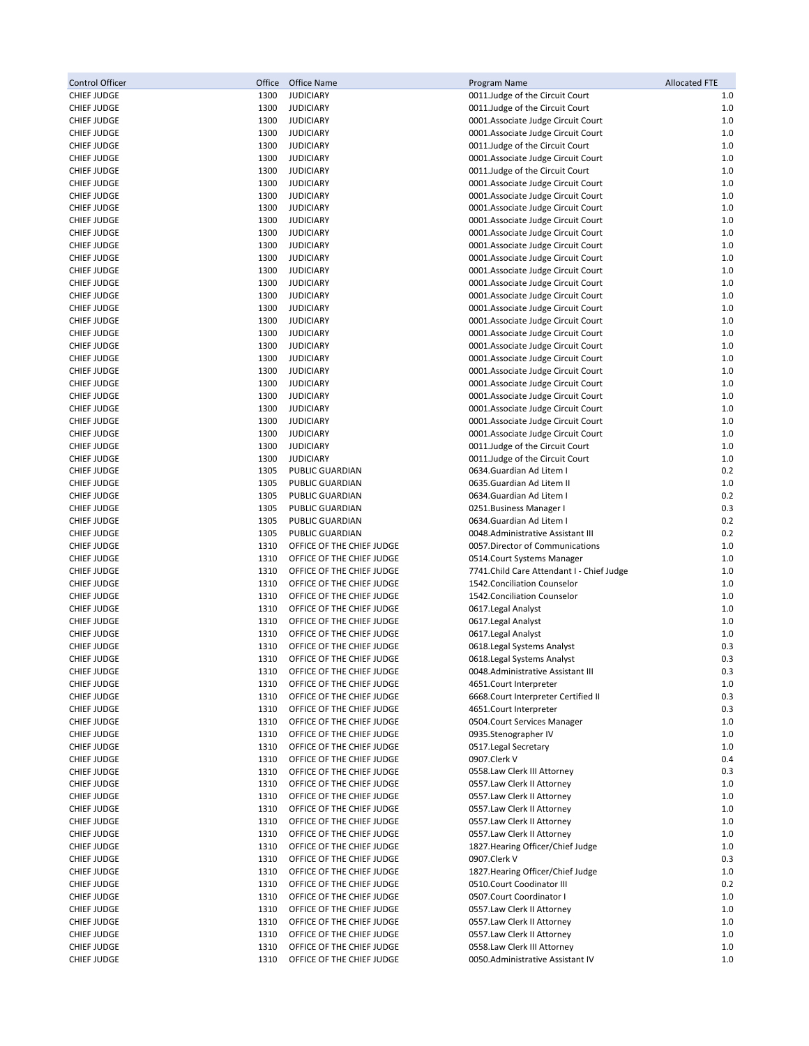| Control Officer                          | Office       | Office Name                                            | Program Name                                                             | <b>Allocated FTE</b> |
|------------------------------------------|--------------|--------------------------------------------------------|--------------------------------------------------------------------------|----------------------|
| <b>CHIEF JUDGE</b>                       | 1300         | <b>JUDICIARY</b>                                       | 0011.Judge of the Circuit Court                                          | 1.0                  |
| <b>CHIEF JUDGE</b>                       | 1300         | <b>JUDICIARY</b>                                       | 0011.Judge of the Circuit Court                                          | $1.0$                |
| <b>CHIEF JUDGE</b>                       | 1300         | <b>JUDICIARY</b>                                       | 0001.Associate Judge Circuit Court                                       | 1.0                  |
| <b>CHIEF JUDGE</b>                       | 1300         | <b>JUDICIARY</b>                                       | 0001.Associate Judge Circuit Court                                       | 1.0                  |
| <b>CHIEF JUDGE</b>                       | 1300         | <b>JUDICIARY</b>                                       | 0011.Judge of the Circuit Court                                          | $1.0$                |
| <b>CHIEF JUDGE</b>                       | 1300         | <b>JUDICIARY</b>                                       | 0001.Associate Judge Circuit Court                                       | 1.0                  |
| <b>CHIEF JUDGE</b>                       | 1300         | <b>JUDICIARY</b>                                       | 0011.Judge of the Circuit Court                                          | $1.0$                |
| <b>CHIEF JUDGE</b>                       | 1300         | <b>JUDICIARY</b>                                       | 0001.Associate Judge Circuit Court                                       | $1.0$                |
| <b>CHIEF JUDGE</b>                       | 1300         | <b>JUDICIARY</b>                                       | 0001.Associate Judge Circuit Court                                       | 1.0                  |
| <b>CHIEF JUDGE</b><br><b>CHIEF JUDGE</b> | 1300<br>1300 | <b>JUDICIARY</b><br><b>JUDICIARY</b>                   | 0001.Associate Judge Circuit Court<br>0001.Associate Judge Circuit Court | $1.0$<br>1.0         |
| <b>CHIEF JUDGE</b>                       | 1300         | <b>JUDICIARY</b>                                       | 0001.Associate Judge Circuit Court                                       | 1.0                  |
| <b>CHIEF JUDGE</b>                       | 1300         | <b>JUDICIARY</b>                                       | 0001.Associate Judge Circuit Court                                       | $1.0$                |
| <b>CHIEF JUDGE</b>                       | 1300         | <b>JUDICIARY</b>                                       | 0001.Associate Judge Circuit Court                                       | $1.0$                |
| <b>CHIEF JUDGE</b>                       | 1300         | <b>JUDICIARY</b>                                       | 0001.Associate Judge Circuit Court                                       | 1.0                  |
| <b>CHIEF JUDGE</b>                       | 1300         | <b>JUDICIARY</b>                                       | 0001.Associate Judge Circuit Court                                       | $1.0$                |
| CHIEF JUDGE                              | 1300         | <b>JUDICIARY</b>                                       | 0001.Associate Judge Circuit Court                                       | $1.0$                |
| <b>CHIEF JUDGE</b>                       | 1300         | <b>JUDICIARY</b>                                       | 0001.Associate Judge Circuit Court                                       | 1.0                  |
| <b>CHIEF JUDGE</b>                       | 1300         | <b>JUDICIARY</b>                                       | 0001.Associate Judge Circuit Court                                       | $1.0$                |
| <b>CHIEF JUDGE</b>                       | 1300         | <b>JUDICIARY</b>                                       | 0001.Associate Judge Circuit Court                                       | $1.0$                |
| <b>CHIEF JUDGE</b>                       | 1300         | <b>JUDICIARY</b>                                       | 0001.Associate Judge Circuit Court                                       | 1.0                  |
| <b>CHIEF JUDGE</b>                       | 1300         | <b>JUDICIARY</b>                                       | 0001.Associate Judge Circuit Court                                       | 1.0                  |
| <b>CHIEF JUDGE</b>                       | 1300         | <b>JUDICIARY</b>                                       | 0001.Associate Judge Circuit Court                                       | 1.0                  |
| <b>CHIEF JUDGE</b>                       | 1300         | <b>JUDICIARY</b>                                       | 0001.Associate Judge Circuit Court                                       | 1.0                  |
| <b>CHIEF JUDGE</b>                       | 1300         | <b>JUDICIARY</b>                                       | 0001.Associate Judge Circuit Court                                       | 1.0                  |
| <b>CHIEF JUDGE</b>                       | 1300         | <b>JUDICIARY</b>                                       | 0001.Associate Judge Circuit Court                                       | $1.0$                |
| CHIEF JUDGE                              | 1300         | <b>JUDICIARY</b>                                       | 0001.Associate Judge Circuit Court                                       | 1.0                  |
| <b>CHIEF JUDGE</b>                       | 1300         | <b>JUDICIARY</b>                                       | 0001.Associate Judge Circuit Court                                       | 1.0                  |
| <b>CHIEF JUDGE</b>                       | 1300         | <b>JUDICIARY</b>                                       | 0011.Judge of the Circuit Court                                          | 1.0                  |
| <b>CHIEF JUDGE</b>                       | 1300         | <b>JUDICIARY</b>                                       | 0011. Judge of the Circuit Court                                         | 1.0                  |
| <b>CHIEF JUDGE</b>                       | 1305         | PUBLIC GUARDIAN                                        | 0634.Guardian Ad Litem I                                                 | 0.2                  |
| <b>CHIEF JUDGE</b>                       | 1305         | PUBLIC GUARDIAN                                        | 0635.Guardian Ad Litem II                                                | $1.0$                |
| <b>CHIEF JUDGE</b>                       | 1305         | PUBLIC GUARDIAN                                        | 0634.Guardian Ad Litem I                                                 | 0.2                  |
| <b>CHIEF JUDGE</b>                       | 1305         | PUBLIC GUARDIAN                                        | 0251. Business Manager I                                                 | 0.3                  |
| <b>CHIEF JUDGE</b>                       | 1305         | PUBLIC GUARDIAN                                        | 0634.Guardian Ad Litem I                                                 | 0.2                  |
| <b>CHIEF JUDGE</b>                       | 1305         | PUBLIC GUARDIAN                                        | 0048.Administrative Assistant III                                        | 0.2                  |
| <b>CHIEF JUDGE</b>                       | 1310         | OFFICE OF THE CHIEF JUDGE                              | 0057. Director of Communications                                         | 1.0                  |
| <b>CHIEF JUDGE</b>                       | 1310         | OFFICE OF THE CHIEF JUDGE                              | 0514. Court Systems Manager                                              | $1.0$                |
| <b>CHIEF JUDGE</b>                       | 1310         | OFFICE OF THE CHIEF JUDGE                              | 7741. Child Care Attendant I - Chief Judge                               | $1.0$                |
| <b>CHIEF JUDGE</b>                       | 1310         | OFFICE OF THE CHIEF JUDGE                              | 1542. Conciliation Counselor                                             | $1.0$                |
| <b>CHIEF JUDGE</b>                       | 1310         | OFFICE OF THE CHIEF JUDGE                              | 1542. Conciliation Counselor                                             | 1.0                  |
| <b>CHIEF JUDGE</b>                       | 1310         | OFFICE OF THE CHIEF JUDGE                              | 0617. Legal Analyst                                                      | 1.0                  |
| <b>CHIEF JUDGE</b>                       | 1310         | OFFICE OF THE CHIEF JUDGE                              | 0617.Legal Analyst                                                       | 1.0                  |
| <b>CHIEF JUDGE</b>                       | 1310         | OFFICE OF THE CHIEF JUDGE                              | 0617.Legal Analyst                                                       | 1.0                  |
| <b>CHIEF JUDGE</b>                       | 1310         | OFFICE OF THE CHIEF JUDGE                              | 0618. Legal Systems Analyst                                              | 0.3                  |
| <b>CHIEF JUDGE</b>                       | 1310         | OFFICE OF THE CHIEF JUDGE                              | 0618. Legal Systems Analyst                                              | 0.3                  |
| <b>CHIEF JUDGE</b>                       | 1310         | OFFICE OF THE CHIEF JUDGE                              | 0048.Administrative Assistant III                                        | 0.3                  |
| <b>CHIEF JUDGE</b>                       | 1310         | OFFICE OF THE CHIEF JUDGE                              | 4651.Court Interpreter                                                   | 1.0                  |
| <b>CHIEF JUDGE</b>                       | 1310         | OFFICE OF THE CHIEF JUDGE                              | 6668. Court Interpreter Certified II                                     | 0.3                  |
| <b>CHIEF JUDGE</b>                       | 1310<br>1310 | OFFICE OF THE CHIEF JUDGE<br>OFFICE OF THE CHIEF JUDGE | 4651.Court Interpreter<br>0504. Court Services Manager                   | 0.3                  |
| <b>CHIEF JUDGE</b><br><b>CHIEF JUDGE</b> | 1310         | OFFICE OF THE CHIEF JUDGE                              | 0935.Stenographer IV                                                     | 1.0<br>1.0           |
| <b>CHIEF JUDGE</b>                       | 1310         | OFFICE OF THE CHIEF JUDGE                              | 0517. Legal Secretary                                                    | 1.0                  |
| <b>CHIEF JUDGE</b>                       | 1310         | OFFICE OF THE CHIEF JUDGE                              | 0907.Clerk V                                                             | 0.4                  |
| <b>CHIEF JUDGE</b>                       | 1310         | OFFICE OF THE CHIEF JUDGE                              | 0558.Law Clerk III Attorney                                              | 0.3                  |
| <b>CHIEF JUDGE</b>                       | 1310         | OFFICE OF THE CHIEF JUDGE                              | 0557. Law Clerk II Attorney                                              | 1.0                  |
| <b>CHIEF JUDGE</b>                       | 1310         | OFFICE OF THE CHIEF JUDGE                              | 0557.Law Clerk II Attorney                                               | 1.0                  |
| <b>CHIEF JUDGE</b>                       | 1310         | OFFICE OF THE CHIEF JUDGE                              | 0557. Law Clerk II Attorney                                              | 1.0                  |
| <b>CHIEF JUDGE</b>                       | 1310         | OFFICE OF THE CHIEF JUDGE                              | 0557.Law Clerk II Attorney                                               | 1.0                  |
| <b>CHIEF JUDGE</b>                       | 1310         | OFFICE OF THE CHIEF JUDGE                              | 0557.Law Clerk II Attorney                                               | 1.0                  |
| <b>CHIEF JUDGE</b>                       | 1310         | OFFICE OF THE CHIEF JUDGE                              | 1827. Hearing Officer/Chief Judge                                        | 1.0                  |
| <b>CHIEF JUDGE</b>                       | 1310         | OFFICE OF THE CHIEF JUDGE                              | 0907.Clerk V                                                             | 0.3                  |
| <b>CHIEF JUDGE</b>                       | 1310         | OFFICE OF THE CHIEF JUDGE                              | 1827. Hearing Officer/Chief Judge                                        | 1.0                  |
| <b>CHIEF JUDGE</b>                       | 1310         | OFFICE OF THE CHIEF JUDGE                              | 0510.Court Coodinator III                                                | 0.2                  |
| <b>CHIEF JUDGE</b>                       | 1310         | OFFICE OF THE CHIEF JUDGE                              | 0507.Court Coordinator I                                                 | 1.0                  |
| <b>CHIEF JUDGE</b>                       | 1310         | OFFICE OF THE CHIEF JUDGE                              | 0557. Law Clerk II Attorney                                              | 1.0                  |
| <b>CHIEF JUDGE</b>                       | 1310         | OFFICE OF THE CHIEF JUDGE                              | 0557.Law Clerk II Attorney                                               | 1.0                  |
| <b>CHIEF JUDGE</b>                       | 1310         | OFFICE OF THE CHIEF JUDGE                              | 0557. Law Clerk II Attorney                                              | 1.0                  |
| <b>CHIEF JUDGE</b>                       | 1310         | OFFICE OF THE CHIEF JUDGE                              | 0558.Law Clerk III Attorney                                              | 1.0                  |
| <b>CHIEF JUDGE</b>                       | 1310         | OFFICE OF THE CHIEF JUDGE                              | 0050. Administrative Assistant IV                                        | 1.0                  |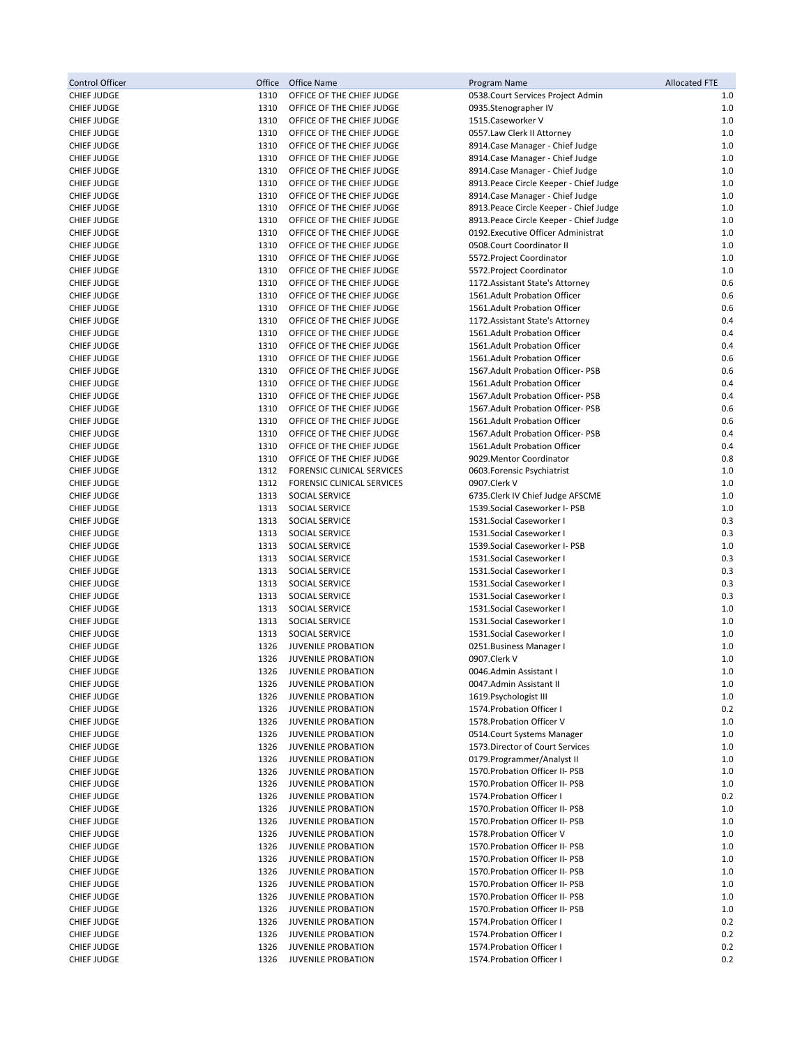| <b>Control Officer</b>                   | Office       | Office Name                                            | Program Name                                                       | <b>Allocated FTE</b> |
|------------------------------------------|--------------|--------------------------------------------------------|--------------------------------------------------------------------|----------------------|
| <b>CHIEF JUDGE</b>                       | 1310         | OFFICE OF THE CHIEF JUDGE                              | 0538. Court Services Project Admin                                 | 1.0                  |
| <b>CHIEF JUDGE</b>                       | 1310         | OFFICE OF THE CHIEF JUDGE                              | 0935.Stenographer IV                                               | 1.0                  |
| <b>CHIEF JUDGE</b>                       | 1310         | OFFICE OF THE CHIEF JUDGE                              | 1515.Caseworker V                                                  | 1.0                  |
| <b>CHIEF JUDGE</b>                       | 1310         | OFFICE OF THE CHIEF JUDGE                              | 0557.Law Clerk II Attorney                                         | 1.0                  |
| <b>CHIEF JUDGE</b>                       | 1310         | OFFICE OF THE CHIEF JUDGE                              | 8914. Case Manager - Chief Judge                                   | 1.0                  |
| <b>CHIEF JUDGE</b>                       | 1310         | OFFICE OF THE CHIEF JUDGE                              | 8914. Case Manager - Chief Judge                                   | 1.0                  |
| <b>CHIEF JUDGE</b>                       | 1310         | OFFICE OF THE CHIEF JUDGE                              | 8914. Case Manager - Chief Judge                                   | 1.0                  |
| <b>CHIEF JUDGE</b>                       | 1310         | OFFICE OF THE CHIEF JUDGE                              | 8913. Peace Circle Keeper - Chief Judge                            | 1.0                  |
| <b>CHIEF JUDGE</b>                       | 1310         | OFFICE OF THE CHIEF JUDGE                              | 8914. Case Manager - Chief Judge                                   | 1.0                  |
| <b>CHIEF JUDGE</b>                       | 1310         | OFFICE OF THE CHIEF JUDGE                              | 8913. Peace Circle Keeper - Chief Judge                            | 1.0                  |
| <b>CHIEF JUDGE</b>                       | 1310         | OFFICE OF THE CHIEF JUDGE                              | 8913. Peace Circle Keeper - Chief Judge                            | 1.0                  |
| <b>CHIEF JUDGE</b>                       | 1310         | OFFICE OF THE CHIEF JUDGE                              | 0192. Executive Officer Administrat                                | 1.0                  |
| <b>CHIEF JUDGE</b>                       | 1310         | OFFICE OF THE CHIEF JUDGE                              | 0508.Court Coordinator II                                          | 1.0                  |
| <b>CHIEF JUDGE</b>                       | 1310         | OFFICE OF THE CHIEF JUDGE                              | 5572. Project Coordinator                                          | 1.0                  |
| <b>CHIEF JUDGE</b>                       | 1310         | OFFICE OF THE CHIEF JUDGE                              | 5572. Project Coordinator                                          | 1.0                  |
| <b>CHIEF JUDGE</b>                       | 1310         | OFFICE OF THE CHIEF JUDGE                              | 1172. Assistant State's Attorney                                   | 0.6                  |
| <b>CHIEF JUDGE</b>                       | 1310         | OFFICE OF THE CHIEF JUDGE                              | 1561.Adult Probation Officer                                       | 0.6                  |
| <b>CHIEF JUDGE</b>                       | 1310         | OFFICE OF THE CHIEF JUDGE                              | 1561.Adult Probation Officer                                       | 0.6                  |
| <b>CHIEF JUDGE</b>                       | 1310         | OFFICE OF THE CHIEF JUDGE                              | 1172. Assistant State's Attorney                                   | 0.4                  |
| <b>CHIEF JUDGE</b>                       | 1310         | OFFICE OF THE CHIEF JUDGE                              | 1561.Adult Probation Officer                                       | 0.4                  |
| <b>CHIEF JUDGE</b>                       | 1310         | OFFICE OF THE CHIEF JUDGE                              | 1561.Adult Probation Officer                                       | 0.4                  |
| <b>CHIEF JUDGE</b>                       | 1310         | OFFICE OF THE CHIEF JUDGE                              | 1561.Adult Probation Officer                                       | 0.6                  |
| <b>CHIEF JUDGE</b>                       | 1310         | OFFICE OF THE CHIEF JUDGE                              | 1567. Adult Probation Officer-PSB                                  | 0.6                  |
| <b>CHIEF JUDGE</b>                       | 1310         | OFFICE OF THE CHIEF JUDGE                              | 1561.Adult Probation Officer                                       | 0.4                  |
| <b>CHIEF JUDGE</b>                       | 1310         | OFFICE OF THE CHIEF JUDGE                              | 1567. Adult Probation Officer-PSB                                  | 0.4                  |
| <b>CHIEF JUDGE</b>                       | 1310         | OFFICE OF THE CHIEF JUDGE                              | 1567. Adult Probation Officer-PSB                                  | 0.6                  |
| <b>CHIEF JUDGE</b>                       | 1310         | OFFICE OF THE CHIEF JUDGE                              | 1561.Adult Probation Officer                                       | 0.6                  |
| <b>CHIEF JUDGE</b>                       | 1310         | OFFICE OF THE CHIEF JUDGE                              | 1567. Adult Probation Officer-PSB                                  | 0.4                  |
| <b>CHIEF JUDGE</b>                       | 1310         | OFFICE OF THE CHIEF JUDGE                              | 1561.Adult Probation Officer                                       | 0.4                  |
| <b>CHIEF JUDGE</b>                       | 1310         | OFFICE OF THE CHIEF JUDGE                              | 9029. Mentor Coordinator                                           | 0.8                  |
| <b>CHIEF JUDGE</b>                       | 1312         | <b>FORENSIC CLINICAL SERVICES</b>                      | 0603. Forensic Psychiatrist                                        | 1.0                  |
| <b>CHIEF JUDGE</b>                       | 1312         | FORENSIC CLINICAL SERVICES                             | 0907.Clerk V                                                       | 1.0                  |
| <b>CHIEF JUDGE</b>                       | 1313         | SOCIAL SERVICE                                         | 6735. Clerk IV Chief Judge AFSCME                                  | 1.0                  |
| <b>CHIEF JUDGE</b>                       | 1313         | SOCIAL SERVICE                                         | 1539. Social Caseworker I- PSB                                     | 1.0                  |
| <b>CHIEF JUDGE</b>                       | 1313         | SOCIAL SERVICE                                         | 1531.Social Caseworker I                                           | 0.3                  |
| <b>CHIEF JUDGE</b>                       | 1313         | SOCIAL SERVICE                                         | 1531.Social Caseworker I                                           | 0.3                  |
| <b>CHIEF JUDGE</b>                       | 1313         | SOCIAL SERVICE                                         | 1539. Social Caseworker I- PSB                                     | 1.0                  |
| <b>CHIEF JUDGE</b>                       | 1313         | SOCIAL SERVICE                                         | 1531.Social Caseworker I                                           | 0.3                  |
| <b>CHIEF JUDGE</b>                       | 1313         | SOCIAL SERVICE                                         | 1531.Social Caseworker I                                           | 0.3                  |
| <b>CHIEF JUDGE</b>                       | 1313         | SOCIAL SERVICE                                         | 1531.Social Caseworker I                                           | 0.3                  |
| <b>CHIEF JUDGE</b>                       | 1313         | SOCIAL SERVICE                                         | 1531.Social Caseworker I                                           | 0.3                  |
| <b>CHIEF JUDGE</b>                       | 1313         | SOCIAL SERVICE                                         | 1531.Social Caseworker I                                           | 1.0                  |
| <b>CHIEF JUDGE</b>                       | 1313         | SOCIAL SERVICE                                         | 1531.Social Caseworker I                                           | 1.0                  |
| <b>CHIEF JUDGE</b>                       | 1313         | SOCIAL SERVICE                                         | 1531.Social Caseworker I                                           | 1.0                  |
| <b>CHIEF JUDGE</b>                       | 1326         | <b>JUVENILE PROBATION</b>                              | 0251.Business Manager I                                            | 1.0                  |
| <b>CHIEF JUDGE</b>                       | 1326         | <b>JUVENILE PROBATION</b>                              | 0907.Clerk V                                                       | 1.0                  |
| <b>CHIEF JUDGE</b>                       | 1326         | <b>JUVENILE PROBATION</b>                              | 0046.Admin Assistant I                                             | 1.0                  |
| <b>CHIEF JUDGE</b>                       | 1326         | <b>JUVENILE PROBATION</b>                              | 0047.Admin Assistant II                                            | 1.0                  |
| <b>CHIEF JUDGE</b>                       | 1326         | <b>JUVENILE PROBATION</b>                              | 1619. Psychologist III                                             | 1.0                  |
| <b>CHIEF JUDGE</b>                       | 1326         | <b>JUVENILE PROBATION</b>                              | 1574. Probation Officer I                                          | 0.2                  |
| <b>CHIEF JUDGE</b>                       | 1326         | <b>JUVENILE PROBATION</b>                              | 1578. Probation Officer V                                          | 1.0                  |
| <b>CHIEF JUDGE</b>                       | 1326         | <b>JUVENILE PROBATION</b>                              | 0514. Court Systems Manager                                        | 1.0                  |
| <b>CHIEF JUDGE</b>                       | 1326         | <b>JUVENILE PROBATION</b>                              | 1573. Director of Court Services                                   | 1.0                  |
| <b>CHIEF JUDGE</b>                       | 1326         | <b>JUVENILE PROBATION</b>                              | 0179. Programmer/Analyst II                                        | 1.0                  |
| <b>CHIEF JUDGE</b>                       | 1326         | <b>JUVENILE PROBATION</b>                              | 1570. Probation Officer II- PSB<br>1570. Probation Officer II- PSB | 1.0                  |
| <b>CHIEF JUDGE</b>                       | 1326         | <b>JUVENILE PROBATION</b>                              |                                                                    | 1.0                  |
| <b>CHIEF JUDGE</b>                       | 1326         | <b>JUVENILE PROBATION</b>                              | 1574. Probation Officer I                                          | 0.2                  |
| <b>CHIEF JUDGE</b>                       | 1326         | <b>JUVENILE PROBATION</b>                              | 1570. Probation Officer II- PSB                                    | 1.0                  |
| <b>CHIEF JUDGE</b>                       | 1326         | <b>JUVENILE PROBATION</b>                              | 1570. Probation Officer II- PSB                                    | 1.0                  |
| <b>CHIEF JUDGE</b>                       | 1326         | <b>JUVENILE PROBATION</b>                              | 1578. Probation Officer V                                          | 1.0                  |
| <b>CHIEF JUDGE</b>                       | 1326         | <b>JUVENILE PROBATION</b>                              | 1570. Probation Officer II- PSB                                    | 1.0                  |
| <b>CHIEF JUDGE</b>                       | 1326         | <b>JUVENILE PROBATION</b>                              | 1570. Probation Officer II- PSB<br>1570. Probation Officer II- PSB | 1.0                  |
| <b>CHIEF JUDGE</b>                       | 1326         | <b>JUVENILE PROBATION</b>                              |                                                                    | 1.0                  |
| <b>CHIEF JUDGE</b>                       | 1326         | <b>JUVENILE PROBATION</b>                              | 1570. Probation Officer II- PSB<br>1570. Probation Officer II- PSB | 1.0                  |
| <b>CHIEF JUDGE</b>                       | 1326         | <b>JUVENILE PROBATION</b>                              | 1570. Probation Officer II- PSB                                    | 1.0                  |
| <b>CHIEF JUDGE</b>                       | 1326         | <b>JUVENILE PROBATION</b>                              |                                                                    | 1.0                  |
| <b>CHIEF JUDGE</b>                       | 1326         | <b>JUVENILE PROBATION</b>                              | 1574. Probation Officer I<br>1574. Probation Officer I             | 0.2                  |
| <b>CHIEF JUDGE</b><br><b>CHIEF JUDGE</b> | 1326<br>1326 | <b>JUVENILE PROBATION</b><br><b>JUVENILE PROBATION</b> | 1574. Probation Officer I                                          | 0.2<br>0.2           |
| <b>CHIEF JUDGE</b>                       | 1326         | <b>JUVENILE PROBATION</b>                              | 1574. Probation Officer I                                          | 0.2                  |
|                                          |              |                                                        |                                                                    |                      |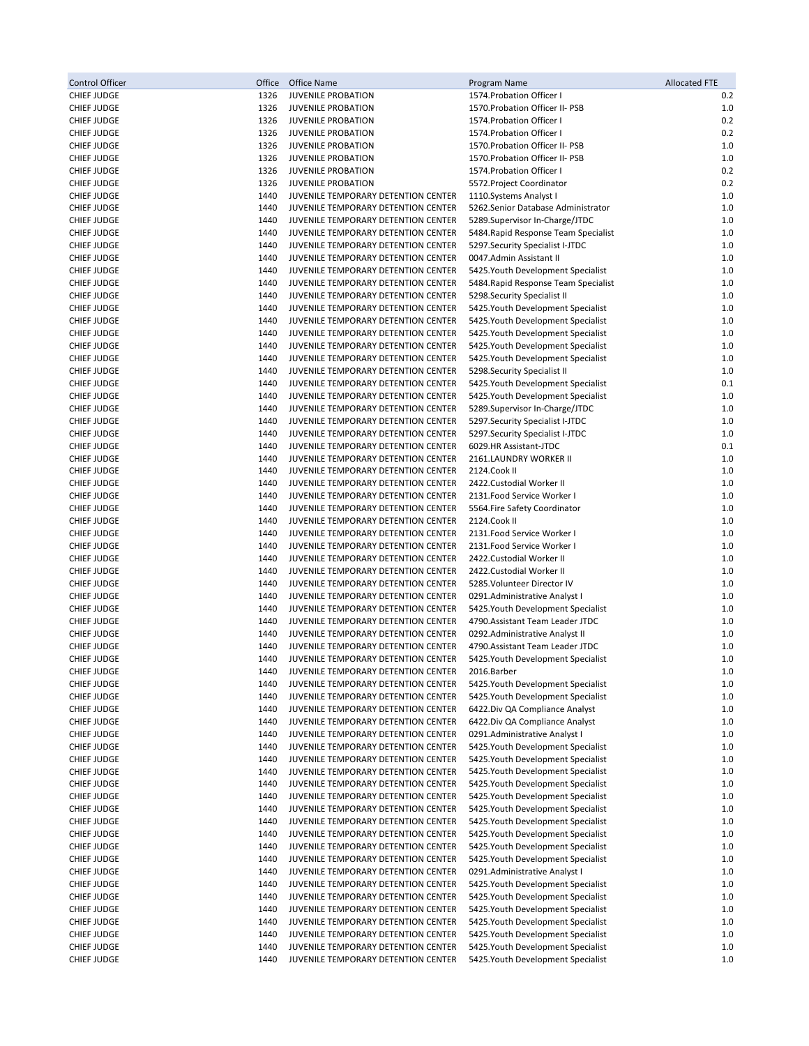| Control Officer                          | Office       | <b>Office Name</b>                                                         | Program Name                                                             | <b>Allocated FTE</b> |
|------------------------------------------|--------------|----------------------------------------------------------------------------|--------------------------------------------------------------------------|----------------------|
| <b>CHIEF JUDGE</b>                       | 1326         | <b>JUVENILE PROBATION</b>                                                  | 1574. Probation Officer I                                                | 0.2                  |
| <b>CHIEF JUDGE</b>                       | 1326         | <b>JUVENILE PROBATION</b>                                                  | 1570. Probation Officer II- PSB                                          | 1.0                  |
| <b>CHIEF JUDGE</b>                       | 1326         | <b>JUVENILE PROBATION</b>                                                  | 1574. Probation Officer I                                                | 0.2                  |
| <b>CHIEF JUDGE</b>                       | 1326         | <b>JUVENILE PROBATION</b>                                                  | 1574. Probation Officer I                                                | 0.2                  |
| <b>CHIEF JUDGE</b>                       | 1326         | <b>JUVENILE PROBATION</b>                                                  | 1570. Probation Officer II- PSB                                          | $1.0$                |
| <b>CHIEF JUDGE</b>                       | 1326         | <b>JUVENILE PROBATION</b>                                                  | 1570. Probation Officer II- PSB                                          | 1.0                  |
| <b>CHIEF JUDGE</b>                       | 1326         | <b>JUVENILE PROBATION</b>                                                  | 1574. Probation Officer I                                                | 0.2                  |
| <b>CHIEF JUDGE</b>                       | 1326         | <b>JUVENILE PROBATION</b>                                                  | 5572. Project Coordinator                                                | 0.2                  |
| <b>CHIEF JUDGE</b>                       | 1440         | JUVENILE TEMPORARY DETENTION CENTER                                        | 1110. Systems Analyst I                                                  | 1.0                  |
| <b>CHIEF JUDGE</b>                       | 1440         | JUVENILE TEMPORARY DETENTION CENTER                                        | 5262.Senior Database Administrator                                       | 1.0                  |
| <b>CHIEF JUDGE</b>                       | 1440         | JUVENILE TEMPORARY DETENTION CENTER                                        | 5289.Supervisor In-Charge/JTDC                                           | 1.0                  |
| <b>CHIEF JUDGE</b>                       | 1440         | JUVENILE TEMPORARY DETENTION CENTER                                        | 5484. Rapid Response Team Specialist                                     | 1.0                  |
| <b>CHIEF JUDGE</b>                       | 1440         | JUVENILE TEMPORARY DETENTION CENTER                                        | 5297.Security Specialist I-JTDC                                          | 1.0                  |
| <b>CHIEF JUDGE</b>                       | 1440         | JUVENILE TEMPORARY DETENTION CENTER                                        | 0047.Admin Assistant II                                                  | 1.0                  |
| <b>CHIEF JUDGE</b>                       | 1440         | JUVENILE TEMPORARY DETENTION CENTER                                        | 5425. Youth Development Specialist                                       | $1.0$                |
| <b>CHIEF JUDGE</b><br><b>CHIEF JUDGE</b> | 1440<br>1440 | JUVENILE TEMPORARY DETENTION CENTER<br>JUVENILE TEMPORARY DETENTION CENTER | 5484. Rapid Response Team Specialist                                     | 1.0<br>1.0           |
| <b>CHIEF JUDGE</b>                       | 1440         | JUVENILE TEMPORARY DETENTION CENTER                                        | 5298. Security Specialist II<br>5425. Youth Development Specialist       | 1.0                  |
| <b>CHIEF JUDGE</b>                       | 1440         | JUVENILE TEMPORARY DETENTION CENTER                                        | 5425. Youth Development Specialist                                       | 1.0                  |
| <b>CHIEF JUDGE</b>                       | 1440         | JUVENILE TEMPORARY DETENTION CENTER                                        | 5425. Youth Development Specialist                                       | 1.0                  |
| <b>CHIEF JUDGE</b>                       | 1440         | JUVENILE TEMPORARY DETENTION CENTER                                        | 5425. Youth Development Specialist                                       | 1.0                  |
| <b>CHIEF JUDGE</b>                       | 1440         | JUVENILE TEMPORARY DETENTION CENTER                                        | 5425. Youth Development Specialist                                       | 1.0                  |
| <b>CHIEF JUDGE</b>                       | 1440         | JUVENILE TEMPORARY DETENTION CENTER                                        | 5298. Security Specialist II                                             | $1.0$                |
| CHIEF JUDGE                              | 1440         | JUVENILE TEMPORARY DETENTION CENTER                                        | 5425. Youth Development Specialist                                       | 0.1                  |
| <b>CHIEF JUDGE</b>                       | 1440         | JUVENILE TEMPORARY DETENTION CENTER                                        | 5425. Youth Development Specialist                                       | 1.0                  |
| <b>CHIEF JUDGE</b>                       | 1440         | JUVENILE TEMPORARY DETENTION CENTER                                        | 5289.Supervisor In-Charge/JTDC                                           | 1.0                  |
| <b>CHIEF JUDGE</b>                       | 1440         | JUVENILE TEMPORARY DETENTION CENTER                                        | 5297. Security Specialist I-JTDC                                         | $1.0$                |
| <b>CHIEF JUDGE</b>                       | 1440         | JUVENILE TEMPORARY DETENTION CENTER                                        | 5297. Security Specialist I-JTDC                                         | 1.0                  |
| <b>CHIEF JUDGE</b>                       | 1440         | JUVENILE TEMPORARY DETENTION CENTER                                        | 6029.HR Assistant-JTDC                                                   | 0.1                  |
| <b>CHIEF JUDGE</b>                       | 1440         | JUVENILE TEMPORARY DETENTION CENTER                                        | 2161.LAUNDRY WORKER II                                                   | 1.0                  |
| <b>CHIEF JUDGE</b>                       | 1440         | JUVENILE TEMPORARY DETENTION CENTER                                        | 2124.Cook II                                                             | 1.0                  |
| <b>CHIEF JUDGE</b>                       | 1440         | JUVENILE TEMPORARY DETENTION CENTER                                        | 2422.Custodial Worker II                                                 | 1.0                  |
| <b>CHIEF JUDGE</b>                       | 1440         | JUVENILE TEMPORARY DETENTION CENTER                                        | 2131.Food Service Worker I                                               | 1.0                  |
| <b>CHIEF JUDGE</b>                       | 1440         | JUVENILE TEMPORARY DETENTION CENTER                                        | 5564. Fire Safety Coordinator                                            | 1.0                  |
| <b>CHIEF JUDGE</b>                       | 1440<br>1440 | JUVENILE TEMPORARY DETENTION CENTER                                        | 2124.Cook II                                                             | 1.0<br>1.0           |
| <b>CHIEF JUDGE</b><br><b>CHIEF JUDGE</b> | 1440         | JUVENILE TEMPORARY DETENTION CENTER<br>JUVENILE TEMPORARY DETENTION CENTER | 2131.Food Service Worker I<br>2131.Food Service Worker I                 | 1.0                  |
| <b>CHIEF JUDGE</b>                       | 1440         | JUVENILE TEMPORARY DETENTION CENTER                                        | 2422.Custodial Worker II                                                 | 1.0                  |
| <b>CHIEF JUDGE</b>                       | 1440         | JUVENILE TEMPORARY DETENTION CENTER                                        | 2422.Custodial Worker II                                                 | 1.0                  |
| <b>CHIEF JUDGE</b>                       | 1440         | JUVENILE TEMPORARY DETENTION CENTER                                        | 5285. Volunteer Director IV                                              | 1.0                  |
| <b>CHIEF JUDGE</b>                       | 1440         | JUVENILE TEMPORARY DETENTION CENTER                                        | 0291.Administrative Analyst I                                            | $1.0$                |
| <b>CHIEF JUDGE</b>                       | 1440         | JUVENILE TEMPORARY DETENTION CENTER                                        | 5425. Youth Development Specialist                                       | 1.0                  |
| <b>CHIEF JUDGE</b>                       | 1440         | JUVENILE TEMPORARY DETENTION CENTER                                        | 4790. Assistant Team Leader JTDC                                         | 1.0                  |
| <b>CHIEF JUDGE</b>                       | 1440         | JUVENILE TEMPORARY DETENTION CENTER                                        | 0292.Administrative Analyst II                                           | 1.0                  |
| <b>CHIEF JUDGE</b>                       | 1440         | JUVENILE TEMPORARY DETENTION CENTER                                        | 4790. Assistant Team Leader JTDC                                         | 1.0                  |
| <b>CHIEF JUDGE</b>                       | 1440         | JUVENILE TEMPORARY DETENTION CENTER                                        | 5425. Youth Development Specialist                                       | 1.0                  |
| <b>CHIEF JUDGE</b>                       | 1440         | JUVENILE TEMPORARY DETENTION CENTER                                        | 2016.Barber                                                              | 1.0                  |
| <b>CHIEF JUDGE</b>                       | 1440         | JUVENILE TEMPORARY DETENTION CENTER                                        | 5425. Youth Development Specialist                                       | 1.0                  |
| <b>CHIEF JUDGE</b>                       | 1440         | JUVENILE TEMPORARY DETENTION CENTER                                        | 5425. Youth Development Specialist                                       | 1.0                  |
| <b>CHIEF JUDGE</b>                       | 1440         | JUVENILE TEMPORARY DETENTION CENTER                                        | 6422.Div QA Compliance Analyst                                           | 1.0                  |
| <b>CHIEF JUDGE</b><br><b>CHIEF JUDGE</b> | 1440<br>1440 | JUVENILE TEMPORARY DETENTION CENTER<br>JUVENILE TEMPORARY DETENTION CENTER | 6422. Div QA Compliance Analyst<br>0291.Administrative Analyst I         | 1.0<br>1.0           |
| <b>CHIEF JUDGE</b>                       | 1440         | JUVENILE TEMPORARY DETENTION CENTER                                        | 5425. Youth Development Specialist                                       | 1.0                  |
| <b>CHIEF JUDGE</b>                       | 1440         | JUVENILE TEMPORARY DETENTION CENTER                                        | 5425. Youth Development Specialist                                       | 1.0                  |
| <b>CHIEF JUDGE</b>                       | 1440         | JUVENILE TEMPORARY DETENTION CENTER                                        | 5425. Youth Development Specialist                                       | 1.0                  |
| <b>CHIEF JUDGE</b>                       | 1440         | JUVENILE TEMPORARY DETENTION CENTER                                        | 5425. Youth Development Specialist                                       | 1.0                  |
| <b>CHIEF JUDGE</b>                       | 1440         | JUVENILE TEMPORARY DETENTION CENTER                                        | 5425. Youth Development Specialist                                       | 1.0                  |
| <b>CHIEF JUDGE</b>                       | 1440         | JUVENILE TEMPORARY DETENTION CENTER                                        | 5425. Youth Development Specialist                                       | 1.0                  |
| <b>CHIEF JUDGE</b>                       | 1440         | JUVENILE TEMPORARY DETENTION CENTER                                        | 5425. Youth Development Specialist                                       | 1.0                  |
| <b>CHIEF JUDGE</b>                       | 1440         | JUVENILE TEMPORARY DETENTION CENTER                                        | 5425. Youth Development Specialist                                       | 1.0                  |
| <b>CHIEF JUDGE</b>                       | 1440         | JUVENILE TEMPORARY DETENTION CENTER                                        | 5425. Youth Development Specialist                                       | 1.0                  |
| <b>CHIEF JUDGE</b>                       | 1440         | JUVENILE TEMPORARY DETENTION CENTER                                        | 5425. Youth Development Specialist                                       | 1.0                  |
| <b>CHIEF JUDGE</b>                       | 1440         | JUVENILE TEMPORARY DETENTION CENTER                                        | 0291.Administrative Analyst I                                            | 1.0                  |
| <b>CHIEF JUDGE</b>                       | 1440         | JUVENILE TEMPORARY DETENTION CENTER                                        | 5425. Youth Development Specialist                                       | 1.0                  |
| <b>CHIEF JUDGE</b>                       | 1440         | JUVENILE TEMPORARY DETENTION CENTER                                        | 5425. Youth Development Specialist                                       | 1.0                  |
| <b>CHIEF JUDGE</b>                       | 1440         | JUVENILE TEMPORARY DETENTION CENTER                                        | 5425. Youth Development Specialist                                       | 1.0                  |
| <b>CHIEF JUDGE</b>                       | 1440         | JUVENILE TEMPORARY DETENTION CENTER<br>JUVENILE TEMPORARY DETENTION CENTER | 5425. Youth Development Specialist                                       | 1.0                  |
| <b>CHIEF JUDGE</b><br><b>CHIEF JUDGE</b> | 1440<br>1440 | JUVENILE TEMPORARY DETENTION CENTER                                        | 5425. Youth Development Specialist<br>5425. Youth Development Specialist | 1.0<br>1.0           |
| <b>CHIEF JUDGE</b>                       | 1440         | JUVENILE TEMPORARY DETENTION CENTER                                        | 5425. Youth Development Specialist                                       | 1.0                  |
|                                          |              |                                                                            |                                                                          |                      |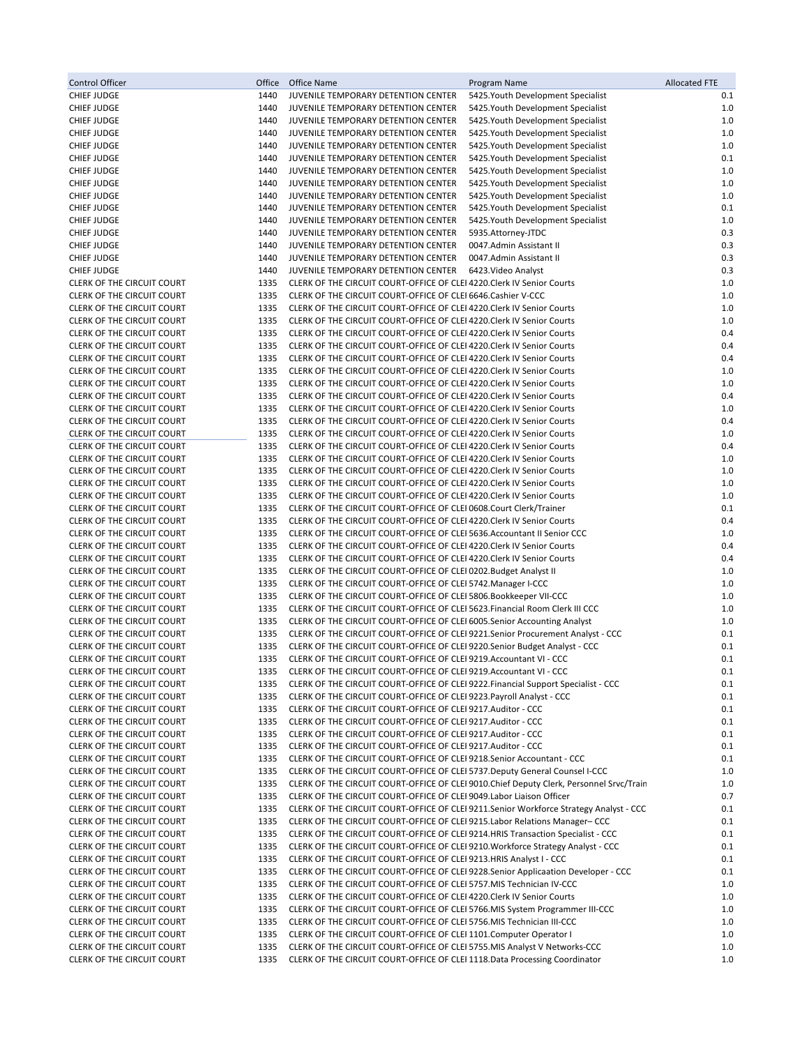| Control Officer                                                        | Office       | Office Name                                                                                                                                                          | Program Name                                                                            | <b>Allocated FTE</b> |
|------------------------------------------------------------------------|--------------|----------------------------------------------------------------------------------------------------------------------------------------------------------------------|-----------------------------------------------------------------------------------------|----------------------|
| CHIEF JUDGE                                                            | 1440         | JUVENILE TEMPORARY DETENTION CENTER                                                                                                                                  | 5425. Youth Development Specialist                                                      | 0.1                  |
| <b>CHIEF JUDGE</b>                                                     | 1440         | JUVENILE TEMPORARY DETENTION CENTER                                                                                                                                  | 5425. Youth Development Specialist                                                      | 1.0                  |
| <b>CHIEF JUDGE</b>                                                     | 1440         | JUVENILE TEMPORARY DETENTION CENTER                                                                                                                                  | 5425. Youth Development Specialist                                                      | 1.0                  |
| <b>CHIEF JUDGE</b><br><b>CHIEF JUDGE</b>                               | 1440<br>1440 | JUVENILE TEMPORARY DETENTION CENTER<br>JUVENILE TEMPORARY DETENTION CENTER                                                                                           | 5425. Youth Development Specialist<br>5425. Youth Development Specialist                | 1.0<br>1.0           |
| <b>CHIEF JUDGE</b>                                                     | 1440         | JUVENILE TEMPORARY DETENTION CENTER                                                                                                                                  | 5425. Youth Development Specialist                                                      | 0.1                  |
| CHIEF JUDGE                                                            | 1440         | JUVENILE TEMPORARY DETENTION CENTER                                                                                                                                  | 5425. Youth Development Specialist                                                      | 1.0                  |
| <b>CHIEF JUDGE</b>                                                     | 1440         | JUVENILE TEMPORARY DETENTION CENTER                                                                                                                                  | 5425. Youth Development Specialist                                                      | 1.0                  |
| <b>CHIEF JUDGE</b>                                                     | 1440         | JUVENILE TEMPORARY DETENTION CENTER                                                                                                                                  | 5425. Youth Development Specialist                                                      | 1.0                  |
| CHIEF JUDGE                                                            | 1440         | JUVENILE TEMPORARY DETENTION CENTER                                                                                                                                  | 5425. Youth Development Specialist                                                      | 0.1                  |
| <b>CHIEF JUDGE</b>                                                     | 1440         | JUVENILE TEMPORARY DETENTION CENTER                                                                                                                                  | 5425. Youth Development Specialist                                                      | 1.0                  |
| <b>CHIEF JUDGE</b>                                                     | 1440         | JUVENILE TEMPORARY DETENTION CENTER                                                                                                                                  | 5935.Attorney-JTDC                                                                      | 0.3                  |
| <b>CHIEF JUDGE</b>                                                     | 1440<br>1440 | JUVENILE TEMPORARY DETENTION CENTER<br>JUVENILE TEMPORARY DETENTION CENTER                                                                                           | 0047.Admin Assistant II<br>0047.Admin Assistant II                                      | 0.3<br>0.3           |
| <b>CHIEF JUDGE</b><br><b>CHIEF JUDGE</b>                               | 1440         | JUVENILE TEMPORARY DETENTION CENTER                                                                                                                                  | 6423. Video Analyst                                                                     | 0.3                  |
| <b>CLERK OF THE CIRCUIT COURT</b>                                      | 1335         | CLERK OF THE CIRCUIT COURT-OFFICE OF CLEI 4220. Clerk IV Senior Courts                                                                                               |                                                                                         | 1.0                  |
| <b>CLERK OF THE CIRCUIT COURT</b>                                      | 1335         | CLERK OF THE CIRCUIT COURT-OFFICE OF CLEI 6646.Cashier V-CCC                                                                                                         |                                                                                         | 1.0                  |
| CLERK OF THE CIRCUIT COURT                                             | 1335         | CLERK OF THE CIRCUIT COURT-OFFICE OF CLEI 4220. Clerk IV Senior Courts                                                                                               |                                                                                         | 1.0                  |
| CLERK OF THE CIRCUIT COURT                                             | 1335         | CLERK OF THE CIRCUIT COURT-OFFICE OF CLEI 4220. Clerk IV Senior Courts                                                                                               |                                                                                         | 1.0                  |
| <b>CLERK OF THE CIRCUIT COURT</b>                                      | 1335         | CLERK OF THE CIRCUIT COURT-OFFICE OF CLEI 4220. Clerk IV Senior Courts                                                                                               |                                                                                         | 0.4                  |
| CLERK OF THE CIRCUIT COURT                                             | 1335         | CLERK OF THE CIRCUIT COURT-OFFICE OF CLEI 4220. Clerk IV Senior Courts                                                                                               |                                                                                         | 0.4                  |
| CLERK OF THE CIRCUIT COURT                                             | 1335         | CLERK OF THE CIRCUIT COURT-OFFICE OF CLEI 4220. Clerk IV Senior Courts<br>CLERK OF THE CIRCUIT COURT-OFFICE OF CLEI 4220 Clerk IV Senior Courts                      |                                                                                         | 0.4                  |
| <b>CLERK OF THE CIRCUIT COURT</b><br><b>CLERK OF THE CIRCUIT COURT</b> | 1335<br>1335 | CLERK OF THE CIRCUIT COURT-OFFICE OF CLEI 4220. Clerk IV Senior Courts                                                                                               |                                                                                         | 1.0<br>1.0           |
| <b>CLERK OF THE CIRCUIT COURT</b>                                      | 1335         | CLERK OF THE CIRCUIT COURT-OFFICE OF CLEI 4220. Clerk IV Senior Courts                                                                                               |                                                                                         | 0.4                  |
| <b>CLERK OF THE CIRCUIT COURT</b>                                      | 1335         | CLERK OF THE CIRCUIT COURT-OFFICE OF CLEI 4220. Clerk IV Senior Courts                                                                                               |                                                                                         | 1.0                  |
| <b>CLERK OF THE CIRCUIT COURT</b>                                      | 1335         | CLERK OF THE CIRCUIT COURT-OFFICE OF CLEI 4220. Clerk IV Senior Courts                                                                                               |                                                                                         | 0.4                  |
| CLERK OF THE CIRCUIT COURT                                             | 1335         | CLERK OF THE CIRCUIT COURT-OFFICE OF CLEI 4220. Clerk IV Senior Courts                                                                                               |                                                                                         | 1.0                  |
| <b>CLERK OF THE CIRCUIT COURT</b>                                      | 1335         | CLERK OF THE CIRCUIT COURT-OFFICE OF CLEI 4220.Clerk IV Senior Courts                                                                                                |                                                                                         | 0.4                  |
| CLERK OF THE CIRCUIT COURT                                             | 1335         | CLERK OF THE CIRCUIT COURT-OFFICE OF CLEI 4220. Clerk IV Senior Courts                                                                                               |                                                                                         | 1.0                  |
| CLERK OF THE CIRCUIT COURT                                             | 1335         | CLERK OF THE CIRCUIT COURT-OFFICE OF CLEI 4220. Clerk IV Senior Courts                                                                                               |                                                                                         | 1.0                  |
| CLERK OF THE CIRCUIT COURT<br>CLERK OF THE CIRCUIT COURT               | 1335<br>1335 | CLERK OF THE CIRCUIT COURT-OFFICE OF CLEI 4220. Clerk IV Senior Courts<br>CLERK OF THE CIRCUIT COURT-OFFICE OF CLEI 4220. Clerk IV Senior Courts                     |                                                                                         | 1.0<br>1.0           |
| CLERK OF THE CIRCUIT COURT                                             | 1335         | CLERK OF THE CIRCUIT COURT-OFFICE OF CLEI 0608.Court Clerk/Trainer                                                                                                   |                                                                                         | 0.1                  |
| CLERK OF THE CIRCUIT COURT                                             | 1335         | CLERK OF THE CIRCUIT COURT-OFFICE OF CLEI 4220. Clerk IV Senior Courts                                                                                               |                                                                                         | 0.4                  |
| <b>CLERK OF THE CIRCUIT COURT</b>                                      | 1335         | CLERK OF THE CIRCUIT COURT-OFFICE OF CLEI 5636. Accountant II Senior CCC                                                                                             |                                                                                         | 1.0                  |
| CLERK OF THE CIRCUIT COURT                                             | 1335         | CLERK OF THE CIRCUIT COURT-OFFICE OF CLEI 4220. Clerk IV Senior Courts                                                                                               |                                                                                         | 0.4                  |
| <b>CLERK OF THE CIRCUIT COURT</b>                                      | 1335         | CLERK OF THE CIRCUIT COURT-OFFICE OF CLEI 4220. Clerk IV Senior Courts                                                                                               |                                                                                         | 0.4                  |
| CLERK OF THE CIRCUIT COURT                                             | 1335         | CLERK OF THE CIRCUIT COURT-OFFICE OF CLEI 0202. Budget Analyst II                                                                                                    |                                                                                         | 1.0                  |
| CLERK OF THE CIRCUIT COURT                                             | 1335         | CLERK OF THE CIRCUIT COURT-OFFICE OF CLEI 5742. Manager I-CCC                                                                                                        |                                                                                         | 1.0                  |
| <b>CLERK OF THE CIRCUIT COURT</b><br>CLERK OF THE CIRCUIT COURT        | 1335<br>1335 | CLERK OF THE CIRCUIT COURT-OFFICE OF CLEI 5806. Bookkeeper VII-CCC<br>CLERK OF THE CIRCUIT COURT-OFFICE OF CLEI 5623. Financial Room Clerk III CCC                   |                                                                                         | 1.0<br>1.0           |
| CLERK OF THE CIRCUIT COURT                                             | 1335         | CLERK OF THE CIRCUIT COURT-OFFICE OF CLEI 6005. Senior Accounting Analyst                                                                                            |                                                                                         | 1.0                  |
| CLERK OF THE CIRCUIT COURT                                             | 1335         | CLERK OF THE CIRCUIT COURT-OFFICE OF CLEI 9221. Senior Procurement Analyst - CCC                                                                                     |                                                                                         | 0.1                  |
| <b>CLERK OF THE CIRCUIT COURT</b>                                      | 1335         | CLERK OF THE CIRCUIT COURT-OFFICE OF CLEI 9220. Senior Budget Analyst - CCC                                                                                          |                                                                                         | 0.1                  |
| <b>CLERK OF THE CIRCUIT COURT</b>                                      | 1335         | CLERK OF THE CIRCUIT COURT-OFFICE OF CLEI 9219. Accountant VI - CCC                                                                                                  |                                                                                         | 0.1                  |
| <b>CLERK OF THE CIRCUIT COURT</b>                                      | 1335         | CLERK OF THE CIRCUIT COURT-OFFICE OF CLEI 9219.Accountant VI - CCC                                                                                                   |                                                                                         | 0.1                  |
| <b>CLERK OF THE CIRCUIT COURT</b>                                      | 1335         | CLERK OF THE CIRCUIT COURT-OFFICE OF CLEI 9222. Financial Support Specialist - CCC                                                                                   |                                                                                         | 0.1                  |
| CLERK OF THE CIRCUIT COURT                                             | 1335         | CLERK OF THE CIRCUIT COURT-OFFICE OF CLEI 9223. Payroll Analyst - CCC                                                                                                |                                                                                         | 0.1                  |
| CLERK OF THE CIRCUIT COURT<br><b>CLERK OF THE CIRCUIT COURT</b>        | 1335<br>1335 | CLERK OF THE CIRCUIT COURT-OFFICE OF CLEI 9217. Auditor - CCC<br>CLERK OF THE CIRCUIT COURT-OFFICE OF CLEI 9217.Auditor - CCC                                        |                                                                                         | 0.1                  |
| CLERK OF THE CIRCUIT COURT                                             | 1335         | CLERK OF THE CIRCUIT COURT-OFFICE OF CLEI 9217.Auditor - CCC                                                                                                         |                                                                                         | 0.1<br>0.1           |
| CLERK OF THE CIRCUIT COURT                                             | 1335         | CLERK OF THE CIRCUIT COURT-OFFICE OF CLEI 9217.Auditor - CCC                                                                                                         |                                                                                         | 0.1                  |
| <b>CLERK OF THE CIRCUIT COURT</b>                                      | 1335         | CLERK OF THE CIRCUIT COURT-OFFICE OF CLEI 9218. Senior Accountant - CCC                                                                                              |                                                                                         | 0.1                  |
| <b>CLERK OF THE CIRCUIT COURT</b>                                      | 1335         | CLERK OF THE CIRCUIT COURT-OFFICE OF CLEI 5737. Deputy General Counsel I-CCC                                                                                         |                                                                                         | 1.0                  |
| CLERK OF THE CIRCUIT COURT                                             | 1335         |                                                                                                                                                                      | CLERK OF THE CIRCUIT COURT-OFFICE OF CLEI 9010.Chief Deputy Clerk, Personnel Srvc/Train | 1.0                  |
| CLERK OF THE CIRCUIT COURT                                             | 1335         | CLERK OF THE CIRCUIT COURT-OFFICE OF CLEI 9049.Labor Liaison Officer                                                                                                 |                                                                                         | 0.7                  |
| <b>CLERK OF THE CIRCUIT COURT</b>                                      | 1335         |                                                                                                                                                                      | CLERK OF THE CIRCUIT COURT-OFFICE OF CLEI 9211.Senior Workforce Strategy Analyst - CCC  | 0.1                  |
| <b>CLERK OF THE CIRCUIT COURT</b>                                      | 1335         | CLERK OF THE CIRCUIT COURT-OFFICE OF CLEI 9215.Labor Relations Manager-CCC                                                                                           |                                                                                         | 0.1                  |
| <b>CLERK OF THE CIRCUIT COURT</b><br>CLERK OF THE CIRCUIT COURT        | 1335<br>1335 | CLERK OF THE CIRCUIT COURT-OFFICE OF CLEI 9214.HRIS Transaction Specialist - CCC<br>CLERK OF THE CIRCUIT COURT-OFFICE OF CLEI 9210. Workforce Strategy Analyst - CCC |                                                                                         | 0.1<br>0.1           |
| CLERK OF THE CIRCUIT COURT                                             | 1335         | CLERK OF THE CIRCUIT COURT-OFFICE OF CLEI 9213. HRIS Analyst I - CCC                                                                                                 |                                                                                         | 0.1                  |
| CLERK OF THE CIRCUIT COURT                                             | 1335         | CLERK OF THE CIRCUIT COURT-OFFICE OF CLEI 9228. Senior Applicaation Developer - CCC                                                                                  |                                                                                         | 0.1                  |
| CLERK OF THE CIRCUIT COURT                                             | 1335         | CLERK OF THE CIRCUIT COURT-OFFICE OF CLEI 5757.MIS Technician IV-CCC                                                                                                 |                                                                                         | 1.0                  |
| CLERK OF THE CIRCUIT COURT                                             | 1335         | CLERK OF THE CIRCUIT COURT-OFFICE OF CLEI 4220. Clerk IV Senior Courts                                                                                               |                                                                                         | 1.0                  |
| CLERK OF THE CIRCUIT COURT                                             | 1335         | CLERK OF THE CIRCUIT COURT-OFFICE OF CLEI 5766.MIS System Programmer III-CCC                                                                                         |                                                                                         | 1.0                  |
| CLERK OF THE CIRCUIT COURT                                             | 1335         | CLERK OF THE CIRCUIT COURT-OFFICE OF CLEI 5756.MIS Technician III-CCC                                                                                                |                                                                                         | 1.0                  |
| CLERK OF THE CIRCUIT COURT                                             | 1335         | CLERK OF THE CIRCUIT COURT-OFFICE OF CLEI 1101. Computer Operator I                                                                                                  |                                                                                         | 1.0                  |
| <b>CLERK OF THE CIRCUIT COURT</b>                                      | 1335<br>1335 | CLERK OF THE CIRCUIT COURT-OFFICE OF CLEI 5755. MIS Analyst V Networks-CCC                                                                                           |                                                                                         | 1.0<br>1.0           |
| CLERK OF THE CIRCUIT COURT                                             |              | CLERK OF THE CIRCUIT COURT-OFFICE OF CLEI 1118. Data Processing Coordinator                                                                                          |                                                                                         |                      |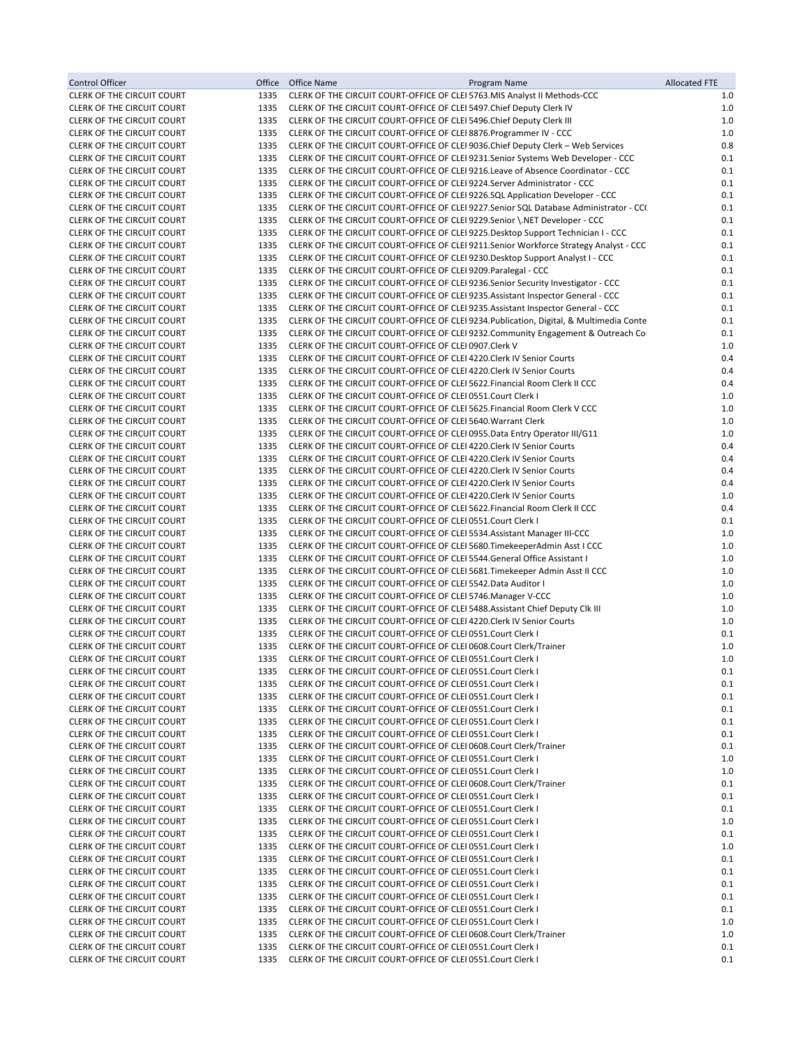| Control Officer                                                        |              | Office Office Name<br>Program Name                                                                                                                                            | <b>Allocated FTE</b> |
|------------------------------------------------------------------------|--------------|-------------------------------------------------------------------------------------------------------------------------------------------------------------------------------|----------------------|
| CLERK OF THE CIRCUIT COURT                                             | 1335         | CLERK OF THE CIRCUIT COURT-OFFICE OF CLEI 5763. MIS Analyst II Methods-CCC                                                                                                    | 1.0                  |
| CLERK OF THE CIRCUIT COURT                                             | 1335         | CLERK OF THE CIRCUIT COURT-OFFICE OF CLEI 5497. Chief Deputy Clerk IV                                                                                                         | 1.0                  |
| CLERK OF THE CIRCUIT COURT                                             | 1335         | CLERK OF THE CIRCUIT COURT-OFFICE OF CLEI 5496. Chief Deputy Clerk III                                                                                                        | $1.0$                |
| CLERK OF THE CIRCUIT COURT                                             | 1335         | CLERK OF THE CIRCUIT COURT-OFFICE OF CLEI 8876. Programmer IV - CCC                                                                                                           | $1.0$                |
| CLERK OF THE CIRCUIT COURT                                             | 1335         | CLERK OF THE CIRCUIT COURT-OFFICE OF CLEI 9036.Chief Deputy Clerk - Web Services                                                                                              | 0.8                  |
| CLERK OF THE CIRCUIT COURT                                             | 1335<br>1335 | CLERK OF THE CIRCUIT COURT-OFFICE OF CLEI 9231.Senior Systems Web Developer - CCC                                                                                             | 0.1<br>0.1           |
| CLERK OF THE CIRCUIT COURT<br><b>CLERK OF THE CIRCUIT COURT</b>        | 1335         | CLERK OF THE CIRCUIT COURT-OFFICE OF CLEI 9216.Leave of Absence Coordinator - CCC<br>CLERK OF THE CIRCUIT COURT-OFFICE OF CLEI 9224. Server Administrator - CCC               | 0.1                  |
| CLERK OF THE CIRCUIT COURT                                             | 1335         | CLERK OF THE CIRCUIT COURT-OFFICE OF CLEI 9226.SQL Application Developer - CCC                                                                                                | 0.1                  |
| <b>CLERK OF THE CIRCUIT COURT</b>                                      | 1335         | CLERK OF THE CIRCUIT COURT-OFFICE OF CLEI 9227.Senior SQL Database Administrator - CCO                                                                                        | 0.1                  |
| CLERK OF THE CIRCUIT COURT                                             | 1335         | CLERK OF THE CIRCUIT COURT-OFFICE OF CLEI 9229. Senior \. NET Developer - CCC                                                                                                 | 0.1                  |
| <b>CLERK OF THE CIRCUIT COURT</b>                                      | 1335         | CLERK OF THE CIRCUIT COURT-OFFICE OF CLEI 9225.Desktop Support Technician I - CCC                                                                                             | 0.1                  |
| CLERK OF THE CIRCUIT COURT                                             | 1335         | CLERK OF THE CIRCUIT COURT-OFFICE OF CLEI 9211.Senior Workforce Strategy Analyst - CCC                                                                                        | 0.1                  |
| <b>CLERK OF THE CIRCUIT COURT</b>                                      | 1335         | CLERK OF THE CIRCUIT COURT-OFFICE OF CLEI 9230. Desktop Support Analyst I - CCC                                                                                               | 0.1                  |
| <b>CLERK OF THE CIRCUIT COURT</b>                                      | 1335         | CLERK OF THE CIRCUIT COURT-OFFICE OF CLEI 9209. Paralegal - CCC                                                                                                               | 0.1                  |
| CLERK OF THE CIRCUIT COURT                                             | 1335         | CLERK OF THE CIRCUIT COURT-OFFICE OF CLEI 9236. Senior Security Investigator - CCC                                                                                            | 0.1                  |
| <b>CLERK OF THE CIRCUIT COURT</b>                                      | 1335         | CLERK OF THE CIRCUIT COURT-OFFICE OF CLEI 9235. Assistant Inspector General - CCC                                                                                             | 0.1                  |
| CLERK OF THE CIRCUIT COURT<br>CLERK OF THE CIRCUIT COURT               | 1335<br>1335 | CLERK OF THE CIRCUIT COURT-OFFICE OF CLEI 9235. Assistant Inspector General - CCC<br>CLERK OF THE CIRCUIT COURT-OFFICE OF CLEI 9234. Publication, Digital, & Multimedia Conte | 0.1<br>0.1           |
| <b>CLERK OF THE CIRCUIT COURT</b>                                      | 1335         | CLERK OF THE CIRCUIT COURT-OFFICE OF CLEI 9232.Community Engagement & Outreach Co                                                                                             | 0.1                  |
| <b>CLERK OF THE CIRCUIT COURT</b>                                      | 1335         | CLERK OF THE CIRCUIT COURT-OFFICE OF CLEI 0907.Clerk V                                                                                                                        | 1.0                  |
| CLERK OF THE CIRCUIT COURT                                             | 1335         | CLERK OF THE CIRCUIT COURT-OFFICE OF CLEI 4220. Clerk IV Senior Courts                                                                                                        | 0.4                  |
| <b>CLERK OF THE CIRCUIT COURT</b>                                      | 1335         | CLERK OF THE CIRCUIT COURT-OFFICE OF CLEI 4220. Clerk IV Senior Courts                                                                                                        | 0.4                  |
| <b>CLERK OF THE CIRCUIT COURT</b>                                      | 1335         | CLERK OF THE CIRCUIT COURT-OFFICE OF CLEI 5622. Financial Room Clerk II CCC                                                                                                   | 0.4                  |
| <b>CLERK OF THE CIRCUIT COURT</b>                                      | 1335         | CLERK OF THE CIRCUIT COURT-OFFICE OF CLEI 0551.Court Clerk I                                                                                                                  | $1.0$                |
| CLERK OF THE CIRCUIT COURT                                             | 1335         | CLERK OF THE CIRCUIT COURT-OFFICE OF CLEI 5625. Financial Room Clerk V CCC                                                                                                    | 1.0                  |
| <b>CLERK OF THE CIRCUIT COURT</b>                                      | 1335         | CLERK OF THE CIRCUIT COURT-OFFICE OF CLEI 5640. Warrant Clerk                                                                                                                 | 1.0                  |
| CLERK OF THE CIRCUIT COURT                                             | 1335         | CLERK OF THE CIRCUIT COURT-OFFICE OF CLEI 0955. Data Entry Operator III/G11                                                                                                   | 1.0                  |
| CLERK OF THE CIRCUIT COURT                                             | 1335         | CLERK OF THE CIRCUIT COURT-OFFICE OF CLEI 4220. Clerk IV Senior Courts                                                                                                        | 0.4                  |
| <b>CLERK OF THE CIRCUIT COURT</b><br>CLERK OF THE CIRCUIT COURT        | 1335<br>1335 | CLERK OF THE CIRCUIT COURT-OFFICE OF CLEI 4220. Clerk IV Senior Courts<br>CLERK OF THE CIRCUIT COURT-OFFICE OF CLEI 4220. Clerk IV Senior Courts                              | 0.4<br>0.4           |
| CLERK OF THE CIRCUIT COURT                                             | 1335         | CLERK OF THE CIRCUIT COURT-OFFICE OF CLEI 4220. Clerk IV Senior Courts                                                                                                        | 0.4                  |
| CLERK OF THE CIRCUIT COURT                                             | 1335         | CLERK OF THE CIRCUIT COURT-OFFICE OF CLEI 4220. Clerk IV Senior Courts                                                                                                        | 1.0                  |
| CLERK OF THE CIRCUIT COURT                                             | 1335         | CLERK OF THE CIRCUIT COURT-OFFICE OF CLEI 5622. Financial Room Clerk II CCC                                                                                                   | 0.4                  |
| CLERK OF THE CIRCUIT COURT                                             | 1335         | CLERK OF THE CIRCUIT COURT-OFFICE OF CLEI 0551.Court Clerk I                                                                                                                  | 0.1                  |
| CLERK OF THE CIRCUIT COURT                                             | 1335         | CLERK OF THE CIRCUIT COURT-OFFICE OF CLEI 5534. Assistant Manager III-CCC                                                                                                     | 1.0                  |
| CLERK OF THE CIRCUIT COURT                                             | 1335         | CLERK OF THE CIRCUIT COURT-OFFICE OF CLEI 5680. Time keeper Admin Asst I CCC                                                                                                  | $1.0$                |
| CLERK OF THE CIRCUIT COURT                                             | 1335         | CLERK OF THE CIRCUIT COURT-OFFICE OF CLEI 5544. General Office Assistant I                                                                                                    | $1.0$                |
| <b>CLERK OF THE CIRCUIT COURT</b>                                      | 1335         | CLERK OF THE CIRCUIT COURT-OFFICE OF CLEI 5681. Timekeeper Admin Asst II CCC                                                                                                  | 1.0                  |
| CLERK OF THE CIRCUIT COURT                                             | 1335         | CLERK OF THE CIRCUIT COURT-OFFICE OF CLEI 5542. Data Auditor I                                                                                                                | 1.0                  |
| CLERK OF THE CIRCUIT COURT<br>CLERK OF THE CIRCUIT COURT               | 1335<br>1335 | CLERK OF THE CIRCUIT COURT-OFFICE OF CLEI 5746. Manager V-CCC<br>CLERK OF THE CIRCUIT COURT-OFFICE OF CLEI 5488. Assistant Chief Deputy Clk III                               | 1.0<br>$1.0$         |
| CLERK OF THE CIRCUIT COURT                                             | 1335         | CLERK OF THE CIRCUIT COURT-OFFICE OF CLEI 4220. Clerk IV Senior Courts                                                                                                        | $1.0$                |
| CLERK OF THE CIRCUIT COURT                                             | 1335         | CLERK OF THE CIRCUIT COURT-OFFICE OF CLEI 0551.Court Clerk I                                                                                                                  | 0.1                  |
| <b>CLERK OF THE CIRCUIT COURT</b>                                      | 1335         | CLERK OF THE CIRCUIT COURT-OFFICE OF CLEI 0608.Court Clerk/Trainer                                                                                                            | 1.0                  |
| <b>CLERK OF THE CIRCUIT COURT</b>                                      | 1335         | CLERK OF THE CIRCUIT COURT-OFFICE OF CLEI 0551.Court Clerk I                                                                                                                  | 1.0                  |
| CLERK OF THE CIRCUIT COURT                                             | 1335         | CLERK OF THE CIRCUIT COURT-OFFICE OF CLEI 0551.Court Clerk I                                                                                                                  | 0.1                  |
| <b>CLERK OF THE CIRCUIT COURT</b>                                      | 1335         | CLERK OF THE CIRCUIT COURT-OFFICE OF CLEI 0551.Court Clerk I                                                                                                                  | 0.1                  |
| CLERK OF THE CIRCUIT COURT                                             | 1335         | CLERK OF THE CIRCUIT COURT-OFFICE OF CLEI 0551. Court Clerk I                                                                                                                 | 0.1                  |
| CLERK OF THE CIRCUIT COURT                                             | 1335         | CLERK OF THE CIRCUIT COURT-OFFICE OF CLEI 0551.Court Clerk I                                                                                                                  | 0.1                  |
| <b>CLERK OF THE CIRCUIT COURT</b>                                      | 1335         | CLERK OF THE CIRCUIT COURT-OFFICE OF CLEI 0551.Court Clerk I                                                                                                                  | 0.1                  |
| <b>CLERK OF THE CIRCUIT COURT</b><br><b>CLERK OF THE CIRCUIT COURT</b> | 1335<br>1335 | CLERK OF THE CIRCUIT COURT-OFFICE OF CLEI 0551. Court Clerk I<br>CLERK OF THE CIRCUIT COURT-OFFICE OF CLEI 0608.Court Clerk/Trainer                                           | 0.1<br>0.1           |
| <b>CLERK OF THE CIRCUIT COURT</b>                                      | 1335         | CLERK OF THE CIRCUIT COURT-OFFICE OF CLEI 0551.Court Clerk I                                                                                                                  | 1.0                  |
| <b>CLERK OF THE CIRCUIT COURT</b>                                      | 1335         | CLERK OF THE CIRCUIT COURT-OFFICE OF CLEI 0551. Court Clerk I                                                                                                                 | 1.0                  |
| CLERK OF THE CIRCUIT COURT                                             | 1335         | CLERK OF THE CIRCUIT COURT-OFFICE OF CLEI 0608.Court Clerk/Trainer                                                                                                            | 0.1                  |
| <b>CLERK OF THE CIRCUIT COURT</b>                                      | 1335         | CLERK OF THE CIRCUIT COURT-OFFICE OF CLEI 0551. Court Clerk I                                                                                                                 | 0.1                  |
| CLERK OF THE CIRCUIT COURT                                             | 1335         | CLERK OF THE CIRCUIT COURT-OFFICE OF CLEI 0551. Court Clerk I                                                                                                                 | 0.1                  |
| <b>CLERK OF THE CIRCUIT COURT</b>                                      | 1335         | CLERK OF THE CIRCUIT COURT-OFFICE OF CLEI 0551.Court Clerk I                                                                                                                  | 1.0                  |
| CLERK OF THE CIRCUIT COURT                                             | 1335         | CLERK OF THE CIRCUIT COURT-OFFICE OF CLEI 0551.Court Clerk I                                                                                                                  | 0.1                  |
| <b>CLERK OF THE CIRCUIT COURT</b>                                      | 1335         | CLERK OF THE CIRCUIT COURT-OFFICE OF CLEI 0551.Court Clerk I                                                                                                                  | 1.0                  |
| CLERK OF THE CIRCUIT COURT                                             | 1335         | CLERK OF THE CIRCUIT COURT-OFFICE OF CLEI 0551.Court Clerk I                                                                                                                  | 0.1                  |
| CLERK OF THE CIRCUIT COURT<br><b>CLERK OF THE CIRCUIT COURT</b>        | 1335<br>1335 | CLERK OF THE CIRCUIT COURT-OFFICE OF CLEI 0551.Court Clerk I<br>CLERK OF THE CIRCUIT COURT-OFFICE OF CLEI 0551.Court Clerk I                                                  | 0.1<br>0.1           |
| CLERK OF THE CIRCUIT COURT                                             | 1335         | CLERK OF THE CIRCUIT COURT-OFFICE OF CLEI 0551.Court Clerk I                                                                                                                  | 0.1                  |
| CLERK OF THE CIRCUIT COURT                                             | 1335         | CLERK OF THE CIRCUIT COURT-OFFICE OF CLEI 0551.Court Clerk I                                                                                                                  | 0.1                  |
| CLERK OF THE CIRCUIT COURT                                             | 1335         | CLERK OF THE CIRCUIT COURT-OFFICE OF CLEI 0551. Court Clerk I                                                                                                                 | 1.0                  |
| <b>CLERK OF THE CIRCUIT COURT</b>                                      | 1335         | CLERK OF THE CIRCUIT COURT-OFFICE OF CLEI 0608.Court Clerk/Trainer                                                                                                            | 1.0                  |
| CLERK OF THE CIRCUIT COURT                                             | 1335         | CLERK OF THE CIRCUIT COURT-OFFICE OF CLEI 0551.Court Clerk I                                                                                                                  | 0.1                  |
| <b>CLERK OF THE CIRCUIT COURT</b>                                      | 1335         | CLERK OF THE CIRCUIT COURT-OFFICE OF CLEI 0551. Court Clerk I                                                                                                                 | 0.1                  |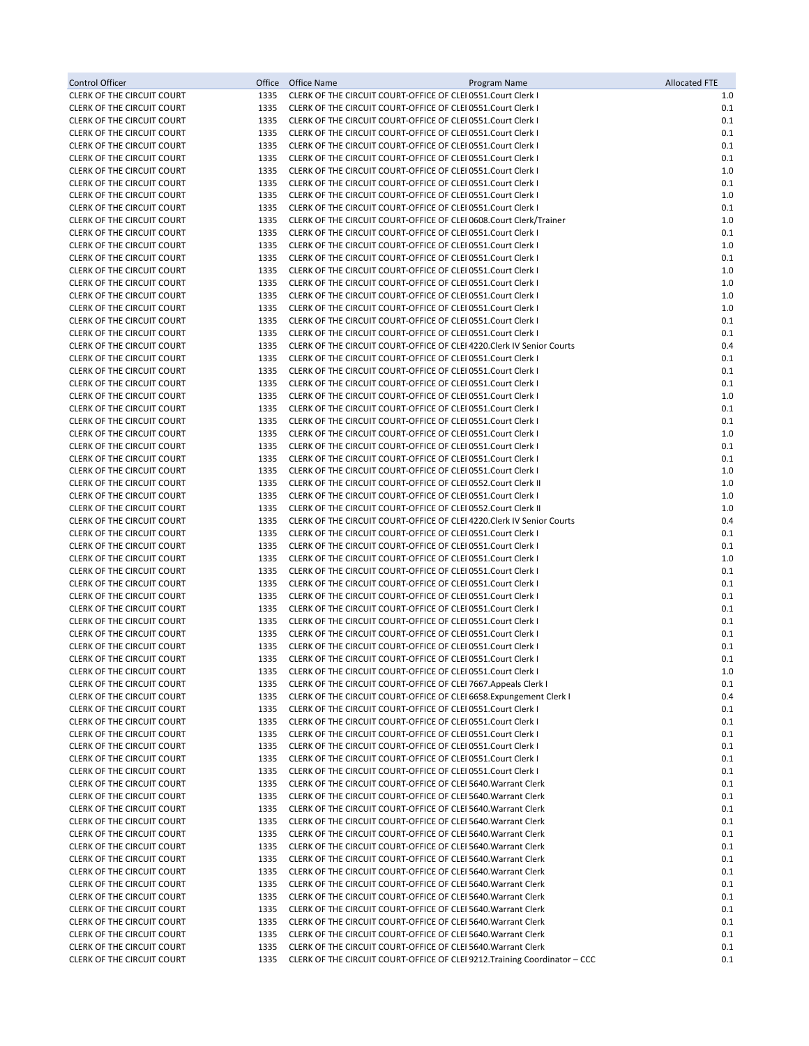| Control Officer                                                        | Office       | Office Name<br>Program Name                                                                                                            | <b>Allocated FTE</b> |
|------------------------------------------------------------------------|--------------|----------------------------------------------------------------------------------------------------------------------------------------|----------------------|
| <b>CLERK OF THE CIRCUIT COURT</b>                                      | 1335         | CLERK OF THE CIRCUIT COURT-OFFICE OF CLEI 0551.Court Clerk I                                                                           | 1.0                  |
| <b>CLERK OF THE CIRCUIT COURT</b>                                      | 1335         | CLERK OF THE CIRCUIT COURT-OFFICE OF CLEI 0551. Court Clerk I                                                                          | 0.1                  |
| <b>CLERK OF THE CIRCUIT COURT</b><br><b>CLERK OF THE CIRCUIT COURT</b> | 1335<br>1335 | CLERK OF THE CIRCUIT COURT-OFFICE OF CLEI 0551.Court Clerk I<br>CLERK OF THE CIRCUIT COURT-OFFICE OF CLEI 0551.Court Clerk I           | 0.1<br>0.1           |
| CLERK OF THE CIRCUIT COURT                                             | 1335         | CLERK OF THE CIRCUIT COURT-OFFICE OF CLEI 0551.Court Clerk I                                                                           | 0.1                  |
| <b>CLERK OF THE CIRCUIT COURT</b>                                      | 1335         | CLERK OF THE CIRCUIT COURT-OFFICE OF CLEI 0551.Court Clerk I                                                                           | 0.1                  |
| <b>CLERK OF THE CIRCUIT COURT</b>                                      | 1335         | CLERK OF THE CIRCUIT COURT-OFFICE OF CLEI 0551. Court Clerk I                                                                          | 1.0                  |
| <b>CLERK OF THE CIRCUIT COURT</b>                                      | 1335         | CLERK OF THE CIRCUIT COURT-OFFICE OF CLEI 0551.Court Clerk I                                                                           | 0.1                  |
| CLERK OF THE CIRCUIT COURT                                             | 1335         | CLERK OF THE CIRCUIT COURT-OFFICE OF CLEI 0551.Court Clerk I                                                                           | 1.0                  |
| <b>CLERK OF THE CIRCUIT COURT</b>                                      | 1335         | CLERK OF THE CIRCUIT COURT-OFFICE OF CLEI 0551.Court Clerk I                                                                           | 0.1                  |
| CLERK OF THE CIRCUIT COURT<br><b>CLERK OF THE CIRCUIT COURT</b>        | 1335<br>1335 | CLERK OF THE CIRCUIT COURT-OFFICE OF CLEI 0608.Court Clerk/Trainer<br>CLERK OF THE CIRCUIT COURT-OFFICE OF CLEI 0551. Court Clerk I    | 1.0<br>0.1           |
| <b>CLERK OF THE CIRCUIT COURT</b>                                      | 1335         | CLERK OF THE CIRCUIT COURT-OFFICE OF CLEI 0551.Court Clerk I                                                                           | 1.0                  |
| <b>CLERK OF THE CIRCUIT COURT</b>                                      | 1335         | CLERK OF THE CIRCUIT COURT-OFFICE OF CLEI 0551.Court Clerk I                                                                           | 0.1                  |
| <b>CLERK OF THE CIRCUIT COURT</b>                                      | 1335         | CLERK OF THE CIRCUIT COURT-OFFICE OF CLEI 0551.Court Clerk I                                                                           | 1.0                  |
| <b>CLERK OF THE CIRCUIT COURT</b>                                      | 1335         | CLERK OF THE CIRCUIT COURT-OFFICE OF CLEI 0551.Court Clerk I                                                                           | 1.0                  |
| <b>CLERK OF THE CIRCUIT COURT</b>                                      | 1335         | CLERK OF THE CIRCUIT COURT-OFFICE OF CLEI 0551.Court Clerk I                                                                           | 1.0                  |
| CLERK OF THE CIRCUIT COURT<br><b>CLERK OF THE CIRCUIT COURT</b>        | 1335<br>1335 | CLERK OF THE CIRCUIT COURT-OFFICE OF CLEI 0551. Court Clerk I<br>CLERK OF THE CIRCUIT COURT-OFFICE OF CLEI 0551.Court Clerk I          | 1.0<br>0.1           |
| <b>CLERK OF THE CIRCUIT COURT</b>                                      | 1335         | CLERK OF THE CIRCUIT COURT-OFFICE OF CLEI 0551.Court Clerk I                                                                           | 0.1                  |
| CLERK OF THE CIRCUIT COURT                                             | 1335         | CLERK OF THE CIRCUIT COURT-OFFICE OF CLEI 4220. Clerk IV Senior Courts                                                                 | 0.4                  |
| <b>CLERK OF THE CIRCUIT COURT</b>                                      | 1335         | CLERK OF THE CIRCUIT COURT-OFFICE OF CLEI 0551.Court Clerk I                                                                           | 0.1                  |
| <b>CLERK OF THE CIRCUIT COURT</b>                                      | 1335         | CLERK OF THE CIRCUIT COURT-OFFICE OF CLEI 0551.Court Clerk I                                                                           | 0.1                  |
| CLERK OF THE CIRCUIT COURT                                             | 1335         | CLERK OF THE CIRCUIT COURT-OFFICE OF CLEI 0551.Court Clerk I                                                                           | 0.1                  |
| <b>CLERK OF THE CIRCUIT COURT</b>                                      | 1335         | CLERK OF THE CIRCUIT COURT-OFFICE OF CLEI 0551.Court Clerk I                                                                           | 1.0                  |
| <b>CLERK OF THE CIRCUIT COURT</b><br><b>CLERK OF THE CIRCUIT COURT</b> | 1335<br>1335 | CLERK OF THE CIRCUIT COURT-OFFICE OF CLEI 0551. Court Clerk I<br>CLERK OF THE CIRCUIT COURT-OFFICE OF CLEI 0551.Court Clerk I          | 0.1<br>0.1           |
| <b>CLERK OF THE CIRCUIT COURT</b>                                      | 1335         | CLERK OF THE CIRCUIT COURT-OFFICE OF CLEI 0551.Court Clerk I                                                                           | 1.0                  |
| <b>CLERK OF THE CIRCUIT COURT</b>                                      | 1335         | CLERK OF THE CIRCUIT COURT-OFFICE OF CLEI 0551.Court Clerk I                                                                           | 0.1                  |
| <b>CLERK OF THE CIRCUIT COURT</b>                                      | 1335         | CLERK OF THE CIRCUIT COURT-OFFICE OF CLEI 0551.Court Clerk I                                                                           | 0.1                  |
| <b>CLERK OF THE CIRCUIT COURT</b>                                      | 1335         | CLERK OF THE CIRCUIT COURT-OFFICE OF CLEI 0551.Court Clerk I                                                                           | 1.0                  |
| <b>CLERK OF THE CIRCUIT COURT</b>                                      | 1335         | CLERK OF THE CIRCUIT COURT-OFFICE OF CLEI 0552. Court Clerk II                                                                         | 1.0                  |
| CLERK OF THE CIRCUIT COURT                                             | 1335         | CLERK OF THE CIRCUIT COURT-OFFICE OF CLEI 0551.Court Clerk I                                                                           | 1.0                  |
| <b>CLERK OF THE CIRCUIT COURT</b><br><b>CLERK OF THE CIRCUIT COURT</b> | 1335<br>1335 | CLERK OF THE CIRCUIT COURT-OFFICE OF CLEI 0552.Court Clerk II                                                                          | 1.0<br>0.4           |
| CLERK OF THE CIRCUIT COURT                                             | 1335         | CLERK OF THE CIRCUIT COURT-OFFICE OF CLEI 4220. Clerk IV Senior Courts<br>CLERK OF THE CIRCUIT COURT-OFFICE OF CLEI 0551.Court Clerk I | 0.1                  |
| <b>CLERK OF THE CIRCUIT COURT</b>                                      | 1335         | CLERK OF THE CIRCUIT COURT-OFFICE OF CLEI 0551.Court Clerk I                                                                           | 0.1                  |
| <b>CLERK OF THE CIRCUIT COURT</b>                                      | 1335         | CLERK OF THE CIRCUIT COURT-OFFICE OF CLEI 0551.Court Clerk I                                                                           | 1.0                  |
| CLERK OF THE CIRCUIT COURT                                             | 1335         | CLERK OF THE CIRCUIT COURT-OFFICE OF CLEI 0551.Court Clerk I                                                                           | 0.1                  |
| <b>CLERK OF THE CIRCUIT COURT</b>                                      | 1335         | CLERK OF THE CIRCUIT COURT-OFFICE OF CLEI 0551. Court Clerk I                                                                          | 0.1                  |
| <b>CLERK OF THE CIRCUIT COURT</b>                                      | 1335         | CLERK OF THE CIRCUIT COURT-OFFICE OF CLEI 0551.Court Clerk I                                                                           | 0.1                  |
| CLERK OF THE CIRCUIT COURT<br>CLERK OF THE CIRCUIT COURT               | 1335<br>1335 | CLERK OF THE CIRCUIT COURT-OFFICE OF CLEI 0551.Court Clerk I<br>CLERK OF THE CIRCUIT COURT-OFFICE OF CLEI 0551.Court Clerk I           | 0.1<br>0.1           |
| <b>CLERK OF THE CIRCUIT COURT</b>                                      | 1335         | CLERK OF THE CIRCUIT COURT-OFFICE OF CLEI 0551. Court Clerk I                                                                          | 0.1                  |
| <b>CLERK OF THE CIRCUIT COURT</b>                                      | 1335         | CLERK OF THE CIRCUIT COURT-OFFICE OF CLEI 0551.Court Clerk I                                                                           | 0.1                  |
| <b>CLERK OF THE CIRCUIT COURT</b>                                      | 1335         | CLERK OF THE CIRCUIT COURT-OFFICE OF CLEI 0551. Court Clerk I                                                                          | 0.1                  |
| CLERK OF THE CIRCUIT COURT                                             | 1335         | CLERK OF THE CIRCUIT COURT-OFFICE OF CLEI 0551.Court Clerk I                                                                           | 1.0                  |
| <b>CLERK OF THE CIRCUIT COURT</b>                                      | 1335         | CLERK OF THE CIRCUIT COURT-OFFICE OF CLEI 7667. Appeals Clerk I                                                                        | 0.1                  |
| CLERK OF THE CIRCUIT COURT<br><b>CLERK OF THE CIRCUIT COURT</b>        | 1335<br>1335 | CLERK OF THE CIRCUIT COURT-OFFICE OF CLEI 6658. Expungement Clerk I<br>CLERK OF THE CIRCUIT COURT-OFFICE OF CLEI 0551. Court Clerk I   | 0.4<br>0.1           |
| CLERK OF THE CIRCUIT COURT                                             | 1335         | CLERK OF THE CIRCUIT COURT-OFFICE OF CLEI 0551.Court Clerk I                                                                           | 0.1                  |
| CLERK OF THE CIRCUIT COURT                                             | 1335         | CLERK OF THE CIRCUIT COURT-OFFICE OF CLEI 0551.Court Clerk I                                                                           | 0.1                  |
| <b>CLERK OF THE CIRCUIT COURT</b>                                      | 1335         | CLERK OF THE CIRCUIT COURT-OFFICE OF CLEI 0551.Court Clerk I                                                                           | 0.1                  |
| CLERK OF THE CIRCUIT COURT                                             | 1335         | CLERK OF THE CIRCUIT COURT-OFFICE OF CLEI 0551.Court Clerk I                                                                           | 0.1                  |
| CLERK OF THE CIRCUIT COURT                                             | 1335         | CLERK OF THE CIRCUIT COURT-OFFICE OF CLEI 0551.Court Clerk I                                                                           | 0.1                  |
| CLERK OF THE CIRCUIT COURT                                             | 1335         | CLERK OF THE CIRCUIT COURT-OFFICE OF CLEI 5640. Warrant Clerk                                                                          | 0.1                  |
| <b>CLERK OF THE CIRCUIT COURT</b><br><b>CLERK OF THE CIRCUIT COURT</b> | 1335<br>1335 | CLERK OF THE CIRCUIT COURT-OFFICE OF CLEI 5640. Warrant Clerk<br>CLERK OF THE CIRCUIT COURT-OFFICE OF CLEI 5640. Warrant Clerk         | 0.1<br>0.1           |
| CLERK OF THE CIRCUIT COURT                                             | 1335         | CLERK OF THE CIRCUIT COURT-OFFICE OF CLEI 5640. Warrant Clerk                                                                          | 0.1                  |
| <b>CLERK OF THE CIRCUIT COURT</b>                                      | 1335         | CLERK OF THE CIRCUIT COURT-OFFICE OF CLEI 5640. Warrant Clerk                                                                          | 0.1                  |
| CLERK OF THE CIRCUIT COURT                                             | 1335         | CLERK OF THE CIRCUIT COURT-OFFICE OF CLEI 5640. Warrant Clerk                                                                          | 0.1                  |
| <b>CLERK OF THE CIRCUIT COURT</b>                                      | 1335         | CLERK OF THE CIRCUIT COURT-OFFICE OF CLEI 5640. Warrant Clerk                                                                          | 0.1                  |
| CLERK OF THE CIRCUIT COURT                                             | 1335         | CLERK OF THE CIRCUIT COURT-OFFICE OF CLEI 5640. Warrant Clerk                                                                          | 0.1                  |
| CLERK OF THE CIRCUIT COURT                                             | 1335<br>1335 | CLERK OF THE CIRCUIT COURT-OFFICE OF CLEI 5640. Warrant Clerk<br>CLERK OF THE CIRCUIT COURT-OFFICE OF CLEI 5640. Warrant Clerk         | 0.1                  |
| <b>CLERK OF THE CIRCUIT COURT</b><br><b>CLERK OF THE CIRCUIT COURT</b> | 1335         | CLERK OF THE CIRCUIT COURT-OFFICE OF CLEI 5640. Warrant Clerk                                                                          | 0.1<br>0.1           |
| CLERK OF THE CIRCUIT COURT                                             | 1335         | CLERK OF THE CIRCUIT COURT-OFFICE OF CLEI 5640. Warrant Clerk                                                                          | 0.1                  |
| <b>CLERK OF THE CIRCUIT COURT</b>                                      | 1335         | CLERK OF THE CIRCUIT COURT-OFFICE OF CLEI 5640. Warrant Clerk                                                                          | 0.1                  |
| CLERK OF THE CIRCUIT COURT                                             | 1335         | CLERK OF THE CIRCUIT COURT-OFFICE OF CLEI 5640. Warrant Clerk                                                                          | 0.1                  |
| CLERK OF THE CIRCUIT COURT                                             | 1335         | CLERK OF THE CIRCUIT COURT-OFFICE OF CLEI 9212. Training Coordinator – CCC                                                             | 0.1                  |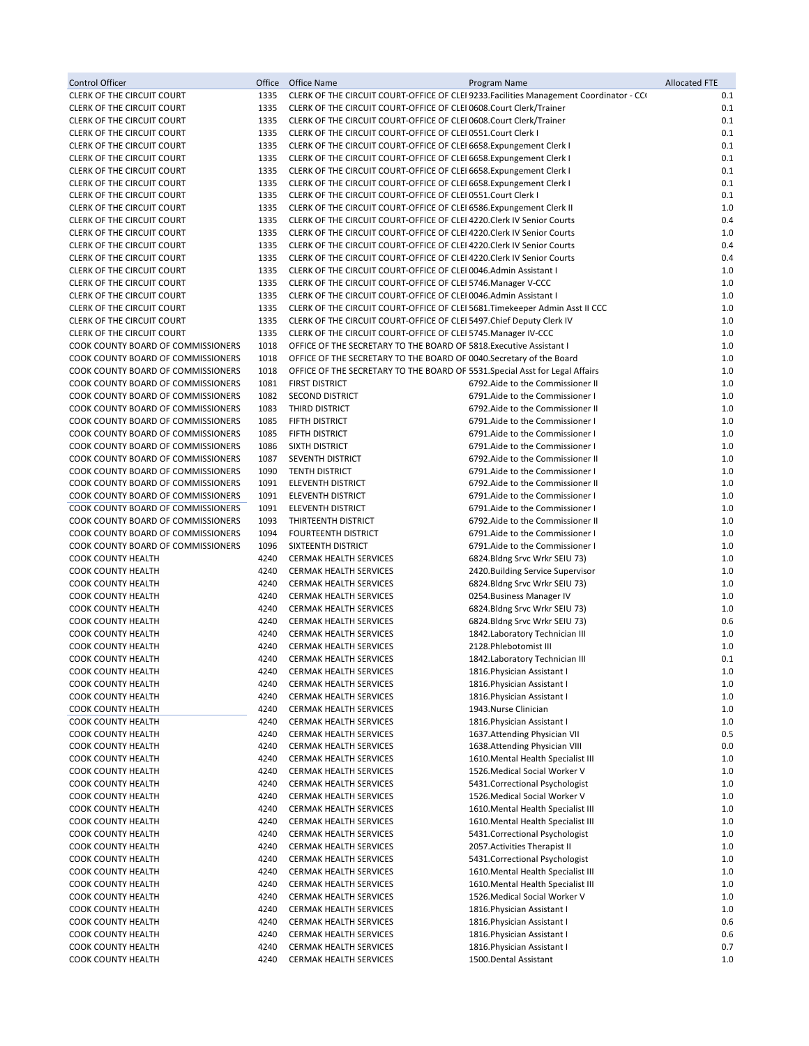| Control Officer                                                          | Office       | Office Name                                                                                                                                      | Program Name                                                                            | <b>Allocated FTE</b> |
|--------------------------------------------------------------------------|--------------|--------------------------------------------------------------------------------------------------------------------------------------------------|-----------------------------------------------------------------------------------------|----------------------|
| <b>CLERK OF THE CIRCUIT COURT</b>                                        | 1335         |                                                                                                                                                  | CLERK OF THE CIRCUIT COURT-OFFICE OF CLEI 9233. Facilities Management Coordinator - CCI | 0.1                  |
| CLERK OF THE CIRCUIT COURT                                               | 1335         | CLERK OF THE CIRCUIT COURT-OFFICE OF CLEI 0608.Court Clerk/Trainer                                                                               |                                                                                         | 0.1                  |
| <b>CLERK OF THE CIRCUIT COURT</b><br><b>CLERK OF THE CIRCUIT COURT</b>   | 1335<br>1335 | CLERK OF THE CIRCUIT COURT-OFFICE OF CLEI 0608.Court Clerk/Trainer<br>CLERK OF THE CIRCUIT COURT-OFFICE OF CLEI 0551. Court Clerk I              |                                                                                         | 0.1<br>0.1           |
| CLERK OF THE CIRCUIT COURT                                               | 1335         | CLERK OF THE CIRCUIT COURT-OFFICE OF CLEI 6658. Expungement Clerk I                                                                              |                                                                                         | 0.1                  |
| <b>CLERK OF THE CIRCUIT COURT</b>                                        | 1335         | CLERK OF THE CIRCUIT COURT-OFFICE OF CLEI 6658. Expungement Clerk I                                                                              |                                                                                         | 0.1                  |
| <b>CLERK OF THE CIRCUIT COURT</b>                                        | 1335         | CLERK OF THE CIRCUIT COURT-OFFICE OF CLEI 6658. Expungement Clerk I                                                                              |                                                                                         | 0.1                  |
| CLERK OF THE CIRCUIT COURT                                               | 1335         | CLERK OF THE CIRCUIT COURT-OFFICE OF CLEI 6658. Expungement Clerk I                                                                              |                                                                                         | 0.1                  |
| <b>CLERK OF THE CIRCUIT COURT</b>                                        | 1335         | CLERK OF THE CIRCUIT COURT-OFFICE OF CLEI 0551. Court Clerk I                                                                                    |                                                                                         | 0.1                  |
| <b>CLERK OF THE CIRCUIT COURT</b>                                        | 1335         | CLERK OF THE CIRCUIT COURT-OFFICE OF CLEI 6586. Expungement Clerk II                                                                             |                                                                                         | 1.0                  |
| CLERK OF THE CIRCUIT COURT<br>CLERK OF THE CIRCUIT COURT                 | 1335<br>1335 | CLERK OF THE CIRCUIT COURT-OFFICE OF CLEI 4220. Clerk IV Senior Courts<br>CLERK OF THE CIRCUIT COURT-OFFICE OF CLEI 4220. Clerk IV Senior Courts |                                                                                         | 0.4<br>1.0           |
| <b>CLERK OF THE CIRCUIT COURT</b>                                        | 1335         | CLERK OF THE CIRCUIT COURT-OFFICE OF CLEI 4220. Clerk IV Senior Courts                                                                           |                                                                                         | 0.4                  |
| CLERK OF THE CIRCUIT COURT                                               | 1335         | CLERK OF THE CIRCUIT COURT-OFFICE OF CLEI 4220. Clerk IV Senior Courts                                                                           |                                                                                         | 0.4                  |
| CLERK OF THE CIRCUIT COURT                                               | 1335         | CLERK OF THE CIRCUIT COURT-OFFICE OF CLEI 0046.Admin Assistant I                                                                                 |                                                                                         | 1.0                  |
| CLERK OF THE CIRCUIT COURT                                               | 1335         | CLERK OF THE CIRCUIT COURT-OFFICE OF CLEI 5746. Manager V-CCC                                                                                    |                                                                                         | 1.0                  |
| <b>CLERK OF THE CIRCUIT COURT</b>                                        | 1335         | CLERK OF THE CIRCUIT COURT-OFFICE OF CLEI 0046.Admin Assistant I                                                                                 |                                                                                         | 1.0                  |
| CLERK OF THE CIRCUIT COURT                                               | 1335         | CLERK OF THE CIRCUIT COURT-OFFICE OF CLEI 5681. Timekeeper Admin Asst II CCC                                                                     |                                                                                         | 1.0                  |
| <b>CLERK OF THE CIRCUIT COURT</b><br><b>CLERK OF THE CIRCUIT COURT</b>   | 1335<br>1335 | CLERK OF THE CIRCUIT COURT-OFFICE OF CLEI 5497. Chief Deputy Clerk IV<br>CLERK OF THE CIRCUIT COURT-OFFICE OF CLEI 5745. Manager IV-CCC          |                                                                                         | 1.0<br>1.0           |
| COOK COUNTY BOARD OF COMMISSIONERS                                       | 1018         | OFFICE OF THE SECRETARY TO THE BOARD OF 5818. Executive Assistant I                                                                              |                                                                                         | 1.0                  |
| COOK COUNTY BOARD OF COMMISSIONERS                                       | 1018         | OFFICE OF THE SECRETARY TO THE BOARD OF 0040. Secretary of the Board                                                                             |                                                                                         | 1.0                  |
| COOK COUNTY BOARD OF COMMISSIONERS                                       | 1018         | OFFICE OF THE SECRETARY TO THE BOARD OF 5531. Special Asst for Legal Affairs                                                                     |                                                                                         | 1.0                  |
| COOK COUNTY BOARD OF COMMISSIONERS                                       | 1081         | <b>FIRST DISTRICT</b>                                                                                                                            | 6792. Aide to the Commissioner II                                                       | 1.0                  |
| COOK COUNTY BOARD OF COMMISSIONERS                                       | 1082         | <b>SECOND DISTRICT</b>                                                                                                                           | 6791. Aide to the Commissioner I                                                        | 1.0                  |
| COOK COUNTY BOARD OF COMMISSIONERS                                       | 1083         | THIRD DISTRICT                                                                                                                                   | 6792. Aide to the Commissioner II                                                       | 1.0                  |
| COOK COUNTY BOARD OF COMMISSIONERS<br>COOK COUNTY BOARD OF COMMISSIONERS | 1085         | FIFTH DISTRICT                                                                                                                                   | 6791. Aide to the Commissioner I                                                        | 1.0                  |
| COOK COUNTY BOARD OF COMMISSIONERS                                       | 1085<br>1086 | FIFTH DISTRICT<br>SIXTH DISTRICT                                                                                                                 | 6791.Aide to the Commissioner I<br>6791.Aide to the Commissioner I                      | 1.0<br>1.0           |
| COOK COUNTY BOARD OF COMMISSIONERS                                       | 1087         | SEVENTH DISTRICT                                                                                                                                 | 6792. Aide to the Commissioner II                                                       | 1.0                  |
| COOK COUNTY BOARD OF COMMISSIONERS                                       | 1090         | <b>TENTH DISTRICT</b>                                                                                                                            | 6791. Aide to the Commissioner I                                                        | 1.0                  |
| COOK COUNTY BOARD OF COMMISSIONERS                                       | 1091         | ELEVENTH DISTRICT                                                                                                                                | 6792. Aide to the Commissioner II                                                       | 1.0                  |
| COOK COUNTY BOARD OF COMMISSIONERS                                       | 1091         | ELEVENTH DISTRICT                                                                                                                                | 6791.Aide to the Commissioner I                                                         | 1.0                  |
| COOK COUNTY BOARD OF COMMISSIONERS                                       | 1091         | <b>ELEVENTH DISTRICT</b>                                                                                                                         | 6791. Aide to the Commissioner I                                                        | 1.0                  |
| COOK COUNTY BOARD OF COMMISSIONERS<br>COOK COUNTY BOARD OF COMMISSIONERS | 1093         | THIRTEENTH DISTRICT<br><b>FOURTEENTH DISTRICT</b>                                                                                                | 6792. Aide to the Commissioner II<br>6791.Aide to the Commissioner I                    | 1.0<br>1.0           |
| COOK COUNTY BOARD OF COMMISSIONERS                                       | 1094<br>1096 | SIXTEENTH DISTRICT                                                                                                                               | 6791.Aide to the Commissioner I                                                         | 1.0                  |
| COOK COUNTY HEALTH                                                       | 4240         | <b>CERMAK HEALTH SERVICES</b>                                                                                                                    | 6824. Bldng Srvc Wrkr SEIU 73)                                                          | 1.0                  |
| COOK COUNTY HEALTH                                                       | 4240         | CERMAK HEALTH SERVICES                                                                                                                           | 2420. Building Service Supervisor                                                       | 1.0                  |
| <b>COOK COUNTY HEALTH</b>                                                | 4240         | <b>CERMAK HEALTH SERVICES</b>                                                                                                                    | 6824. Bldng Srvc Wrkr SEIU 73)                                                          | 1.0                  |
| <b>COOK COUNTY HEALTH</b>                                                | 4240         | <b>CERMAK HEALTH SERVICES</b>                                                                                                                    | 0254. Business Manager IV                                                               | 1.0                  |
| COOK COUNTY HEALTH                                                       | 4240         | CERMAK HEALTH SERVICES                                                                                                                           | 6824.Bldng Srvc Wrkr SEIU 73)                                                           | 1.0                  |
| COOK COUNTY HEALTH<br>COOK COUNTY HEALTH                                 | 4240<br>4240 | <b>CERMAK HEALTH SERVICES</b><br><b>CERMAK HEALTH SERVICES</b>                                                                                   | 6824.Bldng Srvc Wrkr SEIU 73)<br>1842.Laboratory Technician III                         | 0.6<br>1.0           |
| <b>COOK COUNTY HEALTH</b>                                                | 4240         | <b>CERMAK HEALTH SERVICES</b>                                                                                                                    | 2128. Phlebotomist III                                                                  | 1.0                  |
| <b>COOK COUNTY HEALTH</b>                                                | 4240         | <b>CERMAK HEALTH SERVICES</b>                                                                                                                    | 1842. Laboratory Technician III                                                         | 0.1                  |
| <b>COOK COUNTY HEALTH</b>                                                | 4240         | CERMAK HEALTH SERVICES                                                                                                                           | 1816. Physician Assistant I                                                             | $1.0\,$              |
| COOK COUNTY HEALTH                                                       | 4240         | CERMAK HEALTH SERVICES                                                                                                                           | 1816. Physician Assistant I                                                             | 1.0                  |
| COOK COUNTY HEALTH                                                       | 4240         | CERMAK HEALTH SERVICES                                                                                                                           | 1816. Physician Assistant I                                                             | 1.0                  |
| COOK COUNTY HEALTH                                                       | 4240         | CERMAK HEALTH SERVICES                                                                                                                           | 1943.Nurse Clinician                                                                    | 1.0                  |
| COOK COUNTY HEALTH<br>COOK COUNTY HEALTH                                 | 4240<br>4240 | <b>CERMAK HEALTH SERVICES</b><br>CERMAK HEALTH SERVICES                                                                                          | 1816. Physician Assistant I<br>1637. Attending Physician VII                            | 1.0<br>0.5           |
| COOK COUNTY HEALTH                                                       | 4240         | CERMAK HEALTH SERVICES                                                                                                                           | 1638.Attending Physician VIII                                                           | 0.0                  |
| COOK COUNTY HEALTH                                                       | 4240         | CERMAK HEALTH SERVICES                                                                                                                           | 1610. Mental Health Specialist III                                                      | 1.0                  |
| COOK COUNTY HEALTH                                                       | 4240         | CERMAK HEALTH SERVICES                                                                                                                           | 1526. Medical Social Worker V                                                           | 1.0                  |
| COOK COUNTY HEALTH                                                       | 4240         | CERMAK HEALTH SERVICES                                                                                                                           | 5431.Correctional Psychologist                                                          | 1.0                  |
| COOK COUNTY HEALTH                                                       | 4240         | CERMAK HEALTH SERVICES                                                                                                                           | 1526. Medical Social Worker V                                                           | 1.0                  |
| COOK COUNTY HEALTH                                                       | 4240         | <b>CERMAK HEALTH SERVICES</b>                                                                                                                    | 1610. Mental Health Specialist III                                                      | 1.0                  |
| COOK COUNTY HEALTH<br>COOK COUNTY HEALTH                                 | 4240<br>4240 | <b>CERMAK HEALTH SERVICES</b><br>CERMAK HEALTH SERVICES                                                                                          | 1610. Mental Health Specialist III<br>5431.Correctional Psychologist                    | 1.0<br>1.0           |
| COOK COUNTY HEALTH                                                       | 4240         | CERMAK HEALTH SERVICES                                                                                                                           | 2057. Activities Therapist II                                                           | 1.0                  |
| COOK COUNTY HEALTH                                                       | 4240         | CERMAK HEALTH SERVICES                                                                                                                           | 5431. Correctional Psychologist                                                         | 1.0                  |
| COOK COUNTY HEALTH                                                       | 4240         | <b>CERMAK HEALTH SERVICES</b>                                                                                                                    | 1610. Mental Health Specialist III                                                      | 1.0                  |
| COOK COUNTY HEALTH                                                       | 4240         | CERMAK HEALTH SERVICES                                                                                                                           | 1610. Mental Health Specialist III                                                      | 1.0                  |
| COOK COUNTY HEALTH                                                       | 4240         | CERMAK HEALTH SERVICES                                                                                                                           | 1526. Medical Social Worker V                                                           | 1.0                  |
| COOK COUNTY HEALTH                                                       | 4240         | CERMAK HEALTH SERVICES                                                                                                                           | 1816. Physician Assistant I                                                             | 1.0                  |
| COOK COUNTY HEALTH<br>COOK COUNTY HEALTH                                 | 4240<br>4240 | CERMAK HEALTH SERVICES<br>CERMAK HEALTH SERVICES                                                                                                 | 1816. Physician Assistant I<br>1816. Physician Assistant I                              | 0.6<br>0.6           |
| COOK COUNTY HEALTH                                                       | 4240         | <b>CERMAK HEALTH SERVICES</b>                                                                                                                    | 1816. Physician Assistant I                                                             | 0.7                  |
| COOK COUNTY HEALTH                                                       | 4240         | <b>CERMAK HEALTH SERVICES</b>                                                                                                                    | 1500.Dental Assistant                                                                   | 1.0                  |
|                                                                          |              |                                                                                                                                                  |                                                                                         |                      |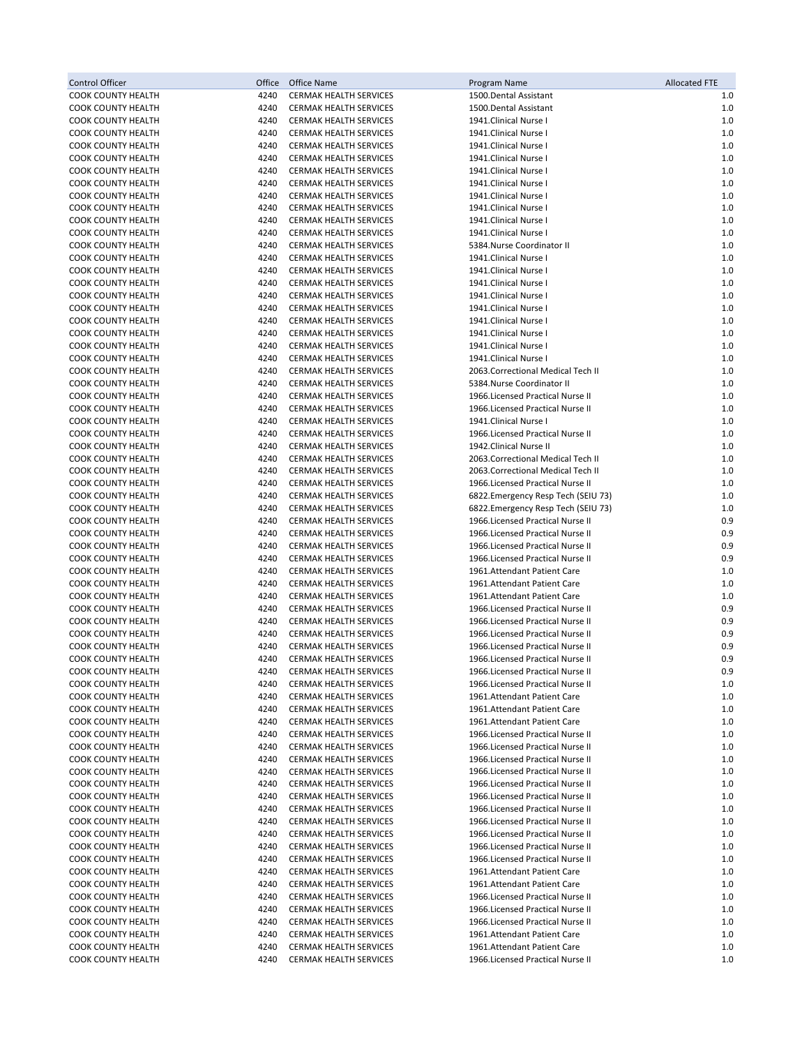| Control Officer                                        | Office       | Office Name                                                    | Program Name                                                           | <b>Allocated FTE</b> |
|--------------------------------------------------------|--------------|----------------------------------------------------------------|------------------------------------------------------------------------|----------------------|
| <b>COOK COUNTY HEALTH</b>                              | 4240         | <b>CERMAK HEALTH SERVICES</b>                                  | 1500.Dental Assistant                                                  | 1.0                  |
| COOK COUNTY HEALTH                                     | 4240         | CERMAK HEALTH SERVICES                                         | 1500.Dental Assistant                                                  | 1.0                  |
| COOK COUNTY HEALTH                                     | 4240         | <b>CERMAK HEALTH SERVICES</b>                                  | 1941.Clinical Nurse I                                                  | 1.0                  |
| COOK COUNTY HEALTH                                     | 4240         | CERMAK HEALTH SERVICES                                         | 1941.Clinical Nurse I                                                  | 1.0                  |
| <b>COOK COUNTY HEALTH</b>                              | 4240         | CERMAK HEALTH SERVICES                                         | 1941.Clinical Nurse I                                                  | 1.0                  |
| COOK COUNTY HEALTH                                     | 4240         | <b>CERMAK HEALTH SERVICES</b>                                  | 1941.Clinical Nurse I                                                  | 1.0                  |
| COOK COUNTY HEALTH                                     | 4240         | CERMAK HEALTH SERVICES                                         | 1941.Clinical Nurse I                                                  | 1.0                  |
| <b>COOK COUNTY HEALTH</b><br>COOK COUNTY HEALTH        | 4240<br>4240 | CERMAK HEALTH SERVICES<br><b>CERMAK HEALTH SERVICES</b>        | 1941.Clinical Nurse I<br>1941.Clinical Nurse I                         | 1.0<br>1.0           |
| <b>COOK COUNTY HEALTH</b>                              | 4240         | <b>CERMAK HEALTH SERVICES</b>                                  | 1941.Clinical Nurse I                                                  | 1.0                  |
| <b>COOK COUNTY HEALTH</b>                              | 4240         | <b>CERMAK HEALTH SERVICES</b>                                  | 1941.Clinical Nurse I                                                  | 1.0                  |
| <b>COOK COUNTY HEALTH</b>                              | 4240         | <b>CERMAK HEALTH SERVICES</b>                                  | 1941.Clinical Nurse I                                                  | 1.0                  |
| <b>COOK COUNTY HEALTH</b>                              | 4240         | <b>CERMAK HEALTH SERVICES</b>                                  | 5384.Nurse Coordinator II                                              | 1.0                  |
| COOK COUNTY HEALTH                                     | 4240         | CERMAK HEALTH SERVICES                                         | 1941.Clinical Nurse I                                                  | 1.0                  |
| COOK COUNTY HEALTH                                     | 4240         | <b>CERMAK HEALTH SERVICES</b>                                  | 1941.Clinical Nurse I                                                  | 1.0                  |
| <b>COOK COUNTY HEALTH</b>                              | 4240         | CERMAK HEALTH SERVICES                                         | 1941.Clinical Nurse I                                                  | 1.0                  |
| <b>COOK COUNTY HEALTH</b>                              | 4240         | CERMAK HEALTH SERVICES                                         | 1941.Clinical Nurse I                                                  | 1.0                  |
| COOK COUNTY HEALTH                                     | 4240         | CERMAK HEALTH SERVICES                                         | 1941.Clinical Nurse I                                                  | 1.0                  |
| COOK COUNTY HEALTH                                     | 4240         | CERMAK HEALTH SERVICES                                         | 1941.Clinical Nurse I                                                  | 1.0                  |
| <b>COOK COUNTY HEALTH</b>                              | 4240         | CERMAK HEALTH SERVICES                                         | 1941.Clinical Nurse I                                                  | 1.0                  |
| COOK COUNTY HEALTH                                     | 4240         | CERMAK HEALTH SERVICES                                         | 1941.Clinical Nurse I                                                  | 1.0                  |
| <b>COOK COUNTY HEALTH</b>                              | 4240         | CERMAK HEALTH SERVICES                                         | 1941.Clinical Nurse I                                                  | 1.0                  |
| COOK COUNTY HEALTH                                     | 4240         | CERMAK HEALTH SERVICES                                         | 2063.Correctional Medical Tech II                                      | 1.0                  |
| <b>COOK COUNTY HEALTH</b>                              | 4240         | CERMAK HEALTH SERVICES                                         | 5384. Nurse Coordinator II                                             | 1.0                  |
| COOK COUNTY HEALTH                                     | 4240         | CERMAK HEALTH SERVICES                                         | 1966. Licensed Practical Nurse II                                      | 1.0                  |
| COOK COUNTY HEALTH                                     | 4240         | CERMAK HEALTH SERVICES                                         | 1966. Licensed Practical Nurse II                                      | 1.0                  |
| <b>COOK COUNTY HEALTH</b>                              | 4240         | <b>CERMAK HEALTH SERVICES</b>                                  | 1941.Clinical Nurse I                                                  | 1.0                  |
| COOK COUNTY HEALTH                                     | 4240         | <b>CERMAK HEALTH SERVICES</b>                                  | 1966. Licensed Practical Nurse II                                      | 1.0                  |
| COOK COUNTY HEALTH                                     | 4240         | CERMAK HEALTH SERVICES                                         | 1942. Clinical Nurse II                                                | 1.0                  |
| <b>COOK COUNTY HEALTH</b><br><b>COOK COUNTY HEALTH</b> | 4240<br>4240 | <b>CERMAK HEALTH SERVICES</b><br><b>CERMAK HEALTH SERVICES</b> | 2063.Correctional Medical Tech II<br>2063.Correctional Medical Tech II | 1.0<br>1.0           |
| COOK COUNTY HEALTH                                     | 4240         | <b>CERMAK HEALTH SERVICES</b>                                  | 1966. Licensed Practical Nurse II                                      | 1.0                  |
| <b>COOK COUNTY HEALTH</b>                              | 4240         | CERMAK HEALTH SERVICES                                         | 6822.Emergency Resp Tech (SEIU 73)                                     | 1.0                  |
| <b>COOK COUNTY HEALTH</b>                              | 4240         | <b>CERMAK HEALTH SERVICES</b>                                  | 6822.Emergency Resp Tech (SEIU 73)                                     | 1.0                  |
| <b>COOK COUNTY HEALTH</b>                              | 4240         | CERMAK HEALTH SERVICES                                         | 1966. Licensed Practical Nurse II                                      | 0.9                  |
| COOK COUNTY HEALTH                                     | 4240         | CERMAK HEALTH SERVICES                                         | 1966. Licensed Practical Nurse II                                      | 0.9                  |
| <b>COOK COUNTY HEALTH</b>                              | 4240         | <b>CERMAK HEALTH SERVICES</b>                                  | 1966. Licensed Practical Nurse II                                      | 0.9                  |
| <b>COOK COUNTY HEALTH</b>                              | 4240         | CERMAK HEALTH SERVICES                                         | 1966. Licensed Practical Nurse II                                      | 0.9                  |
| COOK COUNTY HEALTH                                     | 4240         | CERMAK HEALTH SERVICES                                         | 1961.Attendant Patient Care                                            | 1.0                  |
| COOK COUNTY HEALTH                                     | 4240         | CERMAK HEALTH SERVICES                                         | 1961. Attendant Patient Care                                           | 1.0                  |
| <b>COOK COUNTY HEALTH</b>                              | 4240         | CERMAK HEALTH SERVICES                                         | 1961.Attendant Patient Care                                            | 1.0                  |
| <b>COOK COUNTY HEALTH</b>                              | 4240         | CERMAK HEALTH SERVICES                                         | 1966. Licensed Practical Nurse II                                      | 0.9                  |
| <b>COOK COUNTY HEALTH</b>                              | 4240         | CERMAK HEALTH SERVICES                                         | 1966. Licensed Practical Nurse II                                      | 0.9                  |
| COOK COUNTY HEALTH                                     | 4240         | CERMAK HEALTH SERVICES                                         | 1966. Licensed Practical Nurse II                                      | 0.9                  |
| COOK COUNTY HEALTH                                     | 4240         | CERMAK HEALTH SERVICES                                         | 1966. Licensed Practical Nurse II                                      | 0.9                  |
| <b>COOK COUNTY HEALTH</b>                              | 4240         | <b>CERMAK HEALTH SERVICES</b>                                  | 1966. Licensed Practical Nurse II                                      | 0.9                  |
| <b>COOK COUNTY HEALTH</b>                              | 4240         | CERMAK HEALTH SERVICES                                         | 1966. Licensed Practical Nurse II                                      | 0.9                  |
| COOK COUNTY HEALTH                                     | 4240         | <b>CERMAK HEALTH SERVICES</b>                                  | 1966. Licensed Practical Nurse II                                      | 1.0                  |
| <b>COOK COUNTY HEALTH</b>                              | 4240         | CERMAK HEALTH SERVICES                                         | 1961. Attendant Patient Care                                           | 1.0                  |
| COOK COUNTY HEALTH<br><b>COOK COUNTY HEALTH</b>        | 4240<br>4240 | CERMAK HEALTH SERVICES                                         | 1961.Attendant Patient Care<br>1961. Attendant Patient Care            | 1.0<br>1.0           |
| <b>COOK COUNTY HEALTH</b>                              | 4240         | CERMAK HEALTH SERVICES<br><b>CERMAK HEALTH SERVICES</b>        | 1966. Licensed Practical Nurse II                                      | 1.0                  |
| <b>COOK COUNTY HEALTH</b>                              | 4240         | CERMAK HEALTH SERVICES                                         | 1966. Licensed Practical Nurse II                                      | 1.0                  |
| <b>COOK COUNTY HEALTH</b>                              | 4240         | CERMAK HEALTH SERVICES                                         | 1966. Licensed Practical Nurse II                                      | 1.0                  |
| <b>COOK COUNTY HEALTH</b>                              | 4240         | <b>CERMAK HEALTH SERVICES</b>                                  | 1966. Licensed Practical Nurse II                                      | 1.0                  |
| COOK COUNTY HEALTH                                     | 4240         | CERMAK HEALTH SERVICES                                         | 1966. Licensed Practical Nurse II                                      | 1.0                  |
| COOK COUNTY HEALTH                                     | 4240         | CERMAK HEALTH SERVICES                                         | 1966. Licensed Practical Nurse II                                      | 1.0                  |
| <b>COOK COUNTY HEALTH</b>                              | 4240         | CERMAK HEALTH SERVICES                                         | 1966. Licensed Practical Nurse II                                      | 1.0                  |
| COOK COUNTY HEALTH                                     | 4240         | <b>CERMAK HEALTH SERVICES</b>                                  | 1966. Licensed Practical Nurse II                                      | 1.0                  |
| COOK COUNTY HEALTH                                     | 4240         | CERMAK HEALTH SERVICES                                         | 1966. Licensed Practical Nurse II                                      | 1.0                  |
| COOK COUNTY HEALTH                                     | 4240         | CERMAK HEALTH SERVICES                                         | 1966. Licensed Practical Nurse II                                      | 1.0                  |
| COOK COUNTY HEALTH                                     | 4240         | CERMAK HEALTH SERVICES                                         | 1966. Licensed Practical Nurse II                                      | 1.0                  |
| COOK COUNTY HEALTH                                     | 4240         | CERMAK HEALTH SERVICES                                         | 1961. Attendant Patient Care                                           | 1.0                  |
| COOK COUNTY HEALTH                                     | 4240         | CERMAK HEALTH SERVICES                                         | 1961. Attendant Patient Care                                           | 1.0                  |
| COOK COUNTY HEALTH                                     | 4240         | CERMAK HEALTH SERVICES                                         | 1966. Licensed Practical Nurse II                                      | 1.0                  |
| COOK COUNTY HEALTH                                     | 4240         | CERMAK HEALTH SERVICES                                         | 1966. Licensed Practical Nurse II                                      | 1.0                  |
| COOK COUNTY HEALTH                                     | 4240         | CERMAK HEALTH SERVICES                                         | 1966. Licensed Practical Nurse II                                      | 1.0                  |
| COOK COUNTY HEALTH                                     | 4240         | CERMAK HEALTH SERVICES                                         | 1961. Attendant Patient Care                                           | 1.0                  |
| <b>COOK COUNTY HEALTH</b>                              | 4240         | CERMAK HEALTH SERVICES                                         | 1961.Attendant Patient Care                                            | 1.0                  |
| <b>COOK COUNTY HEALTH</b>                              | 4240         | CERMAK HEALTH SERVICES                                         | 1966. Licensed Practical Nurse II                                      | 1.0                  |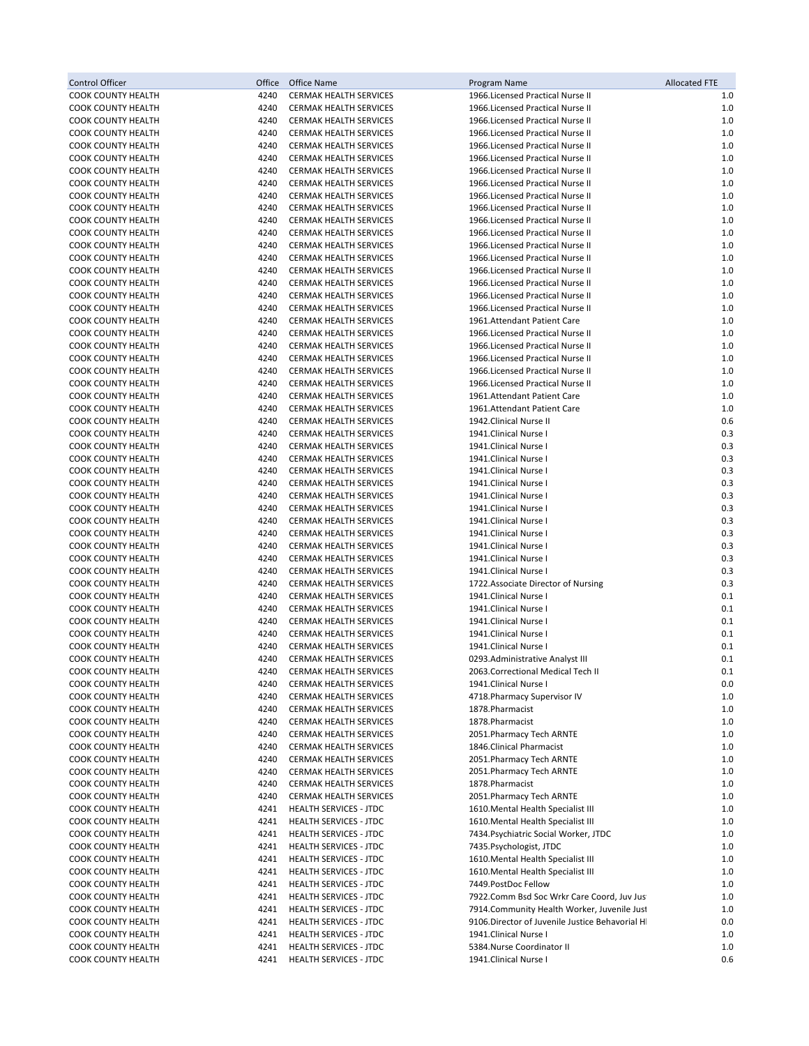| <b>Control Officer</b>                          | Office       | Office Name                                                    | Program Name                                                           | <b>Allocated FTE</b> |
|-------------------------------------------------|--------------|----------------------------------------------------------------|------------------------------------------------------------------------|----------------------|
| <b>COOK COUNTY HEALTH</b>                       | 4240         | CERMAK HEALTH SERVICES                                         | 1966.Licensed Practical Nurse II                                       | 1.0                  |
| COOK COUNTY HEALTH                              | 4240         | CERMAK HEALTH SERVICES                                         | 1966.Licensed Practical Nurse II                                       | 1.0                  |
| COOK COUNTY HEALTH                              | 4240         | <b>CERMAK HEALTH SERVICES</b>                                  | 1966. Licensed Practical Nurse II                                      | 1.0                  |
| COOK COUNTY HEALTH                              | 4240         | CERMAK HEALTH SERVICES                                         | 1966. Licensed Practical Nurse II                                      | 1.0                  |
| COOK COUNTY HEALTH<br><b>COOK COUNTY HEALTH</b> | 4240<br>4240 | <b>CERMAK HEALTH SERVICES</b>                                  | 1966.Licensed Practical Nurse II<br>1966. Licensed Practical Nurse II  | 1.0<br>1.0           |
| COOK COUNTY HEALTH                              | 4240         | <b>CERMAK HEALTH SERVICES</b><br>CERMAK HEALTH SERVICES        | 1966. Licensed Practical Nurse II                                      | 1.0                  |
| COOK COUNTY HEALTH                              | 4240         | <b>CERMAK HEALTH SERVICES</b>                                  | 1966.Licensed Practical Nurse II                                       | 1.0                  |
| COOK COUNTY HEALTH                              | 4240         | <b>CERMAK HEALTH SERVICES</b>                                  | 1966. Licensed Practical Nurse II                                      | 1.0                  |
| <b>COOK COUNTY HEALTH</b>                       | 4240         | CERMAK HEALTH SERVICES                                         | 1966. Licensed Practical Nurse II                                      | 1.0                  |
| COOK COUNTY HEALTH                              | 4240         | CERMAK HEALTH SERVICES                                         | 1966. Licensed Practical Nurse II                                      | 1.0                  |
| COOK COUNTY HEALTH                              | 4240         | <b>CERMAK HEALTH SERVICES</b>                                  | 1966. Licensed Practical Nurse II                                      | 1.0                  |
| <b>COOK COUNTY HEALTH</b>                       | 4240         | <b>CERMAK HEALTH SERVICES</b>                                  | 1966. Licensed Practical Nurse II                                      | 1.0                  |
| <b>COOK COUNTY HEALTH</b>                       | 4240         | CERMAK HEALTH SERVICES                                         | 1966. Licensed Practical Nurse II                                      | 1.0                  |
| COOK COUNTY HEALTH                              | 4240         | <b>CERMAK HEALTH SERVICES</b>                                  | 1966. Licensed Practical Nurse II                                      | 1.0                  |
| COOK COUNTY HEALTH                              | 4240         | CERMAK HEALTH SERVICES                                         | 1966. Licensed Practical Nurse II                                      | 1.0                  |
| COOK COUNTY HEALTH                              | 4240         | CERMAK HEALTH SERVICES                                         | 1966. Licensed Practical Nurse II                                      | 1.0                  |
| <b>COOK COUNTY HEALTH</b>                       | 4240         | <b>CERMAK HEALTH SERVICES</b>                                  | 1966. Licensed Practical Nurse II                                      | 1.0                  |
| COOK COUNTY HEALTH                              | 4240         | <b>CERMAK HEALTH SERVICES</b>                                  | 1961. Attendant Patient Care                                           | 1.0                  |
| <b>COOK COUNTY HEALTH</b>                       | 4240         | <b>CERMAK HEALTH SERVICES</b>                                  | 1966. Licensed Practical Nurse II                                      | 1.0                  |
| <b>COOK COUNTY HEALTH</b>                       | 4240<br>4240 | <b>CERMAK HEALTH SERVICES</b>                                  | 1966. Licensed Practical Nurse II<br>1966. Licensed Practical Nurse II | 1.0<br>1.0           |
| <b>COOK COUNTY HEALTH</b><br>COOK COUNTY HEALTH | 4240         | <b>CERMAK HEALTH SERVICES</b><br>CERMAK HEALTH SERVICES        | 1966. Licensed Practical Nurse II                                      | 1.0                  |
| <b>COOK COUNTY HEALTH</b>                       | 4240         | <b>CERMAK HEALTH SERVICES</b>                                  | 1966. Licensed Practical Nurse II                                      | 1.0                  |
| <b>COOK COUNTY HEALTH</b>                       | 4240         | <b>CERMAK HEALTH SERVICES</b>                                  | 1961. Attendant Patient Care                                           | 1.0                  |
| <b>COOK COUNTY HEALTH</b>                       | 4240         | <b>CERMAK HEALTH SERVICES</b>                                  | 1961.Attendant Patient Care                                            | 1.0                  |
| <b>COOK COUNTY HEALTH</b>                       | 4240         | <b>CERMAK HEALTH SERVICES</b>                                  | 1942. Clinical Nurse II                                                | 0.6                  |
| <b>COOK COUNTY HEALTH</b>                       | 4240         | <b>CERMAK HEALTH SERVICES</b>                                  | 1941.Clinical Nurse I                                                  | 0.3                  |
| <b>COOK COUNTY HEALTH</b>                       | 4240         | CERMAK HEALTH SERVICES                                         | 1941.Clinical Nurse I                                                  | 0.3                  |
| <b>COOK COUNTY HEALTH</b>                       | 4240         | <b>CERMAK HEALTH SERVICES</b>                                  | 1941.Clinical Nurse I                                                  | 0.3                  |
| <b>COOK COUNTY HEALTH</b>                       | 4240         | <b>CERMAK HEALTH SERVICES</b>                                  | 1941.Clinical Nurse I                                                  | 0.3                  |
| COOK COUNTY HEALTH                              | 4240         | CERMAK HEALTH SERVICES                                         | 1941.Clinical Nurse I                                                  | 0.3                  |
| <b>COOK COUNTY HEALTH</b>                       | 4240         | CERMAK HEALTH SERVICES                                         | 1941.Clinical Nurse I                                                  | 0.3                  |
| <b>COOK COUNTY HEALTH</b>                       | 4240         | <b>CERMAK HEALTH SERVICES</b>                                  | 1941.Clinical Nurse I                                                  | 0.3                  |
| COOK COUNTY HEALTH                              | 4240         | CERMAK HEALTH SERVICES                                         | 1941.Clinical Nurse I                                                  | 0.3                  |
| COOK COUNTY HEALTH                              | 4240         | CERMAK HEALTH SERVICES                                         | 1941.Clinical Nurse I                                                  | 0.3                  |
| <b>COOK COUNTY HEALTH</b>                       | 4240         | <b>CERMAK HEALTH SERVICES</b>                                  | 1941.Clinical Nurse I                                                  | 0.3                  |
| COOK COUNTY HEALTH<br>COOK COUNTY HEALTH        | 4240<br>4240 | CERMAK HEALTH SERVICES                                         | 1941.Clinical Nurse I                                                  | 0.3<br>0.3           |
| <b>COOK COUNTY HEALTH</b>                       | 4240         | CERMAK HEALTH SERVICES<br><b>CERMAK HEALTH SERVICES</b>        | 1941.Clinical Nurse I<br>1722. Associate Director of Nursing           | 0.3                  |
| COOK COUNTY HEALTH                              | 4240         | CERMAK HEALTH SERVICES                                         | 1941.Clinical Nurse I                                                  | 0.1                  |
| <b>COOK COUNTY HEALTH</b>                       | 4240         | <b>CERMAK HEALTH SERVICES</b>                                  | 1941.Clinical Nurse I                                                  | 0.1                  |
| <b>COOK COUNTY HEALTH</b>                       | 4240         | CERMAK HEALTH SERVICES                                         | 1941.Clinical Nurse I                                                  | 0.1                  |
| COOK COUNTY HEALTH                              | 4240         | CERMAK HEALTH SERVICES                                         | 1941.Clinical Nurse I                                                  | 0.1                  |
| <b>COOK COUNTY HEALTH</b>                       | 4240         | CERMAK HEALTH SERVICES                                         | 1941.Clinical Nurse I                                                  | 0.1                  |
| <b>COOK COUNTY HEALTH</b>                       | 4240         | <b>CERMAK HEALTH SERVICES</b>                                  | 0293.Administrative Analyst III                                        | 0.1                  |
| <b>COOK COUNTY HEALTH</b>                       | 4240         | CERMAK HEALTH SERVICES                                         | 2063.Correctional Medical Tech II                                      | 0.1                  |
| <b>COOK COUNTY HEALTH</b>                       | 4240         | CERMAK HEALTH SERVICES                                         | 1941.Clinical Nurse I                                                  | 0.0                  |
| <b>COOK COUNTY HEALTH</b>                       | 4240         | CERMAK HEALTH SERVICES                                         | 4718. Pharmacy Supervisor IV                                           | 1.0                  |
| COOK COUNTY HEALTH                              | 4240         | CERMAK HEALTH SERVICES                                         | 1878. Pharmacist                                                       | 1.0                  |
| COOK COUNTY HEALTH                              | 4240         | <b>CERMAK HEALTH SERVICES</b>                                  | 1878. Pharmacist                                                       | 1.0                  |
| COOK COUNTY HEALTH<br>COOK COUNTY HEALTH        | 4240<br>4240 | <b>CERMAK HEALTH SERVICES</b><br>CERMAK HEALTH SERVICES        | 2051. Pharmacy Tech ARNTE<br>1846.Clinical Pharmacist                  | 1.0<br>1.0           |
| COOK COUNTY HEALTH                              | 4240         | <b>CERMAK HEALTH SERVICES</b>                                  | 2051. Pharmacy Tech ARNTE                                              | 1.0                  |
| COOK COUNTY HEALTH                              | 4240         | <b>CERMAK HEALTH SERVICES</b>                                  | 2051. Pharmacy Tech ARNTE                                              | 1.0                  |
| COOK COUNTY HEALTH                              | 4240         | CERMAK HEALTH SERVICES                                         | 1878. Pharmacist                                                       | 1.0                  |
| COOK COUNTY HEALTH                              | 4240         | CERMAK HEALTH SERVICES                                         | 2051. Pharmacy Tech ARNTE                                              | 1.0                  |
| COOK COUNTY HEALTH                              | 4241         | <b>HEALTH SERVICES - JTDC</b>                                  | 1610. Mental Health Specialist III                                     | 1.0                  |
| COOK COUNTY HEALTH                              | 4241         | <b>HEALTH SERVICES - JTDC</b>                                  | 1610. Mental Health Specialist III                                     | 1.0                  |
| <b>COOK COUNTY HEALTH</b>                       | 4241         | <b>HEALTH SERVICES - JTDC</b>                                  | 7434. Psychiatric Social Worker, JTDC                                  | 1.0                  |
| COOK COUNTY HEALTH                              | 4241         | <b>HEALTH SERVICES - JTDC</b>                                  | 7435. Psychologist, JTDC                                               | 1.0                  |
| COOK COUNTY HEALTH                              | 4241         | <b>HEALTH SERVICES - JTDC</b>                                  | 1610. Mental Health Specialist III                                     | 1.0                  |
| COOK COUNTY HEALTH                              | 4241         | <b>HEALTH SERVICES - JTDC</b>                                  | 1610. Mental Health Specialist III                                     | 1.0                  |
| COOK COUNTY HEALTH                              | 4241         | <b>HEALTH SERVICES - JTDC</b>                                  | 7449. PostDoc Fellow                                                   | 1.0                  |
| COOK COUNTY HEALTH                              | 4241         | <b>HEALTH SERVICES - JTDC</b>                                  | 7922.Comm Bsd Soc Wrkr Care Coord, Juv Jus                             | 1.0                  |
| COOK COUNTY HEALTH                              | 4241         | <b>HEALTH SERVICES - JTDC</b>                                  | 7914. Community Health Worker, Juvenile Just                           | 1.0                  |
| COOK COUNTY HEALTH                              | 4241         | <b>HEALTH SERVICES - JTDC</b>                                  | 9106. Director of Juvenile Justice Behavorial HI                       | 0.0                  |
| COOK COUNTY HEALTH                              | 4241         | <b>HEALTH SERVICES - JTDC</b>                                  | 1941.Clinical Nurse I                                                  | 1.0                  |
| COOK COUNTY HEALTH<br><b>COOK COUNTY HEALTH</b> | 4241<br>4241 | <b>HEALTH SERVICES - JTDC</b><br><b>HEALTH SERVICES - JTDC</b> | 5384.Nurse Coordinator II<br>1941.Clinical Nurse I                     | 1.0<br>0.6           |
|                                                 |              |                                                                |                                                                        |                      |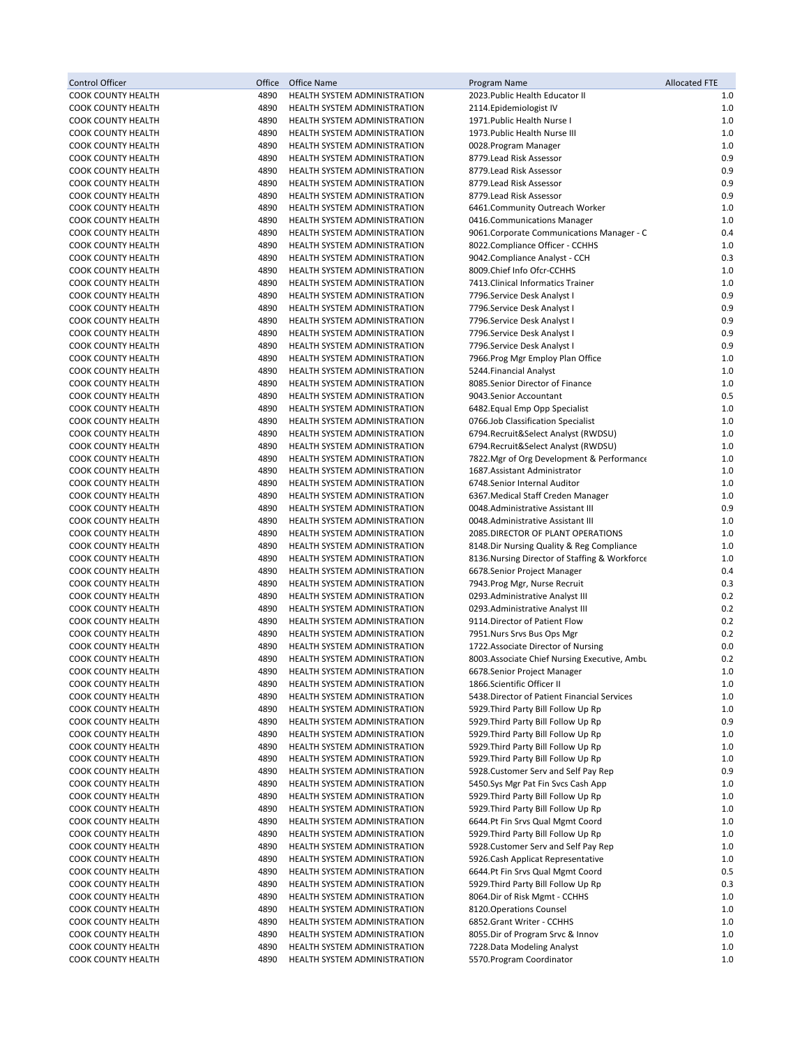| Control Officer                                        | Office       | Office Name                                                  | Program Name                                                                  | <b>Allocated FTE</b> |
|--------------------------------------------------------|--------------|--------------------------------------------------------------|-------------------------------------------------------------------------------|----------------------|
| COOK COUNTY HEALTH                                     | 4890         | HEALTH SYSTEM ADMINISTRATION                                 | 2023. Public Health Educator II                                               | 1.0                  |
| COOK COUNTY HEALTH                                     | 4890         | HEALTH SYSTEM ADMINISTRATION                                 | 2114. Epidemiologist IV                                                       | $1.0$                |
| COOK COUNTY HEALTH                                     | 4890         | HEALTH SYSTEM ADMINISTRATION                                 | 1971. Public Health Nurse I                                                   | 1.0                  |
| COOK COUNTY HEALTH                                     | 4890         | HEALTH SYSTEM ADMINISTRATION                                 | 1973. Public Health Nurse III                                                 | 1.0                  |
| COOK COUNTY HEALTH                                     | 4890         | HEALTH SYSTEM ADMINISTRATION                                 | 0028.Program Manager                                                          | $1.0$                |
| <b>COOK COUNTY HEALTH</b>                              | 4890         | <b>HEALTH SYSTEM ADMINISTRATION</b>                          | 8779. Lead Risk Assessor                                                      | 0.9                  |
| <b>COOK COUNTY HEALTH</b>                              | 4890         | HEALTH SYSTEM ADMINISTRATION                                 | 8779.Lead Risk Assessor                                                       | 0.9                  |
| COOK COUNTY HEALTH                                     | 4890         | HEALTH SYSTEM ADMINISTRATION                                 | 8779.Lead Risk Assessor                                                       | 0.9                  |
| COOK COUNTY HEALTH                                     | 4890         | HEALTH SYSTEM ADMINISTRATION                                 | 8779.Lead Risk Assessor                                                       | 0.9                  |
| <b>COOK COUNTY HEALTH</b>                              | 4890         | HEALTH SYSTEM ADMINISTRATION                                 | 6461.Community Outreach Worker                                                | 1.0                  |
| COOK COUNTY HEALTH                                     | 4890         | HEALTH SYSTEM ADMINISTRATION                                 | 0416.Communications Manager                                                   | 1.0                  |
| <b>COOK COUNTY HEALTH</b>                              | 4890         | HEALTH SYSTEM ADMINISTRATION                                 | 9061. Corporate Communications Manager - C                                    | 0.4                  |
| <b>COOK COUNTY HEALTH</b>                              | 4890         | HEALTH SYSTEM ADMINISTRATION                                 | 8022.Compliance Officer - CCHHS                                               | 1.0                  |
| <b>COOK COUNTY HEALTH</b>                              | 4890         | HEALTH SYSTEM ADMINISTRATION                                 | 9042.Compliance Analyst - CCH                                                 | 0.3                  |
| <b>COOK COUNTY HEALTH</b>                              | 4890         | HEALTH SYSTEM ADMINISTRATION                                 | 8009. Chief Info Ofcr-CCHHS                                                   | 1.0                  |
| COOK COUNTY HEALTH                                     | 4890         | HEALTH SYSTEM ADMINISTRATION                                 | 7413. Clinical Informatics Trainer                                            | 1.0                  |
| COOK COUNTY HEALTH                                     | 4890         | HEALTH SYSTEM ADMINISTRATION                                 | 7796.Service Desk Analyst I                                                   | 0.9                  |
| COOK COUNTY HEALTH                                     | 4890         | HEALTH SYSTEM ADMINISTRATION                                 | 7796.Service Desk Analyst I                                                   | 0.9                  |
| COOK COUNTY HEALTH                                     | 4890         | HEALTH SYSTEM ADMINISTRATION                                 | 7796.Service Desk Analyst I                                                   | 0.9                  |
| COOK COUNTY HEALTH                                     | 4890         | HEALTH SYSTEM ADMINISTRATION                                 | 7796.Service Desk Analyst I                                                   | 0.9                  |
| <b>COOK COUNTY HEALTH</b>                              | 4890         | HEALTH SYSTEM ADMINISTRATION                                 | 7796.Service Desk Analyst I                                                   | 0.9                  |
| COOK COUNTY HEALTH                                     | 4890         | HEALTH SYSTEM ADMINISTRATION                                 | 7966.Prog Mgr Employ Plan Office                                              | 1.0                  |
| <b>COOK COUNTY HEALTH</b>                              | 4890         | HEALTH SYSTEM ADMINISTRATION                                 | 5244. Financial Analyst                                                       | $1.0$                |
| COOK COUNTY HEALTH                                     | 4890         | HEALTH SYSTEM ADMINISTRATION                                 | 8085.Senior Director of Finance                                               | 1.0                  |
| COOK COUNTY HEALTH                                     | 4890         | HEALTH SYSTEM ADMINISTRATION                                 | 9043.Senior Accountant                                                        | 0.5                  |
| COOK COUNTY HEALTH                                     | 4890         | HEALTH SYSTEM ADMINISTRATION                                 | 6482. Equal Emp Opp Specialist                                                | $1.0$                |
| <b>COOK COUNTY HEALTH</b>                              | 4890         | HEALTH SYSTEM ADMINISTRATION                                 | 0766.Job Classification Specialist                                            | 1.0                  |
| COOK COUNTY HEALTH                                     | 4890         | HEALTH SYSTEM ADMINISTRATION                                 | 6794.Recruit&Select Analyst (RWDSU)                                           | 1.0                  |
| <b>COOK COUNTY HEALTH</b>                              | 4890         | HEALTH SYSTEM ADMINISTRATION                                 | 6794.Recruit&Select Analyst (RWDSU)                                           | $1.0$                |
| <b>COOK COUNTY HEALTH</b>                              | 4890         | HEALTH SYSTEM ADMINISTRATION                                 | 7822. Mgr of Org Development & Performance                                    | 1.0                  |
| COOK COUNTY HEALTH                                     | 4890         | HEALTH SYSTEM ADMINISTRATION                                 | 1687. Assistant Administrator                                                 | 1.0                  |
| COOK COUNTY HEALTH                                     | 4890         | HEALTH SYSTEM ADMINISTRATION                                 | 6748.Senior Internal Auditor                                                  | 1.0                  |
| COOK COUNTY HEALTH                                     | 4890         | HEALTH SYSTEM ADMINISTRATION                                 | 6367. Medical Staff Creden Manager                                            | 1.0                  |
| <b>COOK COUNTY HEALTH</b>                              | 4890         | HEALTH SYSTEM ADMINISTRATION                                 | 0048.Administrative Assistant III                                             | 0.9                  |
| COOK COUNTY HEALTH                                     | 4890         | HEALTH SYSTEM ADMINISTRATION                                 | 0048.Administrative Assistant III                                             | 1.0                  |
| COOK COUNTY HEALTH                                     | 4890         | HEALTH SYSTEM ADMINISTRATION                                 | 2085.DIRECTOR OF PLANT OPERATIONS                                             | 1.0                  |
| <b>COOK COUNTY HEALTH</b><br><b>COOK COUNTY HEALTH</b> | 4890<br>4890 | HEALTH SYSTEM ADMINISTRATION                                 | 8148.Dir Nursing Quality & Reg Compliance                                     | 1.0<br>1.0           |
| COOK COUNTY HEALTH                                     | 4890         | HEALTH SYSTEM ADMINISTRATION<br>HEALTH SYSTEM ADMINISTRATION | 8136. Nursing Director of Staffing & Workforce<br>6678.Senior Project Manager | 0.4                  |
| <b>COOK COUNTY HEALTH</b>                              | 4890         | HEALTH SYSTEM ADMINISTRATION                                 |                                                                               | 0.3                  |
| <b>COOK COUNTY HEALTH</b>                              | 4890         | HEALTH SYSTEM ADMINISTRATION                                 | 7943. Prog Mgr, Nurse Recruit<br>0293.Administrative Analyst III              | 0.2                  |
| <b>COOK COUNTY HEALTH</b>                              | 4890         | HEALTH SYSTEM ADMINISTRATION                                 | 0293.Administrative Analyst III                                               | 0.2                  |
| <b>COOK COUNTY HEALTH</b>                              | 4890         | HEALTH SYSTEM ADMINISTRATION                                 | 9114. Director of Patient Flow                                                | 0.2                  |
| <b>COOK COUNTY HEALTH</b>                              | 4890         | HEALTH SYSTEM ADMINISTRATION                                 | 7951.Nurs Srvs Bus Ops Mgr                                                    | 0.2                  |
| <b>COOK COUNTY HEALTH</b>                              | 4890         | HEALTH SYSTEM ADMINISTRATION                                 | 1722. Associate Director of Nursing                                           | 0.0                  |
| <b>COOK COUNTY HEALTH</b>                              | 4890         | HEALTH SYSTEM ADMINISTRATION                                 | 8003. Associate Chief Nursing Executive, Ambu                                 | 0.2                  |
| <b>COOK COUNTY HEALTH</b>                              | 4890         | HEALTH SYSTEM ADMINISTRATION                                 | 6678.Senior Project Manager                                                   | 1.0                  |
| <b>COOK COUNTY HEALTH</b>                              | 4890         | HEALTH SYSTEM ADMINISTRATION                                 | 1866.Scientific Officer II                                                    | 1.0                  |
| <b>COOK COUNTY HEALTH</b>                              | 4890         | HEALTH SYSTEM ADMINISTRATION                                 | 5438. Director of Patient Financial Services                                  | 1.0                  |
| COOK COUNTY HEALTH                                     | 4890         | HEALTH SYSTEM ADMINISTRATION                                 | 5929. Third Party Bill Follow Up Rp                                           | 1.0                  |
| COOK COUNTY HEALTH                                     | 4890         | HEALTH SYSTEM ADMINISTRATION                                 | 5929. Third Party Bill Follow Up Rp                                           | 0.9                  |
| COOK COUNTY HEALTH                                     | 4890         | HEALTH SYSTEM ADMINISTRATION                                 | 5929. Third Party Bill Follow Up Rp                                           | 1.0                  |
| <b>COOK COUNTY HEALTH</b>                              | 4890         | HEALTH SYSTEM ADMINISTRATION                                 | 5929. Third Party Bill Follow Up Rp                                           | 1.0                  |
| <b>COOK COUNTY HEALTH</b>                              | 4890         | HEALTH SYSTEM ADMINISTRATION                                 | 5929. Third Party Bill Follow Up Rp                                           | 1.0                  |
| COOK COUNTY HEALTH                                     | 4890         | HEALTH SYSTEM ADMINISTRATION                                 | 5928. Customer Serv and Self Pay Rep                                          | 0.9                  |
| COOK COUNTY HEALTH                                     | 4890         | HEALTH SYSTEM ADMINISTRATION                                 | 5450.Sys Mgr Pat Fin Svcs Cash App                                            | 1.0                  |
| <b>COOK COUNTY HEALTH</b>                              | 4890         | HEALTH SYSTEM ADMINISTRATION                                 | 5929. Third Party Bill Follow Up Rp                                           | $1.0$                |
| COOK COUNTY HEALTH                                     | 4890         | HEALTH SYSTEM ADMINISTRATION                                 | 5929. Third Party Bill Follow Up Rp                                           | 1.0                  |
| COOK COUNTY HEALTH                                     | 4890         | HEALTH SYSTEM ADMINISTRATION                                 | 6644.Pt Fin Srvs Qual Mgmt Coord                                              | 1.0                  |
| <b>COOK COUNTY HEALTH</b>                              | 4890         | HEALTH SYSTEM ADMINISTRATION                                 | 5929. Third Party Bill Follow Up Rp                                           | 1.0                  |
| COOK COUNTY HEALTH                                     | 4890         | HEALTH SYSTEM ADMINISTRATION                                 | 5928. Customer Serv and Self Pay Rep                                          | 1.0                  |
| COOK COUNTY HEALTH                                     | 4890         | HEALTH SYSTEM ADMINISTRATION                                 | 5926. Cash Applicat Representative                                            | 1.0                  |
| COOK COUNTY HEALTH                                     | 4890         | HEALTH SYSTEM ADMINISTRATION                                 | 6644.Pt Fin Srvs Qual Mgmt Coord                                              | 0.5                  |
| COOK COUNTY HEALTH                                     | 4890         | HEALTH SYSTEM ADMINISTRATION                                 | 5929. Third Party Bill Follow Up Rp                                           | 0.3                  |
| COOK COUNTY HEALTH                                     | 4890         | HEALTH SYSTEM ADMINISTRATION                                 | 8064.Dir of Risk Mgmt - CCHHS                                                 | 1.0                  |
| COOK COUNTY HEALTH                                     | 4890         | HEALTH SYSTEM ADMINISTRATION                                 | 8120. Operations Counsel                                                      | 1.0                  |
| COOK COUNTY HEALTH                                     | 4890         | HEALTH SYSTEM ADMINISTRATION                                 | 6852.Grant Writer - CCHHS                                                     | 1.0                  |
| COOK COUNTY HEALTH                                     | 4890         | HEALTH SYSTEM ADMINISTRATION                                 | 8055. Dir of Program Srvc & Innov                                             | 1.0                  |
| COOK COUNTY HEALTH                                     | 4890         | HEALTH SYSTEM ADMINISTRATION                                 | 7228.Data Modeling Analyst                                                    | 1.0                  |
| COOK COUNTY HEALTH                                     | 4890         | HEALTH SYSTEM ADMINISTRATION                                 | 5570. Program Coordinator                                                     | $1.0$                |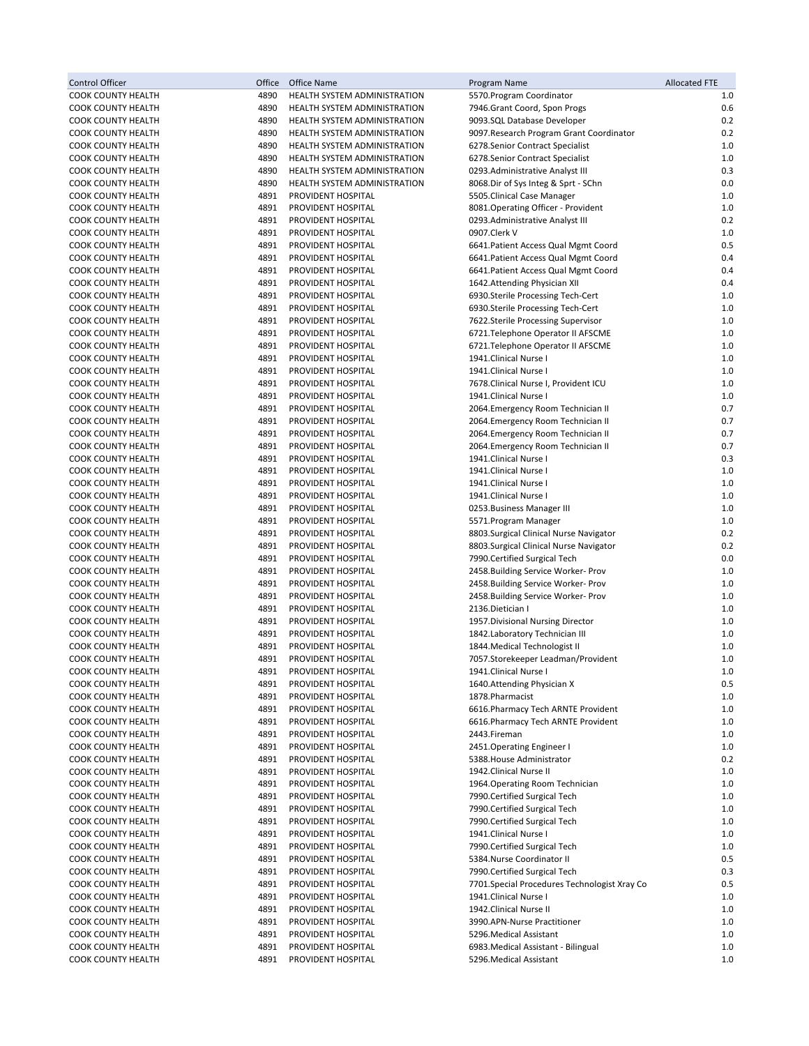| Control Officer                                 | Office       | <b>Office Name</b>                                           | Program Name                                                             | <b>Allocated FTE</b> |
|-------------------------------------------------|--------------|--------------------------------------------------------------|--------------------------------------------------------------------------|----------------------|
| COOK COUNTY HEALTH                              | 4890         | HEALTH SYSTEM ADMINISTRATION                                 | 5570. Program Coordinator                                                | 1.0                  |
| COOK COUNTY HEALTH                              | 4890         | HEALTH SYSTEM ADMINISTRATION                                 | 7946.Grant Coord, Spon Progs                                             | 0.6                  |
| <b>COOK COUNTY HEALTH</b>                       | 4890         | HEALTH SYSTEM ADMINISTRATION                                 | 9093.SQL Database Developer                                              | 0.2                  |
| COOK COUNTY HEALTH                              | 4890         | HEALTH SYSTEM ADMINISTRATION                                 | 9097. Research Program Grant Coordinator                                 | 0.2                  |
| COOK COUNTY HEALTH<br><b>COOK COUNTY HEALTH</b> | 4890<br>4890 | HEALTH SYSTEM ADMINISTRATION<br>HEALTH SYSTEM ADMINISTRATION | 6278.Senior Contract Specialist<br>6278.Senior Contract Specialist       | $1.0$<br>1.0         |
| <b>COOK COUNTY HEALTH</b>                       | 4890         | <b>HEALTH SYSTEM ADMINISTRATION</b>                          | 0293.Administrative Analyst III                                          | 0.3                  |
| COOK COUNTY HEALTH                              | 4890         | HEALTH SYSTEM ADMINISTRATION                                 | 8068.Dir of Sys Integ & Sprt - SChn                                      | 0.0                  |
| COOK COUNTY HEALTH                              | 4891         | PROVIDENT HOSPITAL                                           | 5505. Clinical Case Manager                                              | 1.0                  |
| <b>COOK COUNTY HEALTH</b>                       | 4891         | PROVIDENT HOSPITAL                                           | 8081. Operating Officer - Provident                                      | 1.0                  |
| COOK COUNTY HEALTH                              | 4891         | PROVIDENT HOSPITAL                                           | 0293.Administrative Analyst III                                          | 0.2                  |
| COOK COUNTY HEALTH                              | 4891         | PROVIDENT HOSPITAL                                           | 0907.Clerk V                                                             | 1.0                  |
| <b>COOK COUNTY HEALTH</b>                       | 4891         | PROVIDENT HOSPITAL                                           | 6641. Patient Access Qual Mgmt Coord                                     | 0.5                  |
| <b>COOK COUNTY HEALTH</b>                       | 4891         | PROVIDENT HOSPITAL                                           | 6641. Patient Access Qual Mgmt Coord                                     | 0.4                  |
| COOK COUNTY HEALTH                              | 4891         | PROVIDENT HOSPITAL                                           | 6641. Patient Access Qual Mgmt Coord                                     | 0.4                  |
| COOK COUNTY HEALTH                              | 4891         | PROVIDENT HOSPITAL                                           | 1642.Attending Physician XII                                             | 0.4                  |
| COOK COUNTY HEALTH                              | 4891         | PROVIDENT HOSPITAL                                           | 6930.Sterile Processing Tech-Cert                                        | $1.0$                |
| COOK COUNTY HEALTH                              | 4891<br>4891 | PROVIDENT HOSPITAL                                           | 6930.Sterile Processing Tech-Cert                                        | 1.0<br>1.0           |
| COOK COUNTY HEALTH<br><b>COOK COUNTY HEALTH</b> | 4891         | PROVIDENT HOSPITAL<br>PROVIDENT HOSPITAL                     | 7622.Sterile Processing Supervisor<br>6721. Telephone Operator II AFSCME | 1.0                  |
| COOK COUNTY HEALTH                              | 4891         | PROVIDENT HOSPITAL                                           | 6721. Telephone Operator II AFSCME                                       | $1.0$                |
| <b>COOK COUNTY HEALTH</b>                       | 4891         | PROVIDENT HOSPITAL                                           | 1941.Clinical Nurse I                                                    | $1.0$                |
| COOK COUNTY HEALTH                              | 4891         | PROVIDENT HOSPITAL                                           | 1941.Clinical Nurse I                                                    | $1.0$                |
| COOK COUNTY HEALTH                              | 4891         | PROVIDENT HOSPITAL                                           | 7678. Clinical Nurse I, Provident ICU                                    | $1.0$                |
| <b>COOK COUNTY HEALTH</b>                       | 4891         | PROVIDENT HOSPITAL                                           | 1941.Clinical Nurse I                                                    | 1.0                  |
| <b>COOK COUNTY HEALTH</b>                       | 4891         | PROVIDENT HOSPITAL                                           | 2064.Emergency Room Technician II                                        | 0.7                  |
| COOK COUNTY HEALTH                              | 4891         | PROVIDENT HOSPITAL                                           | 2064.Emergency Room Technician II                                        | 0.7                  |
| COOK COUNTY HEALTH                              | 4891         | PROVIDENT HOSPITAL                                           | 2064.Emergency Room Technician II                                        | 0.7                  |
| <b>COOK COUNTY HEALTH</b>                       | 4891         | PROVIDENT HOSPITAL                                           | 2064.Emergency Room Technician II                                        | 0.7                  |
| <b>COOK COUNTY HEALTH</b>                       | 4891         | PROVIDENT HOSPITAL                                           | 1941.Clinical Nurse I                                                    | 0.3                  |
| COOK COUNTY HEALTH                              | 4891<br>4891 | PROVIDENT HOSPITAL<br>PROVIDENT HOSPITAL                     | 1941.Clinical Nurse I<br>1941.Clinical Nurse I                           | 1.0<br>1.0           |
| COOK COUNTY HEALTH<br>COOK COUNTY HEALTH        | 4891         | PROVIDENT HOSPITAL                                           | 1941.Clinical Nurse I                                                    | $1.0$                |
| COOK COUNTY HEALTH                              | 4891         | PROVIDENT HOSPITAL                                           | 0253. Business Manager III                                               | 1.0                  |
| COOK COUNTY HEALTH                              | 4891         | PROVIDENT HOSPITAL                                           | 5571.Program Manager                                                     | 1.0                  |
| COOK COUNTY HEALTH                              | 4891         | PROVIDENT HOSPITAL                                           | 8803.Surgical Clinical Nurse Navigator                                   | 0.2                  |
| <b>COOK COUNTY HEALTH</b>                       | 4891         | PROVIDENT HOSPITAL                                           | 8803.Surgical Clinical Nurse Navigator                                   | 0.2                  |
| <b>COOK COUNTY HEALTH</b>                       | 4891         | PROVIDENT HOSPITAL                                           | 7990. Certified Surgical Tech                                            | 0.0                  |
| COOK COUNTY HEALTH                              | 4891         | PROVIDENT HOSPITAL                                           | 2458. Building Service Worker- Prov                                      | $1.0$                |
| <b>COOK COUNTY HEALTH</b>                       | 4891         | PROVIDENT HOSPITAL                                           | 2458. Building Service Worker- Prov                                      | 1.0                  |
| <b>COOK COUNTY HEALTH</b>                       | 4891         | PROVIDENT HOSPITAL                                           | 2458. Building Service Worker- Prov                                      | 1.0                  |
| <b>COOK COUNTY HEALTH</b>                       | 4891         | PROVIDENT HOSPITAL                                           | 2136.Dietician I                                                         | $1.0$                |
| COOK COUNTY HEALTH                              | 4891<br>4891 | PROVIDENT HOSPITAL<br>PROVIDENT HOSPITAL                     | 1957. Divisional Nursing Director                                        | 1.0<br>1.0           |
| COOK COUNTY HEALTH<br><b>COOK COUNTY HEALTH</b> | 4891         | PROVIDENT HOSPITAL                                           | 1842.Laboratory Technician III<br>1844. Medical Technologist II          | 1.0                  |
| <b>COOK COUNTY HEALTH</b>                       | 4891         | PROVIDENT HOSPITAL                                           | 7057.Storekeeper Leadman/Provident                                       | 1.0                  |
| <b>COOK COUNTY HEALTH</b>                       | 4891         | PROVIDENT HOSPITAL                                           | 1941.Clinical Nurse I                                                    | 1.0                  |
| COOK COUNTY HEALTH                              | 4891         | PROVIDENT HOSPITAL                                           | 1640. Attending Physician X                                              | 0.5                  |
| COOK COUNTY HEALTH                              | 4891         | PROVIDENT HOSPITAL                                           | 1878. Pharmacist                                                         | 1.0                  |
| COOK COUNTY HEALTH                              | 4891         | PROVIDENT HOSPITAL                                           | 6616. Pharmacy Tech ARNTE Provident                                      | 1.0                  |
| <b>COOK COUNTY HEALTH</b>                       | 4891         | PROVIDENT HOSPITAL                                           | 6616. Pharmacy Tech ARNTE Provident                                      | 1.0                  |
| COOK COUNTY HEALTH                              | 4891         | PROVIDENT HOSPITAL                                           | 2443.Fireman                                                             | 1.0                  |
| COOK COUNTY HEALTH                              | 4891         | PROVIDENT HOSPITAL                                           | 2451. Operating Engineer I                                               | 1.0                  |
| <b>COOK COUNTY HEALTH</b>                       | 4891         | PROVIDENT HOSPITAL                                           | 5388. House Administrator                                                | 0.2                  |
| COOK COUNTY HEALTH                              | 4891         | PROVIDENT HOSPITAL                                           | 1942. Clinical Nurse II                                                  | 1.0                  |
| COOK COUNTY HEALTH<br>COOK COUNTY HEALTH        | 4891<br>4891 | PROVIDENT HOSPITAL<br>PROVIDENT HOSPITAL                     | 1964. Operating Room Technician<br>7990. Certified Surgical Tech         | 1.0<br>1.0           |
| COOK COUNTY HEALTH                              | 4891         | PROVIDENT HOSPITAL                                           | 7990. Certified Surgical Tech                                            | 1.0                  |
| COOK COUNTY HEALTH                              | 4891         | PROVIDENT HOSPITAL                                           | 7990. Certified Surgical Tech                                            | 1.0                  |
| COOK COUNTY HEALTH                              | 4891         | PROVIDENT HOSPITAL                                           | 1941.Clinical Nurse I                                                    | 1.0                  |
| COOK COUNTY HEALTH                              | 4891         | PROVIDENT HOSPITAL                                           | 7990. Certified Surgical Tech                                            | 1.0                  |
| COOK COUNTY HEALTH                              | 4891         | PROVIDENT HOSPITAL                                           | 5384.Nurse Coordinator II                                                | 0.5                  |
| COOK COUNTY HEALTH                              | 4891         | PROVIDENT HOSPITAL                                           | 7990. Certified Surgical Tech                                            | 0.3                  |
| COOK COUNTY HEALTH                              | 4891         | PROVIDENT HOSPITAL                                           | 7701.Special Procedures Technologist Xray Co                             | 0.5                  |
| COOK COUNTY HEALTH                              | 4891         | PROVIDENT HOSPITAL                                           | 1941.Clinical Nurse I                                                    | 1.0                  |
| COOK COUNTY HEALTH                              | 4891         | PROVIDENT HOSPITAL                                           | 1942. Clinical Nurse II                                                  | 1.0                  |
| COOK COUNTY HEALTH                              | 4891         | PROVIDENT HOSPITAL                                           | 3990.APN-Nurse Practitioner                                              | 1.0                  |
| COOK COUNTY HEALTH                              | 4891         | PROVIDENT HOSPITAL                                           | 5296. Medical Assistant                                                  | 1.0                  |
| COOK COUNTY HEALTH                              | 4891         | PROVIDENT HOSPITAL                                           | 6983. Medical Assistant - Bilingual                                      | 1.0<br>$1.0\,$       |
| <b>COOK COUNTY HEALTH</b>                       | 4891         | PROVIDENT HOSPITAL                                           | 5296. Medical Assistant                                                  |                      |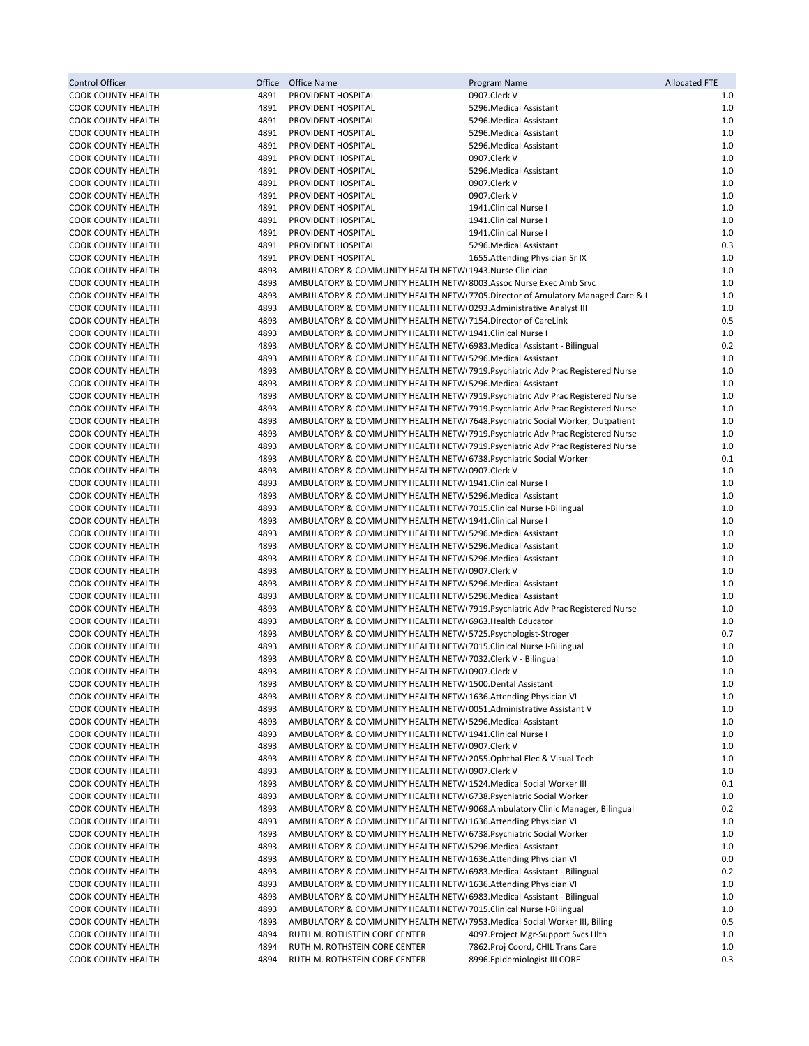| Control Officer                                        | Office       | Office Name                                                                                                                                            | Program Name                                                                   | <b>Allocated FTE</b> |
|--------------------------------------------------------|--------------|--------------------------------------------------------------------------------------------------------------------------------------------------------|--------------------------------------------------------------------------------|----------------------|
| <b>COOK COUNTY HEALTH</b>                              | 4891         | PROVIDENT HOSPITAL                                                                                                                                     | 0907.Clerk V                                                                   | 1.0                  |
| <b>COOK COUNTY HEALTH</b>                              | 4891         | PROVIDENT HOSPITAL                                                                                                                                     | 5296. Medical Assistant                                                        | 1.0                  |
| COOK COUNTY HEALTH                                     | 4891         | PROVIDENT HOSPITAL                                                                                                                                     | 5296. Medical Assistant                                                        | 1.0                  |
| <b>COOK COUNTY HEALTH</b>                              | 4891         | PROVIDENT HOSPITAL                                                                                                                                     | 5296. Medical Assistant                                                        | 1.0                  |
| <b>COOK COUNTY HEALTH</b>                              | 4891         | PROVIDENT HOSPITAL                                                                                                                                     | 5296. Medical Assistant                                                        | 1.0                  |
| COOK COUNTY HEALTH<br><b>COOK COUNTY HEALTH</b>        | 4891<br>4891 | <b>PROVIDENT HOSPITAL</b><br><b>PROVIDENT HOSPITAL</b>                                                                                                 | 0907.Clerk V<br>5296. Medical Assistant                                        | 1.0<br>1.0           |
| COOK COUNTY HEALTH                                     | 4891         | PROVIDENT HOSPITAL                                                                                                                                     | 0907.Clerk V                                                                   | 1.0                  |
| <b>COOK COUNTY HEALTH</b>                              | 4891         | PROVIDENT HOSPITAL                                                                                                                                     | 0907.Clerk V                                                                   | 1.0                  |
| <b>COOK COUNTY HEALTH</b>                              | 4891         | PROVIDENT HOSPITAL                                                                                                                                     | 1941.Clinical Nurse I                                                          | 1.0                  |
| <b>COOK COUNTY HEALTH</b>                              | 4891         | PROVIDENT HOSPITAL                                                                                                                                     | 1941.Clinical Nurse I                                                          | 1.0                  |
| <b>COOK COUNTY HEALTH</b>                              | 4891         | PROVIDENT HOSPITAL                                                                                                                                     | 1941.Clinical Nurse I                                                          | 1.0                  |
| <b>COOK COUNTY HEALTH</b>                              | 4891         | PROVIDENT HOSPITAL                                                                                                                                     | 5296. Medical Assistant                                                        | 0.3                  |
| <b>COOK COUNTY HEALTH</b>                              | 4891         | PROVIDENT HOSPITAL                                                                                                                                     | 1655. Attending Physician Sr IX                                                | 1.0                  |
| <b>COOK COUNTY HEALTH</b>                              | 4893         | AMBULATORY & COMMUNITY HEALTH NETWI 1943.Nurse Clinician                                                                                               |                                                                                | 1.0                  |
| <b>COOK COUNTY HEALTH</b>                              | 4893         | AMBULATORY & COMMUNITY HEALTH NETWI 8003. Assoc Nurse Exec Amb Srvc                                                                                    |                                                                                | 1.0                  |
| <b>COOK COUNTY HEALTH</b>                              | 4893<br>4893 |                                                                                                                                                        | AMBULATORY & COMMUNITY HEALTH NETW(7705.Director of Amulatory Managed Care & I | 1.0<br>1.0           |
| <b>COOK COUNTY HEALTH</b><br><b>COOK COUNTY HEALTH</b> | 4893         | AMBULATORY & COMMUNITY HEALTH NETW 0293. Administrative Analyst III<br>AMBULATORY & COMMUNITY HEALTH NETWI 7154. Director of CareLink                  |                                                                                | 0.5                  |
| COOK COUNTY HEALTH                                     | 4893         | AMBULATORY & COMMUNITY HEALTH NETWI 1941. Clinical Nurse I                                                                                             |                                                                                | 1.0                  |
| <b>COOK COUNTY HEALTH</b>                              | 4893         | AMBULATORY & COMMUNITY HEALTH NETW( 6983. Medical Assistant - Bilingual                                                                                |                                                                                | 0.2                  |
| <b>COOK COUNTY HEALTH</b>                              | 4893         | AMBULATORY & COMMUNITY HEALTH NETWI 5296. Medical Assistant                                                                                            |                                                                                | 1.0                  |
| <b>COOK COUNTY HEALTH</b>                              | 4893         | AMBULATORY & COMMUNITY HEALTH NETWI 7919.Psychiatric Adv Prac Registered Nurse                                                                         |                                                                                | 1.0                  |
| <b>COOK COUNTY HEALTH</b>                              | 4893         | AMBULATORY & COMMUNITY HEALTH NETWI 5296. Medical Assistant                                                                                            |                                                                                | 1.0                  |
| COOK COUNTY HEALTH                                     | 4893         | AMBULATORY & COMMUNITY HEALTH NETWI 7919. Psychiatric Adv Prac Registered Nurse                                                                        |                                                                                | 1.0                  |
| <b>COOK COUNTY HEALTH</b>                              | 4893         | AMBULATORY & COMMUNITY HEALTH NETWI 7919. Psychiatric Adv Prac Registered Nurse                                                                        |                                                                                | 1.0                  |
| COOK COUNTY HEALTH                                     | 4893         | AMBULATORY & COMMUNITY HEALTH NETWI 7648. Psychiatric Social Worker, Outpatient                                                                        |                                                                                | 1.0                  |
| <b>COOK COUNTY HEALTH</b><br><b>COOK COUNTY HEALTH</b> | 4893<br>4893 | AMBULATORY & COMMUNITY HEALTH NETWI 7919.Psychiatric Adv Prac Registered Nurse                                                                         |                                                                                | 1.0<br>1.0           |
| <b>COOK COUNTY HEALTH</b>                              | 4893         | AMBULATORY & COMMUNITY HEALTH NETWI 7919. Psychiatric Adv Prac Registered Nurse<br>AMBULATORY & COMMUNITY HEALTH NETWI 6738. Psychiatric Social Worker |                                                                                | 0.1                  |
| COOK COUNTY HEALTH                                     | 4893         | AMBULATORY & COMMUNITY HEALTH NETWI 0907.Clerk V                                                                                                       |                                                                                | 1.0                  |
| <b>COOK COUNTY HEALTH</b>                              | 4893         | AMBULATORY & COMMUNITY HEALTH NETWI 1941. Clinical Nurse I                                                                                             |                                                                                | 1.0                  |
| <b>COOK COUNTY HEALTH</b>                              | 4893         | AMBULATORY & COMMUNITY HEALTH NETWI 5296.Medical Assistant                                                                                             |                                                                                | 1.0                  |
| COOK COUNTY HEALTH                                     | 4893         | AMBULATORY & COMMUNITY HEALTH NETWI 7015. Clinical Nurse I-Bilingual                                                                                   |                                                                                | 1.0                  |
| <b>COOK COUNTY HEALTH</b>                              | 4893         | AMBULATORY & COMMUNITY HEALTH NETWI 1941. Clinical Nurse I                                                                                             |                                                                                | 1.0                  |
| <b>COOK COUNTY HEALTH</b>                              | 4893         | AMBULATORY & COMMUNITY HEALTH NETWI 5296. Medical Assistant                                                                                            |                                                                                | 1.0                  |
| COOK COUNTY HEALTH                                     | 4893         | AMBULATORY & COMMUNITY HEALTH NETWI 5296. Medical Assistant                                                                                            |                                                                                | 1.0                  |
| <b>COOK COUNTY HEALTH</b>                              | 4893         | AMBULATORY & COMMUNITY HEALTH NETWI 5296. Medical Assistant                                                                                            |                                                                                | 1.0                  |
| COOK COUNTY HEALTH                                     | 4893<br>4893 | AMBULATORY & COMMUNITY HEALTH NETWI 0907.Clerk V                                                                                                       |                                                                                | 1.0<br>1.0           |
| <b>COOK COUNTY HEALTH</b><br><b>COOK COUNTY HEALTH</b> | 4893         | AMBULATORY & COMMUNITY HEALTH NETWI 5296. Medical Assistant<br>AMBULATORY & COMMUNITY HEALTH NETWI 5296. Medical Assistant                             |                                                                                | 1.0                  |
| <b>COOK COUNTY HEALTH</b>                              | 4893         | AMBULATORY & COMMUNITY HEALTH NETWI 7919. Psychiatric Adv Prac Registered Nurse                                                                        |                                                                                | 1.0                  |
| <b>COOK COUNTY HEALTH</b>                              | 4893         | AMBULATORY & COMMUNITY HEALTH NETWI 6963. Health Educator                                                                                              |                                                                                | 1.0                  |
| <b>COOK COUNTY HEALTH</b>                              | 4893         | AMBULATORY & COMMUNITY HEALTH NETWI 5725. Psychologist-Stroger                                                                                         |                                                                                | 0.7                  |
| COOK COUNTY HEALTH                                     | 4893         | AMBULATORY & COMMUNITY HEALTH NETWI 7015. Clinical Nurse I-Bilingual                                                                                   |                                                                                | 1.0                  |
| <b>COOK COUNTY HEALTH</b>                              | 4893         | AMBULATORY & COMMUNITY HEALTH NETWI 7032.Clerk V - Bilingual                                                                                           |                                                                                | 1.0                  |
| COOK COUNTY HEALTH                                     | 4893         | AMBULATORY & COMMUNITY HEALTH NETW(0907.Clerk V                                                                                                        |                                                                                | 1.0                  |
| <b>COOK COUNTY HEALTH</b>                              | 4893         | AMBULATORY & COMMUNITY HEALTH NETWI 1500. Dental Assistant                                                                                             |                                                                                | 1.0                  |
| <b>COOK COUNTY HEALTH</b>                              | 4893         | AMBULATORY & COMMUNITY HEALTH NETWI 1636. Attending Physician VI                                                                                       |                                                                                | 1.0                  |
| <b>COOK COUNTY HEALTH</b>                              | 4893<br>4893 | AMBULATORY & COMMUNITY HEALTH NETW(0051.Administrative Assistant V<br>AMBULATORY & COMMUNITY HEALTH NETWI 5296.Medical Assistant                       |                                                                                | 1.0                  |
| <b>COOK COUNTY HEALTH</b><br><b>COOK COUNTY HEALTH</b> | 4893         | AMBULATORY & COMMUNITY HEALTH NETWI 1941.Clinical Nurse I                                                                                              |                                                                                | 1.0<br>1.0           |
| COOK COUNTY HEALTH                                     | 4893         | AMBULATORY & COMMUNITY HEALTH NETWI 0907.Clerk V                                                                                                       |                                                                                | 1.0                  |
| <b>COOK COUNTY HEALTH</b>                              | 4893         | AMBULATORY & COMMUNITY HEALTH NETWI 2055.Ophthal Elec & Visual Tech                                                                                    |                                                                                | 1.0                  |
| <b>COOK COUNTY HEALTH</b>                              | 4893         | AMBULATORY & COMMUNITY HEALTH NETWI 0907.Clerk V                                                                                                       |                                                                                | 1.0                  |
| <b>COOK COUNTY HEALTH</b>                              | 4893         | AMBULATORY & COMMUNITY HEALTH NETWI 1524. Medical Social Worker III                                                                                    |                                                                                | 0.1                  |
| <b>COOK COUNTY HEALTH</b>                              | 4893         | AMBULATORY & COMMUNITY HEALTH NETWI 6738. Psychiatric Social Worker                                                                                    |                                                                                | 1.0                  |
| <b>COOK COUNTY HEALTH</b>                              | 4893         | AMBULATORY & COMMUNITY HEALTH NETWI 9068.Ambulatory Clinic Manager, Bilingual                                                                          |                                                                                | 0.2                  |
| <b>COOK COUNTY HEALTH</b>                              | 4893         | AMBULATORY & COMMUNITY HEALTH NETWI 1636.Attending Physician VI                                                                                        |                                                                                | 1.0                  |
| <b>COOK COUNTY HEALTH</b><br><b>COOK COUNTY HEALTH</b> | 4893<br>4893 | AMBULATORY & COMMUNITY HEALTH NETWI 6738. Psychiatric Social Worker<br>AMBULATORY & COMMUNITY HEALTH NETWI 5296. Medical Assistant                     |                                                                                | 1.0<br>1.0           |
| COOK COUNTY HEALTH                                     | 4893         | AMBULATORY & COMMUNITY HEALTH NETWI 1636. Attending Physician VI                                                                                       |                                                                                | 0.0                  |
| <b>COOK COUNTY HEALTH</b>                              | 4893         | AMBULATORY & COMMUNITY HEALTH NETW(6983.Medical Assistant - Bilingual                                                                                  |                                                                                | 0.2                  |
| <b>COOK COUNTY HEALTH</b>                              | 4893         | AMBULATORY & COMMUNITY HEALTH NETWI 1636. Attending Physician VI                                                                                       |                                                                                | 1.0                  |
| COOK COUNTY HEALTH                                     | 4893         | AMBULATORY & COMMUNITY HEALTH NETWI 6983. Medical Assistant - Bilingual                                                                                |                                                                                | 1.0                  |
| <b>COOK COUNTY HEALTH</b>                              | 4893         | AMBULATORY & COMMUNITY HEALTH NETWI 7015. Clinical Nurse I-Bilingual                                                                                   |                                                                                | 1.0                  |
| <b>COOK COUNTY HEALTH</b>                              | 4893         | AMBULATORY & COMMUNITY HEALTH NETWI 7953. Medical Social Worker III, Biling                                                                            |                                                                                | 0.5                  |
| COOK COUNTY HEALTH                                     | 4894         | RUTH M. ROTHSTEIN CORE CENTER                                                                                                                          | 4097. Project Mgr-Support Svcs Hlth                                            | 1.0                  |
| COOK COUNTY HEALTH                                     | 4894         | RUTH M. ROTHSTEIN CORE CENTER                                                                                                                          | 7862. Proj Coord, CHIL Trans Care                                              | 1.0                  |
| <b>COOK COUNTY HEALTH</b>                              | 4894         | RUTH M. ROTHSTEIN CORE CENTER                                                                                                                          | 8996.Epidemiologist III CORE                                                   | 0.3                  |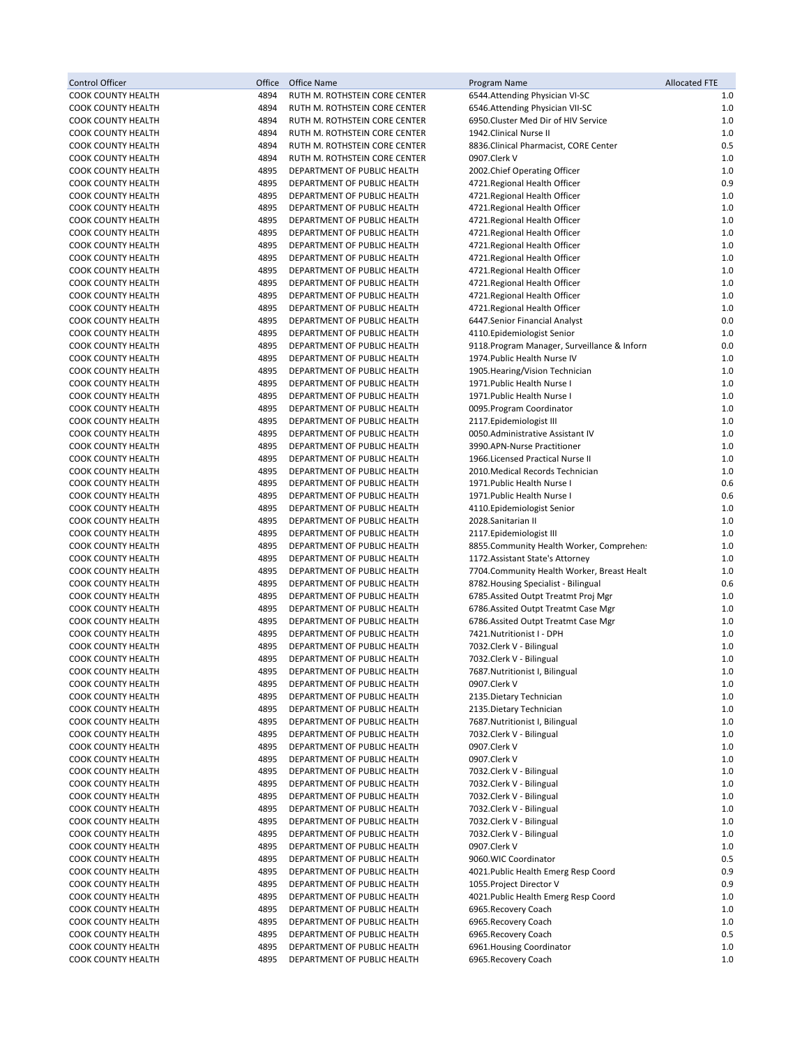| <b>Control Officer</b>                                 | Office       | <b>Office Name</b>                                         | Program Name                                                                 | <b>Allocated FTE</b> |
|--------------------------------------------------------|--------------|------------------------------------------------------------|------------------------------------------------------------------------------|----------------------|
| COOK COUNTY HEALTH                                     | 4894         | RUTH M. ROTHSTEIN CORE CENTER                              | 6544. Attending Physician VI-SC                                              | 1.0                  |
| <b>COOK COUNTY HEALTH</b>                              | 4894         | RUTH M. ROTHSTEIN CORE CENTER                              | 6546.Attending Physician VII-SC                                              | 1.0                  |
| <b>COOK COUNTY HEALTH</b>                              | 4894         | RUTH M. ROTHSTEIN CORE CENTER                              | 6950. Cluster Med Dir of HIV Service                                         | $1.0$                |
| COOK COUNTY HEALTH                                     | 4894         | RUTH M. ROTHSTEIN CORE CENTER                              | 1942. Clinical Nurse II                                                      | 1.0                  |
| <b>COOK COUNTY HEALTH</b><br><b>COOK COUNTY HEALTH</b> | 4894         | RUTH M. ROTHSTEIN CORE CENTER                              | 8836. Clinical Pharmacist, CORE Center                                       | 0.5                  |
| <b>COOK COUNTY HEALTH</b>                              | 4894<br>4895 | RUTH M. ROTHSTEIN CORE CENTER                              | 0907.Clerk V                                                                 | 1.0<br>1.0           |
| <b>COOK COUNTY HEALTH</b>                              | 4895         | DEPARTMENT OF PUBLIC HEALTH<br>DEPARTMENT OF PUBLIC HEALTH | 2002. Chief Operating Officer<br>4721.Regional Health Officer                | 0.9                  |
| <b>COOK COUNTY HEALTH</b>                              | 4895         | DEPARTMENT OF PUBLIC HEALTH                                | 4721.Regional Health Officer                                                 | 1.0                  |
| <b>COOK COUNTY HEALTH</b>                              | 4895         | DEPARTMENT OF PUBLIC HEALTH                                | 4721. Regional Health Officer                                                | $1.0$                |
| COOK COUNTY HEALTH                                     | 4895         | DEPARTMENT OF PUBLIC HEALTH                                | 4721. Regional Health Officer                                                | 1.0                  |
| <b>COOK COUNTY HEALTH</b>                              | 4895         | DEPARTMENT OF PUBLIC HEALTH                                | 4721.Regional Health Officer                                                 | 1.0                  |
| <b>COOK COUNTY HEALTH</b>                              | 4895         | DEPARTMENT OF PUBLIC HEALTH                                | 4721. Regional Health Officer                                                | 1.0                  |
| <b>COOK COUNTY HEALTH</b>                              | 4895         | DEPARTMENT OF PUBLIC HEALTH                                | 4721.Regional Health Officer                                                 | 1.0                  |
| COOK COUNTY HEALTH                                     | 4895         | DEPARTMENT OF PUBLIC HEALTH                                | 4721.Regional Health Officer                                                 | $1.0$                |
| COOK COUNTY HEALTH                                     | 4895         | DEPARTMENT OF PUBLIC HEALTH                                | 4721. Regional Health Officer                                                | 1.0                  |
| COOK COUNTY HEALTH                                     | 4895         | DEPARTMENT OF PUBLIC HEALTH                                | 4721.Regional Health Officer                                                 | $1.0$                |
| COOK COUNTY HEALTH                                     | 4895         | DEPARTMENT OF PUBLIC HEALTH                                | 4721.Regional Health Officer                                                 | 1.0                  |
| COOK COUNTY HEALTH                                     | 4895         | DEPARTMENT OF PUBLIC HEALTH                                | 6447.Senior Financial Analyst                                                | 0.0                  |
| <b>COOK COUNTY HEALTH</b>                              | 4895         | DEPARTMENT OF PUBLIC HEALTH                                | 4110.Epidemiologist Senior                                                   | $1.0$                |
| <b>COOK COUNTY HEALTH</b>                              | 4895         | DEPARTMENT OF PUBLIC HEALTH                                | 9118. Program Manager, Surveillance & Inform                                 | 0.0                  |
| COOK COUNTY HEALTH                                     | 4895         | DEPARTMENT OF PUBLIC HEALTH                                | 1974. Public Health Nurse IV                                                 | $1.0$                |
| COOK COUNTY HEALTH<br><b>COOK COUNTY HEALTH</b>        | 4895<br>4895 | DEPARTMENT OF PUBLIC HEALTH                                | 1905. Hearing/Vision Technician                                              | 1.0<br>1.0           |
| COOK COUNTY HEALTH                                     | 4895         | DEPARTMENT OF PUBLIC HEALTH<br>DEPARTMENT OF PUBLIC HEALTH | 1971. Public Health Nurse I<br>1971. Public Health Nurse I                   | 1.0                  |
| COOK COUNTY HEALTH                                     | 4895         | DEPARTMENT OF PUBLIC HEALTH                                | 0095. Program Coordinator                                                    | 1.0                  |
| <b>COOK COUNTY HEALTH</b>                              | 4895         | DEPARTMENT OF PUBLIC HEALTH                                | 2117.Epidemiologist III                                                      | 1.0                  |
| COOK COUNTY HEALTH                                     | 4895         | DEPARTMENT OF PUBLIC HEALTH                                | 0050.Administrative Assistant IV                                             | 1.0                  |
| COOK COUNTY HEALTH                                     | 4895         | DEPARTMENT OF PUBLIC HEALTH                                | 3990.APN-Nurse Practitioner                                                  | $1.0$                |
| <b>COOK COUNTY HEALTH</b>                              | 4895         | DEPARTMENT OF PUBLIC HEALTH                                | 1966. Licensed Practical Nurse II                                            | 1.0                  |
| <b>COOK COUNTY HEALTH</b>                              | 4895         | DEPARTMENT OF PUBLIC HEALTH                                | 2010. Medical Records Technician                                             | 1.0                  |
| COOK COUNTY HEALTH                                     | 4895         | DEPARTMENT OF PUBLIC HEALTH                                | 1971. Public Health Nurse I                                                  | 0.6                  |
| <b>COOK COUNTY HEALTH</b>                              | 4895         | DEPARTMENT OF PUBLIC HEALTH                                | 1971. Public Health Nurse I                                                  | 0.6                  |
| <b>COOK COUNTY HEALTH</b>                              | 4895         | DEPARTMENT OF PUBLIC HEALTH                                | 4110.Epidemiologist Senior                                                   | 1.0                  |
| COOK COUNTY HEALTH                                     | 4895         | DEPARTMENT OF PUBLIC HEALTH                                | 2028.Sanitarian II                                                           | 1.0                  |
| <b>COOK COUNTY HEALTH</b>                              | 4895         | DEPARTMENT OF PUBLIC HEALTH                                | 2117.Epidemiologist III                                                      | 1.0                  |
| <b>COOK COUNTY HEALTH</b>                              | 4895         | DEPARTMENT OF PUBLIC HEALTH                                | 8855. Community Health Worker, Comprehen:                                    | 1.0                  |
| COOK COUNTY HEALTH                                     | 4895         | DEPARTMENT OF PUBLIC HEALTH                                | 1172. Assistant State's Attorney                                             | 1.0                  |
| <b>COOK COUNTY HEALTH</b>                              | 4895         | DEPARTMENT OF PUBLIC HEALTH                                | 7704. Community Health Worker, Breast Healt                                  | 1.0                  |
| COOK COUNTY HEALTH                                     | 4895         | DEPARTMENT OF PUBLIC HEALTH                                | 8782. Housing Specialist - Bilingual<br>6785. Assited Outpt Treatmt Proj Mgr | 0.6                  |
| COOK COUNTY HEALTH<br>COOK COUNTY HEALTH               | 4895<br>4895 | DEPARTMENT OF PUBLIC HEALTH<br>DEPARTMENT OF PUBLIC HEALTH | 6786.Assited Outpt Treatmt Case Mgr                                          | $1.0$<br>1.0         |
| COOK COUNTY HEALTH                                     | 4895         | DEPARTMENT OF PUBLIC HEALTH                                | 6786. Assited Outpt Treatmt Case Mgr                                         | 1.0                  |
| COOK COUNTY HEALTH                                     | 4895         | DEPARTMENT OF PUBLIC HEALTH                                | 7421.Nutritionist I - DPH                                                    | 1.0                  |
| COOK COUNTY HEALTH                                     | 4895         | DEPARTMENT OF PUBLIC HEALTH                                | 7032.Clerk V - Bilingual                                                     | $1.0$                |
| <b>COOK COUNTY HEALTH</b>                              | 4895         | DEPARTMENT OF PUBLIC HEALTH                                | 7032.Clerk V - Bilingual                                                     | 1.0                  |
| COOK COUNTY HEALTH                                     | 4895         | DEPARTMENT OF PUBLIC HEALTH                                | 7687. Nutritionist I, Bilingual                                              | 1.0                  |
| COOK COUNTY HEALTH                                     | 4895         | DEPARTMENT OF PUBLIC HEALTH                                | 0907.Clerk V                                                                 | 1.0                  |
| <b>COOK COUNTY HEALTH</b>                              | 4895         | DEPARTMENT OF PUBLIC HEALTH                                | 2135. Dietary Technician                                                     | 1.0                  |
| <b>COOK COUNTY HEALTH</b>                              | 4895         | DEPARTMENT OF PUBLIC HEALTH                                | 2135. Dietary Technician                                                     | 1.0                  |
| COOK COUNTY HEALTH                                     | 4895         | DEPARTMENT OF PUBLIC HEALTH                                | 7687. Nutritionist I, Bilingual                                              | 1.0                  |
| <b>COOK COUNTY HEALTH</b>                              | 4895         | DEPARTMENT OF PUBLIC HEALTH                                | 7032. Clerk V - Bilingual                                                    | 1.0                  |
| <b>COOK COUNTY HEALTH</b>                              | 4895         | DEPARTMENT OF PUBLIC HEALTH                                | 0907.Clerk V                                                                 | 1.0                  |
| COOK COUNTY HEALTH                                     | 4895         | DEPARTMENT OF PUBLIC HEALTH                                | 0907.Clerk V                                                                 | 1.0                  |
| COOK COUNTY HEALTH                                     | 4895         | DEPARTMENT OF PUBLIC HEALTH                                | 7032. Clerk V - Bilingual                                                    | 1.0                  |
| COOK COUNTY HEALTH<br><b>COOK COUNTY HEALTH</b>        | 4895<br>4895 | DEPARTMENT OF PUBLIC HEALTH                                | 7032.Clerk V - Bilingual<br>7032. Clerk V - Bilingual                        | 1.0<br>1.0           |
| COOK COUNTY HEALTH                                     | 4895         | DEPARTMENT OF PUBLIC HEALTH<br>DEPARTMENT OF PUBLIC HEALTH | 7032. Clerk V - Bilingual                                                    | 1.0                  |
| <b>COOK COUNTY HEALTH</b>                              | 4895         | DEPARTMENT OF PUBLIC HEALTH                                | 7032.Clerk V - Bilingual                                                     | 1.0                  |
| <b>COOK COUNTY HEALTH</b>                              | 4895         | DEPARTMENT OF PUBLIC HEALTH                                | 7032. Clerk V - Bilingual                                                    | 1.0                  |
| <b>COOK COUNTY HEALTH</b>                              | 4895         | DEPARTMENT OF PUBLIC HEALTH                                | 0907.Clerk V                                                                 | 1.0                  |
| COOK COUNTY HEALTH                                     | 4895         | DEPARTMENT OF PUBLIC HEALTH                                | 9060. WIC Coordinator                                                        | 0.5                  |
| COOK COUNTY HEALTH                                     | 4895         | DEPARTMENT OF PUBLIC HEALTH                                | 4021. Public Health Emerg Resp Coord                                         | 0.9                  |
| <b>COOK COUNTY HEALTH</b>                              | 4895         | DEPARTMENT OF PUBLIC HEALTH                                | 1055. Project Director V                                                     | 0.9                  |
| COOK COUNTY HEALTH                                     | 4895         | DEPARTMENT OF PUBLIC HEALTH                                | 4021. Public Health Emerg Resp Coord                                         | 1.0                  |
| COOK COUNTY HEALTH                                     | 4895         | DEPARTMENT OF PUBLIC HEALTH                                | 6965.Recovery Coach                                                          | 1.0                  |
| COOK COUNTY HEALTH                                     | 4895         | DEPARTMENT OF PUBLIC HEALTH                                | 6965.Recovery Coach                                                          | 1.0                  |
| COOK COUNTY HEALTH                                     | 4895         | DEPARTMENT OF PUBLIC HEALTH                                | 6965.Recovery Coach                                                          | 0.5                  |
| <b>COOK COUNTY HEALTH</b>                              | 4895         | DEPARTMENT OF PUBLIC HEALTH                                | 6961. Housing Coordinator                                                    | 1.0                  |
| COOK COUNTY HEALTH                                     | 4895         | DEPARTMENT OF PUBLIC HEALTH                                | 6965.Recovery Coach                                                          | $1.0$                |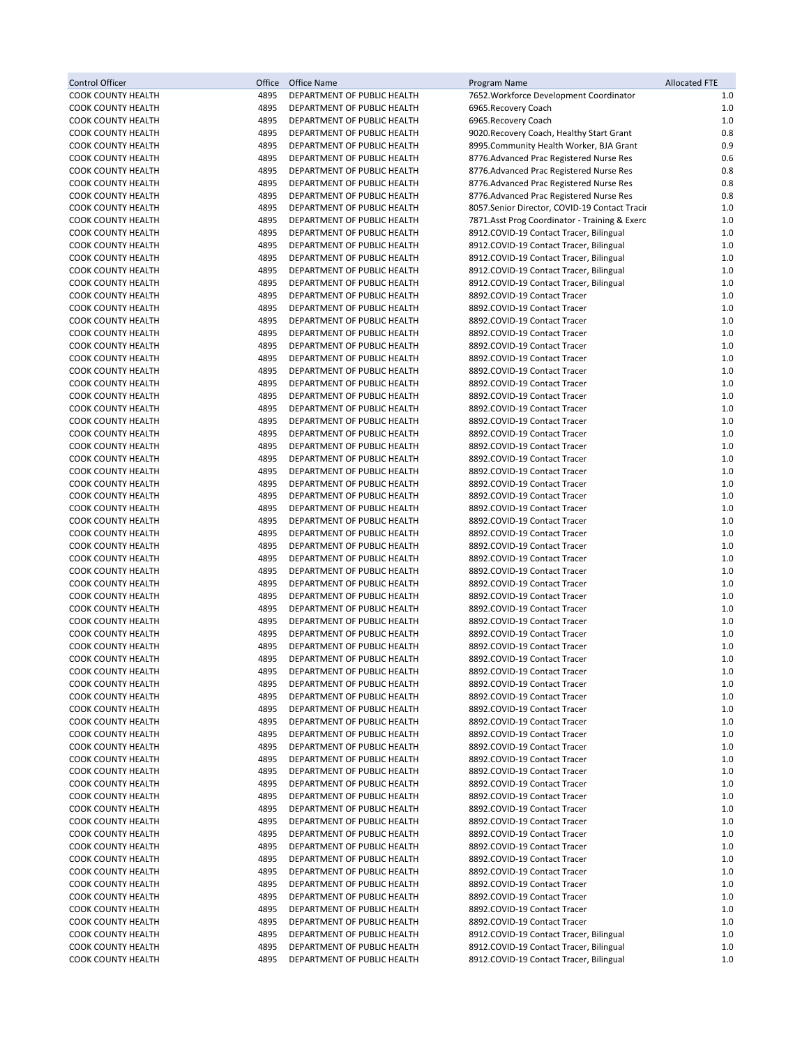| Control Officer                                 | Office       | Office Name                                                | Program Name                                                                       | <b>Allocated FTE</b> |
|-------------------------------------------------|--------------|------------------------------------------------------------|------------------------------------------------------------------------------------|----------------------|
| <b>COOK COUNTY HEALTH</b>                       | 4895         | DEPARTMENT OF PUBLIC HEALTH                                | 7652. Workforce Development Coordinator                                            | 1.0                  |
| COOK COUNTY HEALTH                              | 4895         | DEPARTMENT OF PUBLIC HEALTH                                | 6965.Recovery Coach                                                                | 1.0                  |
| <b>COOK COUNTY HEALTH</b>                       | 4895         | DEPARTMENT OF PUBLIC HEALTH                                | 6965.Recovery Coach                                                                | 1.0                  |
| <b>COOK COUNTY HEALTH</b>                       | 4895         | DEPARTMENT OF PUBLIC HEALTH                                | 9020. Recovery Coach, Healthy Start Grant                                          | 0.8                  |
| <b>COOK COUNTY HEALTH</b>                       | 4895         | DEPARTMENT OF PUBLIC HEALTH                                | 8995. Community Health Worker, BJA Grant                                           | 0.9                  |
| <b>COOK COUNTY HEALTH</b>                       | 4895         | DEPARTMENT OF PUBLIC HEALTH                                | 8776.Advanced Prac Registered Nurse Res                                            | 0.6                  |
| <b>COOK COUNTY HEALTH</b>                       | 4895         | DEPARTMENT OF PUBLIC HEALTH                                | 8776.Advanced Prac Registered Nurse Res                                            | 0.8                  |
| <b>COOK COUNTY HEALTH</b>                       | 4895         | DEPARTMENT OF PUBLIC HEALTH                                | 8776.Advanced Prac Registered Nurse Res                                            | 0.8                  |
| <b>COOK COUNTY HEALTH</b>                       | 4895         | DEPARTMENT OF PUBLIC HEALTH                                | 8776.Advanced Prac Registered Nurse Res                                            | 0.8                  |
| <b>COOK COUNTY HEALTH</b>                       | 4895         | DEPARTMENT OF PUBLIC HEALTH                                | 8057.Senior Director, COVID-19 Contact Tracir                                      | 1.0                  |
| <b>COOK COUNTY HEALTH</b>                       | 4895         | DEPARTMENT OF PUBLIC HEALTH                                | 7871.Asst Prog Coordinator - Training & Exerc                                      | 1.0                  |
| <b>COOK COUNTY HEALTH</b>                       | 4895         | DEPARTMENT OF PUBLIC HEALTH                                | 8912.COVID-19 Contact Tracer, Bilingual                                            | 1.0                  |
| <b>COOK COUNTY HEALTH</b>                       | 4895         | DEPARTMENT OF PUBLIC HEALTH                                | 8912.COVID-19 Contact Tracer, Bilingual                                            | 1.0                  |
| COOK COUNTY HEALTH<br><b>COOK COUNTY HEALTH</b> | 4895<br>4895 | DEPARTMENT OF PUBLIC HEALTH<br>DEPARTMENT OF PUBLIC HEALTH | 8912.COVID-19 Contact Tracer, Bilingual                                            | 1.0<br>1.0           |
| <b>COOK COUNTY HEALTH</b>                       | 4895         | DEPARTMENT OF PUBLIC HEALTH                                | 8912.COVID-19 Contact Tracer, Bilingual<br>8912.COVID-19 Contact Tracer, Bilingual | 1.0                  |
| <b>COOK COUNTY HEALTH</b>                       | 4895         | DEPARTMENT OF PUBLIC HEALTH                                | 8892.COVID-19 Contact Tracer                                                       | 1.0                  |
| <b>COOK COUNTY HEALTH</b>                       | 4895         | DEPARTMENT OF PUBLIC HEALTH                                | 8892.COVID-19 Contact Tracer                                                       | 1.0                  |
| COOK COUNTY HEALTH                              | 4895         | DEPARTMENT OF PUBLIC HEALTH                                | 8892.COVID-19 Contact Tracer                                                       | 1.0                  |
| <b>COOK COUNTY HEALTH</b>                       | 4895         | DEPARTMENT OF PUBLIC HEALTH                                | 8892.COVID-19 Contact Tracer                                                       | 1.0                  |
| <b>COOK COUNTY HEALTH</b>                       | 4895         | DEPARTMENT OF PUBLIC HEALTH                                | 8892.COVID-19 Contact Tracer                                                       | 1.0                  |
| <b>COOK COUNTY HEALTH</b>                       | 4895         | DEPARTMENT OF PUBLIC HEALTH                                | 8892.COVID-19 Contact Tracer                                                       | 1.0                  |
| <b>COOK COUNTY HEALTH</b>                       | 4895         | DEPARTMENT OF PUBLIC HEALTH                                | 8892.COVID-19 Contact Tracer                                                       | 1.0                  |
| <b>COOK COUNTY HEALTH</b>                       | 4895         | DEPARTMENT OF PUBLIC HEALTH                                | 8892.COVID-19 Contact Tracer                                                       | 1.0                  |
| <b>COOK COUNTY HEALTH</b>                       | 4895         | DEPARTMENT OF PUBLIC HEALTH                                | 8892.COVID-19 Contact Tracer                                                       | 1.0                  |
| COOK COUNTY HEALTH                              | 4895         | DEPARTMENT OF PUBLIC HEALTH                                | 8892.COVID-19 Contact Tracer                                                       | 1.0                  |
| <b>COOK COUNTY HEALTH</b>                       | 4895         | DEPARTMENT OF PUBLIC HEALTH                                | 8892.COVID-19 Contact Tracer                                                       | 1.0                  |
| <b>COOK COUNTY HEALTH</b>                       | 4895         | DEPARTMENT OF PUBLIC HEALTH                                | 8892.COVID-19 Contact Tracer                                                       | 1.0                  |
| COOK COUNTY HEALTH                              | 4895         | DEPARTMENT OF PUBLIC HEALTH                                | 8892.COVID-19 Contact Tracer                                                       | 1.0                  |
| <b>COOK COUNTY HEALTH</b>                       | 4895         | DEPARTMENT OF PUBLIC HEALTH                                | 8892.COVID-19 Contact Tracer                                                       | 1.0                  |
| <b>COOK COUNTY HEALTH</b>                       | 4895         | DEPARTMENT OF PUBLIC HEALTH                                | 8892.COVID-19 Contact Tracer                                                       | 1.0                  |
| <b>COOK COUNTY HEALTH</b>                       | 4895         | DEPARTMENT OF PUBLIC HEALTH                                | 8892.COVID-19 Contact Tracer                                                       | 1.0                  |
| <b>COOK COUNTY HEALTH</b>                       | 4895         | DEPARTMENT OF PUBLIC HEALTH                                | 8892.COVID-19 Contact Tracer                                                       | 1.0                  |
| <b>COOK COUNTY HEALTH</b>                       | 4895         | DEPARTMENT OF PUBLIC HEALTH                                | 8892.COVID-19 Contact Tracer                                                       | 1.0                  |
| <b>COOK COUNTY HEALTH</b>                       | 4895         | DEPARTMENT OF PUBLIC HEALTH                                | 8892.COVID-19 Contact Tracer                                                       | 1.0                  |
| COOK COUNTY HEALTH<br><b>COOK COUNTY HEALTH</b> | 4895<br>4895 | DEPARTMENT OF PUBLIC HEALTH<br>DEPARTMENT OF PUBLIC HEALTH | 8892.COVID-19 Contact Tracer<br>8892.COVID-19 Contact Tracer                       | 1.0<br>1.0           |
| <b>COOK COUNTY HEALTH</b>                       | 4895         | DEPARTMENT OF PUBLIC HEALTH                                | 8892.COVID-19 Contact Tracer                                                       | 1.0                  |
| COOK COUNTY HEALTH                              | 4895         | DEPARTMENT OF PUBLIC HEALTH                                | 8892.COVID-19 Contact Tracer                                                       | 1.0                  |
| <b>COOK COUNTY HEALTH</b>                       | 4895         | DEPARTMENT OF PUBLIC HEALTH                                | 8892.COVID-19 Contact Tracer                                                       | 1.0                  |
| <b>COOK COUNTY HEALTH</b>                       | 4895         | DEPARTMENT OF PUBLIC HEALTH                                | 8892.COVID-19 Contact Tracer                                                       | 1.0                  |
| COOK COUNTY HEALTH                              | 4895         | DEPARTMENT OF PUBLIC HEALTH                                | 8892.COVID-19 Contact Tracer                                                       | 1.0                  |
| <b>COOK COUNTY HEALTH</b>                       | 4895         | DEPARTMENT OF PUBLIC HEALTH                                | 8892.COVID-19 Contact Tracer                                                       | 1.0                  |
| <b>COOK COUNTY HEALTH</b>                       | 4895         | DEPARTMENT OF PUBLIC HEALTH                                | 8892.COVID-19 Contact Tracer                                                       | 1.0                  |
| COOK COUNTY HEALTH                              | 4895         | DEPARTMENT OF PUBLIC HEALTH                                | 8892.COVID-19 Contact Tracer                                                       | 1.0                  |
| <b>COOK COUNTY HEALTH</b>                       | 4895         | DEPARTMENT OF PUBLIC HEALTH                                | 8892.COVID-19 Contact Tracer                                                       | 1.0                  |
| <b>COOK COUNTY HEALTH</b>                       | 4895         | DEPARTMENT OF PUBLIC HEALTH                                | 8892.COVID-19 Contact Tracer                                                       | 1.0                  |
| COOK COUNTY HEALTH                              | 4895         | DEPARTMENT OF PUBLIC HEALTH                                | 8892.COVID-19 Contact Tracer                                                       | 1.0                  |
| <b>COOK COUNTY HEALTH</b>                       | 4895         | DEPARTMENT OF PUBLIC HEALTH                                | 8892.COVID-19 Contact Tracer                                                       | 1.0                  |
| <b>COOK COUNTY HEALTH</b>                       | 4895         | DEPARTMENT OF PUBLIC HEALTH                                | 8892.COVID-19 Contact Tracer                                                       | 1.0                  |
| COOK COUNTY HEALTH                              | 4895<br>4895 | DEPARTMENT OF PUBLIC HEALTH<br>DEPARTMENT OF PUBLIC HEALTH | 8892.COVID-19 Contact Tracer                                                       | 1.0                  |
| COOK COUNTY HEALTH<br>COOK COUNTY HEALTH        | 4895         | DEPARTMENT OF PUBLIC HEALTH                                | 8892.COVID-19 Contact Tracer<br>8892.COVID-19 Contact Tracer                       | 1.0<br>1.0           |
| <b>COOK COUNTY HEALTH</b>                       | 4895         | DEPARTMENT OF PUBLIC HEALTH                                | 8892.COVID-19 Contact Tracer                                                       | 1.0                  |
| <b>COOK COUNTY HEALTH</b>                       | 4895         | DEPARTMENT OF PUBLIC HEALTH                                | 8892.COVID-19 Contact Tracer                                                       | 1.0                  |
| COOK COUNTY HEALTH                              | 4895         | DEPARTMENT OF PUBLIC HEALTH                                | 8892.COVID-19 Contact Tracer                                                       | 1.0                  |
| <b>COOK COUNTY HEALTH</b>                       | 4895         | DEPARTMENT OF PUBLIC HEALTH                                | 8892.COVID-19 Contact Tracer                                                       | 1.0                  |
| COOK COUNTY HEALTH                              | 4895         | DEPARTMENT OF PUBLIC HEALTH                                | 8892.COVID-19 Contact Tracer                                                       | 1.0                  |
| COOK COUNTY HEALTH                              | 4895         | DEPARTMENT OF PUBLIC HEALTH                                | 8892.COVID-19 Contact Tracer                                                       | 1.0                  |
| COOK COUNTY HEALTH                              | 4895         | DEPARTMENT OF PUBLIC HEALTH                                | 8892.COVID-19 Contact Tracer                                                       | 1.0                  |
| COOK COUNTY HEALTH                              | 4895         | DEPARTMENT OF PUBLIC HEALTH                                | 8892.COVID-19 Contact Tracer                                                       | 1.0                  |
| COOK COUNTY HEALTH                              | 4895         | DEPARTMENT OF PUBLIC HEALTH                                | 8892.COVID-19 Contact Tracer                                                       | 1.0                  |
| COOK COUNTY HEALTH                              | 4895         | DEPARTMENT OF PUBLIC HEALTH                                | 8892.COVID-19 Contact Tracer                                                       | 1.0                  |
| COOK COUNTY HEALTH                              | 4895         | DEPARTMENT OF PUBLIC HEALTH                                | 8892.COVID-19 Contact Tracer                                                       | 1.0                  |
| COOK COUNTY HEALTH                              | 4895         | DEPARTMENT OF PUBLIC HEALTH                                | 8892.COVID-19 Contact Tracer                                                       | 1.0                  |
| COOK COUNTY HEALTH                              | 4895         | DEPARTMENT OF PUBLIC HEALTH                                | 8892.COVID-19 Contact Tracer                                                       | 1.0                  |
| COOK COUNTY HEALTH                              | 4895         | DEPARTMENT OF PUBLIC HEALTH                                | 8892.COVID-19 Contact Tracer                                                       | 1.0                  |
| COOK COUNTY HEALTH<br>COOK COUNTY HEALTH        | 4895<br>4895 | DEPARTMENT OF PUBLIC HEALTH<br>DEPARTMENT OF PUBLIC HEALTH | 8912.COVID-19 Contact Tracer, Bilingual<br>8912.COVID-19 Contact Tracer, Bilingual | 1.0<br>1.0           |
| <b>COOK COUNTY HEALTH</b>                       | 4895         | DEPARTMENT OF PUBLIC HEALTH                                | 8912.COVID-19 Contact Tracer, Bilingual                                            | 1.0                  |
|                                                 |              |                                                            |                                                                                    |                      |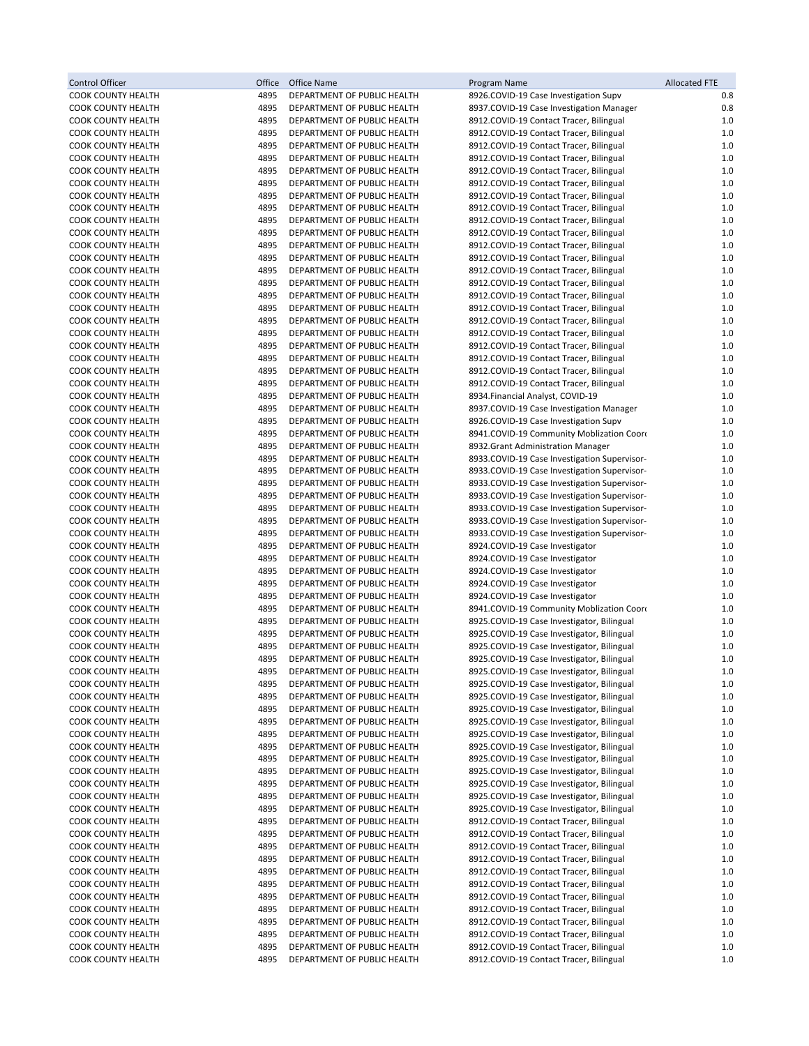| <b>Control Officer</b>                                 | Office       | Office Name                                                | Program Name                                                                                 | <b>Allocated FTE</b> |
|--------------------------------------------------------|--------------|------------------------------------------------------------|----------------------------------------------------------------------------------------------|----------------------|
| COOK COUNTY HEALTH                                     | 4895         | DEPARTMENT OF PUBLIC HEALTH                                | 8926.COVID-19 Case Investigation Supv                                                        | 0.8                  |
| COOK COUNTY HEALTH                                     | 4895         | DEPARTMENT OF PUBLIC HEALTH                                | 8937.COVID-19 Case Investigation Manager                                                     | 0.8                  |
| COOK COUNTY HEALTH                                     | 4895         | DEPARTMENT OF PUBLIC HEALTH                                | 8912.COVID-19 Contact Tracer, Bilingual                                                      | 1.0                  |
| COOK COUNTY HEALTH                                     | 4895         | DEPARTMENT OF PUBLIC HEALTH                                | 8912.COVID-19 Contact Tracer, Bilingual                                                      | 1.0                  |
| COOK COUNTY HEALTH<br><b>COOK COUNTY HEALTH</b>        | 4895<br>4895 | DEPARTMENT OF PUBLIC HEALTH<br>DEPARTMENT OF PUBLIC HEALTH | 8912.COVID-19 Contact Tracer, Bilingual<br>8912.COVID-19 Contact Tracer, Bilingual           | $1.0$<br>1.0         |
| <b>COOK COUNTY HEALTH</b>                              | 4895         | DEPARTMENT OF PUBLIC HEALTH                                | 8912.COVID-19 Contact Tracer, Bilingual                                                      | 1.0                  |
| <b>COOK COUNTY HEALTH</b>                              | 4895         | DEPARTMENT OF PUBLIC HEALTH                                | 8912.COVID-19 Contact Tracer, Bilingual                                                      | $1.0$                |
| <b>COOK COUNTY HEALTH</b>                              | 4895         | DEPARTMENT OF PUBLIC HEALTH                                | 8912.COVID-19 Contact Tracer, Bilingual                                                      | 1.0                  |
| <b>COOK COUNTY HEALTH</b>                              | 4895         | DEPARTMENT OF PUBLIC HEALTH                                | 8912.COVID-19 Contact Tracer, Bilingual                                                      | $1.0$                |
| <b>COOK COUNTY HEALTH</b>                              | 4895         | DEPARTMENT OF PUBLIC HEALTH                                | 8912.COVID-19 Contact Tracer, Bilingual                                                      | $1.0$                |
| <b>COOK COUNTY HEALTH</b>                              | 4895         | DEPARTMENT OF PUBLIC HEALTH                                | 8912.COVID-19 Contact Tracer, Bilingual                                                      | 1.0                  |
| <b>COOK COUNTY HEALTH</b>                              | 4895         | DEPARTMENT OF PUBLIC HEALTH                                | 8912.COVID-19 Contact Tracer, Bilingual                                                      | 1.0                  |
| <b>COOK COUNTY HEALTH</b>                              | 4895         | DEPARTMENT OF PUBLIC HEALTH                                | 8912.COVID-19 Contact Tracer, Bilingual                                                      | $1.0$                |
| COOK COUNTY HEALTH                                     | 4895         | DEPARTMENT OF PUBLIC HEALTH                                | 8912.COVID-19 Contact Tracer, Bilingual                                                      | $1.0$                |
| COOK COUNTY HEALTH                                     | 4895         | DEPARTMENT OF PUBLIC HEALTH                                | 8912.COVID-19 Contact Tracer, Bilingual                                                      | $1.0$                |
| COOK COUNTY HEALTH                                     | 4895         | DEPARTMENT OF PUBLIC HEALTH                                | 8912.COVID-19 Contact Tracer, Bilingual                                                      | $1.0$                |
| COOK COUNTY HEALTH                                     | 4895         | DEPARTMENT OF PUBLIC HEALTH                                | 8912.COVID-19 Contact Tracer, Bilingual                                                      | 1.0                  |
| COOK COUNTY HEALTH                                     | 4895<br>4895 | DEPARTMENT OF PUBLIC HEALTH                                | 8912.COVID-19 Contact Tracer, Bilingual                                                      | 1.0<br>1.0           |
| COOK COUNTY HEALTH<br><b>COOK COUNTY HEALTH</b>        | 4895         | DEPARTMENT OF PUBLIC HEALTH<br>DEPARTMENT OF PUBLIC HEALTH | 8912.COVID-19 Contact Tracer, Bilingual<br>8912.COVID-19 Contact Tracer, Bilingual           | $1.0$                |
| <b>COOK COUNTY HEALTH</b>                              | 4895         | DEPARTMENT OF PUBLIC HEALTH                                | 8912.COVID-19 Contact Tracer, Bilingual                                                      | $1.0$                |
| COOK COUNTY HEALTH                                     | 4895         | DEPARTMENT OF PUBLIC HEALTH                                | 8912.COVID-19 Contact Tracer, Bilingual                                                      | $1.0$                |
| COOK COUNTY HEALTH                                     | 4895         | DEPARTMENT OF PUBLIC HEALTH                                | 8912.COVID-19 Contact Tracer, Bilingual                                                      | $1.0$                |
| COOK COUNTY HEALTH                                     | 4895         | DEPARTMENT OF PUBLIC HEALTH                                | 8934. Financial Analyst, COVID-19                                                            | 1.0                  |
| <b>COOK COUNTY HEALTH</b>                              | 4895         | DEPARTMENT OF PUBLIC HEALTH                                | 8937.COVID-19 Case Investigation Manager                                                     | 1.0                  |
| COOK COUNTY HEALTH                                     | 4895         | DEPARTMENT OF PUBLIC HEALTH                                | 8926.COVID-19 Case Investigation Supv                                                        | 1.0                  |
| COOK COUNTY HEALTH                                     | 4895         | DEPARTMENT OF PUBLIC HEALTH                                | 8941.COVID-19 Community Moblization Coord                                                    | 1.0                  |
| COOK COUNTY HEALTH                                     | 4895         | DEPARTMENT OF PUBLIC HEALTH                                | 8932. Grant Administration Manager                                                           | $1.0$                |
| <b>COOK COUNTY HEALTH</b>                              | 4895         | DEPARTMENT OF PUBLIC HEALTH                                | 8933.COVID-19 Case Investigation Supervisor-                                                 | 1.0                  |
| COOK COUNTY HEALTH                                     | 4895         | DEPARTMENT OF PUBLIC HEALTH                                | 8933.COVID-19 Case Investigation Supervisor-                                                 | 1.0                  |
| COOK COUNTY HEALTH                                     | 4895         | DEPARTMENT OF PUBLIC HEALTH                                | 8933.COVID-19 Case Investigation Supervisor-                                                 | 1.0                  |
| <b>COOK COUNTY HEALTH</b><br><b>COOK COUNTY HEALTH</b> | 4895<br>4895 | DEPARTMENT OF PUBLIC HEALTH<br>DEPARTMENT OF PUBLIC HEALTH | 8933.COVID-19 Case Investigation Supervisor-                                                 | 1.0<br>1.0           |
| COOK COUNTY HEALTH                                     | 4895         | DEPARTMENT OF PUBLIC HEALTH                                | 8933.COVID-19 Case Investigation Supervisor-<br>8933.COVID-19 Case Investigation Supervisor- | 1.0                  |
| COOK COUNTY HEALTH                                     | 4895         | DEPARTMENT OF PUBLIC HEALTH                                | 8933.COVID-19 Case Investigation Supervisor-                                                 | $1.0$                |
| <b>COOK COUNTY HEALTH</b>                              | 4895         | DEPARTMENT OF PUBLIC HEALTH                                | 8924.COVID-19 Case Investigator                                                              | 1.0                  |
| <b>COOK COUNTY HEALTH</b>                              | 4895         | DEPARTMENT OF PUBLIC HEALTH                                | 8924.COVID-19 Case Investigator                                                              | 1.0                  |
| COOK COUNTY HEALTH                                     | 4895         | DEPARTMENT OF PUBLIC HEALTH                                | 8924.COVID-19 Case Investigator                                                              | $1.0$                |
| <b>COOK COUNTY HEALTH</b>                              | 4895         | DEPARTMENT OF PUBLIC HEALTH                                | 8924.COVID-19 Case Investigator                                                              | 1.0                  |
| <b>COOK COUNTY HEALTH</b>                              | 4895         | DEPARTMENT OF PUBLIC HEALTH                                | 8924.COVID-19 Case Investigator                                                              | 1.0                  |
| COOK COUNTY HEALTH                                     | 4895         | DEPARTMENT OF PUBLIC HEALTH                                | 8941.COVID-19 Community Moblization Coord                                                    | $1.0$                |
| <b>COOK COUNTY HEALTH</b>                              | 4895         | DEPARTMENT OF PUBLIC HEALTH                                | 8925.COVID-19 Case Investigator, Bilingual                                                   | 1.0                  |
| <b>COOK COUNTY HEALTH</b>                              | 4895         | DEPARTMENT OF PUBLIC HEALTH                                | 8925.COVID-19 Case Investigator, Bilingual                                                   | 1.0                  |
| <b>COOK COUNTY HEALTH</b><br><b>COOK COUNTY HEALTH</b> | 4895<br>4895 | DEPARTMENT OF PUBLIC HEALTH<br>DEPARTMENT OF PUBLIC HEALTH | 8925.COVID-19 Case Investigator, Bilingual<br>8925.COVID-19 Case Investigator, Bilingual     | 1.0<br>1.0           |
| <b>COOK COUNTY HEALTH</b>                              | 4895         | DEPARTMENT OF PUBLIC HEALTH                                | 8925.COVID-19 Case Investigator, Bilingual                                                   | 1.0                  |
| <b>COOK COUNTY HEALTH</b>                              | 4895         | DEPARTMENT OF PUBLIC HEALTH                                | 8925.COVID-19 Case Investigator, Bilingual                                                   | 1.0                  |
| COOK COUNTY HEALTH                                     | 4895         | DEPARTMENT OF PUBLIC HEALTH                                | 8925.COVID-19 Case Investigator, Bilingual                                                   | 1.0                  |
| COOK COUNTY HEALTH                                     | 4895         | DEPARTMENT OF PUBLIC HEALTH                                | 8925.COVID-19 Case Investigator, Bilingual                                                   | 1.0                  |
| COOK COUNTY HEALTH                                     | 4895         | DEPARTMENT OF PUBLIC HEALTH                                | 8925.COVID-19 Case Investigator, Bilingual                                                   | $1.0$                |
| <b>COOK COUNTY HEALTH</b>                              | 4895         | DEPARTMENT OF PUBLIC HEALTH                                | 8925.COVID-19 Case Investigator, Bilingual                                                   | 1.0                  |
| COOK COUNTY HEALTH                                     | 4895         | DEPARTMENT OF PUBLIC HEALTH                                | 8925.COVID-19 Case Investigator, Bilingual                                                   | 1.0                  |
| COOK COUNTY HEALTH                                     | 4895         | DEPARTMENT OF PUBLIC HEALTH                                | 8925.COVID-19 Case Investigator, Bilingual                                                   | 1.0                  |
| COOK COUNTY HEALTH                                     | 4895         | DEPARTMENT OF PUBLIC HEALTH                                | 8925.COVID-19 Case Investigator, Bilingual                                                   | 1.0                  |
| <b>COOK COUNTY HEALTH</b>                              | 4895         | DEPARTMENT OF PUBLIC HEALTH                                | 8925.COVID-19 Case Investigator, Bilingual                                                   | 1.0                  |
| COOK COUNTY HEALTH                                     | 4895         | DEPARTMENT OF PUBLIC HEALTH                                | 8925.COVID-19 Case Investigator, Bilingual                                                   | 1.0                  |
| COOK COUNTY HEALTH<br>COOK COUNTY HEALTH               | 4895<br>4895 | DEPARTMENT OF PUBLIC HEALTH<br>DEPARTMENT OF PUBLIC HEALTH | 8925.COVID-19 Case Investigator, Bilingual<br>8912.COVID-19 Contact Tracer, Bilingual        | 1.0<br>1.0           |
| <b>COOK COUNTY HEALTH</b>                              | 4895         | DEPARTMENT OF PUBLIC HEALTH                                | 8912.COVID-19 Contact Tracer, Bilingual                                                      | 1.0                  |
| COOK COUNTY HEALTH                                     | 4895         | DEPARTMENT OF PUBLIC HEALTH                                | 8912.COVID-19 Contact Tracer, Bilingual                                                      | 1.0                  |
| COOK COUNTY HEALTH                                     | 4895         | DEPARTMENT OF PUBLIC HEALTH                                | 8912.COVID-19 Contact Tracer, Bilingual                                                      | 1.0                  |
| COOK COUNTY HEALTH                                     | 4895         | DEPARTMENT OF PUBLIC HEALTH                                | 8912.COVID-19 Contact Tracer, Bilingual                                                      | 1.0                  |
| COOK COUNTY HEALTH                                     | 4895         | DEPARTMENT OF PUBLIC HEALTH                                | 8912.COVID-19 Contact Tracer, Bilingual                                                      | 1.0                  |
| COOK COUNTY HEALTH                                     | 4895         | DEPARTMENT OF PUBLIC HEALTH                                | 8912.COVID-19 Contact Tracer, Bilingual                                                      | 1.0                  |
| COOK COUNTY HEALTH                                     | 4895         | DEPARTMENT OF PUBLIC HEALTH                                | 8912.COVID-19 Contact Tracer, Bilingual                                                      | 1.0                  |
| COOK COUNTY HEALTH                                     | 4895         | DEPARTMENT OF PUBLIC HEALTH                                | 8912.COVID-19 Contact Tracer, Bilingual                                                      | 1.0                  |
| COOK COUNTY HEALTH                                     | 4895         | DEPARTMENT OF PUBLIC HEALTH                                | 8912.COVID-19 Contact Tracer, Bilingual                                                      | 1.0                  |
| COOK COUNTY HEALTH                                     | 4895         | DEPARTMENT OF PUBLIC HEALTH                                | 8912.COVID-19 Contact Tracer, Bilingual                                                      | 1.0                  |
| COOK COUNTY HEALTH                                     | 4895         | DEPARTMENT OF PUBLIC HEALTH                                | 8912.COVID-19 Contact Tracer, Bilingual                                                      | $1.0$                |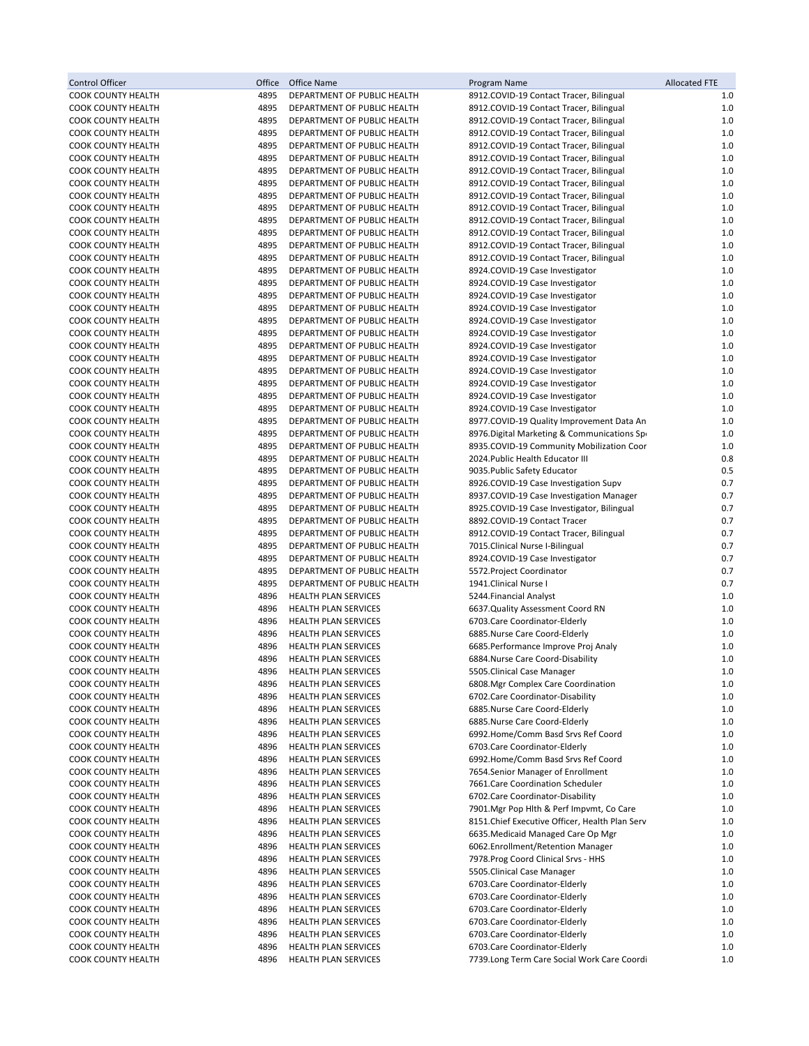| Control Officer                                        | Office       | Office Name                                                | Program Name                                                                       | <b>Allocated FTE</b> |
|--------------------------------------------------------|--------------|------------------------------------------------------------|------------------------------------------------------------------------------------|----------------------|
| COOK COUNTY HEALTH                                     | 4895         | DEPARTMENT OF PUBLIC HEALTH                                | 8912.COVID-19 Contact Tracer, Bilingual                                            | 1.0                  |
| COOK COUNTY HEALTH                                     | 4895         | DEPARTMENT OF PUBLIC HEALTH                                | 8912.COVID-19 Contact Tracer, Bilingual                                            | $1.0$                |
| <b>COOK COUNTY HEALTH</b>                              | 4895         | DEPARTMENT OF PUBLIC HEALTH                                | 8912.COVID-19 Contact Tracer, Bilingual                                            | 1.0                  |
| COOK COUNTY HEALTH                                     | 4895         | DEPARTMENT OF PUBLIC HEALTH                                | 8912.COVID-19 Contact Tracer, Bilingual                                            | 1.0                  |
| COOK COUNTY HEALTH                                     | 4895         | DEPARTMENT OF PUBLIC HEALTH                                | 8912.COVID-19 Contact Tracer, Bilingual                                            | $1.0$                |
| <b>COOK COUNTY HEALTH</b>                              | 4895<br>4895 | DEPARTMENT OF PUBLIC HEALTH                                | 8912.COVID-19 Contact Tracer, Bilingual                                            | 1.0<br>1.0           |
| <b>COOK COUNTY HEALTH</b><br><b>COOK COUNTY HEALTH</b> | 4895         | DEPARTMENT OF PUBLIC HEALTH<br>DEPARTMENT OF PUBLIC HEALTH | 8912.COVID-19 Contact Tracer, Bilingual<br>8912.COVID-19 Contact Tracer, Bilingual | $1.0$                |
| <b>COOK COUNTY HEALTH</b>                              | 4895         | DEPARTMENT OF PUBLIC HEALTH                                | 8912.COVID-19 Contact Tracer, Bilingual                                            | 1.0                  |
| <b>COOK COUNTY HEALTH</b>                              | 4895         | DEPARTMENT OF PUBLIC HEALTH                                | 8912.COVID-19 Contact Tracer, Bilingual                                            | $1.0$                |
| COOK COUNTY HEALTH                                     | 4895         | DEPARTMENT OF PUBLIC HEALTH                                | 8912.COVID-19 Contact Tracer, Bilingual                                            | $1.0$                |
| <b>COOK COUNTY HEALTH</b>                              | 4895         | DEPARTMENT OF PUBLIC HEALTH                                | 8912.COVID-19 Contact Tracer, Bilingual                                            | 1.0                  |
| <b>COOK COUNTY HEALTH</b>                              | 4895         | DEPARTMENT OF PUBLIC HEALTH                                | 8912.COVID-19 Contact Tracer, Bilingual                                            | 1.0                  |
| <b>COOK COUNTY HEALTH</b>                              | 4895         | DEPARTMENT OF PUBLIC HEALTH                                | 8912.COVID-19 Contact Tracer, Bilingual                                            | $1.0$                |
| COOK COUNTY HEALTH                                     | 4895         | DEPARTMENT OF PUBLIC HEALTH                                | 8924.COVID-19 Case Investigator                                                    | $1.0$                |
| COOK COUNTY HEALTH                                     | 4895         | DEPARTMENT OF PUBLIC HEALTH                                | 8924.COVID-19 Case Investigator                                                    | 1.0                  |
| COOK COUNTY HEALTH                                     | 4895         | DEPARTMENT OF PUBLIC HEALTH                                | 8924.COVID-19 Case Investigator                                                    | $1.0$                |
| COOK COUNTY HEALTH                                     | 4895         | DEPARTMENT OF PUBLIC HEALTH                                | 8924.COVID-19 Case Investigator                                                    | 1.0                  |
| COOK COUNTY HEALTH                                     | 4895         | DEPARTMENT OF PUBLIC HEALTH                                | 8924.COVID-19 Case Investigator                                                    | 1.0                  |
| COOK COUNTY HEALTH                                     | 4895         | DEPARTMENT OF PUBLIC HEALTH                                | 8924.COVID-19 Case Investigator                                                    | $1.0$                |
| COOK COUNTY HEALTH                                     | 4895         | DEPARTMENT OF PUBLIC HEALTH                                | 8924.COVID-19 Case Investigator                                                    | $1.0$                |
| COOK COUNTY HEALTH                                     | 4895         | DEPARTMENT OF PUBLIC HEALTH                                | 8924.COVID-19 Case Investigator                                                    | $1.0$                |
| COOK COUNTY HEALTH                                     | 4895         | DEPARTMENT OF PUBLIC HEALTH                                | 8924.COVID-19 Case Investigator                                                    | $1.0$                |
| COOK COUNTY HEALTH<br><b>COOK COUNTY HEALTH</b>        | 4895<br>4895 | DEPARTMENT OF PUBLIC HEALTH<br>DEPARTMENT OF PUBLIC HEALTH | 8924.COVID-19 Case Investigator<br>8924.COVID-19 Case Investigator                 | $1.0$<br>1.0         |
| <b>COOK COUNTY HEALTH</b>                              | 4895         | DEPARTMENT OF PUBLIC HEALTH                                | 8924.COVID-19 Case Investigator                                                    | 1.0                  |
| <b>COOK COUNTY HEALTH</b>                              | 4895         | DEPARTMENT OF PUBLIC HEALTH                                | 8977.COVID-19 Quality Improvement Data An                                          | $1.0$                |
| COOK COUNTY HEALTH                                     | 4895         | DEPARTMENT OF PUBLIC HEALTH                                | 8976. Digital Marketing & Communications Spo                                       | 1.0                  |
| COOK COUNTY HEALTH                                     | 4895         | DEPARTMENT OF PUBLIC HEALTH                                | 8935.COVID-19 Community Mobilization Coor                                          | 1.0                  |
| <b>COOK COUNTY HEALTH</b>                              | 4895         | DEPARTMENT OF PUBLIC HEALTH                                | 2024. Public Health Educator III                                                   | 0.8                  |
| COOK COUNTY HEALTH                                     | 4895         | DEPARTMENT OF PUBLIC HEALTH                                | 9035. Public Safety Educator                                                       | 0.5                  |
| COOK COUNTY HEALTH                                     | 4895         | DEPARTMENT OF PUBLIC HEALTH                                | 8926.COVID-19 Case Investigation Supv                                              | 0.7                  |
| <b>COOK COUNTY HEALTH</b>                              | 4895         | DEPARTMENT OF PUBLIC HEALTH                                | 8937.COVID-19 Case Investigation Manager                                           | 0.7                  |
| <b>COOK COUNTY HEALTH</b>                              | 4895         | DEPARTMENT OF PUBLIC HEALTH                                | 8925.COVID-19 Case Investigator, Bilingual                                         | 0.7                  |
| COOK COUNTY HEALTH                                     | 4895         | DEPARTMENT OF PUBLIC HEALTH                                | 8892.COVID-19 Contact Tracer                                                       | 0.7                  |
| COOK COUNTY HEALTH                                     | 4895         | DEPARTMENT OF PUBLIC HEALTH                                | 8912.COVID-19 Contact Tracer, Bilingual                                            | 0.7                  |
| <b>COOK COUNTY HEALTH</b>                              | 4895         | DEPARTMENT OF PUBLIC HEALTH                                | 7015.Clinical Nurse I-Bilingual                                                    | 0.7                  |
| <b>COOK COUNTY HEALTH</b>                              | 4895         | DEPARTMENT OF PUBLIC HEALTH                                | 8924.COVID-19 Case Investigator                                                    | 0.7                  |
| COOK COUNTY HEALTH                                     | 4895         | DEPARTMENT OF PUBLIC HEALTH                                | 5572. Project Coordinator                                                          | 0.7                  |
| <b>COOK COUNTY HEALTH</b>                              | 4895         | DEPARTMENT OF PUBLIC HEALTH                                | 1941.Clinical Nurse I                                                              | 0.7                  |
| <b>COOK COUNTY HEALTH</b><br>COOK COUNTY HEALTH        | 4896<br>4896 | HEALTH PLAN SERVICES<br>HEALTH PLAN SERVICES               | 5244. Financial Analyst<br>6637.Quality Assessment Coord RN                        | 1.0<br>$1.0$         |
| COOK COUNTY HEALTH                                     | 4896         | <b>HEALTH PLAN SERVICES</b>                                | 6703. Care Coordinator-Elderly                                                     | 1.0                  |
| <b>COOK COUNTY HEALTH</b>                              | 4896         | HEALTH PLAN SERVICES                                       | 6885.Nurse Care Coord-Elderly                                                      | 1.0                  |
| <b>COOK COUNTY HEALTH</b>                              | 4896         | HEALTH PLAN SERVICES                                       | 6685. Performance Improve Proj Analy                                               | 1.0                  |
| <b>COOK COUNTY HEALTH</b>                              | 4896         | <b>HEALTH PLAN SERVICES</b>                                | 6884. Nurse Care Coord-Disability                                                  | 1.0                  |
| <b>COOK COUNTY HEALTH</b>                              | 4896         | HEALTH PLAN SERVICES                                       | 5505. Clinical Case Manager                                                        | 1.0                  |
| COOK COUNTY HEALTH                                     | 4896         | <b>HEALTH PLAN SERVICES</b>                                | 6808. Mgr Complex Care Coordination                                                | 1.0                  |
| COOK COUNTY HEALTH                                     | 4896         | HEALTH PLAN SERVICES                                       | 6702. Care Coordinator-Disability                                                  | 1.0                  |
| COOK COUNTY HEALTH                                     | 4896         | <b>HEALTH PLAN SERVICES</b>                                | 6885.Nurse Care Coord-Elderly                                                      | 1.0                  |
| <b>COOK COUNTY HEALTH</b>                              | 4896         | <b>HEALTH PLAN SERVICES</b>                                | 6885.Nurse Care Coord-Elderly                                                      | 1.0                  |
| COOK COUNTY HEALTH                                     | 4896         | <b>HEALTH PLAN SERVICES</b>                                | 6992.Home/Comm Basd Srvs Ref Coord                                                 | 1.0                  |
| COOK COUNTY HEALTH                                     | 4896         | HEALTH PLAN SERVICES                                       | 6703.Care Coordinator-Elderly                                                      | 1.0                  |
| <b>COOK COUNTY HEALTH</b>                              | 4896         | <b>HEALTH PLAN SERVICES</b>                                | 6992.Home/Comm Basd Srvs Ref Coord                                                 | 1.0                  |
| <b>COOK COUNTY HEALTH</b>                              | 4896         | <b>HEALTH PLAN SERVICES</b>                                | 7654.Senior Manager of Enrollment                                                  | 1.0                  |
| <b>COOK COUNTY HEALTH</b>                              | 4896         | <b>HEALTH PLAN SERVICES</b>                                | 7661.Care Coordination Scheduler                                                   | 1.0                  |
| COOK COUNTY HEALTH                                     | 4896<br>4896 | HEALTH PLAN SERVICES                                       | 6702. Care Coordinator-Disability<br>7901. Mgr Pop Hlth & Perf Impvmt, Co Care     | 1.0                  |
| COOK COUNTY HEALTH<br><b>COOK COUNTY HEALTH</b>        | 4896         | <b>HEALTH PLAN SERVICES</b><br><b>HEALTH PLAN SERVICES</b> | 8151. Chief Executive Officer, Health Plan Serv                                    | 1.0<br>1.0           |
| <b>COOK COUNTY HEALTH</b>                              | 4896         | <b>HEALTH PLAN SERVICES</b>                                | 6635. Medicaid Managed Care Op Mgr                                                 | 1.0                  |
| COOK COUNTY HEALTH                                     | 4896         | <b>HEALTH PLAN SERVICES</b>                                | 6062.Enrollment/Retention Manager                                                  | 1.0                  |
| COOK COUNTY HEALTH                                     | 4896         | <b>HEALTH PLAN SERVICES</b>                                | 7978. Prog Coord Clinical Srvs - HHS                                               | 1.0                  |
| COOK COUNTY HEALTH                                     | 4896         | <b>HEALTH PLAN SERVICES</b>                                | 5505. Clinical Case Manager                                                        | 1.0                  |
| COOK COUNTY HEALTH                                     | 4896         | HEALTH PLAN SERVICES                                       | 6703. Care Coordinator-Elderly                                                     | 1.0                  |
| COOK COUNTY HEALTH                                     | 4896         | <b>HEALTH PLAN SERVICES</b>                                | 6703. Care Coordinator-Elderly                                                     | 1.0                  |
| COOK COUNTY HEALTH                                     | 4896         | HEALTH PLAN SERVICES                                       | 6703. Care Coordinator-Elderly                                                     | 1.0                  |
| COOK COUNTY HEALTH                                     | 4896         | <b>HEALTH PLAN SERVICES</b>                                | 6703. Care Coordinator-Elderly                                                     | 1.0                  |
| COOK COUNTY HEALTH                                     | 4896         | <b>HEALTH PLAN SERVICES</b>                                | 6703. Care Coordinator-Elderly                                                     | 1.0                  |
| COOK COUNTY HEALTH                                     | 4896         | HEALTH PLAN SERVICES                                       | 6703. Care Coordinator-Elderly                                                     | 1.0                  |
| <b>COOK COUNTY HEALTH</b>                              | 4896         | HEALTH PLAN SERVICES                                       | 7739.Long Term Care Social Work Care Coordi                                        | $1.0$                |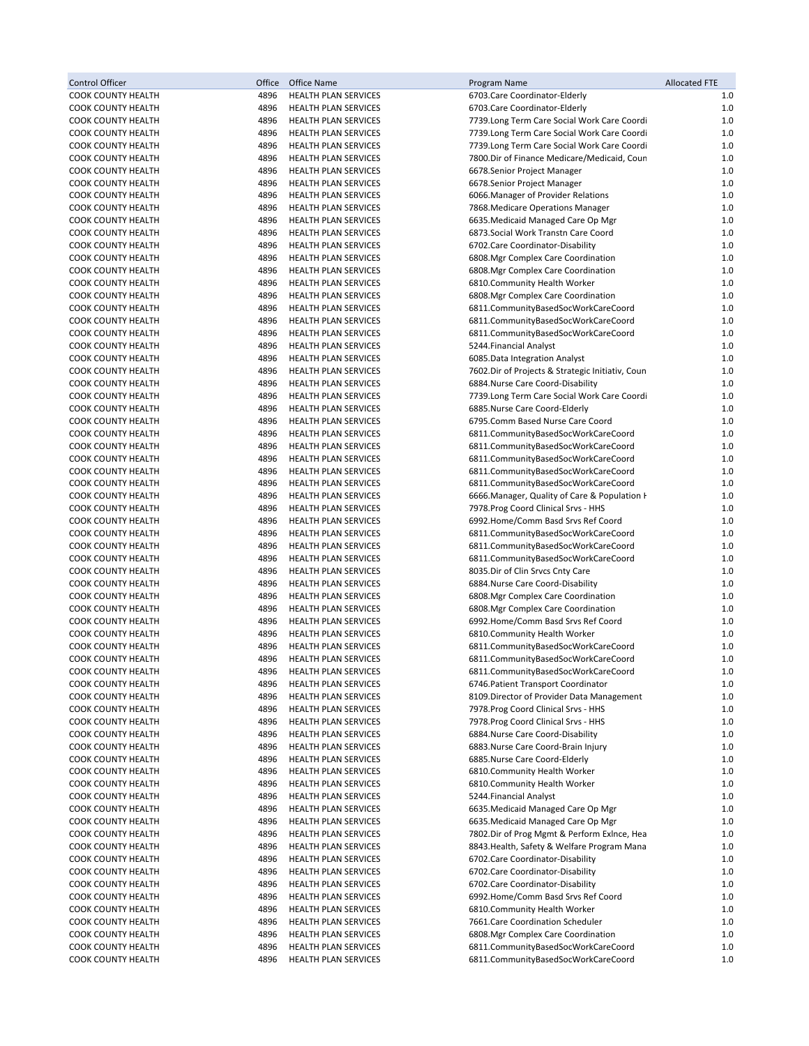| <b>Control Officer</b>                                 | Office       | Office Name                                                | Program Name                                                                       | <b>Allocated FTE</b> |
|--------------------------------------------------------|--------------|------------------------------------------------------------|------------------------------------------------------------------------------------|----------------------|
| <b>COOK COUNTY HEALTH</b>                              | 4896         | HEALTH PLAN SERVICES                                       | 6703. Care Coordinator-Elderly                                                     | 1.0                  |
| COOK COUNTY HEALTH                                     | 4896         | HEALTH PLAN SERVICES                                       | 6703. Care Coordinator-Elderly                                                     | $1.0$                |
| <b>COOK COUNTY HEALTH</b>                              | 4896         | <b>HEALTH PLAN SERVICES</b>                                | 7739.Long Term Care Social Work Care Coordi                                        | 1.0                  |
| <b>COOK COUNTY HEALTH</b>                              | 4896         | HEALTH PLAN SERVICES                                       | 7739.Long Term Care Social Work Care Coordi                                        | 1.0                  |
| <b>COOK COUNTY HEALTH</b><br><b>COOK COUNTY HEALTH</b> | 4896<br>4896 | <b>HEALTH PLAN SERVICES</b><br><b>HEALTH PLAN SERVICES</b> | 7739.Long Term Care Social Work Care Coordi                                        | $1.0$<br>1.0         |
| <b>COOK COUNTY HEALTH</b>                              | 4896         | <b>HEALTH PLAN SERVICES</b>                                | 7800.Dir of Finance Medicare/Medicaid, Coun<br>6678.Senior Project Manager         | 1.0                  |
| <b>COOK COUNTY HEALTH</b>                              | 4896         | <b>HEALTH PLAN SERVICES</b>                                | 6678.Senior Project Manager                                                        | 1.0                  |
| <b>COOK COUNTY HEALTH</b>                              | 4896         | <b>HEALTH PLAN SERVICES</b>                                | 6066. Manager of Provider Relations                                                | 1.0                  |
| <b>COOK COUNTY HEALTH</b>                              | 4896         | HEALTH PLAN SERVICES                                       | 7868. Medicare Operations Manager                                                  | $1.0$                |
| <b>COOK COUNTY HEALTH</b>                              | 4896         | HEALTH PLAN SERVICES                                       | 6635. Medicaid Managed Care Op Mgr                                                 | $1.0$                |
| <b>COOK COUNTY HEALTH</b>                              | 4896         | <b>HEALTH PLAN SERVICES</b>                                | 6873. Social Work Transtn Care Coord                                               | 1.0                  |
| <b>COOK COUNTY HEALTH</b>                              | 4896         | <b>HEALTH PLAN SERVICES</b>                                | 6702. Care Coordinator-Disability                                                  | $1.0$                |
| <b>COOK COUNTY HEALTH</b>                              | 4896         | <b>HEALTH PLAN SERVICES</b>                                | 6808. Mgr Complex Care Coordination                                                | $1.0$                |
| <b>COOK COUNTY HEALTH</b>                              | 4896         | <b>HEALTH PLAN SERVICES</b>                                | 6808.Mgr Complex Care Coordination                                                 | $1.0$                |
| <b>COOK COUNTY HEALTH</b>                              | 4896         | HEALTH PLAN SERVICES                                       | 6810.Community Health Worker                                                       | $1.0$                |
| COOK COUNTY HEALTH                                     | 4896         | HEALTH PLAN SERVICES                                       | 6808. Mgr Complex Care Coordination                                                | $1.0$                |
| <b>COOK COUNTY HEALTH</b>                              | 4896         | <b>HEALTH PLAN SERVICES</b>                                | 6811.CommunityBasedSocWorkCareCoord                                                | 1.0                  |
| <b>COOK COUNTY HEALTH</b>                              | 4896         | <b>HEALTH PLAN SERVICES</b>                                | 6811.CommunityBasedSocWorkCareCoord                                                | 1.0                  |
| <b>COOK COUNTY HEALTH</b>                              | 4896         | <b>HEALTH PLAN SERVICES</b>                                | 6811.CommunityBasedSocWorkCareCoord                                                | 1.0                  |
| <b>COOK COUNTY HEALTH</b>                              | 4896<br>4896 | <b>HEALTH PLAN SERVICES</b>                                | 5244. Financial Analyst                                                            | 1.0<br>1.0           |
| <b>COOK COUNTY HEALTH</b><br><b>COOK COUNTY HEALTH</b> | 4896         | <b>HEALTH PLAN SERVICES</b><br>HEALTH PLAN SERVICES        | 6085. Data Integration Analyst<br>7602.Dir of Projects & Strategic Initiativ, Coun | 1.0                  |
| <b>COOK COUNTY HEALTH</b>                              | 4896         | <b>HEALTH PLAN SERVICES</b>                                | 6884.Nurse Care Coord-Disability                                                   | 1.0                  |
| <b>COOK COUNTY HEALTH</b>                              | 4896         | <b>HEALTH PLAN SERVICES</b>                                | 7739.Long Term Care Social Work Care Coordi                                        | 1.0                  |
| <b>COOK COUNTY HEALTH</b>                              | 4896         | HEALTH PLAN SERVICES                                       | 6885.Nurse Care Coord-Elderly                                                      | 1.0                  |
| <b>COOK COUNTY HEALTH</b>                              | 4896         | <b>HEALTH PLAN SERVICES</b>                                | 6795.Comm Based Nurse Care Coord                                                   | 1.0                  |
| <b>COOK COUNTY HEALTH</b>                              | 4896         | <b>HEALTH PLAN SERVICES</b>                                | 6811.CommunityBasedSocWorkCareCoord                                                | 1.0                  |
| <b>COOK COUNTY HEALTH</b>                              | 4896         | HEALTH PLAN SERVICES                                       | 6811.CommunityBasedSocWorkCareCoord                                                | $1.0$                |
| <b>COOK COUNTY HEALTH</b>                              | 4896         | HEALTH PLAN SERVICES                                       | 6811.CommunityBasedSocWorkCareCoord                                                | 1.0                  |
| COOK COUNTY HEALTH                                     | 4896         | <b>HEALTH PLAN SERVICES</b>                                | 6811.CommunityBasedSocWorkCareCoord                                                | 1.0                  |
| COOK COUNTY HEALTH                                     | 4896         | <b>HEALTH PLAN SERVICES</b>                                | 6811.CommunityBasedSocWorkCareCoord                                                | 1.0                  |
| <b>COOK COUNTY HEALTH</b>                              | 4896         | <b>HEALTH PLAN SERVICES</b>                                | 6666. Manager, Quality of Care & Population H                                      | $1.0$                |
| <b>COOK COUNTY HEALTH</b>                              | 4896         | <b>HEALTH PLAN SERVICES</b>                                | 7978. Prog Coord Clinical Srvs - HHS                                               | $1.0$                |
| <b>COOK COUNTY HEALTH</b>                              | 4896         | HEALTH PLAN SERVICES                                       | 6992.Home/Comm Basd Srvs Ref Coord                                                 | 1.0                  |
| COOK COUNTY HEALTH                                     | 4896         | HEALTH PLAN SERVICES                                       | 6811.CommunityBasedSocWorkCareCoord                                                | $1.0$                |
| <b>COOK COUNTY HEALTH</b>                              | 4896<br>4896 | <b>HEALTH PLAN SERVICES</b>                                | 6811.CommunityBasedSocWorkCareCoord                                                | 1.0<br>1.0           |
| <b>COOK COUNTY HEALTH</b><br><b>COOK COUNTY HEALTH</b> | 4896         | <b>HEALTH PLAN SERVICES</b><br><b>HEALTH PLAN SERVICES</b> | 6811.CommunityBasedSocWorkCareCoord<br>8035.Dir of Clin Srvcs Cnty Care            | $1.0$                |
| <b>COOK COUNTY HEALTH</b>                              | 4896         | <b>HEALTH PLAN SERVICES</b>                                | 6884.Nurse Care Coord-Disability                                                   | 1.0                  |
| <b>COOK COUNTY HEALTH</b>                              | 4896         | <b>HEALTH PLAN SERVICES</b>                                | 6808. Mgr Complex Care Coordination                                                | 1.0                  |
| COOK COUNTY HEALTH                                     | 4896         | HEALTH PLAN SERVICES                                       | 6808.Mgr Complex Care Coordination                                                 | 1.0                  |
| <b>COOK COUNTY HEALTH</b>                              | 4896         | <b>HEALTH PLAN SERVICES</b>                                | 6992.Home/Comm Basd Srvs Ref Coord                                                 | 1.0                  |
| <b>COOK COUNTY HEALTH</b>                              | 4896         | <b>HEALTH PLAN SERVICES</b>                                | 6810.Community Health Worker                                                       | 1.0                  |
| <b>COOK COUNTY HEALTH</b>                              | 4896         | <b>HEALTH PLAN SERVICES</b>                                | 6811.CommunityBasedSocWorkCareCoord                                                | 1.0                  |
| <b>COOK COUNTY HEALTH</b>                              | 4896         | <b>HEALTH PLAN SERVICES</b>                                | 6811.CommunityBasedSocWorkCareCoord                                                | 1.0                  |
| COOK COUNTY HEALTH                                     | 4896         | HEALTH PLAN SERVICES                                       | 6811.CommunityBasedSocWorkCareCoord                                                | 1.0                  |
| <b>COOK COUNTY HEALTH</b>                              | 4896         | <b>HEALTH PLAN SERVICES</b>                                | 6746. Patient Transport Coordinator                                                | 1.0                  |
| COOK COUNTY HEALTH                                     | 4896         | HEALTH PLAN SERVICES                                       | 8109. Director of Provider Data Management                                         | 1.0                  |
| <b>COOK COUNTY HEALTH</b>                              | 4896         | HEALTH PLAN SERVICES                                       | 7978. Prog Coord Clinical Srvs - HHS                                               | $1.0\,$              |
| COOK COUNTY HEALTH<br><b>COOK COUNTY HEALTH</b>        | 4896         | <b>HEALTH PLAN SERVICES</b>                                | 7978. Prog Coord Clinical Srvs - HHS<br>6884.Nurse Care Coord-Disability           | 1.0<br>$1.0$         |
| COOK COUNTY HEALTH                                     | 4896<br>4896 | <b>HEALTH PLAN SERVICES</b><br><b>HEALTH PLAN SERVICES</b> | 6883. Nurse Care Coord-Brain Injury                                                | 1.0                  |
| COOK COUNTY HEALTH                                     | 4896         | HEALTH PLAN SERVICES                                       | 6885.Nurse Care Coord-Elderly                                                      | 1.0                  |
| COOK COUNTY HEALTH                                     | 4896         | <b>HEALTH PLAN SERVICES</b>                                | 6810.Community Health Worker                                                       | 1.0                  |
| COOK COUNTY HEALTH                                     | 4896         | <b>HEALTH PLAN SERVICES</b>                                | 6810.Community Health Worker                                                       | 1.0                  |
| COOK COUNTY HEALTH                                     | 4896         | HEALTH PLAN SERVICES                                       | 5244. Financial Analyst                                                            | $1.0$                |
| COOK COUNTY HEALTH                                     | 4896         | <b>HEALTH PLAN SERVICES</b>                                | 6635. Medicaid Managed Care Op Mgr                                                 | $1.0$                |
| COOK COUNTY HEALTH                                     | 4896         | <b>HEALTH PLAN SERVICES</b>                                | 6635. Medicaid Managed Care Op Mgr                                                 | 1.0                  |
| COOK COUNTY HEALTH                                     | 4896         | <b>HEALTH PLAN SERVICES</b>                                | 7802.Dir of Prog Mgmt & Perform Exlnce, Hea                                        | 1.0                  |
| COOK COUNTY HEALTH                                     | 4896         | HEALTH PLAN SERVICES                                       | 8843. Health, Safety & Welfare Program Mana                                        | 1.0                  |
| COOK COUNTY HEALTH                                     | 4896         | <b>HEALTH PLAN SERVICES</b>                                | 6702. Care Coordinator-Disability                                                  | 1.0                  |
| COOK COUNTY HEALTH                                     | 4896         | <b>HEALTH PLAN SERVICES</b>                                | 6702. Care Coordinator-Disability                                                  | 1.0                  |
| COOK COUNTY HEALTH                                     | 4896         | <b>HEALTH PLAN SERVICES</b>                                | 6702. Care Coordinator-Disability                                                  | $1.0$                |
| COOK COUNTY HEALTH                                     | 4896         | <b>HEALTH PLAN SERVICES</b>                                | 6992.Home/Comm Basd Srvs Ref Coord                                                 | 1.0                  |
| COOK COUNTY HEALTH<br>COOK COUNTY HEALTH               | 4896<br>4896 | <b>HEALTH PLAN SERVICES</b>                                | 6810.Community Health Worker<br>7661.Care Coordination Scheduler                   | 1.0<br>1.0           |
| COOK COUNTY HEALTH                                     | 4896         | HEALTH PLAN SERVICES<br><b>HEALTH PLAN SERVICES</b>        | 6808. Mgr Complex Care Coordination                                                | 1.0                  |
| COOK COUNTY HEALTH                                     | 4896         | HEALTH PLAN SERVICES                                       | 6811.CommunityBasedSocWorkCareCoord                                                | 1.0                  |
| COOK COUNTY HEALTH                                     | 4896         | HEALTH PLAN SERVICES                                       | 6811.CommunityBasedSocWorkCareCoord                                                | 1.0                  |
|                                                        |              |                                                            |                                                                                    |                      |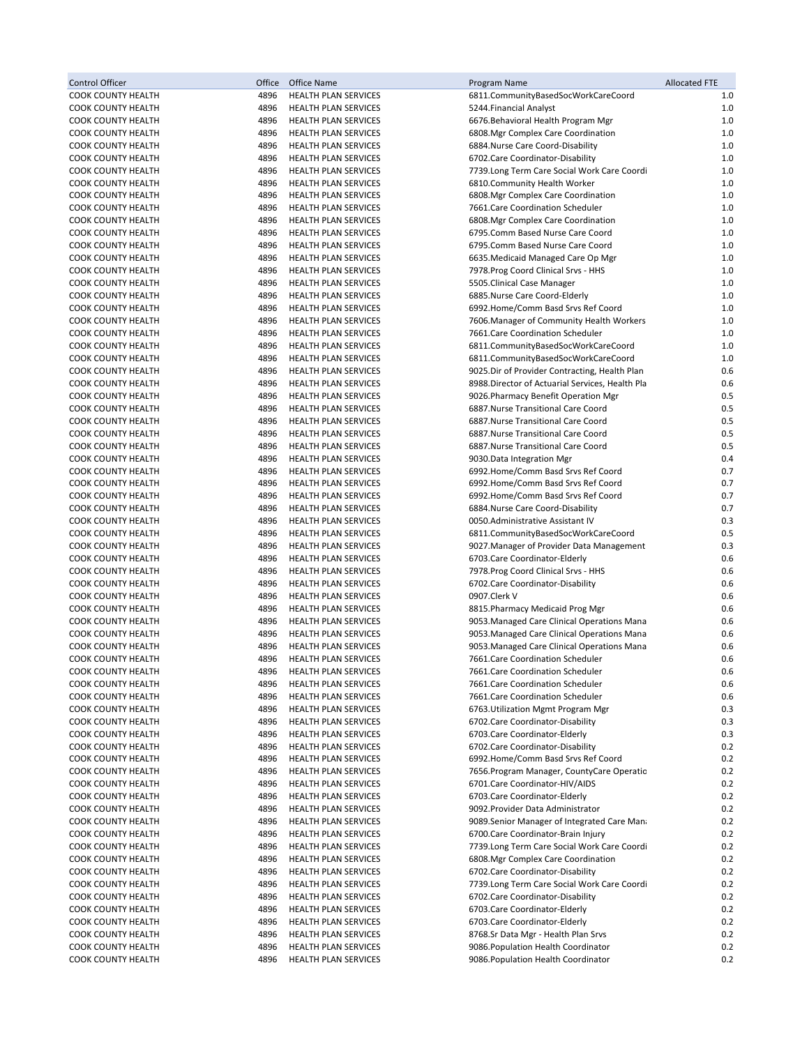| <b>Control Officer</b>                                 | Office       | Office Name                                         | Program Name                                                                      | <b>Allocated FTE</b> |
|--------------------------------------------------------|--------------|-----------------------------------------------------|-----------------------------------------------------------------------------------|----------------------|
| COOK COUNTY HEALTH                                     | 4896         | <b>HEALTH PLAN SERVICES</b>                         | 6811.CommunityBasedSocWorkCareCoord                                               | 1.0                  |
| COOK COUNTY HEALTH                                     | 4896         | <b>HEALTH PLAN SERVICES</b>                         | 5244. Financial Analyst                                                           | $1.0$                |
| <b>COOK COUNTY HEALTH</b>                              | 4896         | <b>HEALTH PLAN SERVICES</b>                         | 6676. Behavioral Health Program Mgr                                               | 1.0                  |
| <b>COOK COUNTY HEALTH</b>                              | 4896         | <b>HEALTH PLAN SERVICES</b>                         | 6808.Mgr Complex Care Coordination                                                | 1.0                  |
| <b>COOK COUNTY HEALTH</b>                              | 4896         | HEALTH PLAN SERVICES                                | 6884. Nurse Care Coord-Disability                                                 | $1.0$                |
| <b>COOK COUNTY HEALTH</b>                              | 4896         | <b>HEALTH PLAN SERVICES</b>                         | 6702.Care Coordinator-Disability                                                  | 1.0                  |
| <b>COOK COUNTY HEALTH</b>                              | 4896         | <b>HEALTH PLAN SERVICES</b>                         | 7739.Long Term Care Social Work Care Coordi                                       | 1.0                  |
| <b>COOK COUNTY HEALTH</b>                              | 4896         | HEALTH PLAN SERVICES                                | 6810.Community Health Worker                                                      | 1.0                  |
| COOK COUNTY HEALTH                                     | 4896         | <b>HEALTH PLAN SERVICES</b>                         | 6808. Mgr Complex Care Coordination                                               | 1.0                  |
| <b>COOK COUNTY HEALTH</b>                              | 4896         | <b>HEALTH PLAN SERVICES</b>                         | 7661.Care Coordination Scheduler                                                  | 1.0                  |
| COOK COUNTY HEALTH                                     | 4896         | HEALTH PLAN SERVICES                                | 6808.Mgr Complex Care Coordination                                                | 1.0                  |
| COOK COUNTY HEALTH                                     | 4896         | HEALTH PLAN SERVICES                                | 6795.Comm Based Nurse Care Coord                                                  | 1.0                  |
| <b>COOK COUNTY HEALTH</b>                              | 4896         | <b>HEALTH PLAN SERVICES</b>                         | 6795.Comm Based Nurse Care Coord                                                  | 1.0                  |
| <b>COOK COUNTY HEALTH</b>                              | 4896         | <b>HEALTH PLAN SERVICES</b>                         | 6635. Medicaid Managed Care Op Mgr                                                | 1.0                  |
| <b>COOK COUNTY HEALTH</b><br><b>COOK COUNTY HEALTH</b> | 4896<br>4896 | HEALTH PLAN SERVICES                                | 7978. Prog Coord Clinical Srvs - HHS                                              | $1.0$<br>1.0         |
| <b>COOK COUNTY HEALTH</b>                              | 4896         | <b>HEALTH PLAN SERVICES</b><br>HEALTH PLAN SERVICES | 5505. Clinical Case Manager<br>6885.Nurse Care Coord-Elderly                      | 1.0                  |
| <b>COOK COUNTY HEALTH</b>                              | 4896         | HEALTH PLAN SERVICES                                | 6992.Home/Comm Basd Srvs Ref Coord                                                | 1.0                  |
| <b>COOK COUNTY HEALTH</b>                              | 4896         | <b>HEALTH PLAN SERVICES</b>                         | 7606. Manager of Community Health Workers                                         | 1.0                  |
| <b>COOK COUNTY HEALTH</b>                              | 4896         | HEALTH PLAN SERVICES                                | 7661.Care Coordination Scheduler                                                  | 1.0                  |
| <b>COOK COUNTY HEALTH</b>                              | 4896         | <b>HEALTH PLAN SERVICES</b>                         | 6811.CommunityBasedSocWorkCareCoord                                               | 1.0                  |
| <b>COOK COUNTY HEALTH</b>                              | 4896         | <b>HEALTH PLAN SERVICES</b>                         | 6811.CommunityBasedSocWorkCareCoord                                               | 1.0                  |
| COOK COUNTY HEALTH                                     | 4896         | HEALTH PLAN SERVICES                                | 9025. Dir of Provider Contracting, Health Plan                                    | 0.6                  |
| COOK COUNTY HEALTH                                     | 4896         | HEALTH PLAN SERVICES                                | 8988. Director of Actuarial Services, Health Pla                                  | 0.6                  |
| COOK COUNTY HEALTH                                     | 4896         | <b>HEALTH PLAN SERVICES</b>                         | 9026. Pharmacy Benefit Operation Mgr                                              | 0.5                  |
| <b>COOK COUNTY HEALTH</b>                              | 4896         | <b>HEALTH PLAN SERVICES</b>                         | 6887. Nurse Transitional Care Coord                                               | 0.5                  |
| COOK COUNTY HEALTH                                     | 4896         | <b>HEALTH PLAN SERVICES</b>                         | 6887.Nurse Transitional Care Coord                                                | 0.5                  |
| <b>COOK COUNTY HEALTH</b>                              | 4896         | <b>HEALTH PLAN SERVICES</b>                         | 6887.Nurse Transitional Care Coord                                                | 0.5                  |
| <b>COOK COUNTY HEALTH</b>                              | 4896         | <b>HEALTH PLAN SERVICES</b>                         | 6887. Nurse Transitional Care Coord                                               | 0.5                  |
| COOK COUNTY HEALTH                                     | 4896         | <b>HEALTH PLAN SERVICES</b>                         | 9030.Data Integration Mgr                                                         | 0.4                  |
| <b>COOK COUNTY HEALTH</b>                              | 4896         | <b>HEALTH PLAN SERVICES</b>                         | 6992.Home/Comm Basd Srvs Ref Coord                                                | 0.7                  |
| <b>COOK COUNTY HEALTH</b>                              | 4896         | <b>HEALTH PLAN SERVICES</b>                         | 6992.Home/Comm Basd Srvs Ref Coord                                                | 0.7                  |
| <b>COOK COUNTY HEALTH</b>                              | 4896         | <b>HEALTH PLAN SERVICES</b>                         | 6992.Home/Comm Basd Srvs Ref Coord                                                | 0.7                  |
| <b>COOK COUNTY HEALTH</b>                              | 4896         | <b>HEALTH PLAN SERVICES</b>                         | 6884.Nurse Care Coord-Disability                                                  | 0.7                  |
| <b>COOK COUNTY HEALTH</b>                              | 4896         | <b>HEALTH PLAN SERVICES</b>                         | 0050.Administrative Assistant IV                                                  | 0.3                  |
| COOK COUNTY HEALTH                                     | 4896         | HEALTH PLAN SERVICES                                | 6811.CommunityBasedSocWorkCareCoord                                               | 0.5                  |
| <b>COOK COUNTY HEALTH</b>                              | 4896         | <b>HEALTH PLAN SERVICES</b>                         | 9027. Manager of Provider Data Management                                         | 0.3                  |
| <b>COOK COUNTY HEALTH</b><br><b>COOK COUNTY HEALTH</b> | 4896<br>4896 | <b>HEALTH PLAN SERVICES</b><br>HEALTH PLAN SERVICES | 6703. Care Coordinator-Elderly<br>7978. Prog Coord Clinical Srvs - HHS            | 0.6<br>0.6           |
| <b>COOK COUNTY HEALTH</b>                              | 4896         | <b>HEALTH PLAN SERVICES</b>                         | 6702. Care Coordinator-Disability                                                 | 0.6                  |
| <b>COOK COUNTY HEALTH</b>                              | 4896         | <b>HEALTH PLAN SERVICES</b>                         | 0907.Clerk V                                                                      | 0.6                  |
| COOK COUNTY HEALTH                                     | 4896         | HEALTH PLAN SERVICES                                | 8815. Pharmacy Medicaid Prog Mgr                                                  | 0.6                  |
| COOK COUNTY HEALTH                                     | 4896         | HEALTH PLAN SERVICES                                | 9053. Managed Care Clinical Operations Mana                                       | 0.6                  |
| <b>COOK COUNTY HEALTH</b>                              | 4896         | <b>HEALTH PLAN SERVICES</b>                         | 9053. Managed Care Clinical Operations Mana                                       | 0.6                  |
| <b>COOK COUNTY HEALTH</b>                              | 4896         | <b>HEALTH PLAN SERVICES</b>                         | 9053. Managed Care Clinical Operations Mana                                       | 0.6                  |
| <b>COOK COUNTY HEALTH</b>                              | 4896         | <b>HEALTH PLAN SERVICES</b>                         | 7661.Care Coordination Scheduler                                                  | 0.6                  |
| <b>COOK COUNTY HEALTH</b>                              | 4896         | <b>HEALTH PLAN SERVICES</b>                         | 7661. Care Coordination Scheduler                                                 | 0.6                  |
| COOK COUNTY HEALTH                                     | 4896         | HEALTH PLAN SERVICES                                | 7661.Care Coordination Scheduler                                                  | 0.6                  |
| COOK COUNTY HEALTH                                     | 4896         | <b>HEALTH PLAN SERVICES</b>                         | 7661.Care Coordination Scheduler                                                  | 0.6                  |
| <b>COOK COUNTY HEALTH</b>                              | 4896         | HEALTH PLAN SERVICES                                | 6763. Utilization Mgmt Program Mgr                                                | 0.3                  |
| COOK COUNTY HEALTH                                     | 4896         | <b>HEALTH PLAN SERVICES</b>                         | 6702. Care Coordinator-Disability                                                 | 0.3                  |
| COOK COUNTY HEALTH                                     | 4896         | <b>HEALTH PLAN SERVICES</b>                         | 6703. Care Coordinator-Elderly                                                    | 0.3                  |
| COOK COUNTY HEALTH                                     | 4896         | HEALTH PLAN SERVICES                                | 6702. Care Coordinator-Disability                                                 | 0.2                  |
| <b>COOK COUNTY HEALTH</b>                              | 4896         | <b>HEALTH PLAN SERVICES</b>                         | 6992.Home/Comm Basd Srvs Ref Coord                                                | 0.2                  |
| COOK COUNTY HEALTH                                     | 4896         | <b>HEALTH PLAN SERVICES</b>                         | 7656. Program Manager, CountyCare Operatio                                        | 0.2                  |
| COOK COUNTY HEALTH                                     | 4896         | <b>HEALTH PLAN SERVICES</b>                         | 6701.Care Coordinator-HIV/AIDS                                                    | 0.2                  |
| COOK COUNTY HEALTH                                     | 4896         | HEALTH PLAN SERVICES                                | 6703. Care Coordinator-Elderly                                                    | 0.2                  |
| COOK COUNTY HEALTH                                     | 4896         | <b>HEALTH PLAN SERVICES</b>                         | 9092. Provider Data Administrator                                                 | 0.2                  |
| COOK COUNTY HEALTH                                     | 4896         | <b>HEALTH PLAN SERVICES</b>                         | 9089.Senior Manager of Integrated Care Mana                                       | 0.2                  |
| COOK COUNTY HEALTH                                     | 4896<br>4896 | HEALTH PLAN SERVICES<br>HEALTH PLAN SERVICES        | 6700. Care Coordinator-Brain Injury                                               | 0.2<br>0.2           |
| COOK COUNTY HEALTH<br>COOK COUNTY HEALTH               | 4896         | <b>HEALTH PLAN SERVICES</b>                         | 7739.Long Term Care Social Work Care Coordi<br>6808.Mgr Complex Care Coordination | 0.2                  |
| COOK COUNTY HEALTH                                     | 4896         | <b>HEALTH PLAN SERVICES</b>                         | 6702. Care Coordinator-Disability                                                 | 0.2                  |
| COOK COUNTY HEALTH                                     | 4896         | HEALTH PLAN SERVICES                                | 7739.Long Term Care Social Work Care Coordi                                       | 0.2                  |
| COOK COUNTY HEALTH                                     | 4896         | <b>HEALTH PLAN SERVICES</b>                         | 6702. Care Coordinator-Disability                                                 | 0.2                  |
| COOK COUNTY HEALTH                                     | 4896         | <b>HEALTH PLAN SERVICES</b>                         | 6703. Care Coordinator-Elderly                                                    | 0.2                  |
| COOK COUNTY HEALTH                                     | 4896         | HEALTH PLAN SERVICES                                | 6703. Care Coordinator-Elderly                                                    | 0.2                  |
| COOK COUNTY HEALTH                                     | 4896         | HEALTH PLAN SERVICES                                | 8768.Sr Data Mgr - Health Plan Srvs                                               | 0.2                  |
| COOK COUNTY HEALTH                                     | 4896         | HEALTH PLAN SERVICES                                | 9086. Population Health Coordinator                                               | 0.2                  |
| COOK COUNTY HEALTH                                     | 4896         | HEALTH PLAN SERVICES                                | 9086. Population Health Coordinator                                               | 0.2                  |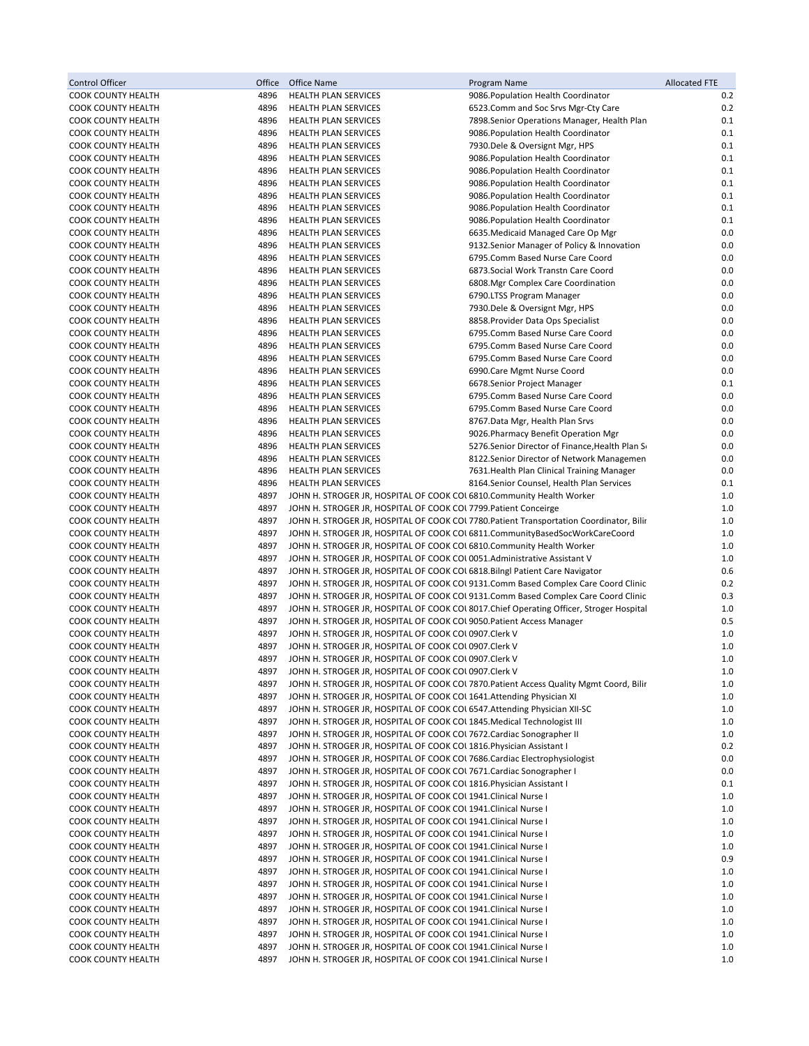| <b>Control Officer</b>                                 | Office       | Office Name                                                                                                                                  | Program Name                                                                             | <b>Allocated FTE</b> |
|--------------------------------------------------------|--------------|----------------------------------------------------------------------------------------------------------------------------------------------|------------------------------------------------------------------------------------------|----------------------|
| <b>COOK COUNTY HEALTH</b>                              | 4896         | <b>HEALTH PLAN SERVICES</b>                                                                                                                  | 9086. Population Health Coordinator                                                      | 0.2                  |
| <b>COOK COUNTY HEALTH</b>                              | 4896         | <b>HEALTH PLAN SERVICES</b>                                                                                                                  | 6523. Comm and Soc Srvs Mgr-Cty Care                                                     | 0.2                  |
| <b>COOK COUNTY HEALTH</b>                              | 4896         | HEALTH PLAN SERVICES                                                                                                                         | 7898. Senior Operations Manager, Health Plan                                             | 0.1                  |
| <b>COOK COUNTY HEALTH</b><br><b>COOK COUNTY HEALTH</b> | 4896<br>4896 | HEALTH PLAN SERVICES<br>HEALTH PLAN SERVICES                                                                                                 | 9086. Population Health Coordinator<br>7930. Dele & Oversignt Mgr, HPS                   | 0.1<br>0.1           |
| <b>COOK COUNTY HEALTH</b>                              | 4896         | <b>HEALTH PLAN SERVICES</b>                                                                                                                  | 9086. Population Health Coordinator                                                      | 0.1                  |
| COOK COUNTY HEALTH                                     | 4896         | <b>HEALTH PLAN SERVICES</b>                                                                                                                  | 9086. Population Health Coordinator                                                      | 0.1                  |
| <b>COOK COUNTY HEALTH</b>                              | 4896         | <b>HEALTH PLAN SERVICES</b>                                                                                                                  | 9086. Population Health Coordinator                                                      | 0.1                  |
| <b>COOK COUNTY HEALTH</b>                              | 4896         | <b>HEALTH PLAN SERVICES</b>                                                                                                                  | 9086. Population Health Coordinator                                                      | 0.1                  |
| <b>COOK COUNTY HEALTH</b>                              | 4896         | HEALTH PLAN SERVICES                                                                                                                         | 9086. Population Health Coordinator                                                      | 0.1                  |
| <b>COOK COUNTY HEALTH</b>                              | 4896         | <b>HEALTH PLAN SERVICES</b>                                                                                                                  | 9086. Population Health Coordinator                                                      | 0.1                  |
| COOK COUNTY HEALTH                                     | 4896         | <b>HEALTH PLAN SERVICES</b>                                                                                                                  | 6635. Medicaid Managed Care Op Mgr                                                       | 0.0                  |
| <b>COOK COUNTY HEALTH</b>                              | 4896         | HEALTH PLAN SERVICES                                                                                                                         | 9132. Senior Manager of Policy & Innovation                                              | 0.0                  |
| <b>COOK COUNTY HEALTH</b>                              | 4896         | <b>HEALTH PLAN SERVICES</b>                                                                                                                  | 6795.Comm Based Nurse Care Coord                                                         | 0.0                  |
| COOK COUNTY HEALTH<br>COOK COUNTY HEALTH               | 4896<br>4896 | <b>HEALTH PLAN SERVICES</b><br><b>HEALTH PLAN SERVICES</b>                                                                                   | 6873. Social Work Transtn Care Coord<br>6808. Mgr Complex Care Coordination              | 0.0<br>0.0           |
| <b>COOK COUNTY HEALTH</b>                              | 4896         | <b>HEALTH PLAN SERVICES</b>                                                                                                                  | 6790.LTSS Program Manager                                                                | 0.0                  |
| <b>COOK COUNTY HEALTH</b>                              | 4896         | <b>HEALTH PLAN SERVICES</b>                                                                                                                  | 7930. Dele & Oversignt Mgr, HPS                                                          | 0.0                  |
| COOK COUNTY HEALTH                                     | 4896         | HEALTH PLAN SERVICES                                                                                                                         | 8858. Provider Data Ops Specialist                                                       | 0.0                  |
| <b>COOK COUNTY HEALTH</b>                              | 4896         | <b>HEALTH PLAN SERVICES</b>                                                                                                                  | 6795.Comm Based Nurse Care Coord                                                         | 0.0                  |
| <b>COOK COUNTY HEALTH</b>                              | 4896         | <b>HEALTH PLAN SERVICES</b>                                                                                                                  | 6795.Comm Based Nurse Care Coord                                                         | 0.0                  |
| <b>COOK COUNTY HEALTH</b>                              | 4896         | <b>HEALTH PLAN SERVICES</b>                                                                                                                  | 6795.Comm Based Nurse Care Coord                                                         | 0.0                  |
| COOK COUNTY HEALTH                                     | 4896         | <b>HEALTH PLAN SERVICES</b>                                                                                                                  | 6990.Care Mgmt Nurse Coord                                                               | 0.0                  |
| <b>COOK COUNTY HEALTH</b>                              | 4896         | <b>HEALTH PLAN SERVICES</b>                                                                                                                  | 6678. Senior Project Manager                                                             | 0.1                  |
| <b>COOK COUNTY HEALTH</b><br><b>COOK COUNTY HEALTH</b> | 4896<br>4896 | HEALTH PLAN SERVICES<br><b>HEALTH PLAN SERVICES</b>                                                                                          | 6795.Comm Based Nurse Care Coord<br>6795.Comm Based Nurse Care Coord                     | 0.0<br>0.0           |
| <b>COOK COUNTY HEALTH</b>                              | 4896         | <b>HEALTH PLAN SERVICES</b>                                                                                                                  | 8767.Data Mgr, Health Plan Srvs                                                          | 0.0                  |
| <b>COOK COUNTY HEALTH</b>                              | 4896         | HEALTH PLAN SERVICES                                                                                                                         | 9026. Pharmacy Benefit Operation Mgr                                                     | 0.0                  |
| COOK COUNTY HEALTH                                     | 4896         | <b>HEALTH PLAN SERVICES</b>                                                                                                                  | 5276. Senior Director of Finance, Health Plan So                                         | 0.0                  |
| <b>COOK COUNTY HEALTH</b>                              | 4896         | <b>HEALTH PLAN SERVICES</b>                                                                                                                  | 8122. Senior Director of Network Managemen                                               | 0.0                  |
| COOK COUNTY HEALTH                                     | 4896         | HEALTH PLAN SERVICES                                                                                                                         | 7631. Health Plan Clinical Training Manager                                              | 0.0                  |
| COOK COUNTY HEALTH                                     | 4896         | HEALTH PLAN SERVICES                                                                                                                         | 8164. Senior Counsel, Health Plan Services                                               | 0.1                  |
| <b>COOK COUNTY HEALTH</b>                              | 4897         | JOHN H. STROGER JR, HOSPITAL OF COOK COU 6810. Community Health Worker                                                                       |                                                                                          | 1.0                  |
| <b>COOK COUNTY HEALTH</b>                              | 4897<br>4897 | JOHN H. STROGER JR, HOSPITAL OF COOK COL 7799. Patient Conceirge                                                                             |                                                                                          | 1.0<br>1.0           |
| COOK COUNTY HEALTH<br>COOK COUNTY HEALTH               | 4897         | JOHN H. STROGER JR, HOSPITAL OF COOK COL 6811.CommunityBasedSocWorkCareCoord                                                                 | JOHN H. STROGER JR, HOSPITAL OF COOK COL 7780. Patient Transportation Coordinator, Bilir | 1.0                  |
| <b>COOK COUNTY HEALTH</b>                              | 4897         | JOHN H. STROGER JR, HOSPITAL OF COOK COL 6810. Community Health Worker                                                                       |                                                                                          | 1.0                  |
| COOK COUNTY HEALTH                                     | 4897         | JOHN H. STROGER JR, HOSPITAL OF COOK COL0051.Administrative Assistant V                                                                      |                                                                                          | 1.0                  |
| COOK COUNTY HEALTH                                     | 4897         | JOHN H. STROGER JR, HOSPITAL OF COOK COUS 18. Bilngl Patient Care Navigator                                                                  |                                                                                          | 0.6                  |
| <b>COOK COUNTY HEALTH</b>                              | 4897         |                                                                                                                                              | JOHN H. STROGER JR, HOSPITAL OF COOK COUSI31.Comm Based Complex Care Coord Clinic        | 0.2                  |
| <b>COOK COUNTY HEALTH</b>                              | 4897         |                                                                                                                                              | JOHN H. STROGER JR, HOSPITAL OF COOK COU 9131.Comm Based Complex Care Coord Clinic       | 0.3                  |
| <b>COOK COUNTY HEALTH</b>                              | 4897         |                                                                                                                                              | JOHN H. STROGER JR, HOSPITAL OF COOK COL 8017. Chief Operating Officer, Stroger Hospital | 1.0                  |
| COOK COUNTY HEALTH<br><b>COOK COUNTY HEALTH</b>        | 4897<br>4897 | JOHN H. STROGER JR, HOSPITAL OF COOK COL 9050. Patient Access Manager<br>JOHN H. STROGER JR, HOSPITAL OF COOK COL0907.Clerk V                |                                                                                          | 0.5<br>1.0           |
| <b>COOK COUNTY HEALTH</b>                              | 4897         | JOHN H. STROGER JR, HOSPITAL OF COOK COL0907.Clerk V                                                                                         |                                                                                          | 1.0                  |
| <b>COOK COUNTY HEALTH</b>                              | 4897         | JOHN H. STROGER JR, HOSPITAL OF COOK COL0907.Clerk V                                                                                         |                                                                                          | 1.0                  |
| COOK COUNTY HEALTH                                     | 4897         | JOHN H. STROGER JR, HOSPITAL OF COOK COL0907.Clerk V                                                                                         |                                                                                          | 1.0                  |
| <b>COOK COUNTY HEALTH</b>                              | 4897         |                                                                                                                                              | JOHN H. STROGER JR, HOSPITAL OF COOK COL 7870. Patient Access Quality Mgmt Coord, Bilir  | 1.0                  |
| <b>COOK COUNTY HEALTH</b>                              | 4897         | JOHN H. STROGER JR, HOSPITAL OF COOK COL 1641. Attending Physician XI                                                                        |                                                                                          | 1.0                  |
| <b>COOK COUNTY HEALTH</b>                              | 4897         | JOHN H. STROGER JR, HOSPITAL OF COOK COL 6547. Attending Physician XII-SC                                                                    |                                                                                          | 1.0                  |
| COOK COUNTY HEALTH                                     | 4897         | JOHN H. STROGER JR, HOSPITAL OF COOK COL 1845. Medical Technologist III                                                                      |                                                                                          | 1.0                  |
| <b>COOK COUNTY HEALTH</b><br><b>COOK COUNTY HEALTH</b> | 4897<br>4897 | JOHN H. STROGER JR, HOSPITAL OF COOK COUT672. Cardiac Sonographer II<br>JOHN H. STROGER JR, HOSPITAL OF COOK COL 1816. Physician Assistant I |                                                                                          | 1.0<br>0.2           |
| <b>COOK COUNTY HEALTH</b>                              | 4897         | JOHN H. STROGER JR, HOSPITAL OF COOK COUT686. Cardiac Electrophysiologist                                                                    |                                                                                          | 0.0                  |
| COOK COUNTY HEALTH                                     | 4897         | JOHN H. STROGER JR, HOSPITAL OF COOK COL 7671. Cardiac Sonographer I                                                                         |                                                                                          | 0.0                  |
| <b>COOK COUNTY HEALTH</b>                              | 4897         | JOHN H. STROGER JR, HOSPITAL OF COOK COL 1816. Physician Assistant I                                                                         |                                                                                          | 0.1                  |
| <b>COOK COUNTY HEALTH</b>                              | 4897         | JOHN H. STROGER JR, HOSPITAL OF COOK COL 1941. Clinical Nurse I                                                                              |                                                                                          | 1.0                  |
| <b>COOK COUNTY HEALTH</b>                              | 4897         | JOHN H. STROGER JR, HOSPITAL OF COOK COL 1941. Clinical Nurse I                                                                              |                                                                                          | 1.0                  |
| <b>COOK COUNTY HEALTH</b>                              | 4897         | JOHN H. STROGER JR, HOSPITAL OF COOK COL 1941. Clinical Nurse I                                                                              |                                                                                          | 1.0                  |
| COOK COUNTY HEALTH                                     | 4897         | JOHN H. STROGER JR, HOSPITAL OF COOK COL 1941. Clinical Nurse I                                                                              |                                                                                          | 1.0                  |
| <b>COOK COUNTY HEALTH</b>                              | 4897         | JOHN H. STROGER JR, HOSPITAL OF COOK COL 1941. Clinical Nurse I                                                                              |                                                                                          | 1.0                  |
| <b>COOK COUNTY HEALTH</b><br><b>COOK COUNTY HEALTH</b> | 4897<br>4897 | JOHN H. STROGER JR, HOSPITAL OF COOK COL 1941. Clinical Nurse I<br>JOHN H. STROGER JR, HOSPITAL OF COOK COL 1941. Clinical Nurse I           |                                                                                          | 0.9<br>1.0           |
| <b>COOK COUNTY HEALTH</b>                              | 4897         | JOHN H. STROGER JR, HOSPITAL OF COOK COL 1941. Clinical Nurse I                                                                              |                                                                                          | 1.0                  |
| <b>COOK COUNTY HEALTH</b>                              | 4897         | JOHN H. STROGER JR, HOSPITAL OF COOK COL 1941. Clinical Nurse I                                                                              |                                                                                          | 1.0                  |
| <b>COOK COUNTY HEALTH</b>                              | 4897         | JOHN H. STROGER JR, HOSPITAL OF COOK COL 1941. Clinical Nurse I                                                                              |                                                                                          | 1.0                  |
| COOK COUNTY HEALTH                                     | 4897         | JOHN H. STROGER JR, HOSPITAL OF COOK COL 1941. Clinical Nurse I                                                                              |                                                                                          | 1.0                  |
| <b>COOK COUNTY HEALTH</b>                              | 4897         | JOHN H. STROGER JR, HOSPITAL OF COOK COL 1941. Clinical Nurse I                                                                              |                                                                                          | 1.0                  |
| COOK COUNTY HEALTH                                     | 4897         | JOHN H. STROGER JR, HOSPITAL OF COOK COL 1941. Clinical Nurse I                                                                              |                                                                                          | 1.0                  |
| COOK COUNTY HEALTH                                     | 4897         | JOHN H. STROGER JR, HOSPITAL OF COOK COL 1941. Clinical Nurse I                                                                              |                                                                                          | 1.0                  |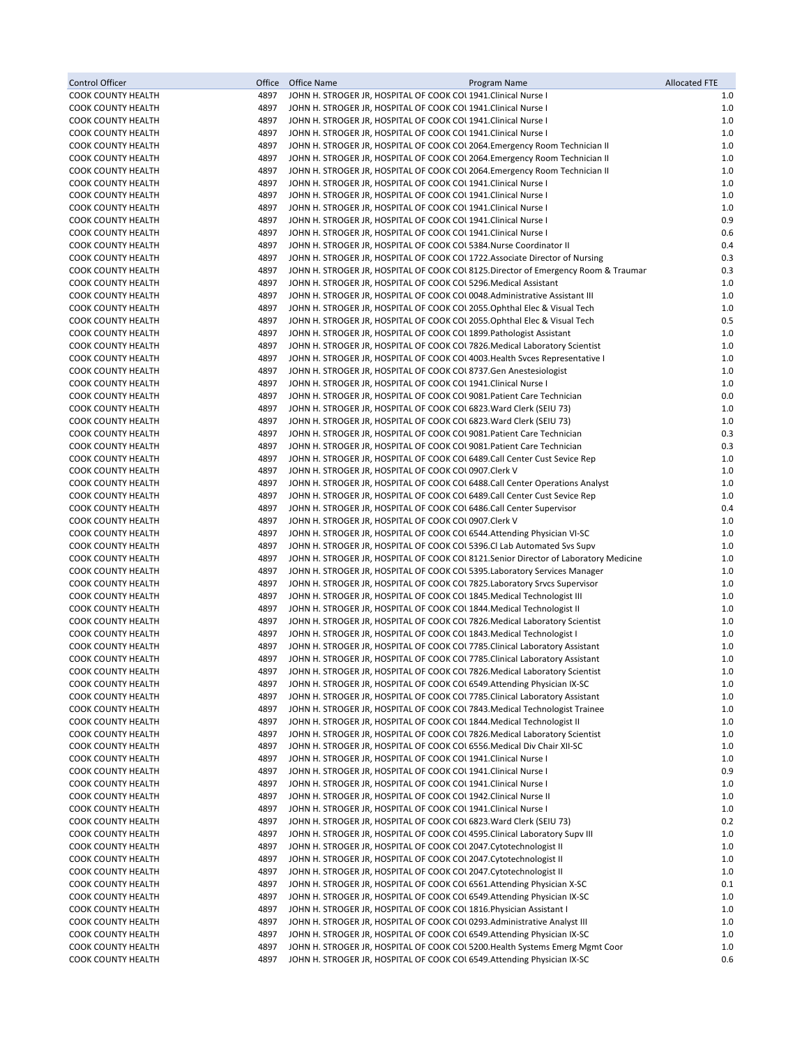| <b>Control Officer</b>                                 | Office       | Office Name<br>Program Name                                                                                                                                 | <b>Allocated FTE</b> |
|--------------------------------------------------------|--------------|-------------------------------------------------------------------------------------------------------------------------------------------------------------|----------------------|
| <b>COOK COUNTY HEALTH</b>                              | 4897         | JOHN H. STROGER JR, HOSPITAL OF COOK COL 1941. Clinical Nurse I                                                                                             | 1.0                  |
| <b>COOK COUNTY HEALTH</b>                              | 4897         | JOHN H. STROGER JR, HOSPITAL OF COOK COL 1941. Clinical Nurse I                                                                                             | 1.0                  |
| COOK COUNTY HEALTH                                     | 4897         | JOHN H. STROGER JR, HOSPITAL OF COOK COL 1941. Clinical Nurse I                                                                                             | 1.0                  |
| COOK COUNTY HEALTH                                     | 4897         | JOHN H. STROGER JR, HOSPITAL OF COOK COL 1941. Clinical Nurse I                                                                                             | 1.0                  |
| COOK COUNTY HEALTH                                     | 4897<br>4897 | JOHN H. STROGER JR, HOSPITAL OF COOK COU 2064. Emergency Room Technician II<br>JOHN H. STROGER JR, HOSPITAL OF COOK COU 2064. Emergency Room Technician II  | $1.0$<br>1.0         |
| COOK COUNTY HEALTH<br><b>COOK COUNTY HEALTH</b>        | 4897         | JOHN H. STROGER JR, HOSPITAL OF COOK COL 2064. Emergency Room Technician II                                                                                 | 1.0                  |
| COOK COUNTY HEALTH                                     | 4897         | JOHN H. STROGER JR, HOSPITAL OF COOK COL 1941. Clinical Nurse I                                                                                             | 1.0                  |
| COOK COUNTY HEALTH                                     | 4897         | JOHN H. STROGER JR, HOSPITAL OF COOK COL 1941. Clinical Nurse I                                                                                             | 1.0                  |
| <b>COOK COUNTY HEALTH</b>                              | 4897         | JOHN H. STROGER JR, HOSPITAL OF COOK COL 1941. Clinical Nurse I                                                                                             | 1.0                  |
| <b>COOK COUNTY HEALTH</b>                              | 4897         | JOHN H. STROGER JR, HOSPITAL OF COOK COL 1941. Clinical Nurse I                                                                                             | 0.9                  |
| <b>COOK COUNTY HEALTH</b>                              | 4897         | JOHN H. STROGER JR, HOSPITAL OF COOK COL 1941. Clinical Nurse I                                                                                             | 0.6                  |
| COOK COUNTY HEALTH                                     | 4897         | JOHN H. STROGER JR, HOSPITAL OF COOK COL 5384. Nurse Coordinator II                                                                                         | 0.4                  |
| <b>COOK COUNTY HEALTH</b>                              | 4897         | JOHN H. STROGER JR, HOSPITAL OF COOK COL 1722. Associate Director of Nursing                                                                                | 0.3                  |
| COOK COUNTY HEALTH                                     | 4897         | JOHN H. STROGER JR, HOSPITAL OF COOK COU 8125. Director of Emergency Room & Traumar                                                                         | 0.3                  |
| COOK COUNTY HEALTH<br><b>COOK COUNTY HEALTH</b>        | 4897<br>4897 | JOHN H. STROGER JR, HOSPITAL OF COOK COL5296. Medical Assistant<br>JOHN H. STROGER JR, HOSPITAL OF COOK COL0048.Administrative Assistant III                | 1.0<br>1.0           |
| COOK COUNTY HEALTH                                     | 4897         | JOHN H. STROGER JR, HOSPITAL OF COOK COU 2055. Ophthal Elec & Visual Tech                                                                                   | 1.0                  |
| <b>COOK COUNTY HEALTH</b>                              | 4897         | JOHN H. STROGER JR, HOSPITAL OF COOK COL 2055. Ophthal Elec & Visual Tech                                                                                   | 0.5                  |
| <b>COOK COUNTY HEALTH</b>                              | 4897         | JOHN H. STROGER JR, HOSPITAL OF COOK COL 1899. Pathologist Assistant                                                                                        | 1.0                  |
| COOK COUNTY HEALTH                                     | 4897         | JOHN H. STROGER JR, HOSPITAL OF COOK COUT 326. Medical Laboratory Scientist                                                                                 | 1.0                  |
| COOK COUNTY HEALTH                                     | 4897         | JOHN H. STROGER JR, HOSPITAL OF COOK COL 4003. Health Svces Representative I                                                                                | 1.0                  |
| <b>COOK COUNTY HEALTH</b>                              | 4897         | JOHN H. STROGER JR, HOSPITAL OF COOK COL 8737.Gen Anestesiologist                                                                                           | 1.0                  |
| <b>COOK COUNTY HEALTH</b>                              | 4897         | JOHN H. STROGER JR, HOSPITAL OF COOK COL 1941. Clinical Nurse I                                                                                             | 1.0                  |
| COOK COUNTY HEALTH                                     | 4897         | JOHN H. STROGER JR, HOSPITAL OF COOK COL 9081. Patient Care Technician                                                                                      | 0.0                  |
| <b>COOK COUNTY HEALTH</b>                              | 4897         | JOHN H. STROGER JR, HOSPITAL OF COOK COL 6823. Ward Clerk (SEIU 73)                                                                                         | 1.0                  |
| <b>COOK COUNTY HEALTH</b>                              | 4897         | JOHN H. STROGER JR, HOSPITAL OF COOK COL 6823. Ward Clerk (SEIU 73)                                                                                         | $1.0$                |
| COOK COUNTY HEALTH<br><b>COOK COUNTY HEALTH</b>        | 4897<br>4897 | JOHN H. STROGER JR, HOSPITAL OF COOK COL 9081. Patient Care Technician<br>JOHN H. STROGER JR, HOSPITAL OF COOK COL 9081. Patient Care Technician            | 0.3<br>0.3           |
| COOK COUNTY HEALTH                                     | 4897         | JOHN H. STROGER JR, HOSPITAL OF COOK COL 6489.Call Center Cust Sevice Rep                                                                                   | 1.0                  |
| <b>COOK COUNTY HEALTH</b>                              | 4897         | JOHN H. STROGER JR, HOSPITAL OF COOK COL0907.Clerk V                                                                                                        | $1.0$                |
| <b>COOK COUNTY HEALTH</b>                              | 4897         | JOHN H. STROGER JR, HOSPITAL OF COOK COL 6488. Call Center Operations Analyst                                                                               | 1.0                  |
| <b>COOK COUNTY HEALTH</b>                              | 4897         | JOHN H. STROGER JR, HOSPITAL OF COOK COL 6489. Call Center Cust Sevice Rep                                                                                  | 1.0                  |
| <b>COOK COUNTY HEALTH</b>                              | 4897         | JOHN H. STROGER JR, HOSPITAL OF COOK COL 6486.Call Center Supervisor                                                                                        | 0.4                  |
| <b>COOK COUNTY HEALTH</b>                              | 4897         | JOHN H. STROGER JR, HOSPITAL OF COOK COL0907.Clerk V                                                                                                        | 1.0                  |
| COOK COUNTY HEALTH                                     | 4897         | JOHN H. STROGER JR, HOSPITAL OF COOK COL 6544. Attending Physician VI-SC                                                                                    | 1.0                  |
| <b>COOK COUNTY HEALTH</b>                              | 4897         | JOHN H. STROGER JR, HOSPITAL OF COOK COUS396.Cl Lab Automated Svs Supv                                                                                      | 1.0                  |
| <b>COOK COUNTY HEALTH</b>                              | 4897         | JOHN H. STROGER JR, HOSPITAL OF COOK COL 8121. Senior Director of Laboratory Medicine                                                                       | 1.0                  |
| COOK COUNTY HEALTH<br>COOK COUNTY HEALTH               | 4897<br>4897 | JOHN H. STROGER JR, HOSPITAL OF COOK COL 5395. Laboratory Services Manager<br>JOHN H. STROGER JR, HOSPITAL OF COOK COL 7825. Laboratory Srvcs Supervisor    | 1.0<br>1.0           |
| <b>COOK COUNTY HEALTH</b>                              | 4897         | JOHN H. STROGER JR, HOSPITAL OF COOK COL 1845. Medical Technologist III                                                                                     | 1.0                  |
| <b>COOK COUNTY HEALTH</b>                              | 4897         | JOHN H. STROGER JR, HOSPITAL OF COOK COL 1844. Medical Technologist II                                                                                      | 1.0                  |
| COOK COUNTY HEALTH                                     | 4897         | JOHN H. STROGER JR, HOSPITAL OF COOK COU 7826. Medical Laboratory Scientist                                                                                 | 1.0                  |
| <b>COOK COUNTY HEALTH</b>                              | 4897         | JOHN H. STROGER JR, HOSPITAL OF COOK COL 1843. Medical Technologist I                                                                                       | 1.0                  |
| <b>COOK COUNTY HEALTH</b>                              | 4897         | JOHN H. STROGER JR, HOSPITAL OF COOK COL 7785. Clinical Laboratory Assistant                                                                                | 1.0                  |
| <b>COOK COUNTY HEALTH</b>                              | 4897         | JOHN H. STROGER JR, HOSPITAL OF COOK COL 7785. Clinical Laboratory Assistant                                                                                | 1.0                  |
| <b>COOK COUNTY HEALTH</b>                              | 4897         | JOHN H. STROGER JR, HOSPITAL OF COOK COU 7826. Medical Laboratory Scientist                                                                                 | 1.0                  |
| COOK COUNTY HEALTH                                     | 4897         | JOHN H. STROGER JR, HOSPITAL OF COOK COL 6549. Attending Physician IX-SC                                                                                    | 1.0                  |
| <b>COOK COUNTY HEALTH</b><br><b>COOK COUNTY HEALTH</b> | 4897<br>4897 | JOHN H. STROGER JR, HOSPITAL OF COOK COL 7785. Clinical Laboratory Assistant<br>JOHN H. STROGER JR, HOSPITAL OF COOK COUT 843. Medical Technologist Trainee | 1.0<br>$1.0$         |
| <b>COOK COUNTY HEALTH</b>                              | 4897         | JOHN H. STROGER JR, HOSPITAL OF COOK COL 1844. Medical Technologist II                                                                                      | 1.0                  |
| <b>COOK COUNTY HEALTH</b>                              | 4897         | JOHN H. STROGER JR, HOSPITAL OF COOK COL 7826. Medical Laboratory Scientist                                                                                 | 1.0                  |
| <b>COOK COUNTY HEALTH</b>                              | 4897         | JOHN H. STROGER JR, HOSPITAL OF COOK COL 6556. Medical Div Chair XII-SC                                                                                     | 1.0                  |
| <b>COOK COUNTY HEALTH</b>                              | 4897         | JOHN H. STROGER JR, HOSPITAL OF COOK COL 1941. Clinical Nurse I                                                                                             | 1.0                  |
| COOK COUNTY HEALTH                                     | 4897         | JOHN H. STROGER JR, HOSPITAL OF COOK COL 1941. Clinical Nurse I                                                                                             | 0.9                  |
| COOK COUNTY HEALTH                                     | 4897         | JOHN H. STROGER JR, HOSPITAL OF COOK COL 1941. Clinical Nurse I                                                                                             | 1.0                  |
| <b>COOK COUNTY HEALTH</b>                              | 4897         | JOHN H. STROGER JR, HOSPITAL OF COOK COL 1942. Clinical Nurse II                                                                                            | 1.0                  |
| COOK COUNTY HEALTH                                     | 4897         | JOHN H. STROGER JR, HOSPITAL OF COOK COL 1941. Clinical Nurse I                                                                                             | 1.0                  |
| COOK COUNTY HEALTH<br><b>COOK COUNTY HEALTH</b>        | 4897<br>4897 | JOHN H. STROGER JR, HOSPITAL OF COOK COL 6823. Ward Clerk (SEIU 73)<br>JOHN H. STROGER JR, HOSPITAL OF COOK COL 4595. Clinical Laboratory Supv III          | 0.2<br>1.0           |
| <b>COOK COUNTY HEALTH</b>                              | 4897         | JOHN H. STROGER JR, HOSPITAL OF COOK COL 2047. Cytotechnologist II                                                                                          | $1.0$                |
| <b>COOK COUNTY HEALTH</b>                              | 4897         | JOHN H. STROGER JR, HOSPITAL OF COOK COL 2047. Cytotechnologist II                                                                                          | 1.0                  |
| <b>COOK COUNTY HEALTH</b>                              | 4897         | JOHN H. STROGER JR, HOSPITAL OF COOK COL 2047.Cytotechnologist II                                                                                           | 1.0                  |
| COOK COUNTY HEALTH                                     | 4897         | JOHN H. STROGER JR, HOSPITAL OF COOK COL 6561. Attending Physician X-SC                                                                                     | 0.1                  |
| COOK COUNTY HEALTH                                     | 4897         | JOHN H. STROGER JR, HOSPITAL OF COOK COL 6549. Attending Physician IX-SC                                                                                    | 1.0                  |
| <b>COOK COUNTY HEALTH</b>                              | 4897         | JOHN H. STROGER JR, HOSPITAL OF COOK COL 1816. Physician Assistant I                                                                                        | 1.0                  |
| <b>COOK COUNTY HEALTH</b>                              | 4897         | JOHN H. STROGER JR, HOSPITAL OF COOK COU 0293. Administrative Analyst III                                                                                   | 1.0                  |
| COOK COUNTY HEALTH                                     | 4897         | JOHN H. STROGER JR, HOSPITAL OF COOK COL 6549. Attending Physician IX-SC                                                                                    | 1.0                  |
| <b>COOK COUNTY HEALTH</b><br><b>COOK COUNTY HEALTH</b> | 4897<br>4897 | JOHN H. STROGER JR, HOSPITAL OF COOK COL 5200. Health Systems Emerg Mgmt Coor<br>JOHN H. STROGER JR, HOSPITAL OF COOK COL 6549. Attending Physician IX-SC   | 1.0<br>0.6           |
|                                                        |              |                                                                                                                                                             |                      |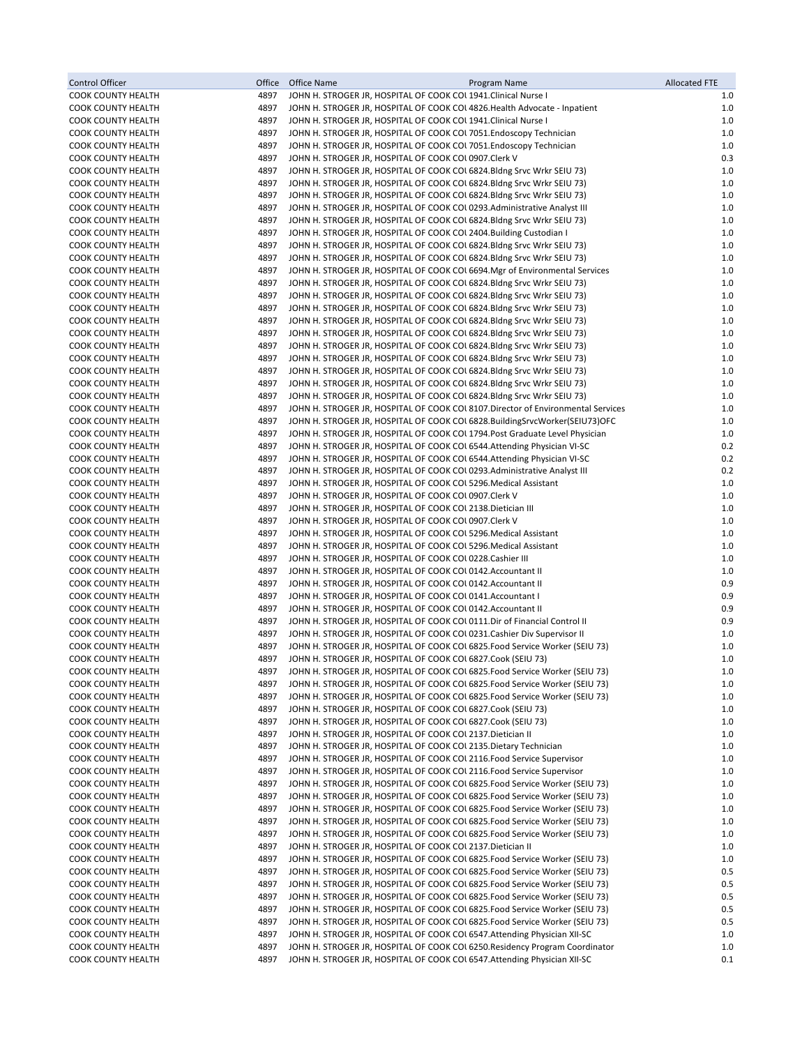| <b>Control Officer</b>                                 | Office       | Office Name<br>Program Name                                                                                                                                  | <b>Allocated FTE</b> |
|--------------------------------------------------------|--------------|--------------------------------------------------------------------------------------------------------------------------------------------------------------|----------------------|
| <b>COOK COUNTY HEALTH</b>                              | 4897         | JOHN H. STROGER JR, HOSPITAL OF COOK COL 1941. Clinical Nurse I                                                                                              | 1.0                  |
| <b>COOK COUNTY HEALTH</b>                              | 4897         | JOHN H. STROGER JR, HOSPITAL OF COOK COL 4826. Health Advocate - Inpatient                                                                                   | 1.0                  |
| COOK COUNTY HEALTH                                     | 4897         | JOHN H. STROGER JR, HOSPITAL OF COOK COL 1941. Clinical Nurse I                                                                                              | 1.0                  |
| <b>COOK COUNTY HEALTH</b>                              | 4897         | JOHN H. STROGER JR, HOSPITAL OF COOK COUT 7051. Endoscopy Technician                                                                                         | 1.0                  |
| COOK COUNTY HEALTH                                     | 4897         | JOHN H. STROGER JR, HOSPITAL OF COOK COUT 7051. Endoscopy Technician                                                                                         | 1.0                  |
| <b>COOK COUNTY HEALTH</b><br><b>COOK COUNTY HEALTH</b> | 4897<br>4897 | JOHN H. STROGER JR, HOSPITAL OF COOK COL0907.Clerk V<br>JOHN H. STROGER JR, HOSPITAL OF COOK COL 6824. Bldng Srvc Wrkr SEIU 73)                              | 0.3<br>1.0           |
| COOK COUNTY HEALTH                                     | 4897         | JOHN H. STROGER JR, HOSPITAL OF COOK COL 6824. Bldng Srvc Wrkr SEIU 73)                                                                                      | 1.0                  |
| COOK COUNTY HEALTH                                     | 4897         | JOHN H. STROGER JR, HOSPITAL OF COOK COL 6824. Bldng Srvc Wrkr SEIU 73)                                                                                      | 1.0                  |
| <b>COOK COUNTY HEALTH</b>                              | 4897         | JOHN H. STROGER JR, HOSPITAL OF COOK COL 0293. Administrative Analyst III                                                                                    | 1.0                  |
| <b>COOK COUNTY HEALTH</b>                              | 4897         | JOHN H. STROGER JR, HOSPITAL OF COOK COL 6824. Bldng Srvc Wrkr SEIU 73)                                                                                      | 1.0                  |
| COOK COUNTY HEALTH                                     | 4897         | JOHN H. STROGER JR, HOSPITAL OF COOK COL 2404. Building Custodian I                                                                                          | 1.0                  |
| COOK COUNTY HEALTH                                     | 4897         | JOHN H. STROGER JR, HOSPITAL OF COOK COL 6824. Bldng Srvc Wrkr SEIU 73)                                                                                      | 1.0                  |
| <b>COOK COUNTY HEALTH</b>                              | 4897         | JOHN H. STROGER JR, HOSPITAL OF COOK COL 6824. Bldng Srvc Wrkr SEIU 73)                                                                                      | 1.0                  |
| COOK COUNTY HEALTH                                     | 4897         | JOHN H. STROGER JR, HOSPITAL OF COOK COL 6694. Mgr of Environmental Services                                                                                 | 1.0                  |
| COOK COUNTY HEALTH                                     | 4897         | JOHN H. STROGER JR, HOSPITAL OF COOK COL 6824. Bldng Srvc Wrkr SEIU 73)                                                                                      | 1.0                  |
| COOK COUNTY HEALTH<br>COOK COUNTY HEALTH               | 4897<br>4897 | JOHN H. STROGER JR, HOSPITAL OF COOK COL 6824. Bldng Srvc Wrkr SEIU 73)<br>JOHN H. STROGER JR, HOSPITAL OF COOK COL 6824. Bldng Srvc Wrkr SEIU 73)           | 1.0<br>1.0           |
| <b>COOK COUNTY HEALTH</b>                              | 4897         | JOHN H. STROGER JR, HOSPITAL OF COOK COL 6824. Bldng Srvc Wrkr SEIU 73)                                                                                      | 1.0                  |
| <b>COOK COUNTY HEALTH</b>                              | 4897         | JOHN H. STROGER JR, HOSPITAL OF COOK COL 6824. Bldng Srvc Wrkr SEIU 73)                                                                                      | 1.0                  |
| COOK COUNTY HEALTH                                     | 4897         | JOHN H. STROGER JR, HOSPITAL OF COOK COL 6824. Bldng Srvc Wrkr SEIU 73)                                                                                      | 1.0                  |
| COOK COUNTY HEALTH                                     | 4897         | JOHN H. STROGER JR, HOSPITAL OF COOK COL 6824. Bldng Srvc Wrkr SEIU 73)                                                                                      | 1.0                  |
| <b>COOK COUNTY HEALTH</b>                              | 4897         | JOHN H. STROGER JR, HOSPITAL OF COOK COL 6824. Bldng Srvc Wrkr SEIU 73)                                                                                      | 1.0                  |
| COOK COUNTY HEALTH                                     | 4897         | JOHN H. STROGER JR, HOSPITAL OF COOK COL 6824. Bldng Srvc Wrkr SEIU 73)                                                                                      | 1.0                  |
| <b>COOK COUNTY HEALTH</b>                              | 4897         | JOHN H. STROGER JR, HOSPITAL OF COOK COL 6824. Bldng Srvc Wrkr SEIU 73)                                                                                      | 1.0                  |
| <b>COOK COUNTY HEALTH</b>                              | 4897         | JOHN H. STROGER JR, HOSPITAL OF COOK COL 8107. Director of Environmental Services                                                                            | 1.0                  |
| COOK COUNTY HEALTH                                     | 4897         | JOHN H. STROGER JR, HOSPITAL OF COOK COL 6828. Building SrvcWorker(SEIU73) OFC                                                                               | 1.0                  |
| COOK COUNTY HEALTH<br>COOK COUNTY HEALTH               | 4897<br>4897 | JOHN H. STROGER JR, HOSPITAL OF COOK COL 1794. Post Graduate Level Physician<br>JOHN H. STROGER JR, HOSPITAL OF COOK COL 6544. Attending Physician VI-SC     | 1.0<br>0.2           |
| <b>COOK COUNTY HEALTH</b>                              | 4897         | JOHN H. STROGER JR, HOSPITAL OF COOK COL 6544. Attending Physician VI-SC                                                                                     | 0.2                  |
| <b>COOK COUNTY HEALTH</b>                              | 4897         | JOHN H. STROGER JR, HOSPITAL OF COOK COL 0293. Administrative Analyst III                                                                                    | 0.2                  |
| <b>COOK COUNTY HEALTH</b>                              | 4897         | JOHN H. STROGER JR, HOSPITAL OF COOK COL 5296. Medical Assistant                                                                                             | 1.0                  |
| <b>COOK COUNTY HEALTH</b>                              | 4897         | JOHN H. STROGER JR, HOSPITAL OF COOK COL0907.Clerk V                                                                                                         | 1.0                  |
| <b>COOK COUNTY HEALTH</b>                              | 4897         | JOHN H. STROGER JR, HOSPITAL OF COOK COL 2138. Dietician III                                                                                                 | 1.0                  |
| <b>COOK COUNTY HEALTH</b>                              | 4897         | JOHN H. STROGER JR, HOSPITAL OF COOK COL0907.Clerk V                                                                                                         | 1.0                  |
| COOK COUNTY HEALTH                                     | 4897         | JOHN H. STROGER JR, HOSPITAL OF COOK COL 5296. Medical Assistant                                                                                             | 1.0                  |
| <b>COOK COUNTY HEALTH</b>                              | 4897         | JOHN H. STROGER JR, HOSPITAL OF COOK COL 5296. Medical Assistant                                                                                             | 1.0                  |
| <b>COOK COUNTY HEALTH</b>                              | 4897         | JOHN H. STROGER JR, HOSPITAL OF COOK COLO228 Cashier III                                                                                                     | 1.0                  |
| COOK COUNTY HEALTH<br><b>COOK COUNTY HEALTH</b>        | 4897<br>4897 | JOHN H. STROGER JR, HOSPITAL OF COOK COL0142.Accountant II<br>JOHN H. STROGER JR, HOSPITAL OF COOK COL0142.Accountant II                                     | 1.0<br>0.9           |
| <b>COOK COUNTY HEALTH</b>                              | 4897         | JOHN H. STROGER JR, HOSPITAL OF COOK COL0141.Accountant I                                                                                                    | 0.9                  |
| <b>COOK COUNTY HEALTH</b>                              | 4897         | JOHN H. STROGER JR, HOSPITAL OF COOK COL0142.Accountant II                                                                                                   | 0.9                  |
| COOK COUNTY HEALTH                                     | 4897         | JOHN H. STROGER JR, HOSPITAL OF COOK COLO111. Dir of Financial Control II                                                                                    | 0.9                  |
| COOK COUNTY HEALTH                                     | 4897         | JOHN H. STROGER JR, HOSPITAL OF COOK COLO231. Cashier Div Supervisor II                                                                                      | 1.0                  |
| <b>COOK COUNTY HEALTH</b>                              | 4897         | JOHN H. STROGER JR, HOSPITAL OF COOK COL 6825. Food Service Worker (SEIU 73)                                                                                 | 1.0                  |
| COOK COUNTY HEALTH                                     | 4897         | JOHN H. STROGER JR, HOSPITAL OF COOK COL 6827.Cook (SEIU 73)                                                                                                 | 1.0                  |
| <b>COOK COUNTY HEALTH</b>                              | 4897         | JOHN H. STROGER JR, HOSPITAL OF COOK COL 6825. Food Service Worker (SEIU 73)                                                                                 | 1.0                  |
| <b>COOK COUNTY HEALTH</b><br><b>COOK COUNTY HEALTH</b> | 4897<br>4897 | JOHN H. STROGER JR, HOSPITAL OF COOK COL 6825. Food Service Worker (SEIU 73)<br>JOHN H. STROGER JR, HOSPITAL OF COOK COL 6825. Food Service Worker (SEIU 73) | 1.0<br>1.0           |
| <b>COOK COUNTY HEALTH</b>                              | 4897         | JOHN H. STROGER JR, HOSPITAL OF COOK COL 6827.Cook (SEIU 73)                                                                                                 | 1.0                  |
| <b>COOK COUNTY HEALTH</b>                              | 4897         | JOHN H. STROGER JR, HOSPITAL OF COOK COL 6827.Cook (SEIU 73)                                                                                                 | 1.0                  |
| <b>COOK COUNTY HEALTH</b>                              | 4897         | JOHN H. STROGER JR, HOSPITAL OF COOK COL 2137. Dietician II                                                                                                  | 1.0                  |
| COOK COUNTY HEALTH                                     | 4897         | JOHN H. STROGER JR, HOSPITAL OF COOK COL 2135. Dietary Technician                                                                                            | 1.0                  |
| <b>COOK COUNTY HEALTH</b>                              | 4897         | JOHN H. STROGER JR, HOSPITAL OF COOK COL 2116. Food Service Supervisor                                                                                       | 1.0                  |
| COOK COUNTY HEALTH                                     | 4897         | JOHN H. STROGER JR, HOSPITAL OF COOK COL 2116. Food Service Supervisor                                                                                       | 1.0                  |
| COOK COUNTY HEALTH                                     | 4897         | JOHN H. STROGER JR, HOSPITAL OF COOK COL 6825. Food Service Worker (SEIU 73)                                                                                 | 1.0                  |
| <b>COOK COUNTY HEALTH</b>                              | 4897         | JOHN H. STROGER JR, HOSPITAL OF COOK COL 6825. Food Service Worker (SEIU 73)                                                                                 | 1.0                  |
| COOK COUNTY HEALTH<br><b>COOK COUNTY HEALTH</b>        | 4897<br>4897 | JOHN H. STROGER JR, HOSPITAL OF COOK COL 6825. Food Service Worker (SEIU 73)<br>JOHN H. STROGER JR, HOSPITAL OF COOK COL 6825. Food Service Worker (SEIU 73) | 1.0<br>1.0           |
| COOK COUNTY HEALTH                                     | 4897         | JOHN H. STROGER JR, HOSPITAL OF COOK COL 6825. Food Service Worker (SEIU 73)                                                                                 | 1.0                  |
| <b>COOK COUNTY HEALTH</b>                              | 4897         | JOHN H. STROGER JR, HOSPITAL OF COOK COL 2137. Dietician II                                                                                                  | 1.0                  |
| <b>COOK COUNTY HEALTH</b>                              | 4897         | JOHN H. STROGER JR, HOSPITAL OF COOK COL 6825. Food Service Worker (SEIU 73)                                                                                 | 1.0                  |
| <b>COOK COUNTY HEALTH</b>                              | 4897         | JOHN H. STROGER JR, HOSPITAL OF COOK COL 6825. Food Service Worker (SEIU 73)                                                                                 | 0.5                  |
| <b>COOK COUNTY HEALTH</b>                              | 4897         | JOHN H. STROGER JR, HOSPITAL OF COOK COL 6825. Food Service Worker (SEIU 73)                                                                                 | 0.5                  |
| COOK COUNTY HEALTH                                     | 4897         | JOHN H. STROGER JR, HOSPITAL OF COOK COL 6825. Food Service Worker (SEIU 73)                                                                                 | 0.5                  |
| <b>COOK COUNTY HEALTH</b>                              | 4897         | JOHN H. STROGER JR, HOSPITAL OF COOK COL 6825. Food Service Worker (SEIU 73)                                                                                 | 0.5                  |
| <b>COOK COUNTY HEALTH</b>                              | 4897         | JOHN H. STROGER JR, HOSPITAL OF COOK COL 6825. Food Service Worker (SEIU 73)                                                                                 | 0.5                  |
| COOK COUNTY HEALTH<br><b>COOK COUNTY HEALTH</b>        | 4897<br>4897 | JOHN H. STROGER JR, HOSPITAL OF COOK COL 6547. Attending Physician XII-SC<br>JOHN H. STROGER JR, HOSPITAL OF COOK COU 6250. Residency Program Coordinator    | 1.0<br>1.0           |
| COOK COUNTY HEALTH                                     | 4897         | JOHN H. STROGER JR, HOSPITAL OF COOK COL 6547. Attending Physician XII-SC                                                                                    | 0.1                  |
|                                                        |              |                                                                                                                                                              |                      |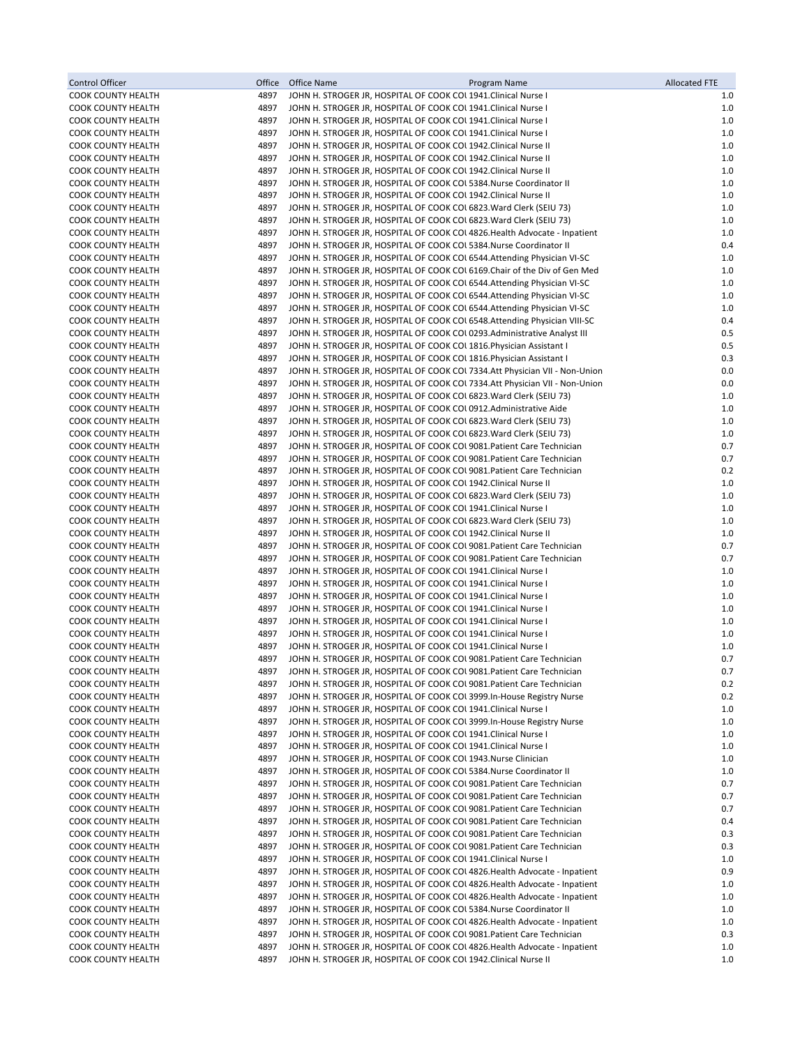| Control Officer                                        | Office       | Office Name | Program Name                                                                                                                                           | <b>Allocated FTE</b> |
|--------------------------------------------------------|--------------|-------------|--------------------------------------------------------------------------------------------------------------------------------------------------------|----------------------|
| <b>COOK COUNTY HEALTH</b>                              | 4897         |             | JOHN H. STROGER JR, HOSPITAL OF COOK COL 1941. Clinical Nurse I                                                                                        | 1.0                  |
| <b>COOK COUNTY HEALTH</b>                              | 4897         |             | JOHN H. STROGER JR, HOSPITAL OF COOK COL 1941. Clinical Nurse I                                                                                        | 1.0                  |
| <b>COOK COUNTY HEALTH</b>                              | 4897         |             | JOHN H. STROGER JR, HOSPITAL OF COOK COL 1941. Clinical Nurse I                                                                                        | 1.0                  |
| <b>COOK COUNTY HEALTH</b>                              | 4897         |             | JOHN H. STROGER JR, HOSPITAL OF COOK COL 1941. Clinical Nurse I                                                                                        | 1.0                  |
| <b>COOK COUNTY HEALTH</b><br><b>COOK COUNTY HEALTH</b> | 4897<br>4897 |             | JOHN H. STROGER JR, HOSPITAL OF COOK COL 1942. Clinical Nurse II<br>JOHN H. STROGER JR, HOSPITAL OF COOK COL 1942. Clinical Nurse II                   | 1.0<br>1.0           |
| <b>COOK COUNTY HEALTH</b>                              | 4897         |             | JOHN H. STROGER JR, HOSPITAL OF COOK COL 1942. Clinical Nurse II                                                                                       | 1.0                  |
| <b>COOK COUNTY HEALTH</b>                              | 4897         |             | JOHN H. STROGER JR, HOSPITAL OF COOK COL 5384. Nurse Coordinator II                                                                                    | 1.0                  |
| <b>COOK COUNTY HEALTH</b>                              | 4897         |             | JOHN H. STROGER JR, HOSPITAL OF COOK COL 1942. Clinical Nurse II                                                                                       | 1.0                  |
| <b>COOK COUNTY HEALTH</b>                              | 4897         |             | JOHN H. STROGER JR, HOSPITAL OF COOK COL 6823 Ward Clerk (SEIU 73)                                                                                     | 1.0                  |
| COOK COUNTY HEALTH                                     | 4897         |             | JOHN H. STROGER JR, HOSPITAL OF COOK COL 6823. Ward Clerk (SEIU 73)                                                                                    | 1.0                  |
| <b>COOK COUNTY HEALTH</b>                              | 4897         |             | JOHN H. STROGER JR, HOSPITAL OF COOK COL 4826. Health Advocate - Inpatient                                                                             | 1.0                  |
| <b>COOK COUNTY HEALTH</b>                              | 4897         |             | JOHN H. STROGER JR, HOSPITAL OF COOK COL 5384. Nurse Coordinator II                                                                                    | 0.4                  |
| <b>COOK COUNTY HEALTH</b>                              | 4897<br>4897 |             | JOHN H. STROGER JR, HOSPITAL OF COOK COL 6544. Attending Physician VI-SC<br>JOHN H. STROGER JR, HOSPITAL OF COOK COL 6169. Chair of the Div of Gen Med | 1.0<br>1.0           |
| <b>COOK COUNTY HEALTH</b><br><b>COOK COUNTY HEALTH</b> | 4897         |             | JOHN H. STROGER JR, HOSPITAL OF COOK COL 6544. Attending Physician VI-SC                                                                               | 1.0                  |
| <b>COOK COUNTY HEALTH</b>                              | 4897         |             | JOHN H. STROGER JR, HOSPITAL OF COOK COL 6544. Attending Physician VI-SC                                                                               | 1.0                  |
| <b>COOK COUNTY HEALTH</b>                              | 4897         |             | JOHN H. STROGER JR, HOSPITAL OF COOK COL 6544. Attending Physician VI-SC                                                                               | 1.0                  |
| <b>COOK COUNTY HEALTH</b>                              | 4897         |             | JOHN H. STROGER JR, HOSPITAL OF COOK COU 6548. Attending Physician VIII-SC                                                                             | 0.4                  |
| <b>COOK COUNTY HEALTH</b>                              | 4897         |             | JOHN H. STROGER JR, HOSPITAL OF COOK COL 0293. Administrative Analyst III                                                                              | 0.5                  |
| <b>COOK COUNTY HEALTH</b>                              | 4897         |             | JOHN H. STROGER JR, HOSPITAL OF COOK COL 1816. Physician Assistant I                                                                                   | 0.5                  |
| <b>COOK COUNTY HEALTH</b>                              | 4897         |             | JOHN H. STROGER JR, HOSPITAL OF COOK COL 1816. Physician Assistant I                                                                                   | 0.3                  |
| <b>COOK COUNTY HEALTH</b>                              | 4897         |             | JOHN H. STROGER JR, HOSPITAL OF COOK COL 7334.Att Physician VII - Non-Union                                                                            | 0.0                  |
| <b>COOK COUNTY HEALTH</b><br><b>COOK COUNTY HEALTH</b> | 4897<br>4897 |             | JOHN H. STROGER JR, HOSPITAL OF COOK COL 7334.Att Physician VII - Non-Union<br>JOHN H. STROGER JR, HOSPITAL OF COOK COL 6823 Ward Clerk (SEIU 73)      | 0.0<br>1.0           |
| <b>COOK COUNTY HEALTH</b>                              | 4897         |             | JOHN H. STROGER JR, HOSPITAL OF COOK COL0912.Administrative Aide                                                                                       | 1.0                  |
| <b>COOK COUNTY HEALTH</b>                              | 4897         |             | JOHN H. STROGER JR, HOSPITAL OF COOK COL 6823. Ward Clerk (SEIU 73)                                                                                    | 1.0                  |
| <b>COOK COUNTY HEALTH</b>                              | 4897         |             | JOHN H. STROGER JR, HOSPITAL OF COOK COL 6823. Ward Clerk (SEIU 73)                                                                                    | 1.0                  |
| <b>COOK COUNTY HEALTH</b>                              | 4897         |             | JOHN H. STROGER JR, HOSPITAL OF COOK COL 9081. Patient Care Technician                                                                                 | 0.7                  |
| <b>COOK COUNTY HEALTH</b>                              | 4897         |             | JOHN H. STROGER JR, HOSPITAL OF COOK COL 9081. Patient Care Technician                                                                                 | 0.7                  |
| <b>COOK COUNTY HEALTH</b>                              | 4897         |             | JOHN H. STROGER JR, HOSPITAL OF COOK COL 9081. Patient Care Technician                                                                                 | 0.2                  |
| <b>COOK COUNTY HEALTH</b>                              | 4897         |             | JOHN H. STROGER JR, HOSPITAL OF COOK COL 1942. Clinical Nurse II                                                                                       | 1.0                  |
| <b>COOK COUNTY HEALTH</b><br><b>COOK COUNTY HEALTH</b> | 4897<br>4897 |             | JOHN H. STROGER JR, HOSPITAL OF COOK COL 6823. Ward Clerk (SEIU 73)                                                                                    | 1.0<br>1.0           |
| <b>COOK COUNTY HEALTH</b>                              | 4897         |             | JOHN H. STROGER JR, HOSPITAL OF COOK COL 1941. Clinical Nurse I<br>JOHN H. STROGER JR, HOSPITAL OF COOK COL 6823 Ward Clerk (SEIU 73)                  | 1.0                  |
| <b>COOK COUNTY HEALTH</b>                              | 4897         |             | JOHN H. STROGER JR, HOSPITAL OF COOK COL 1942. Clinical Nurse II                                                                                       | 1.0                  |
| <b>COOK COUNTY HEALTH</b>                              | 4897         |             | JOHN H. STROGER JR, HOSPITAL OF COOK COL 9081. Patient Care Technician                                                                                 | 0.7                  |
| COOK COUNTY HEALTH                                     | 4897         |             | JOHN H. STROGER JR, HOSPITAL OF COOK COL 9081. Patient Care Technician                                                                                 | 0.7                  |
| <b>COOK COUNTY HEALTH</b>                              | 4897         |             | JOHN H. STROGER JR, HOSPITAL OF COOK COL 1941. Clinical Nurse I                                                                                        | 1.0                  |
| <b>COOK COUNTY HEALTH</b>                              | 4897         |             | JOHN H. STROGER JR, HOSPITAL OF COOK COL 1941. Clinical Nurse I                                                                                        | 1.0                  |
| <b>COOK COUNTY HEALTH</b>                              | 4897<br>4897 |             | JOHN H. STROGER JR, HOSPITAL OF COOK COL 1941. Clinical Nurse I                                                                                        | 1.0<br>1.0           |
| <b>COOK COUNTY HEALTH</b><br><b>COOK COUNTY HEALTH</b> | 4897         |             | JOHN H. STROGER JR, HOSPITAL OF COOK COL 1941. Clinical Nurse I<br>JOHN H. STROGER JR, HOSPITAL OF COOK COL 1941. Clinical Nurse I                     | 1.0                  |
| <b>COOK COUNTY HEALTH</b>                              | 4897         |             | JOHN H. STROGER JR, HOSPITAL OF COOK COL 1941. Clinical Nurse I                                                                                        | 1.0                  |
| <b>COOK COUNTY HEALTH</b>                              | 4897         |             | JOHN H. STROGER JR, HOSPITAL OF COOK COL 1941. Clinical Nurse I                                                                                        | 1.0                  |
| <b>COOK COUNTY HEALTH</b>                              | 4897         |             | JOHN H. STROGER JR, HOSPITAL OF COOK COL 9081. Patient Care Technician                                                                                 | 0.7                  |
| <b>COOK COUNTY HEALTH</b>                              | 4897         |             | JOHN H. STROGER JR, HOSPITAL OF COOK COL 9081. Patient Care Technician                                                                                 | 0.7                  |
| <b>COOK COUNTY HEALTH</b>                              | 4897         |             | JOHN H. STROGER JR, HOSPITAL OF COOK COL 9081. Patient Care Technician                                                                                 | 0.2                  |
| <b>COOK COUNTY HEALTH</b>                              | 4897         |             | JOHN H. STROGER JR, HOSPITAL OF COOK COL 3999. In-House Registry Nurse                                                                                 | 0.2                  |
| <b>COOK COUNTY HEALTH</b>                              | 4897<br>4897 |             | JOHN H. STROGER JR, HOSPITAL OF COOK COL 1941. Clinical Nurse I<br>JOHN H. STROGER JR, HOSPITAL OF COOK COU 3999. In-House Registry Nurse              | 1.0                  |
| <b>COOK COUNTY HEALTH</b><br><b>COOK COUNTY HEALTH</b> | 4897         |             | JOHN H. STROGER JR, HOSPITAL OF COOK COL 1941. Clinical Nurse I                                                                                        | 1.0<br>1.0           |
| COOK COUNTY HEALTH                                     | 4897         |             | JOHN H. STROGER JR, HOSPITAL OF COOK COL 1941. Clinical Nurse I                                                                                        | 1.0                  |
| COOK COUNTY HEALTH                                     | 4897         |             | JOHN H. STROGER JR, HOSPITAL OF COOK COL 1943. Nurse Clinician                                                                                         | 1.0                  |
| COOK COUNTY HEALTH                                     | 4897         |             | JOHN H. STROGER JR, HOSPITAL OF COOK COL 5384. Nurse Coordinator II                                                                                    | 1.0                  |
| <b>COOK COUNTY HEALTH</b>                              | 4897         |             | JOHN H. STROGER JR, HOSPITAL OF COOK COL 9081. Patient Care Technician                                                                                 | 0.7                  |
| <b>COOK COUNTY HEALTH</b>                              | 4897         |             | JOHN H. STROGER JR, HOSPITAL OF COOK COL 9081. Patient Care Technician                                                                                 | 0.7                  |
| COOK COUNTY HEALTH                                     | 4897         |             | JOHN H. STROGER JR, HOSPITAL OF COOK COL 9081. Patient Care Technician                                                                                 | 0.7                  |
| <b>COOK COUNTY HEALTH</b><br>COOK COUNTY HEALTH        | 4897<br>4897 |             | JOHN H. STROGER JR, HOSPITAL OF COOK COL 9081. Patient Care Technician<br>JOHN H. STROGER JR, HOSPITAL OF COOK COL 9081. Patient Care Technician       | 0.4<br>0.3           |
| <b>COOK COUNTY HEALTH</b>                              | 4897         |             | JOHN H. STROGER JR, HOSPITAL OF COOK COL 9081. Patient Care Technician                                                                                 | 0.3                  |
| <b>COOK COUNTY HEALTH</b>                              | 4897         |             | JOHN H. STROGER JR, HOSPITAL OF COOK COL 1941. Clinical Nurse I                                                                                        | 1.0                  |
| COOK COUNTY HEALTH                                     | 4897         |             | JOHN H. STROGER JR, HOSPITAL OF COOK COL 4826. Health Advocate - Inpatient                                                                             | 0.9                  |
| COOK COUNTY HEALTH                                     | 4897         |             | JOHN H. STROGER JR, HOSPITAL OF COOK COL 4826. Health Advocate - Inpatient                                                                             | 1.0                  |
| COOK COUNTY HEALTH                                     | 4897         |             | JOHN H. STROGER JR, HOSPITAL OF COOK COL 4826. Health Advocate - Inpatient                                                                             | 1.0                  |
| <b>COOK COUNTY HEALTH</b>                              | 4897         |             | JOHN H. STROGER JR, HOSPITAL OF COOK COL 5384. Nurse Coordinator II                                                                                    | 1.0                  |
| <b>COOK COUNTY HEALTH</b>                              | 4897<br>4897 |             | JOHN H. STROGER JR, HOSPITAL OF COOK COL 4826. Health Advocate - Inpatient                                                                             | 1.0<br>0.3           |
| <b>COOK COUNTY HEALTH</b><br><b>COOK COUNTY HEALTH</b> | 4897         |             | JOHN H. STROGER JR, HOSPITAL OF COOK COL 9081. Patient Care Technician<br>JOHN H. STROGER JR, HOSPITAL OF COOK COL 4826. Health Advocate - Inpatient   | 1.0                  |
| <b>COOK COUNTY HEALTH</b>                              | 4897         |             | JOHN H. STROGER JR, HOSPITAL OF COOK COL 1942. Clinical Nurse II                                                                                       | 1.0                  |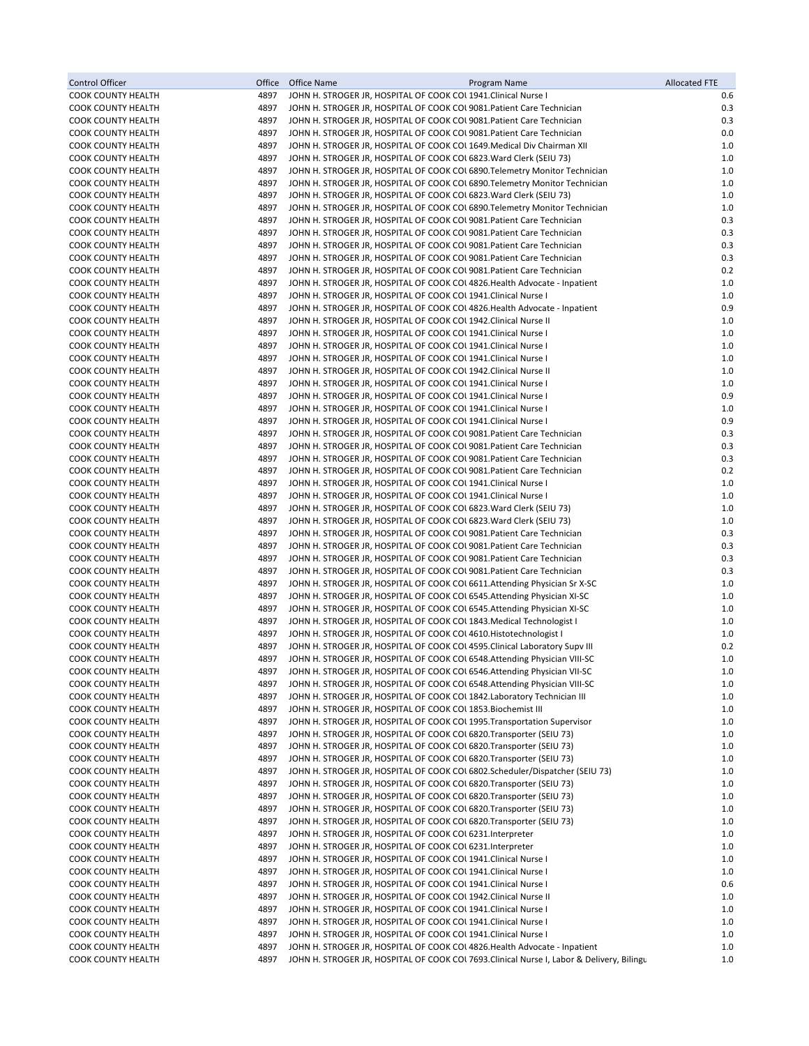| Control Officer                                 | Office       | <b>Office Name</b><br>Program Name                                                                                                                    | <b>Allocated FTE</b> |
|-------------------------------------------------|--------------|-------------------------------------------------------------------------------------------------------------------------------------------------------|----------------------|
| COOK COUNTY HEALTH                              | 4897         | JOHN H. STROGER JR, HOSPITAL OF COOK COL 1941. Clinical Nurse I                                                                                       | 0.6                  |
| COOK COUNTY HEALTH                              | 4897         | JOHN H. STROGER JR, HOSPITAL OF COOK COL 9081. Patient Care Technician                                                                                | 0.3                  |
| COOK COUNTY HEALTH                              | 4897         | JOHN H. STROGER JR, HOSPITAL OF COOK COL 9081. Patient Care Technician                                                                                | 0.3                  |
| COOK COUNTY HEALTH                              | 4897         | JOHN H. STROGER JR, HOSPITAL OF COOK COL 9081. Patient Care Technician                                                                                | 0.0                  |
| COOK COUNTY HEALTH<br><b>COOK COUNTY HEALTH</b> | 4897<br>4897 | JOHN H. STROGER JR, HOSPITAL OF COOK COL 1649. Medical Div Chairman XII<br>JOHN H. STROGER JR, HOSPITAL OF COOK COL 6823 Ward Clerk (SEIU 73)         | 1.0<br>1.0           |
| COOK COUNTY HEALTH                              | 4897         | JOHN H. STROGER JR, HOSPITAL OF COOK COL 6890. Telemetry Monitor Technician                                                                           | 1.0                  |
| COOK COUNTY HEALTH                              | 4897         | JOHN H. STROGER JR, HOSPITAL OF COOK COL 6890. Telemetry Monitor Technician                                                                           | 1.0                  |
| COOK COUNTY HEALTH                              | 4897         | JOHN H. STROGER JR, HOSPITAL OF COOK COL 6823. Ward Clerk (SEIU 73)                                                                                   | 1.0                  |
| COOK COUNTY HEALTH                              | 4897         | JOHN H. STROGER JR, HOSPITAL OF COOK COL 6890. Telemetry Monitor Technician                                                                           | 1.0                  |
| COOK COUNTY HEALTH                              | 4897         | JOHN H. STROGER JR, HOSPITAL OF COOK COL 9081. Patient Care Technician                                                                                | 0.3                  |
| <b>COOK COUNTY HEALTH</b>                       | 4897         | JOHN H. STROGER JR, HOSPITAL OF COOK COL 9081. Patient Care Technician                                                                                | 0.3                  |
| COOK COUNTY HEALTH                              | 4897         | JOHN H. STROGER JR, HOSPITAL OF COOK COL 9081. Patient Care Technician                                                                                | 0.3                  |
| COOK COUNTY HEALTH                              | 4897         | JOHN H. STROGER JR, HOSPITAL OF COOK COL 9081. Patient Care Technician                                                                                | 0.3                  |
| <b>COOK COUNTY HEALTH</b>                       | 4897         | JOHN H. STROGER JR, HOSPITAL OF COOK COL 9081. Patient Care Technician                                                                                | 0.2                  |
| COOK COUNTY HEALTH                              | 4897         | JOHN H. STROGER JR, HOSPITAL OF COOK COL 4826. Health Advocate - Inpatient                                                                            | 1.0                  |
| COOK COUNTY HEALTH                              | 4897         | JOHN H. STROGER JR, HOSPITAL OF COOK COL 1941. Clinical Nurse I                                                                                       | 1.0<br>0.9           |
| COOK COUNTY HEALTH<br>COOK COUNTY HEALTH        | 4897<br>4897 | JOHN H. STROGER JR, HOSPITAL OF COOK COL 4826. Health Advocate - Inpatient<br>JOHN H. STROGER JR, HOSPITAL OF COOK COL 1942. Clinical Nurse II        | 1.0                  |
| COOK COUNTY HEALTH                              | 4897         | JOHN H. STROGER JR, HOSPITAL OF COOK COL 1941. Clinical Nurse I                                                                                       | $1.0$                |
| <b>COOK COUNTY HEALTH</b>                       | 4897         | JOHN H. STROGER JR, HOSPITAL OF COOK COL 1941. Clinical Nurse I                                                                                       | 1.0                  |
| COOK COUNTY HEALTH                              | 4897         | JOHN H. STROGER JR, HOSPITAL OF COOK COL 1941. Clinical Nurse I                                                                                       | 1.0                  |
| <b>COOK COUNTY HEALTH</b>                       | 4897         | JOHN H. STROGER JR, HOSPITAL OF COOK COL 1942. Clinical Nurse II                                                                                      | 1.0                  |
| <b>COOK COUNTY HEALTH</b>                       | 4897         | JOHN H. STROGER JR, HOSPITAL OF COOK COL 1941. Clinical Nurse I                                                                                       | 1.0                  |
| <b>COOK COUNTY HEALTH</b>                       | 4897         | JOHN H. STROGER JR, HOSPITAL OF COOK COL 1941. Clinical Nurse I                                                                                       | 0.9                  |
| COOK COUNTY HEALTH                              | 4897         | JOHN H. STROGER JR, HOSPITAL OF COOK COL 1941. Clinical Nurse I                                                                                       | 1.0                  |
| <b>COOK COUNTY HEALTH</b>                       | 4897         | JOHN H. STROGER JR, HOSPITAL OF COOK COL 1941. Clinical Nurse I                                                                                       | 0.9                  |
| <b>COOK COUNTY HEALTH</b>                       | 4897         | JOHN H. STROGER JR, HOSPITAL OF COOK COL 9081. Patient Care Technician                                                                                | 0.3                  |
| <b>COOK COUNTY HEALTH</b>                       | 4897         | JOHN H. STROGER JR, HOSPITAL OF COOK COL 9081. Patient Care Technician                                                                                | 0.3                  |
| <b>COOK COUNTY HEALTH</b>                       | 4897         | JOHN H. STROGER JR, HOSPITAL OF COOK COL 9081. Patient Care Technician                                                                                | 0.3<br>0.2           |
| <b>COOK COUNTY HEALTH</b><br>COOK COUNTY HEALTH | 4897<br>4897 | JOHN H. STROGER JR, HOSPITAL OF COOK COL 9081. Patient Care Technician<br>JOHN H. STROGER JR, HOSPITAL OF COOK COL 1941. Clinical Nurse I             | $1.0$                |
| COOK COUNTY HEALTH                              | 4897         | JOHN H. STROGER JR, HOSPITAL OF COOK COL 1941. Clinical Nurse I                                                                                       | 1.0                  |
| <b>COOK COUNTY HEALTH</b>                       | 4897         | JOHN H. STROGER JR, HOSPITAL OF COOK COL 6823 Ward Clerk (SEIU 73)                                                                                    | 1.0                  |
| COOK COUNTY HEALTH                              | 4897         | JOHN H. STROGER JR, HOSPITAL OF COOK COL 6823 Ward Clerk (SEIU 73)                                                                                    | 1.0                  |
| COOK COUNTY HEALTH                              | 4897         | JOHN H. STROGER JR, HOSPITAL OF COOK COL 9081. Patient Care Technician                                                                                | 0.3                  |
| <b>COOK COUNTY HEALTH</b>                       | 4897         | JOHN H. STROGER JR, HOSPITAL OF COOK COL 9081. Patient Care Technician                                                                                | 0.3                  |
| COOK COUNTY HEALTH                              | 4897         | JOHN H. STROGER JR, HOSPITAL OF COOK COL 9081. Patient Care Technician                                                                                | 0.3                  |
| COOK COUNTY HEALTH                              | 4897         | JOHN H. STROGER JR, HOSPITAL OF COOK COL 9081. Patient Care Technician                                                                                | 0.3                  |
| <b>COOK COUNTY HEALTH</b>                       | 4897         | JOHN H. STROGER JR, HOSPITAL OF COOK COL 6611. Attending Physician Sr X-SC                                                                            | 1.0                  |
| COOK COUNTY HEALTH                              | 4897         | JOHN H. STROGER JR, HOSPITAL OF COOK COL 6545. Attending Physician XI-SC                                                                              | 1.0                  |
| COOK COUNTY HEALTH<br><b>COOK COUNTY HEALTH</b> | 4897<br>4897 | JOHN H. STROGER JR, HOSPITAL OF COOK COL 6545. Attending Physician XI-SC                                                                              | 1.0<br>1.0           |
| <b>COOK COUNTY HEALTH</b>                       | 4897         | JOHN H. STROGER JR, HOSPITAL OF COOK COL 1843. Medical Technologist I<br>JOHN H. STROGER JR, HOSPITAL OF COOK COL 4610. Histotechnologist I           | 1.0                  |
| <b>COOK COUNTY HEALTH</b>                       | 4897         | JOHN H. STROGER JR, HOSPITAL OF COOK COU 4595. Clinical Laboratory Supv III                                                                           | 0.2                  |
| <b>COOK COUNTY HEALTH</b>                       | 4897         | JOHN H. STROGER JR, HOSPITAL OF COOK COL 6548. Attending Physician VIII-SC                                                                            | 1.0                  |
| <b>COOK COUNTY HEALTH</b>                       | 4897         | JOHN H. STROGER JR, HOSPITAL OF COOK COL 6546. Attending Physician VII-SC                                                                             | 1.0                  |
| <b>COOK COUNTY HEALTH</b>                       | 4897         | JOHN H. STROGER JR, HOSPITAL OF COOK COU 6548. Attending Physician VIII-SC                                                                            | 1.0                  |
| COOK COUNTY HEALTH                              | 4897         | JOHN H. STROGER JR, HOSPITAL OF COOK COL 1842. Laboratory Technician III                                                                              | 1.0                  |
| COOK COUNTY HEALTH                              | 4897         | JOHN H. STROGER JR, HOSPITAL OF COOK COL 1853. Biochemist III                                                                                         | 1.0                  |
| COOK COUNTY HEALTH                              | 4897         | JOHN H. STROGER JR, HOSPITAL OF COOK COL 1995. Transportation Supervisor                                                                              | 1.0                  |
| <b>COOK COUNTY HEALTH</b>                       | 4897         | JOHN H. STROGER JR, HOSPITAL OF COOK COL 6820. Transporter (SEIU 73)                                                                                  | 1.0                  |
| COOK COUNTY HEALTH                              | 4897         | JOHN H. STROGER JR, HOSPITAL OF COOK COL 6820. Transporter (SEIU 73)                                                                                  | 1.0                  |
| COOK COUNTY HEALTH<br>COOK COUNTY HEALTH        | 4897<br>4897 | JOHN H. STROGER JR, HOSPITAL OF COOK COL 6820. Transporter (SEIU 73)<br>JOHN H. STROGER JR, HOSPITAL OF COOK COL 6802. Scheduler/Dispatcher (SEIU 73) | 1.0<br>1.0           |
| COOK COUNTY HEALTH                              | 4897         | JOHN H. STROGER JR, HOSPITAL OF COOK COU 6820. Transporter (SEIU 73)                                                                                  | 1.0                  |
| COOK COUNTY HEALTH                              | 4897         | JOHN H. STROGER JR, HOSPITAL OF COOK COL 6820. Transporter (SEIU 73)                                                                                  | 1.0                  |
| COOK COUNTY HEALTH                              | 4897         | JOHN H. STROGER JR, HOSPITAL OF COOK COU 6820. Transporter (SEIU 73)                                                                                  | 1.0                  |
| COOK COUNTY HEALTH                              | 4897         | JOHN H. STROGER JR, HOSPITAL OF COOK COL 6820. Transporter (SEIU 73)                                                                                  | 1.0                  |
| <b>COOK COUNTY HEALTH</b>                       | 4897         | JOHN H. STROGER JR, HOSPITAL OF COOK COL 6231. Interpreter                                                                                            | 1.0                  |
| <b>COOK COUNTY HEALTH</b>                       | 4897         | JOHN H. STROGER JR, HOSPITAL OF COOK COL 6231. Interpreter                                                                                            | 1.0                  |
| COOK COUNTY HEALTH                              | 4897         | JOHN H. STROGER JR, HOSPITAL OF COOK COL 1941. Clinical Nurse I                                                                                       | 1.0                  |
| COOK COUNTY HEALTH                              | 4897         | JOHN H. STROGER JR, HOSPITAL OF COOK COL 1941. Clinical Nurse I                                                                                       | 1.0                  |
| COOK COUNTY HEALTH                              | 4897         | JOHN H. STROGER JR, HOSPITAL OF COOK COL 1941. Clinical Nurse I                                                                                       | 0.6                  |
| COOK COUNTY HEALTH<br>COOK COUNTY HEALTH        | 4897<br>4897 | JOHN H. STROGER JR, HOSPITAL OF COOK COL 1942. Clinical Nurse II<br>JOHN H. STROGER JR, HOSPITAL OF COOK COL 1941. Clinical Nurse I                   | 1.0<br>1.0           |
| COOK COUNTY HEALTH                              | 4897         | JOHN H. STROGER JR, HOSPITAL OF COOK COL 1941. Clinical Nurse I                                                                                       | 1.0                  |
| COOK COUNTY HEALTH                              | 4897         | JOHN H. STROGER JR, HOSPITAL OF COOK COL 1941. Clinical Nurse I                                                                                       | 1.0                  |
| COOK COUNTY HEALTH                              | 4897         | JOHN H. STROGER JR, HOSPITAL OF COOK COL 4826. Health Advocate - Inpatient                                                                            | 1.0                  |
| COOK COUNTY HEALTH                              | 4897         | JOHN H. STROGER JR, HOSPITAL OF COOK COL 7693. Clinical Nurse I, Labor & Delivery, Bilingu                                                            | 1.0                  |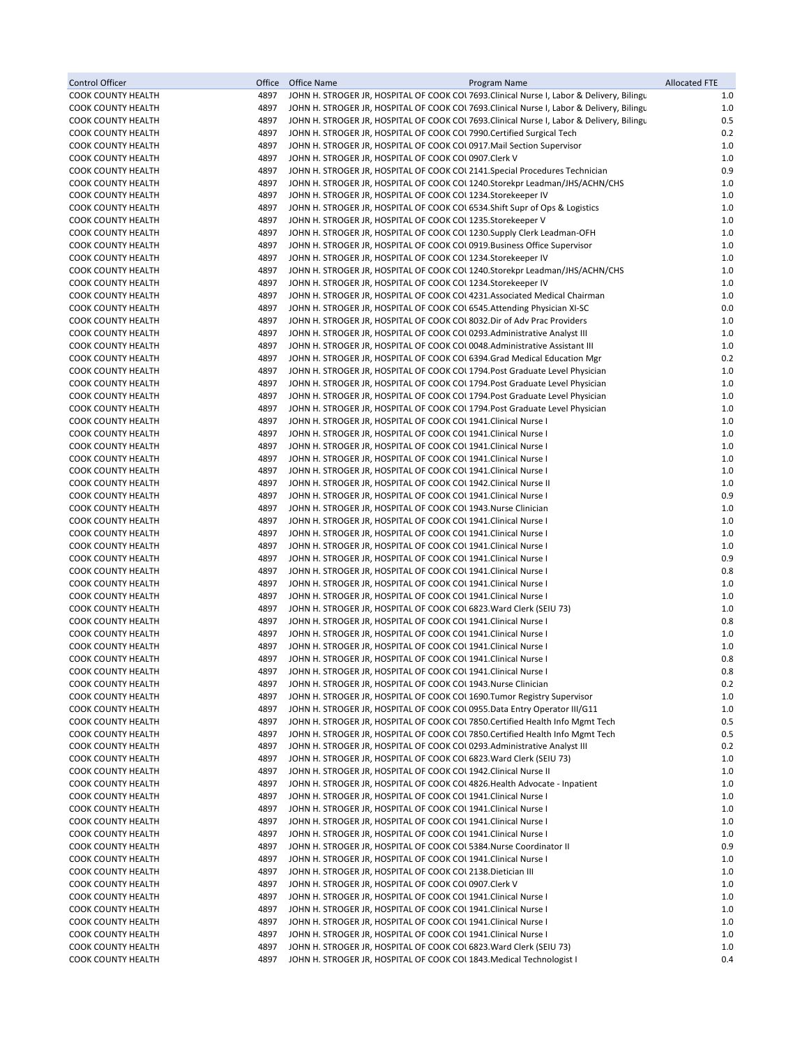| Control Officer                                        | Office       | <b>Office Name</b><br>Program Name                                                                                                                    | <b>Allocated FTE</b> |
|--------------------------------------------------------|--------------|-------------------------------------------------------------------------------------------------------------------------------------------------------|----------------------|
| <b>COOK COUNTY HEALTH</b>                              | 4897         | JOHN H. STROGER JR, HOSPITAL OF COOK COL 7693. Clinical Nurse I, Labor & Delivery, Bilingu                                                            | 1.0                  |
| COOK COUNTY HEALTH                                     | 4897         | JOHN H. STROGER JR, HOSPITAL OF COOK COL 7693. Clinical Nurse I, Labor & Delivery, Bilingu                                                            | 1.0                  |
| <b>COOK COUNTY HEALTH</b>                              | 4897         | JOHN H. STROGER JR, HOSPITAL OF COOK COL 7693. Clinical Nurse I, Labor & Delivery, Bilingu                                                            | 0.5                  |
| COOK COUNTY HEALTH                                     | 4897         | JOHN H. STROGER JR, HOSPITAL OF COOK COL 7990. Certified Surgical Tech                                                                                | 0.2                  |
| COOK COUNTY HEALTH                                     | 4897         | JOHN H. STROGER JR, HOSPITAL OF COOK COLO917. Mail Section Supervisor                                                                                 | 1.0                  |
| <b>COOK COUNTY HEALTH</b><br><b>COOK COUNTY HEALTH</b> | 4897<br>4897 | JOHN H. STROGER JR, HOSPITAL OF COOK COL0907.Clerk V<br>JOHN H. STROGER JR, HOSPITAL OF COOK COL 2141. Special Procedures Technician                  | 1.0<br>0.9           |
| COOK COUNTY HEALTH                                     | 4897         | JOHN H. STROGER JR, HOSPITAL OF COOK COL 1240.Storekpr Leadman/JHS/ACHN/CHS                                                                           | 1.0                  |
| COOK COUNTY HEALTH                                     | 4897         | JOHN H. STROGER JR, HOSPITAL OF COOK COL 1234.Storekeeper IV                                                                                          | 1.0                  |
| <b>COOK COUNTY HEALTH</b>                              | 4897         | JOHN H. STROGER JR, HOSPITAL OF COOK COL 6534. Shift Supr of Ops & Logistics                                                                          | 1.0                  |
| COOK COUNTY HEALTH                                     | 4897         | JOHN H. STROGER JR, HOSPITAL OF COOK COL 1235.Storekeeper V                                                                                           | 1.0                  |
| <b>COOK COUNTY HEALTH</b>                              | 4897         | JOHN H. STROGER JR, HOSPITAL OF COOK COU 1230. Supply Clerk Leadman-OFH                                                                               | 1.0                  |
| COOK COUNTY HEALTH                                     | 4897         | JOHN H. STROGER JR, HOSPITAL OF COOK COL 0919. Business Office Supervisor                                                                             | 1.0                  |
| COOK COUNTY HEALTH                                     | 4897         | JOHN H. STROGER JR, HOSPITAL OF COOK COL 1234.Storekeeper IV                                                                                          | 1.0                  |
| COOK COUNTY HEALTH                                     | 4897         | JOHN H. STROGER JR, HOSPITAL OF COOK COL 1240.Storekpr Leadman/JHS/ACHN/CHS                                                                           | 1.0                  |
| COOK COUNTY HEALTH                                     | 4897         | JOHN H. STROGER JR, HOSPITAL OF COOK COL 1234.Storekeeper IV                                                                                          | 1.0                  |
| COOK COUNTY HEALTH                                     | 4897         | JOHN H. STROGER JR, HOSPITAL OF COOK COL 4231. Associated Medical Chairman                                                                            | 1.0                  |
| COOK COUNTY HEALTH                                     | 4897         | JOHN H. STROGER JR, HOSPITAL OF COOK COL 6545. Attending Physician XI-SC                                                                              | 0.0                  |
| <b>COOK COUNTY HEALTH</b><br><b>COOK COUNTY HEALTH</b> | 4897<br>4897 | JOHN H. STROGER JR, HOSPITAL OF COOK COL 8032. Dir of Adv Prac Providers<br>JOHN H. STROGER JR, HOSPITAL OF COOK COU 0293. Administrative Analyst III | 1.0<br>1.0           |
| COOK COUNTY HEALTH                                     | 4897         | JOHN H. STROGER JR, HOSPITAL OF COOK COL 0048. Administrative Assistant III                                                                           | 1.0                  |
| COOK COUNTY HEALTH                                     | 4897         | JOHN H. STROGER JR, HOSPITAL OF COOK COU 6394. Grad Medical Education Mgr                                                                             | 0.2                  |
| COOK COUNTY HEALTH                                     | 4897         | JOHN H. STROGER JR, HOSPITAL OF COOK COL 1794. Post Graduate Level Physician                                                                          | 1.0                  |
| COOK COUNTY HEALTH                                     | 4897         | JOHN H. STROGER JR, HOSPITAL OF COOK COL 1794. Post Graduate Level Physician                                                                          | 1.0                  |
| COOK COUNTY HEALTH                                     | 4897         | JOHN H. STROGER JR, HOSPITAL OF COOK COL 1794. Post Graduate Level Physician                                                                          | 1.0                  |
| COOK COUNTY HEALTH                                     | 4897         | JOHN H. STROGER JR, HOSPITAL OF COOK COL 1794. Post Graduate Level Physician                                                                          | 1.0                  |
| COOK COUNTY HEALTH                                     | 4897         | JOHN H. STROGER JR, HOSPITAL OF COOK COL 1941. Clinical Nurse I                                                                                       | $1.0$                |
| COOK COUNTY HEALTH                                     | 4897         | JOHN H. STROGER JR, HOSPITAL OF COOK COL 1941. Clinical Nurse I                                                                                       | 1.0                  |
| COOK COUNTY HEALTH                                     | 4897         | JOHN H. STROGER JR, HOSPITAL OF COOK COL 1941. Clinical Nurse I                                                                                       | 1.0                  |
| <b>COOK COUNTY HEALTH</b>                              | 4897         | JOHN H. STROGER JR, HOSPITAL OF COOK COL 1941. Clinical Nurse I                                                                                       | 1.0                  |
| COOK COUNTY HEALTH                                     | 4897         | JOHN H. STROGER JR, HOSPITAL OF COOK COL 1941. Clinical Nurse I                                                                                       | 1.0                  |
| COOK COUNTY HEALTH                                     | 4897         | JOHN H. STROGER JR, HOSPITAL OF COOK COL 1942. Clinical Nurse II                                                                                      | 1.0                  |
| COOK COUNTY HEALTH                                     | 4897         | JOHN H. STROGER JR, HOSPITAL OF COOK COL 1941. Clinical Nurse I                                                                                       | 0.9                  |
| <b>COOK COUNTY HEALTH</b><br><b>COOK COUNTY HEALTH</b> | 4897<br>4897 | JOHN H. STROGER JR, HOSPITAL OF COOK COL 1943. Nurse Clinician<br>JOHN H. STROGER JR, HOSPITAL OF COOK COL 1941. Clinical Nurse I                     | 1.0<br>1.0           |
| COOK COUNTY HEALTH                                     | 4897         | JOHN H. STROGER JR, HOSPITAL OF COOK COL 1941. Clinical Nurse I                                                                                       | 1.0                  |
| <b>COOK COUNTY HEALTH</b>                              | 4897         | JOHN H. STROGER JR, HOSPITAL OF COOK COL 1941. Clinical Nurse I                                                                                       | $1.0$                |
| COOK COUNTY HEALTH                                     | 4897         | JOHN H. STROGER JR, HOSPITAL OF COOK COL 1941. Clinical Nurse I                                                                                       | 0.9                  |
| COOK COUNTY HEALTH                                     | 4897         | JOHN H. STROGER JR, HOSPITAL OF COOK COL 1941. Clinical Nurse I                                                                                       | 0.8                  |
| COOK COUNTY HEALTH                                     | 4897         | JOHN H. STROGER JR, HOSPITAL OF COOK COL 1941. Clinical Nurse I                                                                                       | 1.0                  |
| <b>COOK COUNTY HEALTH</b>                              | 4897         | JOHN H. STROGER JR, HOSPITAL OF COOK COL 1941. Clinical Nurse I                                                                                       | 1.0                  |
| COOK COUNTY HEALTH                                     | 4897         | JOHN H. STROGER JR, HOSPITAL OF COOK COUS 823. Ward Clerk (SEIU 73)                                                                                   | 1.0                  |
| COOK COUNTY HEALTH                                     | 4897         | JOHN H. STROGER JR, HOSPITAL OF COOK COL 1941. Clinical Nurse I                                                                                       | 0.8                  |
| <b>COOK COUNTY HEALTH</b>                              | 4897         | JOHN H. STROGER JR, HOSPITAL OF COOK COL 1941. Clinical Nurse I                                                                                       | 1.0                  |
| COOK COUNTY HEALTH<br><b>COOK COUNTY HEALTH</b>        | 4897         | JOHN H. STROGER JR, HOSPITAL OF COOK COL 1941. Clinical Nurse I                                                                                       | 1.0                  |
|                                                        | 4897         | JOHN H. STROGER JR, HOSPITAL OF COOK COL 1941. Clinical Nurse I                                                                                       | 0.8                  |
| <b>COOK COUNTY HEALTH</b><br>COOK COUNTY HEALTH        | 4897<br>4897 | JOHN H. STROGER JR, HOSPITAL OF COOK COL 1941. Clinical Nurse I<br>JOHN H. STROGER JR, HOSPITAL OF COOK COL 1943. Nurse Clinician                     | 0.8<br>0.2           |
| COOK COUNTY HEALTH                                     | 4897         | JOHN H. STROGER JR, HOSPITAL OF COOK COU 1690. Tumor Registry Supervisor                                                                              | 1.0                  |
| <b>COOK COUNTY HEALTH</b>                              | 4897         | JOHN H. STROGER JR, HOSPITAL OF COOK COLO955. Data Entry Operator III/G11                                                                             | $1.0$                |
| COOK COUNTY HEALTH                                     | 4897         | JOHN H. STROGER JR, HOSPITAL OF COOK COL 7850. Certified Health Info Mgmt Tech                                                                        | 0.5                  |
| <b>COOK COUNTY HEALTH</b>                              | 4897         | JOHN H. STROGER JR, HOSPITAL OF COOK COL 7850. Certified Health Info Mgmt Tech                                                                        | 0.5                  |
| <b>COOK COUNTY HEALTH</b>                              | 4897         | JOHN H. STROGER JR, HOSPITAL OF COOK COL 0293. Administrative Analyst III                                                                             | 0.2                  |
| COOK COUNTY HEALTH                                     | 4897         | JOHN H. STROGER JR, HOSPITAL OF COOK COL 6823 Ward Clerk (SEIU 73)                                                                                    | 1.0                  |
| COOK COUNTY HEALTH                                     | 4897         | JOHN H. STROGER JR, HOSPITAL OF COOK COL 1942. Clinical Nurse II                                                                                      | 1.0                  |
| <b>COOK COUNTY HEALTH</b>                              | 4897         | JOHN H. STROGER JR, HOSPITAL OF COOK COL 4826. Health Advocate - Inpatient                                                                            | 1.0                  |
| COOK COUNTY HEALTH                                     | 4897         | JOHN H. STROGER JR, HOSPITAL OF COOK COL 1941. Clinical Nurse I                                                                                       | 1.0                  |
| COOK COUNTY HEALTH<br>COOK COUNTY HEALTH               | 4897<br>4897 | JOHN H. STROGER JR, HOSPITAL OF COOK COL 1941. Clinical Nurse I<br>JOHN H. STROGER JR, HOSPITAL OF COOK COL 1941. Clinical Nurse I                    | 1.0<br>1.0           |
| COOK COUNTY HEALTH                                     | 4897         | JOHN H. STROGER JR, HOSPITAL OF COOK COL 1941. Clinical Nurse I                                                                                       | 1.0                  |
| COOK COUNTY HEALTH                                     | 4897         | JOHN H. STROGER JR, HOSPITAL OF COOK COL 5384. Nurse Coordinator II                                                                                   | 0.9                  |
| <b>COOK COUNTY HEALTH</b>                              | 4897         | JOHN H. STROGER JR, HOSPITAL OF COOK COL 1941. Clinical Nurse I                                                                                       | 1.0                  |
| COOK COUNTY HEALTH                                     | 4897         | JOHN H. STROGER JR, HOSPITAL OF COOK COL 2138 Dietician III                                                                                           | 1.0                  |
| COOK COUNTY HEALTH                                     | 4897         | JOHN H. STROGER JR, HOSPITAL OF COOK COL0907.Clerk V                                                                                                  | 1.0                  |
| COOK COUNTY HEALTH                                     | 4897         | JOHN H. STROGER JR, HOSPITAL OF COOK COL 1941. Clinical Nurse I                                                                                       | 1.0                  |
| COOK COUNTY HEALTH                                     | 4897         | JOHN H. STROGER JR, HOSPITAL OF COOK COL 1941. Clinical Nurse I                                                                                       | 1.0                  |
| COOK COUNTY HEALTH                                     | 4897         | JOHN H. STROGER JR, HOSPITAL OF COOK COL 1941. Clinical Nurse I                                                                                       | 1.0                  |
| COOK COUNTY HEALTH                                     | 4897         | JOHN H. STROGER JR, HOSPITAL OF COOK COL 1941. Clinical Nurse I                                                                                       | 1.0                  |
| COOK COUNTY HEALTH                                     | 4897         | JOHN H. STROGER JR, HOSPITAL OF COOK COL 6823 Ward Clerk (SEIU 73)                                                                                    | 1.0                  |
| COOK COUNTY HEALTH                                     | 4897         | JOHN H. STROGER JR, HOSPITAL OF COOK COL 1843. Medical Technologist I                                                                                 | 0.4                  |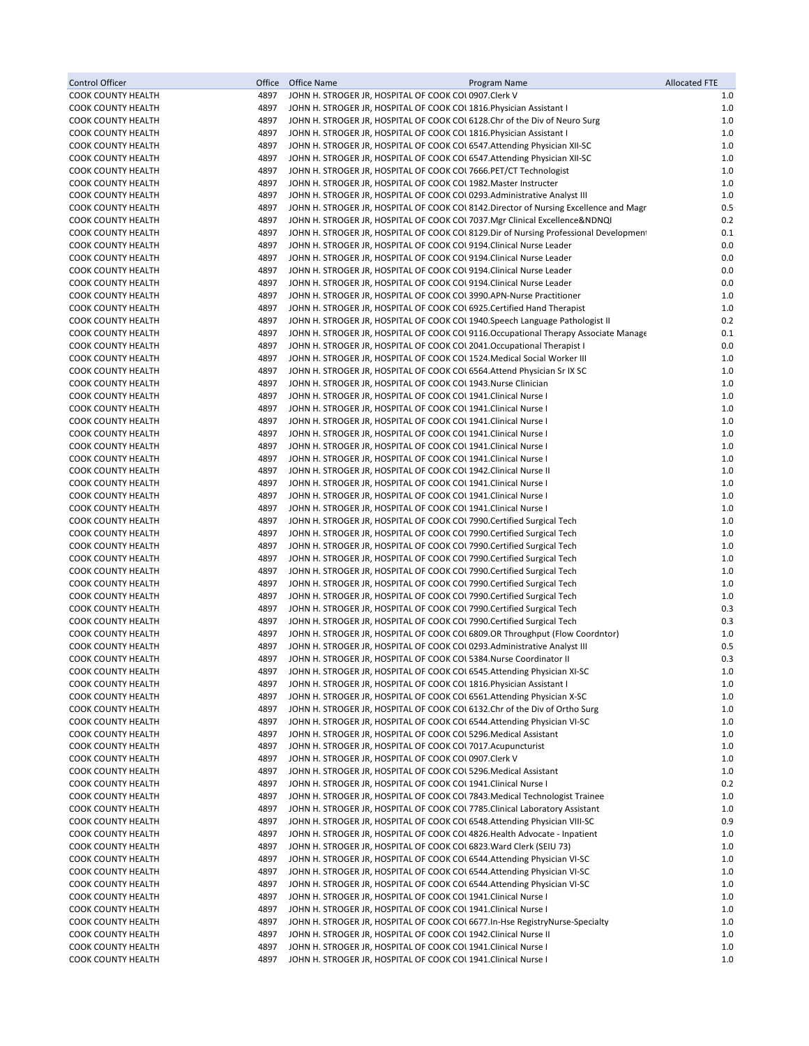| Control Officer                                        | Office       | Office Name<br>Program Name                                                                                                                                           | <b>Allocated FTE</b> |
|--------------------------------------------------------|--------------|-----------------------------------------------------------------------------------------------------------------------------------------------------------------------|----------------------|
| COOK COUNTY HEALTH                                     | 4897         | JOHN H. STROGER JR, HOSPITAL OF COOK COL0907.Clerk V                                                                                                                  | 1.0                  |
| COOK COUNTY HEALTH                                     | 4897         | JOHN H. STROGER JR, HOSPITAL OF COOK COL 1816. Physician Assistant I                                                                                                  | 1.0                  |
| <b>COOK COUNTY HEALTH</b>                              | 4897         | JOHN H. STROGER JR, HOSPITAL OF COOK COL 6128. Chr of the Div of Neuro Surg                                                                                           | 1.0                  |
| COOK COUNTY HEALTH                                     | 4897         | JOHN H. STROGER JR, HOSPITAL OF COOK COL 1816. Physician Assistant I                                                                                                  | 1.0                  |
| COOK COUNTY HEALTH                                     | 4897         | JOHN H. STROGER JR, HOSPITAL OF COOK COL 6547. Attending Physician XII-SC                                                                                             | 1.0                  |
| <b>COOK COUNTY HEALTH</b><br>COOK COUNTY HEALTH        | 4897<br>4897 | JOHN H. STROGER JR, HOSPITAL OF COOK COL 6547. Attending Physician XII-SC<br>JOHN H. STROGER JR, HOSPITAL OF COOK COL 7666.PET/CT Technologist                        | $1.0$<br>1.0         |
| COOK COUNTY HEALTH                                     | 4897         | JOHN H. STROGER JR, HOSPITAL OF COOK COL 1982. Master Instructer                                                                                                      | $1.0$                |
| COOK COUNTY HEALTH                                     | 4897         | JOHN H. STROGER JR, HOSPITAL OF COOK COL 0293. Administrative Analyst III                                                                                             | 1.0                  |
| COOK COUNTY HEALTH                                     | 4897         | JOHN H. STROGER JR, HOSPITAL OF COOK COU 8142. Director of Nursing Excellence and Magr                                                                                | 0.5                  |
| COOK COUNTY HEALTH                                     | 4897         | JOHN H. STROGER JR, HOSPITAL OF COOK COL 7037. Mgr Clinical Excellence&NDNQI                                                                                          | 0.2                  |
| COOK COUNTY HEALTH                                     | 4897         | JOHN H. STROGER JR, HOSPITAL OF COOK COUS 129. Dir of Nursing Professional Development                                                                                | 0.1                  |
| <b>COOK COUNTY HEALTH</b>                              | 4897         | JOHN H. STROGER JR, HOSPITAL OF COOK COL 9194. Clinical Nurse Leader                                                                                                  | 0.0                  |
| COOK COUNTY HEALTH                                     | 4897         | JOHN H. STROGER JR, HOSPITAL OF COOK COL 9194. Clinical Nurse Leader                                                                                                  | 0.0                  |
| <b>COOK COUNTY HEALTH</b>                              | 4897         | JOHN H. STROGER JR, HOSPITAL OF COOK COL 9194. Clinical Nurse Leader                                                                                                  | 0.0                  |
| COOK COUNTY HEALTH                                     | 4897         | JOHN H. STROGER JR, HOSPITAL OF COOK COL 9194. Clinical Nurse Leader                                                                                                  | 0.0                  |
| COOK COUNTY HEALTH                                     | 4897         | JOHN H. STROGER JR, HOSPITAL OF COOK COL 3990.APN-Nurse Practitioner                                                                                                  | 1.0                  |
| COOK COUNTY HEALTH                                     | 4897<br>4897 | JOHN H. STROGER JR, HOSPITAL OF COOK COL 6925. Certified Hand Therapist                                                                                               | $1.0$<br>0.2         |
| COOK COUNTY HEALTH<br>COOK COUNTY HEALTH               | 4897         | JOHN H. STROGER JR, HOSPITAL OF COOK COL 1940. Speech Language Pathologist II<br>JOHN H. STROGER JR, HOSPITAL OF COOK COU 9116. Occupational Therapy Associate Manage | 0.1                  |
| <b>COOK COUNTY HEALTH</b>                              | 4897         | JOHN H. STROGER JR, HOSPITAL OF COOK COL 2041.Occupational Therapist I                                                                                                | 0.0                  |
| COOK COUNTY HEALTH                                     | 4897         | JOHN H. STROGER JR, HOSPITAL OF COOK COL 1524. Medical Social Worker III                                                                                              | 1.0                  |
| COOK COUNTY HEALTH                                     | 4897         | JOHN H. STROGER JR, HOSPITAL OF COOK COL 6564. Attend Physician Sr IX SC                                                                                              | 1.0                  |
| <b>COOK COUNTY HEALTH</b>                              | 4897         | JOHN H. STROGER JR, HOSPITAL OF COOK COL 1943. Nurse Clinician                                                                                                        | 1.0                  |
| COOK COUNTY HEALTH                                     | 4897         | JOHN H. STROGER JR, HOSPITAL OF COOK COL 1941. Clinical Nurse I                                                                                                       | 1.0                  |
| COOK COUNTY HEALTH                                     | 4897         | JOHN H. STROGER JR, HOSPITAL OF COOK COL 1941. Clinical Nurse I                                                                                                       | 1.0                  |
| <b>COOK COUNTY HEALTH</b>                              | 4897         | JOHN H. STROGER JR, HOSPITAL OF COOK COL 1941. Clinical Nurse I                                                                                                       | $1.0$                |
| <b>COOK COUNTY HEALTH</b>                              | 4897         | JOHN H. STROGER JR, HOSPITAL OF COOK COL 1941. Clinical Nurse I                                                                                                       | 1.0                  |
| COOK COUNTY HEALTH                                     | 4897         | JOHN H. STROGER JR, HOSPITAL OF COOK COL 1941. Clinical Nurse I                                                                                                       | 1.0                  |
| <b>COOK COUNTY HEALTH</b>                              | 4897         | JOHN H. STROGER JR, HOSPITAL OF COOK COL 1941. Clinical Nurse I                                                                                                       | 1.0                  |
| <b>COOK COUNTY HEALTH</b>                              | 4897<br>4897 | JOHN H. STROGER JR, HOSPITAL OF COOK COL 1942. Clinical Nurse II                                                                                                      | 1.0                  |
| COOK COUNTY HEALTH<br>COOK COUNTY HEALTH               | 4897         | JOHN H. STROGER JR, HOSPITAL OF COOK COL 1941. Clinical Nurse I<br>JOHN H. STROGER JR, HOSPITAL OF COOK COL 1941. Clinical Nurse I                                    | 1.0<br>1.0           |
| <b>COOK COUNTY HEALTH</b>                              | 4897         | JOHN H. STROGER JR, HOSPITAL OF COOK COL 1941. Clinical Nurse I                                                                                                       | 1.0                  |
| COOK COUNTY HEALTH                                     | 4897         | JOHN H. STROGER JR, HOSPITAL OF COOK COL 7990. Certified Surgical Tech                                                                                                | 1.0                  |
| COOK COUNTY HEALTH                                     | 4897         | JOHN H. STROGER JR, HOSPITAL OF COOK COL 7990. Certified Surgical Tech                                                                                                | 1.0                  |
| <b>COOK COUNTY HEALTH</b>                              | 4897         | JOHN H. STROGER JR, HOSPITAL OF COOK COL 7990. Certified Surgical Tech                                                                                                | 1.0                  |
| COOK COUNTY HEALTH                                     | 4897         | JOHN H. STROGER JR, HOSPITAL OF COOK COL 7990. Certified Surgical Tech                                                                                                | 1.0                  |
| COOK COUNTY HEALTH                                     | 4897         | JOHN H. STROGER JR, HOSPITAL OF COOK COL 7990. Certified Surgical Tech                                                                                                | 1.0                  |
| <b>COOK COUNTY HEALTH</b>                              | 4897         | JOHN H. STROGER JR, HOSPITAL OF COOK COL 7990. Certified Surgical Tech                                                                                                | 1.0                  |
| <b>COOK COUNTY HEALTH</b>                              | 4897         | JOHN H. STROGER JR, HOSPITAL OF COOK COL 7990. Certified Surgical Tech                                                                                                | 1.0                  |
| COOK COUNTY HEALTH                                     | 4897         | JOHN H. STROGER JR, HOSPITAL OF COOK COL 7990. Certified Surgical Tech                                                                                                | 0.3                  |
| <b>COOK COUNTY HEALTH</b>                              | 4897         | JOHN H. STROGER JR, HOSPITAL OF COOK COL 7990. Certified Surgical Tech                                                                                                | 0.3                  |
| <b>COOK COUNTY HEALTH</b><br><b>COOK COUNTY HEALTH</b> | 4897<br>4897 | JOHN H. STROGER JR, HOSPITAL OF COOK COL 6809.OR Throughput (Flow Coordntor)<br>JOHN H. STROGER JR, HOSPITAL OF COOK COL 0293. Administrative Analyst III             | 1.0<br>0.5           |
| <b>COOK COUNTY HEALTH</b>                              | 4897         | JOHN H. STROGER JR, HOSPITAL OF COOK COL 5384. Nurse Coordinator II                                                                                                   | 0.3                  |
| <b>COOK COUNTY HEALTH</b>                              | 4897         | JOHN H. STROGER JR, HOSPITAL OF COOK COL 6545. Attending Physician XI-SC                                                                                              | 1.0                  |
| COOK COUNTY HEALTH                                     | 4897         | JOHN H. STROGER JR, HOSPITAL OF COOK COU 1816. Physician Assistant I                                                                                                  | 1.0                  |
| COOK COUNTY HEALTH                                     | 4897         | JOHN H. STROGER JR, HOSPITAL OF COOK COL 6561. Attending Physician X-SC                                                                                               | 1.0                  |
| COOK COUNTY HEALTH                                     | 4897         | JOHN H. STROGER JR, HOSPITAL OF COOK COL 6132. Chr of the Div of Ortho Surg                                                                                           | 1.0                  |
| <b>COOK COUNTY HEALTH</b>                              | 4897         | JOHN H. STROGER JR, HOSPITAL OF COOK COL 6544. Attending Physician VI-SC                                                                                              | 1.0                  |
| COOK COUNTY HEALTH                                     | 4897         | JOHN H. STROGER JR, HOSPITAL OF COOK COL5296. Medical Assistant                                                                                                       | 1.0                  |
| <b>COOK COUNTY HEALTH</b>                              | 4897         | JOHN H. STROGER JR, HOSPITAL OF COOK COL 7017. Acupuncturist                                                                                                          | 1.0                  |
| COOK COUNTY HEALTH                                     | 4897         | JOHN H. STROGER JR, HOSPITAL OF COOK COL0907.Clerk V                                                                                                                  | 1.0                  |
| COOK COUNTY HEALTH                                     | 4897         | JOHN H. STROGER JR, HOSPITAL OF COOK COL 5296. Medical Assistant                                                                                                      | 1.0                  |
| COOK COUNTY HEALTH                                     | 4897         | JOHN H. STROGER JR, HOSPITAL OF COOK COL 1941. Clinical Nurse I                                                                                                       | 0.2                  |
| COOK COUNTY HEALTH<br>COOK COUNTY HEALTH               | 4897<br>4897 | JOHN H. STROGER JR, HOSPITAL OF COOK COL 7843. Medical Technologist Trainee<br>JOHN H. STROGER JR, HOSPITAL OF COOK COL 7785. Clinical Laboratory Assistant           | 1.0<br>1.0           |
| <b>COOK COUNTY HEALTH</b>                              | 4897         | JOHN H. STROGER JR, HOSPITAL OF COOK COL 6548. Attending Physician VIII-SC                                                                                            | 0.9                  |
| COOK COUNTY HEALTH                                     | 4897         | JOHN H. STROGER JR, HOSPITAL OF COOK COL 4826. Health Advocate - Inpatient                                                                                            | 1.0                  |
| <b>COOK COUNTY HEALTH</b>                              | 4897         | JOHN H. STROGER JR, HOSPITAL OF COOK COL 6823. Ward Clerk (SEIU 73)                                                                                                   | 1.0                  |
| COOK COUNTY HEALTH                                     | 4897         | JOHN H. STROGER JR, HOSPITAL OF COOK COL 6544. Attending Physician VI-SC                                                                                              | 1.0                  |
| COOK COUNTY HEALTH                                     | 4897         | JOHN H. STROGER JR, HOSPITAL OF COOK COL 6544. Attending Physician VI-SC                                                                                              | 1.0                  |
| COOK COUNTY HEALTH                                     | 4897         | JOHN H. STROGER JR, HOSPITAL OF COOK COL 6544. Attending Physician VI-SC                                                                                              | 1.0                  |
| COOK COUNTY HEALTH                                     | 4897         | JOHN H. STROGER JR, HOSPITAL OF COOK COL 1941. Clinical Nurse I                                                                                                       | 1.0                  |
| COOK COUNTY HEALTH                                     | 4897         | JOHN H. STROGER JR, HOSPITAL OF COOK COL 1941. Clinical Nurse I                                                                                                       | 1.0                  |
| COOK COUNTY HEALTH                                     | 4897         | JOHN H. STROGER JR, HOSPITAL OF COOK COU 6677. In-Hse RegistryNurse-Specialty                                                                                         | 1.0                  |
| COOK COUNTY HEALTH                                     | 4897         | JOHN H. STROGER JR, HOSPITAL OF COOK COL 1942. Clinical Nurse II                                                                                                      | 1.0                  |
| COOK COUNTY HEALTH<br>COOK COUNTY HEALTH               | 4897<br>4897 | JOHN H. STROGER JR, HOSPITAL OF COOK COL 1941. Clinical Nurse I<br>JOHN H. STROGER JR, HOSPITAL OF COOK COL 1941. Clinical Nurse I                                    | 1.0<br>1.0           |
|                                                        |              |                                                                                                                                                                       |                      |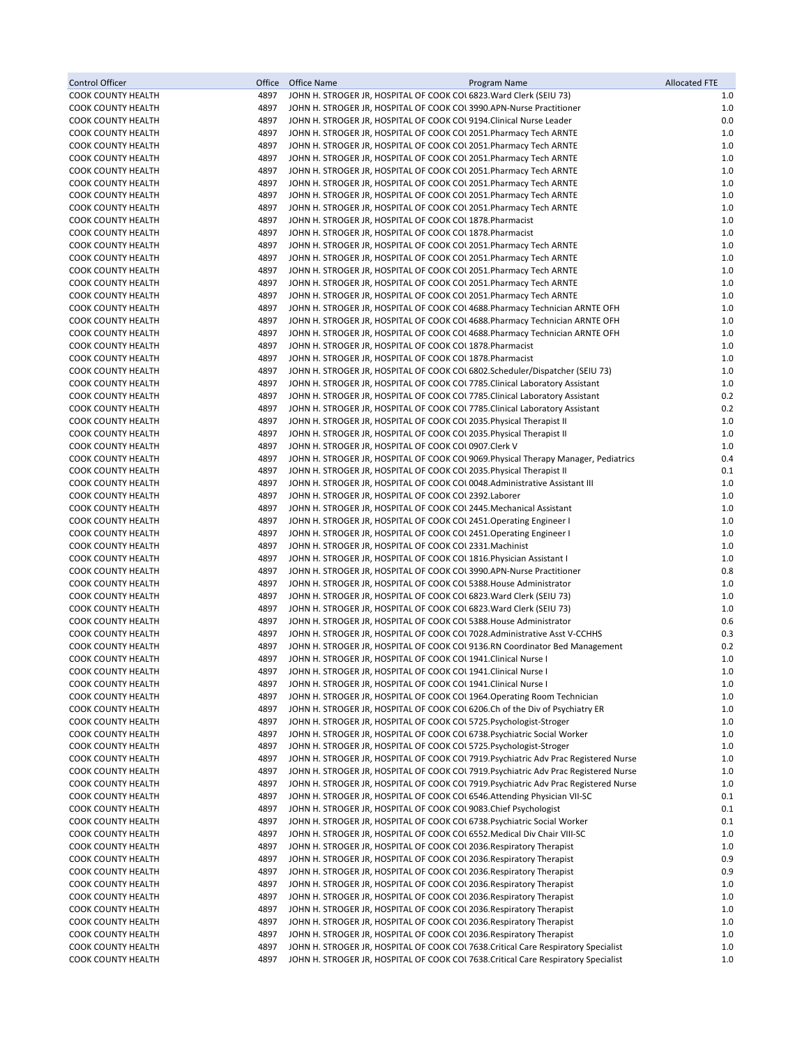| <b>Control Officer</b>                                 | Office       | Office Name<br>Program Name                                                                                                                                  | <b>Allocated FTE</b> |
|--------------------------------------------------------|--------------|--------------------------------------------------------------------------------------------------------------------------------------------------------------|----------------------|
| <b>COOK COUNTY HEALTH</b>                              | 4897         | JOHN H. STROGER JR, HOSPITAL OF COOK COL 6823. Ward Clerk (SEIU 73)                                                                                          | 1.0                  |
| <b>COOK COUNTY HEALTH</b>                              | 4897         | JOHN H. STROGER JR, HOSPITAL OF COOK COL 3990.APN-Nurse Practitioner                                                                                         | 1.0                  |
| <b>COOK COUNTY HEALTH</b>                              | 4897<br>4897 | JOHN H. STROGER JR, HOSPITAL OF COOK COL 9194. Clinical Nurse Leader                                                                                         | 0.0<br>1.0           |
| <b>COOK COUNTY HEALTH</b><br><b>COOK COUNTY HEALTH</b> | 4897         | JOHN H. STROGER JR, HOSPITAL OF COOK COL 2051. Pharmacy Tech ARNTE<br>JOHN H. STROGER JR, HOSPITAL OF COOK COL 2051. Pharmacy Tech ARNTE                     | 1.0                  |
| <b>COOK COUNTY HEALTH</b>                              | 4897         | JOHN H. STROGER JR, HOSPITAL OF COOK COU 2051. Pharmacy Tech ARNTE                                                                                           | $1.0$                |
| <b>COOK COUNTY HEALTH</b>                              | 4897         | JOHN H. STROGER JR, HOSPITAL OF COOK COL 2051. Pharmacy Tech ARNTE                                                                                           | 1.0                  |
| <b>COOK COUNTY HEALTH</b>                              | 4897         | JOHN H. STROGER JR, HOSPITAL OF COOK COL 2051. Pharmacy Tech ARNTE                                                                                           | $1.0$                |
| <b>COOK COUNTY HEALTH</b>                              | 4897         | JOHN H. STROGER JR, HOSPITAL OF COOK COL 2051. Pharmacy Tech ARNTE                                                                                           | 1.0                  |
| <b>COOK COUNTY HEALTH</b>                              | 4897         | JOHN H. STROGER JR, HOSPITAL OF COOK COL 2051. Pharmacy Tech ARNTE                                                                                           | 1.0                  |
| <b>COOK COUNTY HEALTH</b><br><b>COOK COUNTY HEALTH</b> | 4897<br>4897 | JOHN H. STROGER JR, HOSPITAL OF COOK COL 1878. Pharmacist<br>JOHN H. STROGER JR, HOSPITAL OF COOK COL 1878. Pharmacist                                       | 1.0<br>1.0           |
| <b>COOK COUNTY HEALTH</b>                              | 4897         | JOHN H. STROGER JR, HOSPITAL OF COOK COL 2051. Pharmacy Tech ARNTE                                                                                           | $1.0$                |
| <b>COOK COUNTY HEALTH</b>                              | 4897         | JOHN H. STROGER JR, HOSPITAL OF COOK COL 2051. Pharmacy Tech ARNTE                                                                                           | 1.0                  |
| <b>COOK COUNTY HEALTH</b>                              | 4897         | JOHN H. STROGER JR, HOSPITAL OF COOK COL 2051. Pharmacy Tech ARNTE                                                                                           | 1.0                  |
| <b>COOK COUNTY HEALTH</b>                              | 4897         | JOHN H. STROGER JR, HOSPITAL OF COOK COL 2051. Pharmacy Tech ARNTE                                                                                           | 1.0                  |
| <b>COOK COUNTY HEALTH</b>                              | 4897         | JOHN H. STROGER JR, HOSPITAL OF COOK COL 2051. Pharmacy Tech ARNTE                                                                                           | 1.0                  |
| <b>COOK COUNTY HEALTH</b>                              | 4897         | JOHN H. STROGER JR, HOSPITAL OF COOK COL 4688. Pharmacy Technician ARNTE OFH                                                                                 | 1.0                  |
| <b>COOK COUNTY HEALTH</b><br><b>COOK COUNTY HEALTH</b> | 4897<br>4897 | JOHN H. STROGER JR, HOSPITAL OF COOK COL 4688. Pharmacy Technician ARNTE OFH<br>JOHN H. STROGER JR, HOSPITAL OF COOK COL 4688. Pharmacy Technician ARNTE OFH | 1.0<br>1.0           |
| <b>COOK COUNTY HEALTH</b>                              | 4897         | JOHN H. STROGER JR, HOSPITAL OF COOK COL 1878. Pharmacist                                                                                                    | 1.0                  |
| <b>COOK COUNTY HEALTH</b>                              | 4897         | JOHN H. STROGER JR, HOSPITAL OF COOK COL 1878. Pharmacist                                                                                                    | 1.0                  |
| <b>COOK COUNTY HEALTH</b>                              | 4897         | JOHN H. STROGER JR, HOSPITAL OF COOK COU 6802. Scheduler/Dispatcher (SEIU 73)                                                                                | 1.0                  |
| <b>COOK COUNTY HEALTH</b>                              | 4897         | JOHN H. STROGER JR, HOSPITAL OF COOK COL 7785. Clinical Laboratory Assistant                                                                                 | 1.0                  |
| <b>COOK COUNTY HEALTH</b>                              | 4897         | JOHN H. STROGER JR, HOSPITAL OF COOK COL 7785. Clinical Laboratory Assistant                                                                                 | 0.2                  |
| <b>COOK COUNTY HEALTH</b>                              | 4897         | JOHN H. STROGER JR, HOSPITAL OF COOK COL 7785 Clinical Laboratory Assistant                                                                                  | 0.2                  |
| <b>COOK COUNTY HEALTH</b><br><b>COOK COUNTY HEALTH</b> | 4897<br>4897 | JOHN H. STROGER JR, HOSPITAL OF COOK COL 2035. Physical Therapist II<br>JOHN H. STROGER JR, HOSPITAL OF COOK COL 2035. Physical Therapist II                 | 1.0<br>1.0           |
| <b>COOK COUNTY HEALTH</b>                              | 4897         | JOHN H. STROGER JR, HOSPITAL OF COOK COL0907.Clerk V                                                                                                         | 1.0                  |
| <b>COOK COUNTY HEALTH</b>                              | 4897         | JOHN H. STROGER JR, HOSPITAL OF COOK COL 9069. Physical Therapy Manager, Pediatrics                                                                          | 0.4                  |
| <b>COOK COUNTY HEALTH</b>                              | 4897         | JOHN H. STROGER JR, HOSPITAL OF COOK COL 2035. Physical Therapist II                                                                                         | 0.1                  |
| <b>COOK COUNTY HEALTH</b>                              | 4897         | JOHN H. STROGER JR, HOSPITAL OF COOK COL 0048. Administrative Assistant III                                                                                  | 1.0                  |
| <b>COOK COUNTY HEALTH</b>                              | 4897         | JOHN H. STROGER JR, HOSPITAL OF COOK COL 2392.Laborer                                                                                                        | 1.0                  |
| <b>COOK COUNTY HEALTH</b>                              | 4897         | JOHN H. STROGER JR, HOSPITAL OF COOK COL 2445. Mechanical Assistant                                                                                          | 1.0                  |
| <b>COOK COUNTY HEALTH</b><br><b>COOK COUNTY HEALTH</b> | 4897<br>4897 | JOHN H. STROGER JR, HOSPITAL OF COOK COL 2451. Operating Engineer I<br>JOHN H. STROGER JR, HOSPITAL OF COOK COL 2451. Operating Engineer I                   | 1.0<br>1.0           |
| <b>COOK COUNTY HEALTH</b>                              | 4897         | JOHN H. STROGER JR, HOSPITAL OF COOK COL 2331. Machinist                                                                                                     | 1.0                  |
| <b>COOK COUNTY HEALTH</b>                              | 4897         | JOHN H. STROGER JR, HOSPITAL OF COOK COU 1816. Physician Assistant I                                                                                         | 1.0                  |
| <b>COOK COUNTY HEALTH</b>                              | 4897         | JOHN H. STROGER JR, HOSPITAL OF COOK COL 3990. APN-Nurse Practitioner                                                                                        | 0.8                  |
| <b>COOK COUNTY HEALTH</b>                              | 4897         | JOHN H. STROGER JR, HOSPITAL OF COOK COL 5388 House Administrator                                                                                            | 1.0                  |
| <b>COOK COUNTY HEALTH</b>                              | 4897         | JOHN H. STROGER JR, HOSPITAL OF COOK COL 6823. Ward Clerk (SEIU 73)                                                                                          | $1.0$                |
| <b>COOK COUNTY HEALTH</b>                              | 4897<br>4897 | JOHN H. STROGER JR, HOSPITAL OF COOK COL 6823 Ward Clerk (SEIU 73)<br>JOHN H. STROGER JR, HOSPITAL OF COOK COL 5388. House Administrator                     | $1.0$<br>0.6         |
| <b>COOK COUNTY HEALTH</b><br><b>COOK COUNTY HEALTH</b> | 4897         | JOHN H. STROGER JR, HOSPITAL OF COOK COL 7028.Administrative Asst V-CCHHS                                                                                    | 0.3                  |
| <b>COOK COUNTY HEALTH</b>                              | 4897         | JOHN H. STROGER JR, HOSPITAL OF COOK COU 9136.RN Coordinator Bed Management                                                                                  | 0.2                  |
| <b>COOK COUNTY HEALTH</b>                              | 4897         | JOHN H. STROGER JR, HOSPITAL OF COOK COL 1941. Clinical Nurse I                                                                                              | 1.0                  |
| <b>COOK COUNTY HEALTH</b>                              | 4897         | JOHN H. STROGER JR, HOSPITAL OF COOK COL 1941. Clinical Nurse I                                                                                              | 1.0                  |
| <b>COOK COUNTY HEALTH</b>                              | 4897         | JOHN H. STROGER JR, HOSPITAL OF COOK COL 1941. Clinical Nurse I                                                                                              | 1.0                  |
| <b>COOK COUNTY HEALTH</b>                              | 4897         | JOHN H. STROGER JR, HOSPITAL OF COOK COL 1964. Operating Room Technician                                                                                     | 1.0                  |
| <b>COOK COUNTY HEALTH</b><br><b>COOK COUNTY HEALTH</b> | 4897<br>4897 | JOHN H. STROGER JR, HOSPITAL OF COOK COL 6206.Ch of the Div of Psychiatry ER<br>JOHN H. STROGER JR, HOSPITAL OF COOK COL 5725. Psychologist-Stroger          | 1.0<br>1.0           |
| <b>COOK COUNTY HEALTH</b>                              | 4897         | JOHN H. STROGER JR, HOSPITAL OF COOK COL 6738. Psychiatric Social Worker                                                                                     | 1.0                  |
| <b>COOK COUNTY HEALTH</b>                              | 4897         | JOHN H. STROGER JR, HOSPITAL OF COOK COL 5725. Psychologist-Stroger                                                                                          | 1.0                  |
| <b>COOK COUNTY HEALTH</b>                              | 4897         | JOHN H. STROGER JR, HOSPITAL OF COOK COL 7919. Psychiatric Adv Prac Registered Nurse                                                                         | 1.0                  |
| <b>COOK COUNTY HEALTH</b>                              | 4897         | JOHN H. STROGER JR, HOSPITAL OF COOK COL 7919. Psychiatric Adv Prac Registered Nurse                                                                         | 1.0                  |
| <b>COOK COUNTY HEALTH</b>                              | 4897         | JOHN H. STROGER JR, HOSPITAL OF COOK COL 7919. Psychiatric Adv Prac Registered Nurse                                                                         | 1.0                  |
| <b>COOK COUNTY HEALTH</b>                              | 4897         | JOHN H. STROGER JR, HOSPITAL OF COOK COL 6546. Attending Physician VII-SC                                                                                    | 0.1                  |
| <b>COOK COUNTY HEALTH</b><br><b>COOK COUNTY HEALTH</b> | 4897<br>4897 | JOHN H. STROGER JR, HOSPITAL OF COOK COL 9083. Chief Psychologist<br>JOHN H. STROGER JR, HOSPITAL OF COOK COL 6738 Psychiatric Social Worker                 | 0.1<br>0.1           |
| <b>COOK COUNTY HEALTH</b>                              | 4897         | JOHN H. STROGER JR, HOSPITAL OF COOK COL 6552. Medical Div Chair VIII-SC                                                                                     | 1.0                  |
| <b>COOK COUNTY HEALTH</b>                              | 4897         | JOHN H. STROGER JR, HOSPITAL OF COOK COL 2036. Respiratory Therapist                                                                                         | 1.0                  |
| <b>COOK COUNTY HEALTH</b>                              | 4897         | JOHN H. STROGER JR, HOSPITAL OF COOK COL 2036. Respiratory Therapist                                                                                         | 0.9                  |
| <b>COOK COUNTY HEALTH</b>                              | 4897         | JOHN H. STROGER JR, HOSPITAL OF COOK COL 2036. Respiratory Therapist                                                                                         | 0.9                  |
| <b>COOK COUNTY HEALTH</b>                              | 4897         | JOHN H. STROGER JR, HOSPITAL OF COOK COL 2036. Respiratory Therapist                                                                                         | 1.0                  |
| <b>COOK COUNTY HEALTH</b>                              | 4897<br>4897 | JOHN H. STROGER JR, HOSPITAL OF COOK COL 2036. Respiratory Therapist                                                                                         | 1.0<br>1.0           |
| <b>COOK COUNTY HEALTH</b><br><b>COOK COUNTY HEALTH</b> | 4897         | JOHN H. STROGER JR, HOSPITAL OF COOK COL 2036. Respiratory Therapist<br>JOHN H. STROGER JR, HOSPITAL OF COOK COL 2036. Respiratory Therapist                 | 1.0                  |
| <b>COOK COUNTY HEALTH</b>                              | 4897         | JOHN H. STROGER JR, HOSPITAL OF COOK COL 2036. Respiratory Therapist                                                                                         | 1.0                  |
| <b>COOK COUNTY HEALTH</b>                              | 4897         | JOHN H. STROGER JR, HOSPITAL OF COOK COL 7638. Critical Care Respiratory Specialist                                                                          | 1.0                  |
| <b>COOK COUNTY HEALTH</b>                              | 4897         | JOHN H. STROGER JR, HOSPITAL OF COOK COL 7638. Critical Care Respiratory Specialist                                                                          | 1.0                  |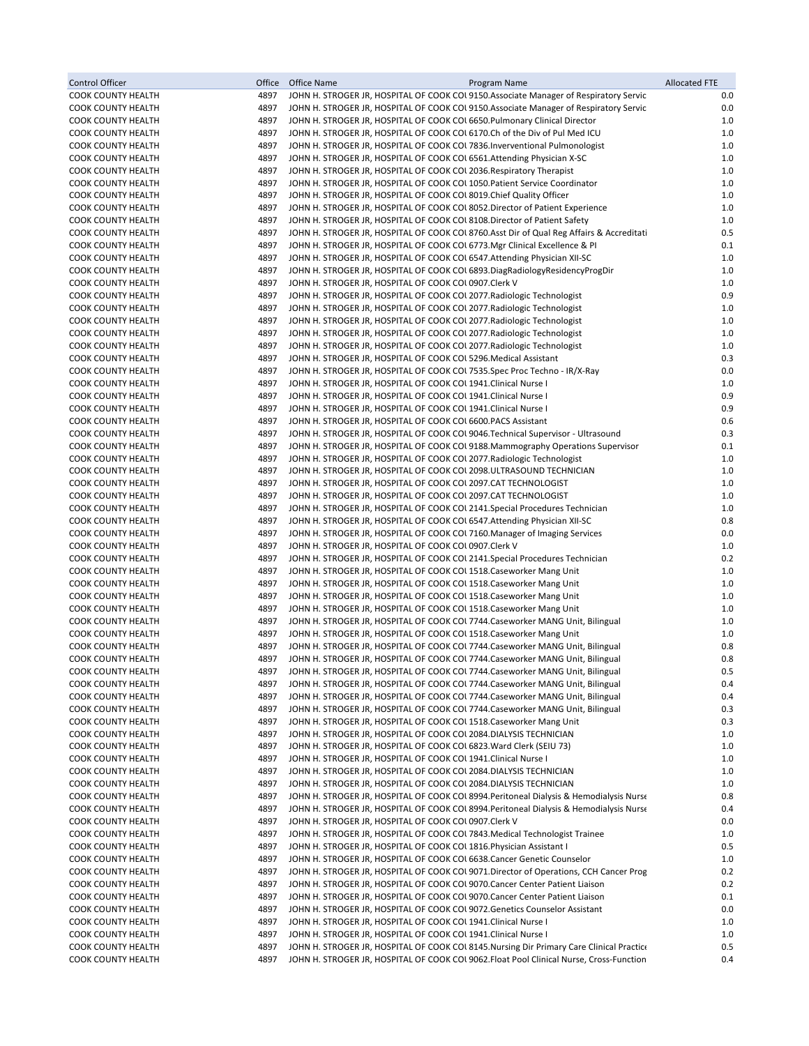| Control Officer                                        | Office       | Office Name<br>Program Name                                                                                                                                                           | <b>Allocated FTE</b> |
|--------------------------------------------------------|--------------|---------------------------------------------------------------------------------------------------------------------------------------------------------------------------------------|----------------------|
| <b>COOK COUNTY HEALTH</b>                              | 4897         | JOHN H. STROGER JR, HOSPITAL OF COOK COL 9150.Associate Manager of Respiratory Servic                                                                                                 | 0.0                  |
| <b>COOK COUNTY HEALTH</b>                              | 4897         | JOHN H. STROGER JR, HOSPITAL OF COOK COL 9150. Associate Manager of Respiratory Servic                                                                                                | 0.0                  |
| <b>COOK COUNTY HEALTH</b>                              | 4897         | JOHN H. STROGER JR, HOSPITAL OF COOK COL 6650. Pulmonary Clinical Director                                                                                                            | 1.0                  |
| <b>COOK COUNTY HEALTH</b>                              | 4897         | JOHN H. STROGER JR, HOSPITAL OF COOK COU 6170.Ch of the Div of Pul Med ICU                                                                                                            | 1.0                  |
| <b>COOK COUNTY HEALTH</b>                              | 4897<br>4897 | JOHN H. STROGER JR, HOSPITAL OF COOK COL 7836. Inverventional Pulmonologist                                                                                                           | 1.0<br>$1.0$         |
| <b>COOK COUNTY HEALTH</b><br><b>COOK COUNTY HEALTH</b> | 4897         | JOHN H. STROGER JR, HOSPITAL OF COOK COL 6561. Attending Physician X-SC<br>JOHN H. STROGER JR, HOSPITAL OF COOK COL 2036. Respiratory Therapist                                       | 1.0                  |
| <b>COOK COUNTY HEALTH</b>                              | 4897         | JOHN H. STROGER JR, HOSPITAL OF COOK COL 1050. Patient Service Coordinator                                                                                                            | $1.0$                |
| <b>COOK COUNTY HEALTH</b>                              | 4897         | JOHN H. STROGER JR, HOSPITAL OF COOK COL 8019. Chief Quality Officer                                                                                                                  | $1.0$                |
| <b>COOK COUNTY HEALTH</b>                              | 4897         | JOHN H. STROGER JR, HOSPITAL OF COOK COU 8052. Director of Patient Experience                                                                                                         | 1.0                  |
| <b>COOK COUNTY HEALTH</b>                              | 4897         | JOHN H. STROGER JR, HOSPITAL OF COOK COL 8108 Director of Patient Safety                                                                                                              | 1.0                  |
| <b>COOK COUNTY HEALTH</b>                              | 4897         | JOHN H. STROGER JR, HOSPITAL OF COOK COL 8760. Asst Dir of Qual Reg Affairs & Accreditati                                                                                             | 0.5                  |
| <b>COOK COUNTY HEALTH</b>                              | 4897         | JOHN H. STROGER JR, HOSPITAL OF COOK COUST 73. Mgr Clinical Excellence & PI                                                                                                           | 0.1                  |
| <b>COOK COUNTY HEALTH</b>                              | 4897         | JOHN H. STROGER JR, HOSPITAL OF COOK COL 6547. Attending Physician XII-SC                                                                                                             | 1.0                  |
| <b>COOK COUNTY HEALTH</b>                              | 4897         | JOHN H. STROGER JR, HOSPITAL OF COOK COL 6893. DiagRadiologyResidencyProgDir                                                                                                          | 1.0                  |
| <b>COOK COUNTY HEALTH</b>                              | 4897<br>4897 | JOHN H. STROGER JR, HOSPITAL OF COOK COL0907.Clerk V                                                                                                                                  | 1.0<br>0.9           |
| <b>COOK COUNTY HEALTH</b><br><b>COOK COUNTY HEALTH</b> | 4897         | JOHN H. STROGER JR, HOSPITAL OF COOK COL 2077. Radiologic Technologist<br>JOHN H. STROGER JR, HOSPITAL OF COOK COL 2077. Radiologic Technologist                                      | 1.0                  |
| <b>COOK COUNTY HEALTH</b>                              | 4897         | JOHN H. STROGER JR, HOSPITAL OF COOK COL 2077. Radiologic Technologist                                                                                                                | 1.0                  |
| <b>COOK COUNTY HEALTH</b>                              | 4897         | JOHN H. STROGER JR, HOSPITAL OF COOK COL 2077. Radiologic Technologist                                                                                                                | $1.0$                |
| <b>COOK COUNTY HEALTH</b>                              | 4897         | JOHN H. STROGER JR, HOSPITAL OF COOK COL 2077. Radiologic Technologist                                                                                                                | 1.0                  |
| <b>COOK COUNTY HEALTH</b>                              | 4897         | JOHN H. STROGER JR, HOSPITAL OF COOK COL 5296. Medical Assistant                                                                                                                      | 0.3                  |
| <b>COOK COUNTY HEALTH</b>                              | 4897         | JOHN H. STROGER JR, HOSPITAL OF COOK COL 7535. Spec Proc Techno - IR/X-Ray                                                                                                            | 0.0                  |
| <b>COOK COUNTY HEALTH</b>                              | 4897         | JOHN H. STROGER JR, HOSPITAL OF COOK COL 1941. Clinical Nurse I                                                                                                                       | 1.0                  |
| <b>COOK COUNTY HEALTH</b>                              | 4897         | JOHN H. STROGER JR, HOSPITAL OF COOK COL 1941. Clinical Nurse I                                                                                                                       | 0.9                  |
| <b>COOK COUNTY HEALTH</b>                              | 4897         | JOHN H. STROGER JR, HOSPITAL OF COOK COL 1941. Clinical Nurse I                                                                                                                       | 0.9                  |
| <b>COOK COUNTY HEALTH</b>                              | 4897         | JOHN H. STROGER JR, HOSPITAL OF COOK COL 6600.PACS Assistant                                                                                                                          | 0.6                  |
| <b>COOK COUNTY HEALTH</b><br><b>COOK COUNTY HEALTH</b> | 4897<br>4897 | JOHN H. STROGER JR, HOSPITAL OF COOK COL 9046. Technical Supervisor - Ultrasound<br>JOHN H. STROGER JR, HOSPITAL OF COOK COU 9188. Mammography Operations Supervisor                  | 0.3<br>0.1           |
| <b>COOK COUNTY HEALTH</b>                              | 4897         | JOHN H. STROGER JR, HOSPITAL OF COOK COL 2077. Radiologic Technologist                                                                                                                | 1.0                  |
| <b>COOK COUNTY HEALTH</b>                              | 4897         | JOHN H. STROGER JR, HOSPITAL OF COOK COL 2098.ULTRASOUND TECHNICIAN                                                                                                                   | 1.0                  |
| <b>COOK COUNTY HEALTH</b>                              | 4897         | JOHN H. STROGER JR, HOSPITAL OF COOK COL 2097.CAT TECHNOLOGIST                                                                                                                        | 1.0                  |
| <b>COOK COUNTY HEALTH</b>                              | 4897         | JOHN H. STROGER JR, HOSPITAL OF COOK COL 2097.CAT TECHNOLOGIST                                                                                                                        | 1.0                  |
| <b>COOK COUNTY HEALTH</b>                              | 4897         | JOHN H. STROGER JR, HOSPITAL OF COOK COL 2141.Special Procedures Technician                                                                                                           | 1.0                  |
| <b>COOK COUNTY HEALTH</b>                              | 4897         | JOHN H. STROGER JR, HOSPITAL OF COOK COL 6547. Attending Physician XII-SC                                                                                                             | 0.8                  |
| <b>COOK COUNTY HEALTH</b>                              | 4897         | JOHN H. STROGER JR, HOSPITAL OF COOK COUT 160. Manager of Imaging Services                                                                                                            | 0.0                  |
| <b>COOK COUNTY HEALTH</b>                              | 4897         | JOHN H. STROGER JR, HOSPITAL OF COOK COL0907.Clerk V                                                                                                                                  | 1.0                  |
| <b>COOK COUNTY HEALTH</b>                              | 4897         | JOHN H. STROGER JR, HOSPITAL OF COOK COL 2141. Special Procedures Technician                                                                                                          | 0.2                  |
| <b>COOK COUNTY HEALTH</b><br><b>COOK COUNTY HEALTH</b> | 4897<br>4897 | JOHN H. STROGER JR, HOSPITAL OF COOK COL 1518. Caseworker Mang Unit<br>JOHN H. STROGER JR, HOSPITAL OF COOK COL 1518. Caseworker Mang Unit                                            | 1.0<br>1.0           |
| <b>COOK COUNTY HEALTH</b>                              | 4897         | JOHN H. STROGER JR, HOSPITAL OF COOK COL 1518. Caseworker Mang Unit                                                                                                                   | 1.0                  |
| <b>COOK COUNTY HEALTH</b>                              | 4897         | JOHN H. STROGER JR, HOSPITAL OF COOK COL 1518. Caseworker Mang Unit                                                                                                                   | 1.0                  |
| <b>COOK COUNTY HEALTH</b>                              | 4897         | JOHN H. STROGER JR, HOSPITAL OF COOK COL 7744. Caseworker MANG Unit, Bilingual                                                                                                        | 1.0                  |
| <b>COOK COUNTY HEALTH</b>                              | 4897         | JOHN H. STROGER JR, HOSPITAL OF COOK COL 1518. Caseworker Mang Unit                                                                                                                   | $1.0$                |
| <b>COOK COUNTY HEALTH</b>                              | 4897         | JOHN H. STROGER JR, HOSPITAL OF COOK COL 7744. Caseworker MANG Unit, Bilingual                                                                                                        | 0.8                  |
| <b>COOK COUNTY HEALTH</b>                              | 4897         | JOHN H. STROGER JR, HOSPITAL OF COOK COL 7744. Caseworker MANG Unit, Bilingual                                                                                                        | 0.8                  |
| <b>COOK COUNTY HEALTH</b>                              | 4897         | JOHN H. STROGER JR, HOSPITAL OF COOK COL 7744.Caseworker MANG Unit, Bilingual                                                                                                         | 0.5                  |
| <b>COOK COUNTY HEALTH</b>                              | 4897         | JOHN H. STROGER JR, HOSPITAL OF COOK COL 7744. Caseworker MANG Unit, Bilingual                                                                                                        | 0.4                  |
| <b>COOK COUNTY HEALTH</b><br><b>COOK COUNTY HEALTH</b> | 4897<br>4897 | JOHN H. STROGER JR, HOSPITAL OF COOK COL 7744. Caseworker MANG Unit, Bilingual<br>JOHN H. STROGER JR, HOSPITAL OF COOK COL 7744. Caseworker MANG Unit, Bilingual                      | 0.4<br>0.3           |
| <b>COOK COUNTY HEALTH</b>                              | 4897         | JOHN H. STROGER JR, HOSPITAL OF COOK COL 1518. Caseworker Mang Unit                                                                                                                   | 0.3                  |
| <b>COOK COUNTY HEALTH</b>                              | 4897         | JOHN H. STROGER JR, HOSPITAL OF COOK COL 2084. DIALYSIS TECHNICIAN                                                                                                                    | 1.0                  |
| <b>COOK COUNTY HEALTH</b>                              | 4897         | JOHN H. STROGER JR, HOSPITAL OF COOK COL 6823 Ward Clerk (SEIU 73)                                                                                                                    | 1.0                  |
| <b>COOK COUNTY HEALTH</b>                              | 4897         | JOHN H. STROGER JR, HOSPITAL OF COOK COL 1941. Clinical Nurse I                                                                                                                       | 1.0                  |
| <b>COOK COUNTY HEALTH</b>                              | 4897         | JOHN H. STROGER JR, HOSPITAL OF COOK COU 2084 DIALYSIS TECHNICIAN                                                                                                                     | 1.0                  |
| <b>COOK COUNTY HEALTH</b>                              | 4897         | JOHN H. STROGER JR, HOSPITAL OF COOK COU 2084 DIALYSIS TECHNICIAN                                                                                                                     | 1.0                  |
| <b>COOK COUNTY HEALTH</b>                              | 4897         | JOHN H. STROGER JR, HOSPITAL OF COOK COL 8994. Peritoneal Dialysis & Hemodialysis Nurse                                                                                               | 0.8                  |
| <b>COOK COUNTY HEALTH</b>                              | 4897         | JOHN H. STROGER JR, HOSPITAL OF COOK COL 8994. Peritoneal Dialysis & Hemodialysis Nurse                                                                                               | 0.4                  |
| <b>COOK COUNTY HEALTH</b><br><b>COOK COUNTY HEALTH</b> | 4897<br>4897 | JOHN H. STROGER JR, HOSPITAL OF COOK COL0907.Clerk V<br>JOHN H. STROGER JR, HOSPITAL OF COOK COL 7843. Medical Technologist Trainee                                                   | 0.0<br>1.0           |
| <b>COOK COUNTY HEALTH</b>                              | 4897         | JOHN H. STROGER JR, HOSPITAL OF COOK COL 1816. Physician Assistant I                                                                                                                  | 0.5                  |
| <b>COOK COUNTY HEALTH</b>                              | 4897         | JOHN H. STROGER JR, HOSPITAL OF COOK COL 6638. Cancer Genetic Counselor                                                                                                               | 1.0                  |
| <b>COOK COUNTY HEALTH</b>                              | 4897         | JOHN H. STROGER JR, HOSPITAL OF COOK COL 9071. Director of Operations, CCH Cancer Prog                                                                                                | 0.2                  |
| <b>COOK COUNTY HEALTH</b>                              | 4897         | JOHN H. STROGER JR, HOSPITAL OF COOK COL 9070. Cancer Center Patient Liaison                                                                                                          | 0.2                  |
| <b>COOK COUNTY HEALTH</b>                              | 4897         | JOHN H. STROGER JR, HOSPITAL OF COOK COL 9070. Cancer Center Patient Liaison                                                                                                          | 0.1                  |
| <b>COOK COUNTY HEALTH</b>                              | 4897         | JOHN H. STROGER JR, HOSPITAL OF COOK COU 9072. Genetics Counselor Assistant                                                                                                           | 0.0                  |
| <b>COOK COUNTY HEALTH</b>                              | 4897         | JOHN H. STROGER JR, HOSPITAL OF COOK COL 1941. Clinical Nurse I                                                                                                                       | 1.0                  |
| <b>COOK COUNTY HEALTH</b>                              | 4897         | JOHN H. STROGER JR, HOSPITAL OF COOK COL 1941. Clinical Nurse I                                                                                                                       | 1.0                  |
| <b>COOK COUNTY HEALTH</b><br><b>COOK COUNTY HEALTH</b> | 4897<br>4897 | JOHN H. STROGER JR, HOSPITAL OF COOK COL 8145. Nursing Dir Primary Care Clinical Practice<br>JOHN H. STROGER JR, HOSPITAL OF COOK COL 9062. Float Pool Clinical Nurse, Cross-Function | 0.5<br>0.4           |
|                                                        |              |                                                                                                                                                                                       |                      |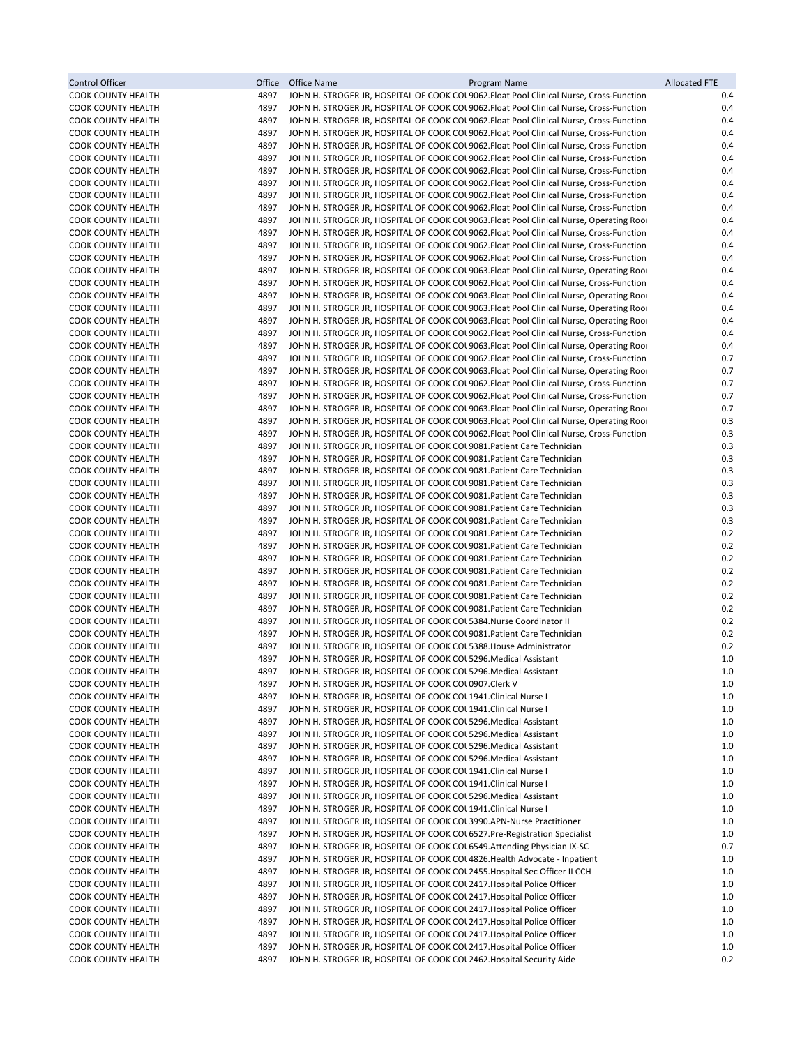| <b>Control Officer</b>                                 | Office       | Office Name<br>Program Name                                                                                                                                                          | <b>Allocated FTE</b> |
|--------------------------------------------------------|--------------|--------------------------------------------------------------------------------------------------------------------------------------------------------------------------------------|----------------------|
| <b>COOK COUNTY HEALTH</b>                              | 4897         | JOHN H. STROGER JR, HOSPITAL OF COOK COL 9062. Float Pool Clinical Nurse, Cross-Function                                                                                             | 0.4                  |
| <b>COOK COUNTY HEALTH</b>                              | 4897         | JOHN H. STROGER JR, HOSPITAL OF COOK COL 9062. Float Pool Clinical Nurse, Cross-Function                                                                                             | 0.4                  |
| <b>COOK COUNTY HEALTH</b>                              | 4897         | JOHN H. STROGER JR, HOSPITAL OF COOK COL 9062. Float Pool Clinical Nurse, Cross-Function                                                                                             | 0.4                  |
| <b>COOK COUNTY HEALTH</b>                              | 4897         | JOHN H. STROGER JR, HOSPITAL OF COOK COL 9062. Float Pool Clinical Nurse, Cross-Function                                                                                             | 0.4                  |
| <b>COOK COUNTY HEALTH</b><br><b>COOK COUNTY HEALTH</b> | 4897<br>4897 | JOHN H. STROGER JR, HOSPITAL OF COOK COL 9062. Float Pool Clinical Nurse, Cross-Function<br>JOHN H. STROGER JR, HOSPITAL OF COOK COL 9062. Float Pool Clinical Nurse, Cross-Function | 0.4<br>0.4           |
| <b>COOK COUNTY HEALTH</b>                              | 4897         | JOHN H. STROGER JR, HOSPITAL OF COOK COL 9062. Float Pool Clinical Nurse, Cross-Function                                                                                             | 0.4                  |
| <b>COOK COUNTY HEALTH</b>                              | 4897         | JOHN H. STROGER JR, HOSPITAL OF COOK COL 9062. Float Pool Clinical Nurse, Cross-Function                                                                                             | 0.4                  |
| <b>COOK COUNTY HEALTH</b>                              | 4897         | JOHN H. STROGER JR, HOSPITAL OF COOK COL 9062. Float Pool Clinical Nurse, Cross-Function                                                                                             | 0.4                  |
| <b>COOK COUNTY HEALTH</b>                              | 4897         | JOHN H. STROGER JR, HOSPITAL OF COOK COL 9062. Float Pool Clinical Nurse, Cross-Function                                                                                             | 0.4                  |
| <b>COOK COUNTY HEALTH</b>                              | 4897         | JOHN H. STROGER JR, HOSPITAL OF COOK COL 9063. Float Pool Clinical Nurse, Operating Roor                                                                                             | 0.4                  |
| <b>COOK COUNTY HEALTH</b>                              | 4897         | JOHN H. STROGER JR, HOSPITAL OF COOK COL 9062. Float Pool Clinical Nurse, Cross-Function                                                                                             | 0.4                  |
| <b>COOK COUNTY HEALTH</b>                              | 4897         | JOHN H. STROGER JR, HOSPITAL OF COOK COL 9062.Float Pool Clinical Nurse, Cross-Function                                                                                              | 0.4                  |
| <b>COOK COUNTY HEALTH</b>                              | 4897         | JOHN H. STROGER JR, HOSPITAL OF COOK COL 9062. Float Pool Clinical Nurse, Cross-Function                                                                                             | 0.4                  |
| <b>COOK COUNTY HEALTH</b><br><b>COOK COUNTY HEALTH</b> | 4897<br>4897 | JOHN H. STROGER JR, HOSPITAL OF COOK COL 9063. Float Pool Clinical Nurse, Operating Roor<br>JOHN H. STROGER JR, HOSPITAL OF COOK COL 9062. Float Pool Clinical Nurse, Cross-Function | 0.4<br>0.4           |
| <b>COOK COUNTY HEALTH</b>                              | 4897         | JOHN H. STROGER JR, HOSPITAL OF COOK COU 9063. Float Pool Clinical Nurse, Operating Roor                                                                                             | 0.4                  |
| <b>COOK COUNTY HEALTH</b>                              | 4897         | JOHN H. STROGER JR, HOSPITAL OF COOK COL 9063. Float Pool Clinical Nurse, Operating Roor                                                                                             | 0.4                  |
| <b>COOK COUNTY HEALTH</b>                              | 4897         | JOHN H. STROGER JR, HOSPITAL OF COOK COL 9063. Float Pool Clinical Nurse, Operating Roor                                                                                             | 0.4                  |
| <b>COOK COUNTY HEALTH</b>                              | 4897         | JOHN H. STROGER JR, HOSPITAL OF COOK COL 9062.Float Pool Clinical Nurse, Cross-Function                                                                                              | 0.4                  |
| <b>COOK COUNTY HEALTH</b>                              | 4897         | JOHN H. STROGER JR, HOSPITAL OF COOK COL 9063. Float Pool Clinical Nurse, Operating Roor                                                                                             | 0.4                  |
| <b>COOK COUNTY HEALTH</b>                              | 4897         | JOHN H. STROGER JR, HOSPITAL OF COOK COL 9062. Float Pool Clinical Nurse, Cross-Function                                                                                             | 0.7                  |
| <b>COOK COUNTY HEALTH</b>                              | 4897         | JOHN H. STROGER JR, HOSPITAL OF COOK COL 9063. Float Pool Clinical Nurse, Operating Roor                                                                                             | 0.7                  |
| <b>COOK COUNTY HEALTH</b>                              | 4897         | JOHN H. STROGER JR, HOSPITAL OF COOK COL 9062. Float Pool Clinical Nurse, Cross-Function                                                                                             | 0.7                  |
| <b>COOK COUNTY HEALTH</b><br><b>COOK COUNTY HEALTH</b> | 4897<br>4897 | JOHN H. STROGER JR, HOSPITAL OF COOK COL 9062. Float Pool Clinical Nurse, Cross-Function                                                                                             | 0.7<br>0.7           |
| <b>COOK COUNTY HEALTH</b>                              | 4897         | JOHN H. STROGER JR, HOSPITAL OF COOK COL 9063. Float Pool Clinical Nurse, Operating Roor<br>JOHN H. STROGER JR, HOSPITAL OF COOK COL 9063. Float Pool Clinical Nurse, Operating Roor | 0.3                  |
| <b>COOK COUNTY HEALTH</b>                              | 4897         | JOHN H. STROGER JR, HOSPITAL OF COOK COL 9062. Float Pool Clinical Nurse, Cross-Function                                                                                             | 0.3                  |
| <b>COOK COUNTY HEALTH</b>                              | 4897         | JOHN H. STROGER JR, HOSPITAL OF COOK COL 9081. Patient Care Technician                                                                                                               | 0.3                  |
| <b>COOK COUNTY HEALTH</b>                              | 4897         | JOHN H. STROGER JR, HOSPITAL OF COOK COL 9081. Patient Care Technician                                                                                                               | 0.3                  |
| <b>COOK COUNTY HEALTH</b>                              | 4897         | JOHN H. STROGER JR, HOSPITAL OF COOK COL 9081. Patient Care Technician                                                                                                               | 0.3                  |
| <b>COOK COUNTY HEALTH</b>                              | 4897         | JOHN H. STROGER JR, HOSPITAL OF COOK COL 9081. Patient Care Technician                                                                                                               | 0.3                  |
| <b>COOK COUNTY HEALTH</b>                              | 4897         | JOHN H. STROGER JR, HOSPITAL OF COOK COL 9081. Patient Care Technician                                                                                                               | 0.3                  |
| <b>COOK COUNTY HEALTH</b>                              | 4897         | JOHN H. STROGER JR, HOSPITAL OF COOK COL 9081. Patient Care Technician                                                                                                               | 0.3<br>0.3           |
| <b>COOK COUNTY HEALTH</b><br><b>COOK COUNTY HEALTH</b> | 4897<br>4897 | JOHN H. STROGER JR, HOSPITAL OF COOK COL 9081. Patient Care Technician<br>JOHN H. STROGER JR, HOSPITAL OF COOK COL 9081. Patient Care Technician                                     | 0.2                  |
| <b>COOK COUNTY HEALTH</b>                              | 4897         | JOHN H. STROGER JR, HOSPITAL OF COOK COL 9081. Patient Care Technician                                                                                                               | 0.2                  |
| <b>COOK COUNTY HEALTH</b>                              | 4897         | JOHN H. STROGER JR, HOSPITAL OF COOK COL 9081. Patient Care Technician                                                                                                               | 0.2                  |
| <b>COOK COUNTY HEALTH</b>                              | 4897         | JOHN H. STROGER JR, HOSPITAL OF COOK COL 9081. Patient Care Technician                                                                                                               | 0.2                  |
| <b>COOK COUNTY HEALTH</b>                              | 4897         | JOHN H. STROGER JR, HOSPITAL OF COOK COL 9081. Patient Care Technician                                                                                                               | 0.2                  |
| <b>COOK COUNTY HEALTH</b>                              | 4897         | JOHN H. STROGER JR, HOSPITAL OF COOK COL 9081. Patient Care Technician                                                                                                               | 0.2                  |
| <b>COOK COUNTY HEALTH</b>                              | 4897         | JOHN H. STROGER JR, HOSPITAL OF COOK COL 9081. Patient Care Technician                                                                                                               | 0.2                  |
| <b>COOK COUNTY HEALTH</b>                              | 4897<br>4897 | JOHN H. STROGER JR, HOSPITAL OF COOK COL 5384. Nurse Coordinator II                                                                                                                  | 0.2<br>0.2           |
| <b>COOK COUNTY HEALTH</b><br><b>COOK COUNTY HEALTH</b> | 4897         | JOHN H. STROGER JR, HOSPITAL OF COOK COL 9081. Patient Care Technician<br>JOHN H. STROGER JR, HOSPITAL OF COOK COL 5388 House Administrator                                          | 0.2                  |
| <b>COOK COUNTY HEALTH</b>                              | 4897         | JOHN H. STROGER JR, HOSPITAL OF COOK COL 5296. Medical Assistant                                                                                                                     | 1.0                  |
| <b>COOK COUNTY HEALTH</b>                              | 4897         | JOHN H. STROGER JR, HOSPITAL OF COOK COL 5296. Medical Assistant                                                                                                                     | $1.0\,$              |
| <b>COOK COUNTY HEALTH</b>                              | 4897         | JOHN H. STROGER JR, HOSPITAL OF COOK COL0907.Clerk V                                                                                                                                 | 1.0                  |
| <b>COOK COUNTY HEALTH</b>                              | 4897         | JOHN H. STROGER JR, HOSPITAL OF COOK COL 1941. Clinical Nurse I                                                                                                                      | 1.0                  |
| <b>COOK COUNTY HEALTH</b>                              | 4897         | JOHN H. STROGER JR, HOSPITAL OF COOK COL 1941. Clinical Nurse I                                                                                                                      | 1.0                  |
| <b>COOK COUNTY HEALTH</b>                              | 4897         | JOHN H. STROGER JR, HOSPITAL OF COOK COL 5296. Medical Assistant                                                                                                                     | 1.0                  |
| <b>COOK COUNTY HEALTH</b>                              | 4897         | JOHN H. STROGER JR, HOSPITAL OF COOK COL5296. Medical Assistant                                                                                                                      | 1.0                  |
| <b>COOK COUNTY HEALTH</b><br><b>COOK COUNTY HEALTH</b> | 4897<br>4897 | JOHN H. STROGER JR, HOSPITAL OF COOK COL 5296. Medical Assistant<br>JOHN H. STROGER JR, HOSPITAL OF COOK COL 5296. Medical Assistant                                                 | 1.0<br>1.0           |
| <b>COOK COUNTY HEALTH</b>                              | 4897         | JOHN H. STROGER JR, HOSPITAL OF COOK COL 1941. Clinical Nurse I                                                                                                                      | 1.0                  |
| <b>COOK COUNTY HEALTH</b>                              | 4897         | JOHN H. STROGER JR, HOSPITAL OF COOK COL 1941. Clinical Nurse I                                                                                                                      | 1.0                  |
| <b>COOK COUNTY HEALTH</b>                              | 4897         | JOHN H. STROGER JR, HOSPITAL OF COOK COL 5296. Medical Assistant                                                                                                                     | 1.0                  |
| <b>COOK COUNTY HEALTH</b>                              | 4897         | JOHN H. STROGER JR, HOSPITAL OF COOK COL 1941. Clinical Nurse I                                                                                                                      | 1.0                  |
| <b>COOK COUNTY HEALTH</b>                              | 4897         | JOHN H. STROGER JR, HOSPITAL OF COOK COL 3990.APN-Nurse Practitioner                                                                                                                 | 1.0                  |
| <b>COOK COUNTY HEALTH</b>                              | 4897         | JOHN H. STROGER JR, HOSPITAL OF COOK COUS 527. Pre-Registration Specialist                                                                                                           | 1.0                  |
| COOK COUNTY HEALTH                                     | 4897         | JOHN H. STROGER JR, HOSPITAL OF COOK COL 6549. Attending Physician IX-SC                                                                                                             | 0.7                  |
| <b>COOK COUNTY HEALTH</b>                              | 4897         | JOHN H. STROGER JR, HOSPITAL OF COOK COL 4826. Health Advocate - Inpatient                                                                                                           | 1.0                  |
| <b>COOK COUNTY HEALTH</b><br>COOK COUNTY HEALTH        | 4897<br>4897 | JOHN H. STROGER JR, HOSPITAL OF COOK COL 2455. Hospital Sec Officer II CCH<br>JOHN H. STROGER JR, HOSPITAL OF COOK COL 2417. Hospital Police Officer                                 | 1.0<br>1.0           |
| <b>COOK COUNTY HEALTH</b>                              | 4897         | JOHN H. STROGER JR, HOSPITAL OF COOK COL 2417. Hospital Police Officer                                                                                                               | 1.0                  |
| <b>COOK COUNTY HEALTH</b>                              | 4897         | JOHN H. STROGER JR, HOSPITAL OF COOK COL 2417 Hospital Police Officer                                                                                                                | 1.0                  |
| <b>COOK COUNTY HEALTH</b>                              | 4897         | JOHN H. STROGER JR, HOSPITAL OF COOK COL 2417. Hospital Police Officer                                                                                                               | 1.0                  |
| <b>COOK COUNTY HEALTH</b>                              | 4897         | JOHN H. STROGER JR, HOSPITAL OF COOK COL 2417. Hospital Police Officer                                                                                                               | 1.0                  |
| <b>COOK COUNTY HEALTH</b>                              | 4897         | JOHN H. STROGER JR, HOSPITAL OF COOK COL 2417. Hospital Police Officer                                                                                                               | 1.0                  |
| <b>COOK COUNTY HEALTH</b>                              | 4897         | JOHN H. STROGER JR, HOSPITAL OF COOK COL 2462. Hospital Security Aide                                                                                                                | 0.2                  |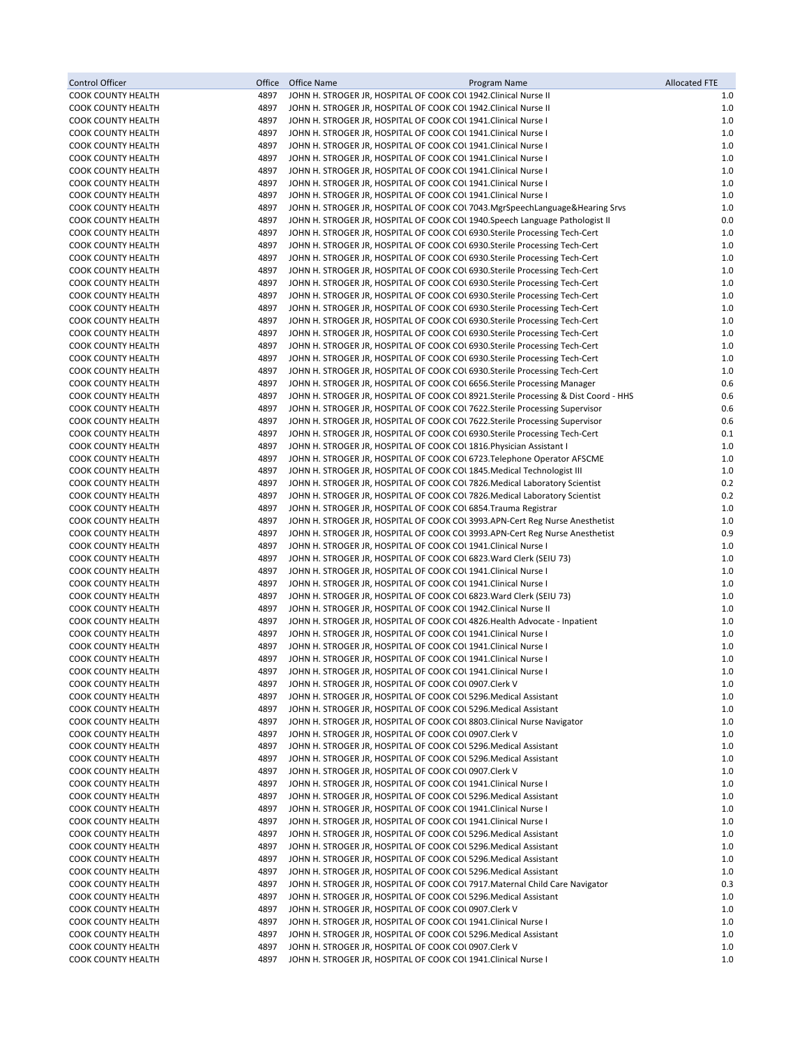| Control Officer                                        | Office       | Office Name<br>Program Name                                                                                                                                | <b>Allocated FTE</b> |
|--------------------------------------------------------|--------------|------------------------------------------------------------------------------------------------------------------------------------------------------------|----------------------|
| <b>COOK COUNTY HEALTH</b>                              | 4897         | JOHN H. STROGER JR, HOSPITAL OF COOK COL 1942. Clinical Nurse II                                                                                           | 1.0                  |
| <b>COOK COUNTY HEALTH</b>                              | 4897         | JOHN H. STROGER JR, HOSPITAL OF COOK COL 1942. Clinical Nurse II                                                                                           | 1.0                  |
| <b>COOK COUNTY HEALTH</b>                              | 4897         | JOHN H. STROGER JR, HOSPITAL OF COOK COL 1941. Clinical Nurse I                                                                                            | 1.0                  |
| COOK COUNTY HEALTH                                     | 4897         | JOHN H. STROGER JR, HOSPITAL OF COOK COL 1941. Clinical Nurse I                                                                                            | 1.0                  |
| <b>COOK COUNTY HEALTH</b>                              | 4897         | JOHN H. STROGER JR, HOSPITAL OF COOK COL 1941. Clinical Nurse I                                                                                            | $1.0$                |
| <b>COOK COUNTY HEALTH</b><br><b>COOK COUNTY HEALTH</b> | 4897<br>4897 | JOHN H. STROGER JR, HOSPITAL OF COOK COL 1941. Clinical Nurse I<br>JOHN H. STROGER JR, HOSPITAL OF COOK COL 1941. Clinical Nurse I                         | 1.0<br>1.0           |
| <b>COOK COUNTY HEALTH</b>                              | 4897         | JOHN H. STROGER JR, HOSPITAL OF COOK COL 1941. Clinical Nurse I                                                                                            | 1.0                  |
| <b>COOK COUNTY HEALTH</b>                              | 4897         | JOHN H. STROGER JR, HOSPITAL OF COOK COL 1941. Clinical Nurse I                                                                                            | 1.0                  |
| <b>COOK COUNTY HEALTH</b>                              | 4897         | JOHN H. STROGER JR, HOSPITAL OF COOK COUT043.MgrSpeechLanguage&Hearing Srvs                                                                                | 1.0                  |
| <b>COOK COUNTY HEALTH</b>                              | 4897         | JOHN H. STROGER JR, HOSPITAL OF COOK COL 1940. Speech Language Pathologist II                                                                              | 0.0                  |
| <b>COOK COUNTY HEALTH</b>                              | 4897         | JOHN H. STROGER JR, HOSPITAL OF COOK COL 6930. Sterile Processing Tech-Cert                                                                                | 1.0                  |
| <b>COOK COUNTY HEALTH</b>                              | 4897         | JOHN H. STROGER JR, HOSPITAL OF COOK COL 6930. Sterile Processing Tech-Cert                                                                                | 1.0                  |
| <b>COOK COUNTY HEALTH</b>                              | 4897         | JOHN H. STROGER JR, HOSPITAL OF COOK COL 6930. Sterile Processing Tech-Cert                                                                                | 1.0                  |
| <b>COOK COUNTY HEALTH</b>                              | 4897         | JOHN H. STROGER JR, HOSPITAL OF COOK COL 6930. Sterile Processing Tech-Cert                                                                                | 1.0                  |
| <b>COOK COUNTY HEALTH</b>                              | 4897         | JOHN H. STROGER JR, HOSPITAL OF COOK COL 6930. Sterile Processing Tech-Cert                                                                                | 1.0                  |
| <b>COOK COUNTY HEALTH</b>                              | 4897         | JOHN H. STROGER JR, HOSPITAL OF COOK COL 6930. Sterile Processing Tech-Cert                                                                                | $1.0$                |
| <b>COOK COUNTY HEALTH</b>                              | 4897         | JOHN H. STROGER JR, HOSPITAL OF COOK COL 6930. Sterile Processing Tech-Cert                                                                                | $1.0$<br>1.0         |
| <b>COOK COUNTY HEALTH</b><br>COOK COUNTY HEALTH        | 4897<br>4897 | JOHN H. STROGER JR, HOSPITAL OF COOK COL 6930. Sterile Processing Tech-Cert<br>JOHN H. STROGER JR, HOSPITAL OF COOK COL 6930. Sterile Processing Tech-Cert | $1.0$                |
| <b>COOK COUNTY HEALTH</b>                              | 4897         | JOHN H. STROGER JR, HOSPITAL OF COOK COL 6930. Sterile Processing Tech-Cert                                                                                | $1.0$                |
| <b>COOK COUNTY HEALTH</b>                              | 4897         | JOHN H. STROGER JR, HOSPITAL OF COOK COL 6930. Sterile Processing Tech-Cert                                                                                | 1.0                  |
| <b>COOK COUNTY HEALTH</b>                              | 4897         | JOHN H. STROGER JR, HOSPITAL OF COOK COL 6930. Sterile Processing Tech-Cert                                                                                | 1.0                  |
| <b>COOK COUNTY HEALTH</b>                              | 4897         | JOHN H. STROGER JR, HOSPITAL OF COOK COL 6656. Sterile Processing Manager                                                                                  | 0.6                  |
| <b>COOK COUNTY HEALTH</b>                              | 4897         | JOHN H. STROGER JR, HOSPITAL OF COOK COL 8921.Sterile Processing & Dist Coord - HHS                                                                        | 0.6                  |
| <b>COOK COUNTY HEALTH</b>                              | 4897         | JOHN H. STROGER JR, HOSPITAL OF COOK COL 7622. Sterile Processing Supervisor                                                                               | 0.6                  |
| <b>COOK COUNTY HEALTH</b>                              | 4897         | JOHN H. STROGER JR, HOSPITAL OF COOK COL 7622. Sterile Processing Supervisor                                                                               | 0.6                  |
| <b>COOK COUNTY HEALTH</b>                              | 4897         | JOHN H. STROGER JR, HOSPITAL OF COOK COL 6930. Sterile Processing Tech-Cert                                                                                | 0.1                  |
| <b>COOK COUNTY HEALTH</b>                              | 4897         | JOHN H. STROGER JR, HOSPITAL OF COOK COL 1816. Physician Assistant I                                                                                       | 1.0                  |
| COOK COUNTY HEALTH                                     | 4897         | JOHN H. STROGER JR, HOSPITAL OF COOK COL 6723. Telephone Operator AFSCME                                                                                   | 1.0                  |
| <b>COOK COUNTY HEALTH</b>                              | 4897         | JOHN H. STROGER JR, HOSPITAL OF COOK COL 1845. Medical Technologist III                                                                                    | 1.0                  |
| <b>COOK COUNTY HEALTH</b><br><b>COOK COUNTY HEALTH</b> | 4897<br>4897 | JOHN H. STROGER JR, HOSPITAL OF COOK COL 7826. Medical Laboratory Scientist<br>JOHN H. STROGER JR, HOSPITAL OF COOK COL 7826. Medical Laboratory Scientist | 0.2<br>0.2           |
| COOK COUNTY HEALTH                                     | 4897         | JOHN H. STROGER JR, HOSPITAL OF COOK COL 6854. Trauma Registrar                                                                                            | 1.0                  |
| <b>COOK COUNTY HEALTH</b>                              | 4897         | JOHN H. STROGER JR, HOSPITAL OF COOK COL 3993.APN-Cert Reg Nurse Anesthetist                                                                               | 1.0                  |
| <b>COOK COUNTY HEALTH</b>                              | 4897         | JOHN H. STROGER JR, HOSPITAL OF COOK COL 3993.APN-Cert Reg Nurse Anesthetist                                                                               | 0.9                  |
| <b>COOK COUNTY HEALTH</b>                              | 4897         | JOHN H. STROGER JR, HOSPITAL OF COOK COL 1941. Clinical Nurse I                                                                                            | 1.0                  |
| <b>COOK COUNTY HEALTH</b>                              | 4897         | JOHN H. STROGER JR, HOSPITAL OF COOK COL 6823. Ward Clerk (SEIU 73)                                                                                        | 1.0                  |
| <b>COOK COUNTY HEALTH</b>                              | 4897         | JOHN H. STROGER JR, HOSPITAL OF COOK COL 1941. Clinical Nurse I                                                                                            | 1.0                  |
| <b>COOK COUNTY HEALTH</b>                              | 4897         | JOHN H. STROGER JR, HOSPITAL OF COOK COL 1941. Clinical Nurse I                                                                                            | 1.0                  |
| <b>COOK COUNTY HEALTH</b>                              | 4897         | JOHN H. STROGER JR, HOSPITAL OF COOK COL 6823. Ward Clerk (SEIU 73)                                                                                        | 1.0                  |
| <b>COOK COUNTY HEALTH</b>                              | 4897         | JOHN H. STROGER JR, HOSPITAL OF COOK COL 1942. Clinical Nurse II                                                                                           | 1.0                  |
| <b>COOK COUNTY HEALTH</b><br><b>COOK COUNTY HEALTH</b> | 4897<br>4897 | JOHN H. STROGER JR, HOSPITAL OF COOK COL 4826. Health Advocate - Inpatient<br>JOHN H. STROGER JR, HOSPITAL OF COOK COL 1941.Clinical Nurse I               | 1.0<br>1.0           |
| COOK COUNTY HEALTH                                     | 4897         | JOHN H. STROGER JR, HOSPITAL OF COOK COL 1941. Clinical Nurse I                                                                                            | 1.0                  |
| COOK COUNTY HEALTH                                     | 4897         | JOHN H. STROGER JR, HOSPITAL OF COOK COL 1941. Clinical Nurse I                                                                                            | 1.0                  |
| COOK COUNTY HEALTH                                     | 4897         | JOHN H. STROGER JR, HOSPITAL OF COOK COL 1941.Clinical Nurse I                                                                                             | 1.0                  |
| <b>COOK COUNTY HEALTH</b>                              | 4897         | JOHN H. STROGER JR, HOSPITAL OF COOK COL0907.Clerk V                                                                                                       | 1.0                  |
| <b>COOK COUNTY HEALTH</b>                              | 4897         | JOHN H. STROGER JR, HOSPITAL OF COOK COL 5296. Medical Assistant                                                                                           | 1.0                  |
| <b>COOK COUNTY HEALTH</b>                              | 4897         | JOHN H. STROGER JR, HOSPITAL OF COOK COL 5296. Medical Assistant                                                                                           | 1.0                  |
| <b>COOK COUNTY HEALTH</b>                              | 4897         | JOHN H. STROGER JR, HOSPITAL OF COOK COL 8803. Clinical Nurse Navigator                                                                                    | 1.0                  |
| <b>COOK COUNTY HEALTH</b>                              | 4897         | JOHN H. STROGER JR, HOSPITAL OF COOK COL0907.Clerk V                                                                                                       | 1.0                  |
| <b>COOK COUNTY HEALTH</b>                              | 4897         | JOHN H. STROGER JR, HOSPITAL OF COOK COL 5296. Medical Assistant                                                                                           | 1.0                  |
| <b>COOK COUNTY HEALTH</b>                              | 4897         | JOHN H. STROGER JR, HOSPITAL OF COOK COL5296. Medical Assistant                                                                                            | 1.0                  |
| <b>COOK COUNTY HEALTH</b><br><b>COOK COUNTY HEALTH</b> | 4897<br>4897 | JOHN H. STROGER JR, HOSPITAL OF COOK COL0907.Clerk V<br>JOHN H. STROGER JR, HOSPITAL OF COOK COL 1941. Clinical Nurse I                                    | 1.0<br>1.0           |
| <b>COOK COUNTY HEALTH</b>                              | 4897         | JOHN H. STROGER JR, HOSPITAL OF COOK COL 5296. Medical Assistant                                                                                           | 1.0                  |
| <b>COOK COUNTY HEALTH</b>                              | 4897         | JOHN H. STROGER JR, HOSPITAL OF COOK COL 1941. Clinical Nurse I                                                                                            | 1.0                  |
| <b>COOK COUNTY HEALTH</b>                              | 4897         | JOHN H. STROGER JR, HOSPITAL OF COOK COL 1941. Clinical Nurse I                                                                                            | 1.0                  |
| <b>COOK COUNTY HEALTH</b>                              | 4897         | JOHN H. STROGER JR, HOSPITAL OF COOK COL 5296. Medical Assistant                                                                                           | 1.0                  |
| <b>COOK COUNTY HEALTH</b>                              | 4897         | JOHN H. STROGER JR, HOSPITAL OF COOK COL 5296. Medical Assistant                                                                                           | 1.0                  |
| <b>COOK COUNTY HEALTH</b>                              | 4897         | JOHN H. STROGER JR, HOSPITAL OF COOK COL 5296. Medical Assistant                                                                                           | 1.0                  |
| <b>COOK COUNTY HEALTH</b>                              | 4897         | JOHN H. STROGER JR, HOSPITAL OF COOK COL 5296. Medical Assistant                                                                                           | 1.0                  |
| <b>COOK COUNTY HEALTH</b>                              | 4897         | JOHN H. STROGER JR, HOSPITAL OF COOK COL 7917. Maternal Child Care Navigator                                                                               | 0.3                  |
| <b>COOK COUNTY HEALTH</b>                              | 4897         | JOHN H. STROGER JR, HOSPITAL OF COOK COL 5296. Medical Assistant                                                                                           | 1.0                  |
| <b>COOK COUNTY HEALTH</b>                              | 4897         | JOHN H. STROGER JR, HOSPITAL OF COOK COL0907.Clerk V                                                                                                       | 1.0                  |
| <b>COOK COUNTY HEALTH</b><br><b>COOK COUNTY HEALTH</b> | 4897<br>4897 | JOHN H. STROGER JR, HOSPITAL OF COOK COL 1941. Clinical Nurse I<br>JOHN H. STROGER JR, HOSPITAL OF COOK COL 5296. Medical Assistant                        | 1.0<br>1.0           |
| <b>COOK COUNTY HEALTH</b>                              | 4897         | JOHN H. STROGER JR, HOSPITAL OF COOK COL0907.Clerk V                                                                                                       | 1.0                  |
| COOK COUNTY HEALTH                                     | 4897         | JOHN H. STROGER JR, HOSPITAL OF COOK COL 1941. Clinical Nurse I                                                                                            | 1.0                  |
|                                                        |              |                                                                                                                                                            |                      |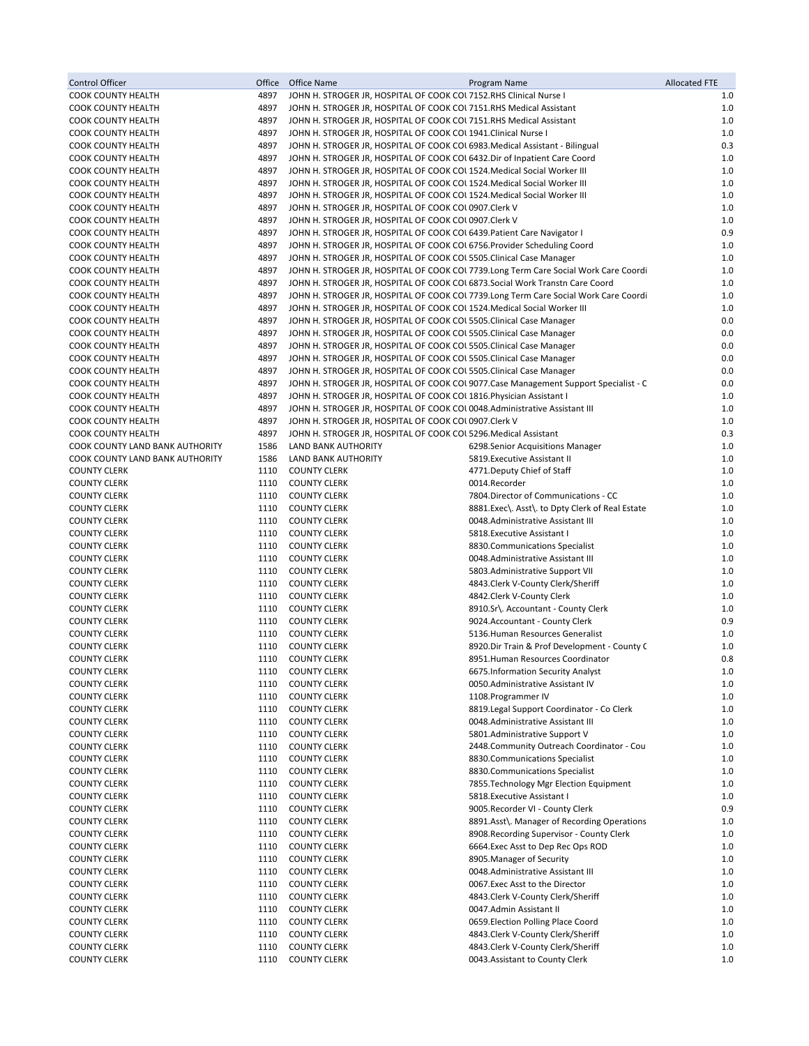| Control Officer                                 | Office       | Office Name                                                                                                                                          | Program Name                                                                          | <b>Allocated FTE</b> |
|-------------------------------------------------|--------------|------------------------------------------------------------------------------------------------------------------------------------------------------|---------------------------------------------------------------------------------------|----------------------|
| <b>COOK COUNTY HEALTH</b>                       | 4897         | JOHN H. STROGER JR, HOSPITAL OF COOK COL 7152.RHS Clinical Nurse I                                                                                   |                                                                                       | 1.0                  |
| <b>COOK COUNTY HEALTH</b>                       | 4897         | JOHN H. STROGER JR, HOSPITAL OF COOK COL 7151.RHS Medical Assistant                                                                                  |                                                                                       | 1.0                  |
| <b>COOK COUNTY HEALTH</b>                       | 4897         | JOHN H. STROGER JR, HOSPITAL OF COOK COL 7151.RHS Medical Assistant                                                                                  |                                                                                       | 1.0                  |
| COOK COUNTY HEALTH                              | 4897         | JOHN H. STROGER JR, HOSPITAL OF COOK COL 1941. Clinical Nurse I                                                                                      |                                                                                       | 1.0                  |
| COOK COUNTY HEALTH                              | 4897         | JOHN H. STROGER JR, HOSPITAL OF COOK COL 6983. Medical Assistant - Bilingual                                                                         |                                                                                       | 0.3                  |
| COOK COUNTY HEALTH                              | 4897<br>4897 | JOHN H. STROGER JR, HOSPITAL OF COOK COL 6432. Dir of Inpatient Care Coord                                                                           |                                                                                       | 1.0<br>1.0           |
| COOK COUNTY HEALTH<br>COOK COUNTY HEALTH        | 4897         | JOHN H. STROGER JR, HOSPITAL OF COOK COL 1524. Medical Social Worker III<br>JOHN H. STROGER JR, HOSPITAL OF COOK COL 1524. Medical Social Worker III |                                                                                       | 1.0                  |
| COOK COUNTY HEALTH                              | 4897         | JOHN H. STROGER JR, HOSPITAL OF COOK COL 1524. Medical Social Worker III                                                                             |                                                                                       | 1.0                  |
| COOK COUNTY HEALTH                              | 4897         | JOHN H. STROGER JR, HOSPITAL OF COOK COL0907.Clerk V                                                                                                 |                                                                                       | 1.0                  |
| <b>COOK COUNTY HEALTH</b>                       | 4897         | JOHN H. STROGER JR, HOSPITAL OF COOK COL0907.Clerk V                                                                                                 |                                                                                       | 1.0                  |
| <b>COOK COUNTY HEALTH</b>                       | 4897         | JOHN H. STROGER JR, HOSPITAL OF COOK COL 6439. Patient Care Navigator I                                                                              |                                                                                       | 0.9                  |
| <b>COOK COUNTY HEALTH</b>                       | 4897         | JOHN H. STROGER JR, HOSPITAL OF COOK COL 6756. Provider Scheduling Coord                                                                             |                                                                                       | 1.0                  |
| <b>COOK COUNTY HEALTH</b>                       | 4897         | JOHN H. STROGER JR, HOSPITAL OF COOK COL 5505. Clinical Case Manager                                                                                 |                                                                                       | 1.0                  |
| <b>COOK COUNTY HEALTH</b>                       | 4897         |                                                                                                                                                      | JOHN H. STROGER JR, HOSPITAL OF COOK COL 7739.Long Term Care Social Work Care Coordi  | 1.0                  |
| COOK COUNTY HEALTH                              | 4897         | JOHN H. STROGER JR, HOSPITAL OF COOK COL 6873. Social Work Transtn Care Coord                                                                        |                                                                                       | 1.0                  |
| <b>COOK COUNTY HEALTH</b>                       | 4897         |                                                                                                                                                      | JOHN H. STROGER JR, HOSPITAL OF COOK COL 7739.Long Term Care Social Work Care Coordi  | 1.0                  |
| COOK COUNTY HEALTH                              | 4897         | JOHN H. STROGER JR, HOSPITAL OF COOK COL 1524. Medical Social Worker III                                                                             |                                                                                       | 1.0                  |
| COOK COUNTY HEALTH<br><b>COOK COUNTY HEALTH</b> | 4897<br>4897 | JOHN H. STROGER JR, HOSPITAL OF COOK COL 5505. Clinical Case Manager<br>JOHN H. STROGER JR, HOSPITAL OF COOK COL 5505. Clinical Case Manager         |                                                                                       | 0.0<br>0.0           |
| <b>COOK COUNTY HEALTH</b>                       | 4897         | JOHN H. STROGER JR, HOSPITAL OF COOK COL 5505. Clinical Case Manager                                                                                 |                                                                                       | 0.0                  |
| COOK COUNTY HEALTH                              | 4897         | JOHN H. STROGER JR, HOSPITAL OF COOK COL 5505. Clinical Case Manager                                                                                 |                                                                                       | 0.0                  |
| <b>COOK COUNTY HEALTH</b>                       | 4897         | JOHN H. STROGER JR, HOSPITAL OF COOK COL 5505 Clinical Case Manager                                                                                  |                                                                                       | 0.0                  |
| <b>COOK COUNTY HEALTH</b>                       | 4897         |                                                                                                                                                      | JOHN H. STROGER JR, HOSPITAL OF COOK COU 9077. Case Management Support Specialist - C | 0.0                  |
| <b>COOK COUNTY HEALTH</b>                       | 4897         | JOHN H. STROGER JR, HOSPITAL OF COOK COL 1816. Physician Assistant I                                                                                 |                                                                                       | 1.0                  |
| COOK COUNTY HEALTH                              | 4897         | JOHN H. STROGER JR, HOSPITAL OF COOK COL 0048. Administrative Assistant III                                                                          |                                                                                       | 1.0                  |
| <b>COOK COUNTY HEALTH</b>                       | 4897         | JOHN H. STROGER JR, HOSPITAL OF COOK COL0907.Clerk V                                                                                                 |                                                                                       | 1.0                  |
| COOK COUNTY HEALTH                              | 4897         | JOHN H. STROGER JR, HOSPITAL OF COOK COL5296. Medical Assistant                                                                                      |                                                                                       | 0.3                  |
| COOK COUNTY LAND BANK AUTHORITY                 | 1586         | LAND BANK AUTHORITY                                                                                                                                  | 6298. Senior Acquisitions Manager                                                     | 1.0                  |
| COOK COUNTY LAND BANK AUTHORITY                 | 1586         | LAND BANK AUTHORITY                                                                                                                                  | 5819. Executive Assistant II                                                          | 1.0                  |
| <b>COUNTY CLERK</b>                             | 1110         | <b>COUNTY CLERK</b>                                                                                                                                  | 4771. Deputy Chief of Staff                                                           | 1.0                  |
| <b>COUNTY CLERK</b><br><b>COUNTY CLERK</b>      | 1110<br>1110 | <b>COUNTY CLERK</b><br><b>COUNTY CLERK</b>                                                                                                           | 0014.Recorder<br>7804. Director of Communications - CC                                | 1.0<br>1.0           |
| <b>COUNTY CLERK</b>                             | 1110         | <b>COUNTY CLERK</b>                                                                                                                                  | 8881.Exec\. Asst\. to Dpty Clerk of Real Estate                                       | 1.0                  |
| <b>COUNTY CLERK</b>                             | 1110         | <b>COUNTY CLERK</b>                                                                                                                                  | 0048.Administrative Assistant III                                                     | 1.0                  |
| <b>COUNTY CLERK</b>                             | 1110         | <b>COUNTY CLERK</b>                                                                                                                                  | 5818. Executive Assistant I                                                           | 1.0                  |
| <b>COUNTY CLERK</b>                             | 1110         | <b>COUNTY CLERK</b>                                                                                                                                  | 8830.Communications Specialist                                                        | 1.0                  |
| <b>COUNTY CLERK</b>                             | 1110         | <b>COUNTY CLERK</b>                                                                                                                                  | 0048.Administrative Assistant III                                                     | 1.0                  |
| <b>COUNTY CLERK</b>                             | 1110         | <b>COUNTY CLERK</b>                                                                                                                                  | 5803.Administrative Support VII                                                       | 1.0                  |
| <b>COUNTY CLERK</b>                             | 1110         | <b>COUNTY CLERK</b>                                                                                                                                  | 4843.Clerk V-County Clerk/Sheriff                                                     | 1.0                  |
| <b>COUNTY CLERK</b>                             | 1110         | <b>COUNTY CLERK</b>                                                                                                                                  | 4842.Clerk V-County Clerk                                                             | 1.0                  |
| <b>COUNTY CLERK</b>                             | 1110         | <b>COUNTY CLERK</b>                                                                                                                                  | 8910.Sr\. Accountant - County Clerk                                                   | 1.0                  |
| <b>COUNTY CLERK</b>                             | 1110         | <b>COUNTY CLERK</b>                                                                                                                                  | 9024.Accountant - County Clerk                                                        | 0.9                  |
| <b>COUNTY CLERK</b><br><b>COUNTY CLERK</b>      | 1110<br>1110 | <b>COUNTY CLERK</b><br><b>COUNTY CLERK</b>                                                                                                           | 5136. Human Resources Generalist<br>8920.Dir Train & Prof Development - County C      | 1.0<br>1.0           |
| <b>COUNTY CLERK</b>                             | 1110         | <b>COUNTY CLERK</b>                                                                                                                                  | 8951.Human Resources Coordinator                                                      | 0.8                  |
| <b>COUNTY CLERK</b>                             | 1110         | <b>COUNTY CLERK</b>                                                                                                                                  | 6675.Information Security Analyst                                                     | 1.0                  |
| <b>COUNTY CLERK</b>                             | 1110         | <b>COUNTY CLERK</b>                                                                                                                                  | 0050.Administrative Assistant IV                                                      | 1.0                  |
| <b>COUNTY CLERK</b>                             | 1110         | <b>COUNTY CLERK</b>                                                                                                                                  | 1108. Programmer IV                                                                   | 1.0                  |
| <b>COUNTY CLERK</b>                             | 1110         | <b>COUNTY CLERK</b>                                                                                                                                  | 8819. Legal Support Coordinator - Co Clerk                                            | 1.0                  |
| <b>COUNTY CLERK</b>                             | 1110         | <b>COUNTY CLERK</b>                                                                                                                                  | 0048.Administrative Assistant III                                                     | 1.0                  |
| <b>COUNTY CLERK</b>                             | 1110         | <b>COUNTY CLERK</b>                                                                                                                                  | 5801. Administrative Support V                                                        | 1.0                  |
| <b>COUNTY CLERK</b>                             | 1110         | <b>COUNTY CLERK</b>                                                                                                                                  | 2448. Community Outreach Coordinator - Cou                                            | 1.0                  |
| <b>COUNTY CLERK</b>                             | 1110         | <b>COUNTY CLERK</b>                                                                                                                                  | 8830.Communications Specialist                                                        | 1.0                  |
| <b>COUNTY CLERK</b>                             | 1110         | <b>COUNTY CLERK</b>                                                                                                                                  | 8830.Communications Specialist                                                        | 1.0                  |
| <b>COUNTY CLERK</b><br><b>COUNTY CLERK</b>      | 1110<br>1110 | <b>COUNTY CLERK</b><br><b>COUNTY CLERK</b>                                                                                                           | 7855. Technology Mgr Election Equipment<br>5818. Executive Assistant I                | 1.0<br>1.0           |
| <b>COUNTY CLERK</b>                             | 1110         | <b>COUNTY CLERK</b>                                                                                                                                  | 9005.Recorder VI - County Clerk                                                       | 0.9                  |
| <b>COUNTY CLERK</b>                             | 1110         | <b>COUNTY CLERK</b>                                                                                                                                  | 8891.Asst\. Manager of Recording Operations                                           | 1.0                  |
| <b>COUNTY CLERK</b>                             | 1110         | <b>COUNTY CLERK</b>                                                                                                                                  | 8908. Recording Supervisor - County Clerk                                             | 1.0                  |
| <b>COUNTY CLERK</b>                             | 1110         | <b>COUNTY CLERK</b>                                                                                                                                  | 6664. Exec Asst to Dep Rec Ops ROD                                                    | 1.0                  |
| <b>COUNTY CLERK</b>                             | 1110         | <b>COUNTY CLERK</b>                                                                                                                                  | 8905. Manager of Security                                                             | 1.0                  |
| <b>COUNTY CLERK</b>                             | 1110         | <b>COUNTY CLERK</b>                                                                                                                                  | 0048.Administrative Assistant III                                                     | 1.0                  |
| <b>COUNTY CLERK</b>                             | 1110         | <b>COUNTY CLERK</b>                                                                                                                                  | 0067.Exec Asst to the Director                                                        | 1.0                  |
| <b>COUNTY CLERK</b>                             | 1110         | <b>COUNTY CLERK</b>                                                                                                                                  | 4843. Clerk V-County Clerk/Sheriff                                                    | 1.0                  |
| <b>COUNTY CLERK</b>                             | 1110         | <b>COUNTY CLERK</b>                                                                                                                                  | 0047.Admin Assistant II                                                               | 1.0                  |
| <b>COUNTY CLERK</b>                             | 1110         | <b>COUNTY CLERK</b>                                                                                                                                  | 0659. Election Polling Place Coord                                                    | 1.0                  |
| <b>COUNTY CLERK</b><br><b>COUNTY CLERK</b>      | 1110<br>1110 | <b>COUNTY CLERK</b><br><b>COUNTY CLERK</b>                                                                                                           | 4843. Clerk V-County Clerk/Sheriff<br>4843. Clerk V-County Clerk/Sheriff              | 1.0<br>1.0           |
| <b>COUNTY CLERK</b>                             | 1110         | <b>COUNTY CLERK</b>                                                                                                                                  | 0043.Assistant to County Clerk                                                        | 1.0                  |
|                                                 |              |                                                                                                                                                      |                                                                                       |                      |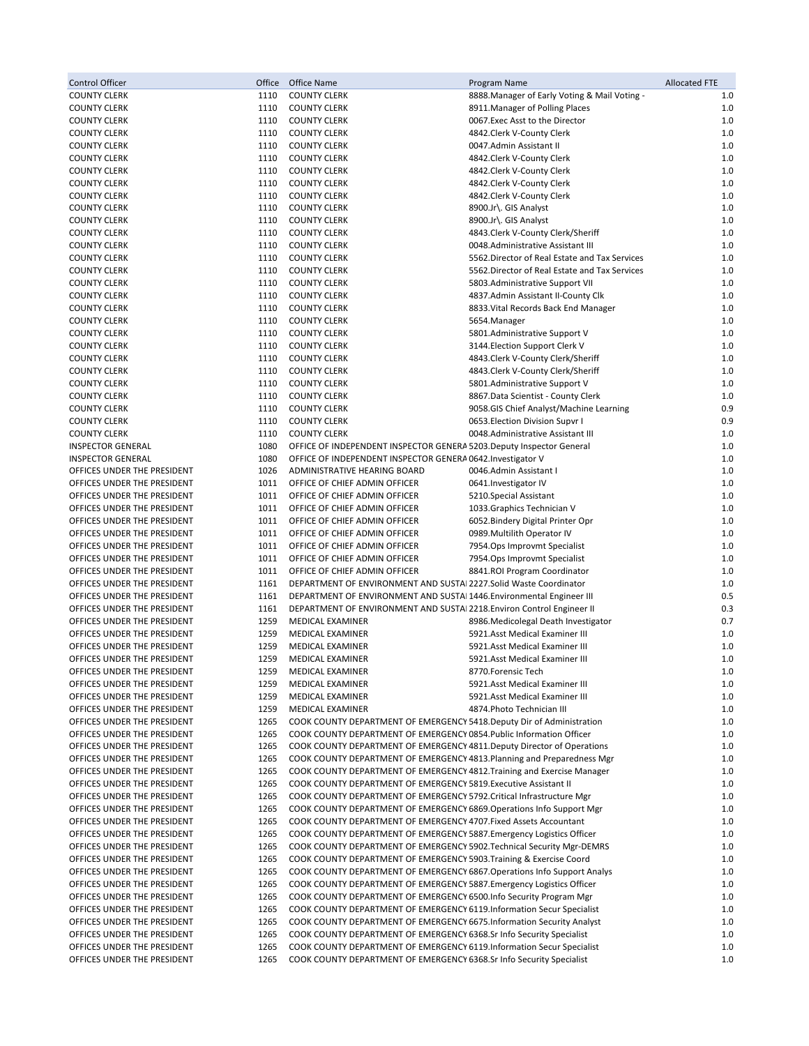| Control Officer                                            | Office       | Office Name                                                                                                                                        | Program Name                                                            | <b>Allocated FTE</b> |
|------------------------------------------------------------|--------------|----------------------------------------------------------------------------------------------------------------------------------------------------|-------------------------------------------------------------------------|----------------------|
| <b>COUNTY CLERK</b>                                        | 1110         | <b>COUNTY CLERK</b>                                                                                                                                | 8888. Manager of Early Voting & Mail Voting -                           | 1.0                  |
| <b>COUNTY CLERK</b>                                        | 1110         | <b>COUNTY CLERK</b>                                                                                                                                | 8911. Manager of Polling Places                                         | 1.0                  |
| <b>COUNTY CLERK</b>                                        | 1110         | <b>COUNTY CLERK</b>                                                                                                                                | 0067.Exec Asst to the Director                                          | 1.0                  |
| <b>COUNTY CLERK</b>                                        | 1110         | <b>COUNTY CLERK</b>                                                                                                                                | 4842.Clerk V-County Clerk                                               | 1.0                  |
| <b>COUNTY CLERK</b>                                        | 1110         | <b>COUNTY CLERK</b>                                                                                                                                | 0047.Admin Assistant II                                                 | 1.0                  |
| <b>COUNTY CLERK</b><br><b>COUNTY CLERK</b>                 | 1110<br>1110 | <b>COUNTY CLERK</b><br><b>COUNTY CLERK</b>                                                                                                         | 4842.Clerk V-County Clerk<br>4842.Clerk V-County Clerk                  | 1.0<br>1.0           |
| <b>COUNTY CLERK</b>                                        | 1110         | <b>COUNTY CLERK</b>                                                                                                                                | 4842.Clerk V-County Clerk                                               | 1.0                  |
| <b>COUNTY CLERK</b>                                        | 1110         | <b>COUNTY CLERK</b>                                                                                                                                | 4842.Clerk V-County Clerk                                               | 1.0                  |
| <b>COUNTY CLERK</b>                                        | 1110         | <b>COUNTY CLERK</b>                                                                                                                                | 8900.Jr\. GIS Analyst                                                   | 1.0                  |
| <b>COUNTY CLERK</b>                                        | 1110         | <b>COUNTY CLERK</b>                                                                                                                                | 8900.Jr\. GIS Analyst                                                   | 1.0                  |
| <b>COUNTY CLERK</b>                                        | 1110         | <b>COUNTY CLERK</b>                                                                                                                                | 4843. Clerk V-County Clerk/Sheriff                                      | 1.0                  |
| <b>COUNTY CLERK</b>                                        | 1110         | <b>COUNTY CLERK</b>                                                                                                                                | 0048.Administrative Assistant III                                       | 1.0                  |
| <b>COUNTY CLERK</b>                                        | 1110         | <b>COUNTY CLERK</b>                                                                                                                                | 5562. Director of Real Estate and Tax Services                          | 1.0                  |
| <b>COUNTY CLERK</b>                                        | 1110         | <b>COUNTY CLERK</b>                                                                                                                                | 5562. Director of Real Estate and Tax Services                          | 1.0                  |
| <b>COUNTY CLERK</b>                                        | 1110         | <b>COUNTY CLERK</b>                                                                                                                                | 5803.Administrative Support VII                                         | 1.0                  |
| <b>COUNTY CLERK</b>                                        | 1110         | <b>COUNTY CLERK</b>                                                                                                                                | 4837.Admin Assistant II-County Clk                                      | 1.0                  |
| <b>COUNTY CLERK</b>                                        | 1110         | <b>COUNTY CLERK</b>                                                                                                                                | 8833. Vital Records Back End Manager                                    | 1.0                  |
| <b>COUNTY CLERK</b>                                        | 1110         | <b>COUNTY CLERK</b>                                                                                                                                | 5654.Manager                                                            | 1.0                  |
| <b>COUNTY CLERK</b>                                        | 1110         | <b>COUNTY CLERK</b>                                                                                                                                | 5801.Administrative Support V                                           | 1.0                  |
| <b>COUNTY CLERK</b>                                        | 1110<br>1110 | <b>COUNTY CLERK</b><br><b>COUNTY CLERK</b>                                                                                                         | 3144. Election Support Clerk V                                          | 1.0<br>1.0           |
| <b>COUNTY CLERK</b><br><b>COUNTY CLERK</b>                 | 1110         | <b>COUNTY CLERK</b>                                                                                                                                | 4843.Clerk V-County Clerk/Sheriff<br>4843. Clerk V-County Clerk/Sheriff | 1.0                  |
| <b>COUNTY CLERK</b>                                        | 1110         | <b>COUNTY CLERK</b>                                                                                                                                | 5801.Administrative Support V                                           | 1.0                  |
| <b>COUNTY CLERK</b>                                        | 1110         | <b>COUNTY CLERK</b>                                                                                                                                | 8867.Data Scientist - County Clerk                                      | 1.0                  |
| <b>COUNTY CLERK</b>                                        | 1110         | <b>COUNTY CLERK</b>                                                                                                                                | 9058.GIS Chief Analyst/Machine Learning                                 | 0.9                  |
| <b>COUNTY CLERK</b>                                        | 1110         | <b>COUNTY CLERK</b>                                                                                                                                | 0653. Election Division Supvr I                                         | 0.9                  |
| <b>COUNTY CLERK</b>                                        | 1110         | <b>COUNTY CLERK</b>                                                                                                                                | 0048.Administrative Assistant III                                       | 1.0                  |
| <b>INSPECTOR GENERAL</b>                                   | 1080         | OFFICE OF INDEPENDENT INSPECTOR GENERA 5203. Deputy Inspector General                                                                              |                                                                         | 1.0                  |
| <b>INSPECTOR GENERAL</b>                                   | 1080         | OFFICE OF INDEPENDENT INSPECTOR GENERA 0642. Investigator V                                                                                        |                                                                         | 1.0                  |
| OFFICES UNDER THE PRESIDENT                                | 1026         | ADMINISTRATIVE HEARING BOARD                                                                                                                       | 0046.Admin Assistant I                                                  | 1.0                  |
| OFFICES UNDER THE PRESIDENT                                | 1011         | OFFICE OF CHIEF ADMIN OFFICER                                                                                                                      | 0641.Investigator IV                                                    | 1.0                  |
| OFFICES UNDER THE PRESIDENT                                | 1011         | OFFICE OF CHIEF ADMIN OFFICER                                                                                                                      | 5210.Special Assistant                                                  | 1.0                  |
| OFFICES UNDER THE PRESIDENT                                | 1011         | OFFICE OF CHIEF ADMIN OFFICER                                                                                                                      | 1033. Graphics Technician V                                             | 1.0                  |
| OFFICES UNDER THE PRESIDENT                                | 1011         | OFFICE OF CHIEF ADMIN OFFICER                                                                                                                      | 6052.Bindery Digital Printer Opr                                        | 1.0                  |
| OFFICES UNDER THE PRESIDENT                                | 1011         | OFFICE OF CHIEF ADMIN OFFICER                                                                                                                      | 0989. Multilith Operator IV                                             | 1.0                  |
| OFFICES UNDER THE PRESIDENT                                | 1011         | OFFICE OF CHIEF ADMIN OFFICER                                                                                                                      | 7954.Ops Improvmt Specialist                                            | 1.0                  |
| OFFICES UNDER THE PRESIDENT                                | 1011<br>1011 | OFFICE OF CHIEF ADMIN OFFICER                                                                                                                      | 7954.Ops Improvmt Specialist                                            | 1.0<br>1.0           |
| OFFICES UNDER THE PRESIDENT<br>OFFICES UNDER THE PRESIDENT | 1161         | OFFICE OF CHIEF ADMIN OFFICER<br>DEPARTMENT OF ENVIRONMENT AND SUSTAI 2227.Solid Waste Coordinator                                                 | 8841.ROI Program Coordinator                                            | 1.0                  |
| OFFICES UNDER THE PRESIDENT                                | 1161         | DEPARTMENT OF ENVIRONMENT AND SUSTAI 1446. Environmental Engineer III                                                                              |                                                                         | 0.5                  |
| OFFICES UNDER THE PRESIDENT                                | 1161         | DEPARTMENT OF ENVIRONMENT AND SUSTAI 2218. Environ Control Engineer II                                                                             |                                                                         | 0.3                  |
| OFFICES UNDER THE PRESIDENT                                | 1259         | <b>MEDICAL EXAMINER</b>                                                                                                                            | 8986. Medicolegal Death Investigator                                    | 0.7                  |
| OFFICES UNDER THE PRESIDENT                                | 1259         | MEDICAL EXAMINER                                                                                                                                   | 5921.Asst Medical Examiner III                                          | 1.0                  |
| OFFICES UNDER THE PRESIDENT                                | 1259         | MEDICAL EXAMINER                                                                                                                                   | 5921.Asst Medical Examiner III                                          | 1.0                  |
| OFFICES UNDER THE PRESIDENT                                | 1259         | MEDICAL EXAMINER                                                                                                                                   | 5921.Asst Medical Examiner III                                          | 1.0                  |
| OFFICES UNDER THE PRESIDENT                                | 1259         | MEDICAL EXAMINER                                                                                                                                   | 8770.Forensic Tech                                                      | 1.0                  |
| OFFICES UNDER THE PRESIDENT                                | 1259         | <b>MEDICAL EXAMINER</b>                                                                                                                            | 5921.Asst Medical Examiner III                                          | 1.0                  |
| OFFICES UNDER THE PRESIDENT                                | 1259         | MEDICAL EXAMINER                                                                                                                                   | 5921.Asst Medical Examiner III                                          | 1.0                  |
| OFFICES UNDER THE PRESIDENT                                | 1259         | MEDICAL EXAMINER                                                                                                                                   | 4874. Photo Technician III                                              | 1.0                  |
| OFFICES UNDER THE PRESIDENT                                | 1265         | COOK COUNTY DEPARTMENT OF EMERGENCY 5418. Deputy Dir of Administration                                                                             |                                                                         | 1.0                  |
| OFFICES UNDER THE PRESIDENT                                | 1265         | COOK COUNTY DEPARTMENT OF EMERGENCY 0854. Public Information Officer                                                                               |                                                                         | 1.0                  |
| OFFICES UNDER THE PRESIDENT                                | 1265         | COOK COUNTY DEPARTMENT OF EMERGENCY 4811. Deputy Director of Operations                                                                            |                                                                         | 1.0                  |
| OFFICES UNDER THE PRESIDENT<br>OFFICES UNDER THE PRESIDENT | 1265<br>1265 | COOK COUNTY DEPARTMENT OF EMERGENCY 4813. Planning and Preparedness Mgr<br>COOK COUNTY DEPARTMENT OF EMERGENCY 4812. Training and Exercise Manager |                                                                         | 1.0<br>1.0           |
| OFFICES UNDER THE PRESIDENT                                | 1265         | COOK COUNTY DEPARTMENT OF EMERGENCY 5819. Executive Assistant II                                                                                   |                                                                         | 1.0                  |
| OFFICES UNDER THE PRESIDENT                                | 1265         | COOK COUNTY DEPARTMENT OF EMERGENCY 5792. Critical Infrastructure Mgr                                                                              |                                                                         | 1.0                  |
| OFFICES UNDER THE PRESIDENT                                | 1265         | COOK COUNTY DEPARTMENT OF EMERGENCY 6869. Operations Info Support Mgr                                                                              |                                                                         | 1.0                  |
| OFFICES UNDER THE PRESIDENT                                | 1265         | COOK COUNTY DEPARTMENT OF EMERGENCY 4707. Fixed Assets Accountant                                                                                  |                                                                         | 1.0                  |
| OFFICES UNDER THE PRESIDENT                                | 1265         | COOK COUNTY DEPARTMENT OF EMERGENCY 5887. Emergency Logistics Officer                                                                              |                                                                         | 1.0                  |
| OFFICES UNDER THE PRESIDENT                                | 1265         | COOK COUNTY DEPARTMENT OF EMERGENCY 5902. Technical Security Mgr-DEMRS                                                                             |                                                                         | 1.0                  |
| OFFICES UNDER THE PRESIDENT                                | 1265         | COOK COUNTY DEPARTMENT OF EMERGENCY 5903. Training & Exercise Coord                                                                                |                                                                         | 1.0                  |
| OFFICES UNDER THE PRESIDENT                                | 1265         | COOK COUNTY DEPARTMENT OF EMERGENCY 6867. Operations Info Support Analys                                                                           |                                                                         | 1.0                  |
| OFFICES UNDER THE PRESIDENT                                | 1265         | COOK COUNTY DEPARTMENT OF EMERGENCY 5887. Emergency Logistics Officer                                                                              |                                                                         | 1.0                  |
| OFFICES UNDER THE PRESIDENT                                | 1265         | COOK COUNTY DEPARTMENT OF EMERGENCY 6500. Info Security Program Mgr                                                                                |                                                                         | 1.0                  |
| OFFICES UNDER THE PRESIDENT                                | 1265         | COOK COUNTY DEPARTMENT OF EMERGENCY 6119.Information Secur Specialist                                                                              |                                                                         | 1.0                  |
| OFFICES UNDER THE PRESIDENT                                | 1265         | COOK COUNTY DEPARTMENT OF EMERGENCY 6675. Information Security Analyst                                                                             |                                                                         | 1.0                  |
| OFFICES UNDER THE PRESIDENT                                | 1265         | COOK COUNTY DEPARTMENT OF EMERGENCY 6368.Sr Info Security Specialist                                                                               |                                                                         | 1.0                  |
| OFFICES UNDER THE PRESIDENT<br>OFFICES UNDER THE PRESIDENT | 1265<br>1265 | COOK COUNTY DEPARTMENT OF EMERGENCY 6119.Information Secur Specialist                                                                              |                                                                         | 1.0<br>1.0           |
|                                                            |              | COOK COUNTY DEPARTMENT OF EMERGENCY 6368.Sr Info Security Specialist                                                                               |                                                                         |                      |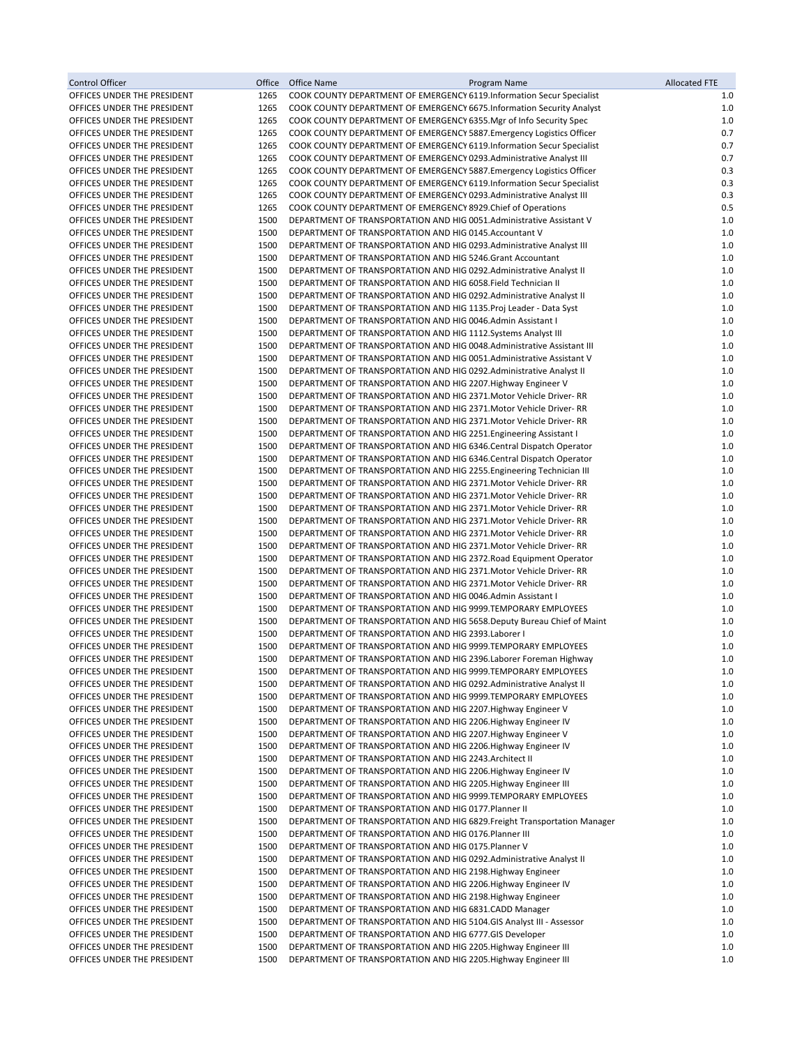| <b>Control Officer</b>                                     | Office       | Office Name | Program Name                                                                                                                                 | <b>Allocated FTE</b> |
|------------------------------------------------------------|--------------|-------------|----------------------------------------------------------------------------------------------------------------------------------------------|----------------------|
| OFFICES UNDER THE PRESIDENT                                | 1265         |             | COOK COUNTY DEPARTMENT OF EMERGENCY 6119.Information Secur Specialist                                                                        | 1.0                  |
| OFFICES UNDER THE PRESIDENT                                | 1265         |             | COOK COUNTY DEPARTMENT OF EMERGENCY 6675. Information Security Analyst                                                                       | 1.0                  |
| OFFICES UNDER THE PRESIDENT<br>OFFICES UNDER THE PRESIDENT | 1265<br>1265 |             | COOK COUNTY DEPARTMENT OF EMERGENCY 6355. Mgr of Info Security Spec<br>COOK COUNTY DEPARTMENT OF EMERGENCY 5887. Emergency Logistics Officer | 1.0<br>0.7           |
| OFFICES UNDER THE PRESIDENT                                | 1265         |             | COOK COUNTY DEPARTMENT OF EMERGENCY 6119. Information Secur Specialist                                                                       | 0.7                  |
| OFFICES UNDER THE PRESIDENT                                | 1265         |             | COOK COUNTY DEPARTMENT OF EMERGENCY 0293. Administrative Analyst III                                                                         | 0.7                  |
| OFFICES UNDER THE PRESIDENT                                | 1265         |             | COOK COUNTY DEPARTMENT OF EMERGENCY 5887. Emergency Logistics Officer                                                                        | 0.3                  |
| OFFICES UNDER THE PRESIDENT                                | 1265         |             | COOK COUNTY DEPARTMENT OF EMERGENCY 6119. Information Secur Specialist                                                                       | 0.3                  |
| OFFICES UNDER THE PRESIDENT                                | 1265         |             | COOK COUNTY DEPARTMENT OF EMERGENCY 0293. Administrative Analyst III                                                                         | 0.3                  |
| OFFICES UNDER THE PRESIDENT                                | 1265         |             | COOK COUNTY DEPARTMENT OF EMERGENCY 8929. Chief of Operations                                                                                | 0.5                  |
| OFFICES UNDER THE PRESIDENT<br>OFFICES UNDER THE PRESIDENT | 1500<br>1500 |             | DEPARTMENT OF TRANSPORTATION AND HIG 0051.Administrative Assistant V<br>DEPARTMENT OF TRANSPORTATION AND HIG 0145.Accountant V               | 1.0<br>1.0           |
| OFFICES UNDER THE PRESIDENT                                | 1500         |             | DEPARTMENT OF TRANSPORTATION AND HIG 0293. Administrative Analyst III                                                                        | 1.0                  |
| OFFICES UNDER THE PRESIDENT                                | 1500         |             | DEPARTMENT OF TRANSPORTATION AND HIG 5246.Grant Accountant                                                                                   | 1.0                  |
| OFFICES UNDER THE PRESIDENT                                | 1500         |             | DEPARTMENT OF TRANSPORTATION AND HIG 0292. Administrative Analyst II                                                                         | $1.0\,$              |
| OFFICES UNDER THE PRESIDENT                                | 1500         |             | DEPARTMENT OF TRANSPORTATION AND HIG 6058. Field Technician II                                                                               | $1.0\,$              |
| OFFICES UNDER THE PRESIDENT                                | 1500         |             | DEPARTMENT OF TRANSPORTATION AND HIG 0292. Administrative Analyst II                                                                         | 1.0                  |
| OFFICES UNDER THE PRESIDENT                                | 1500<br>1500 |             | DEPARTMENT OF TRANSPORTATION AND HIG 1135.Proj Leader - Data Syst<br>DEPARTMENT OF TRANSPORTATION AND HIG 0046.Admin Assistant I             | $1.0\,$<br>1.0       |
| OFFICES UNDER THE PRESIDENT<br>OFFICES UNDER THE PRESIDENT | 1500         |             | DEPARTMENT OF TRANSPORTATION AND HIG 1112.Systems Analyst III                                                                                | $1.0\,$              |
| OFFICES UNDER THE PRESIDENT                                | 1500         |             | DEPARTMENT OF TRANSPORTATION AND HIG 0048.Administrative Assistant III                                                                       | $1.0\,$              |
| OFFICES UNDER THE PRESIDENT                                | 1500         |             | DEPARTMENT OF TRANSPORTATION AND HIG 0051.Administrative Assistant V                                                                         | $1.0\,$              |
| OFFICES UNDER THE PRESIDENT                                | 1500         |             | DEPARTMENT OF TRANSPORTATION AND HIG 0292. Administrative Analyst II                                                                         | 1.0                  |
| OFFICES UNDER THE PRESIDENT                                | 1500         |             | DEPARTMENT OF TRANSPORTATION AND HIG 2207. Highway Engineer V                                                                                | $1.0\,$              |
| OFFICES UNDER THE PRESIDENT                                | 1500         |             | DEPARTMENT OF TRANSPORTATION AND HIG 2371. Motor Vehicle Driver-RR                                                                           | $1.0\,$              |
| OFFICES UNDER THE PRESIDENT<br>OFFICES UNDER THE PRESIDENT | 1500<br>1500 |             | DEPARTMENT OF TRANSPORTATION AND HIG 2371. Motor Vehicle Driver-RR                                                                           | 1.0<br>$1.0\,$       |
| OFFICES UNDER THE PRESIDENT                                | 1500         |             | DEPARTMENT OF TRANSPORTATION AND HIG 2371. Motor Vehicle Driver- RR<br>DEPARTMENT OF TRANSPORTATION AND HIG 2251. Engineering Assistant I    | $1.0\,$              |
| OFFICES UNDER THE PRESIDENT                                | 1500         |             | DEPARTMENT OF TRANSPORTATION AND HIG 6346. Central Dispatch Operator                                                                         | 1.0                  |
| OFFICES UNDER THE PRESIDENT                                | 1500         |             | DEPARTMENT OF TRANSPORTATION AND HIG 6346. Central Dispatch Operator                                                                         | $1.0\,$              |
| OFFICES UNDER THE PRESIDENT                                | 1500         |             | DEPARTMENT OF TRANSPORTATION AND HIG 2255. Engineering Technician III                                                                        | 1.0                  |
| OFFICES UNDER THE PRESIDENT                                | 1500         |             | DEPARTMENT OF TRANSPORTATION AND HIG 2371. Motor Vehicle Driver-RR                                                                           | 1.0                  |
| OFFICES UNDER THE PRESIDENT                                | 1500         |             | DEPARTMENT OF TRANSPORTATION AND HIG 2371. Motor Vehicle Driver-RR                                                                           | 1.0                  |
| OFFICES UNDER THE PRESIDENT<br>OFFICES UNDER THE PRESIDENT | 1500<br>1500 |             | DEPARTMENT OF TRANSPORTATION AND HIG 2371. Motor Vehicle Driver-RR<br>DEPARTMENT OF TRANSPORTATION AND HIG 2371. Motor Vehicle Driver-RR     | $1.0\,$<br>1.0       |
| OFFICES UNDER THE PRESIDENT                                | 1500         |             | DEPARTMENT OF TRANSPORTATION AND HIG 2371. Motor Vehicle Driver-RR                                                                           | 1.0                  |
| OFFICES UNDER THE PRESIDENT                                | 1500         |             | DEPARTMENT OF TRANSPORTATION AND HIG 2371. Motor Vehicle Driver- RR                                                                          | $1.0\,$              |
| OFFICES UNDER THE PRESIDENT                                | 1500         |             | DEPARTMENT OF TRANSPORTATION AND HIG 2372. Road Equipment Operator                                                                           | 1.0                  |
| OFFICES UNDER THE PRESIDENT                                | 1500         |             | DEPARTMENT OF TRANSPORTATION AND HIG 2371. Motor Vehicle Driver-RR                                                                           | $1.0\,$              |
| OFFICES UNDER THE PRESIDENT                                | 1500         |             | DEPARTMENT OF TRANSPORTATION AND HIG 2371. Motor Vehicle Driver- RR                                                                          | 1.0                  |
| OFFICES UNDER THE PRESIDENT                                | 1500         |             | DEPARTMENT OF TRANSPORTATION AND HIG 0046.Admin Assistant I                                                                                  | 1.0                  |
| OFFICES UNDER THE PRESIDENT<br>OFFICES UNDER THE PRESIDENT | 1500<br>1500 |             | DEPARTMENT OF TRANSPORTATION AND HIG 9999.TEMPORARY EMPLOYEES<br>DEPARTMENT OF TRANSPORTATION AND HIG 5658. Deputy Bureau Chief of Maint     | 1.0<br>1.0           |
| OFFICES UNDER THE PRESIDENT                                | 1500         |             | DEPARTMENT OF TRANSPORTATION AND HIG 2393.Laborer I                                                                                          | 1.0                  |
| OFFICES UNDER THE PRESIDENT                                | 1500         |             | DEPARTMENT OF TRANSPORTATION AND HIG 9999.TEMPORARY EMPLOYEES                                                                                | 1.0                  |
| OFFICES UNDER THE PRESIDENT                                | 1500         |             | DEPARTMENT OF TRANSPORTATION AND HIG 2396.Laborer Foreman Highway                                                                            | $1.0\,$              |
| OFFICES UNDER THE PRESIDENT                                | 1500         |             | DEPARTMENT OF TRANSPORTATION AND HIG 9999.TEMPORARY EMPLOYEES                                                                                | $1.0\,$              |
| OFFICES UNDER THE PRESIDENT                                | 1500         |             | DEPARTMENT OF TRANSPORTATION AND HIG 0292. Administrative Analyst II                                                                         | 1.0                  |
| OFFICES UNDER THE PRESIDENT                                | 1500<br>1500 |             | DEPARTMENT OF TRANSPORTATION AND HIG 9999.TEMPORARY EMPLOYEES                                                                                | 1.0<br>1.0           |
| OFFICES UNDER THE PRESIDENT<br>OFFICES UNDER THE PRESIDENT | 1500         |             | DEPARTMENT OF TRANSPORTATION AND HIG 2207. Highway Engineer V<br>DEPARTMENT OF TRANSPORTATION AND HIG 2206. Highway Engineer IV              | 1.0                  |
| OFFICES UNDER THE PRESIDENT                                | 1500         |             | DEPARTMENT OF TRANSPORTATION AND HIG 2207. Highway Engineer V                                                                                | 1.0                  |
| OFFICES UNDER THE PRESIDENT                                | 1500         |             | DEPARTMENT OF TRANSPORTATION AND HIG 2206. Highway Engineer IV                                                                               | 1.0                  |
| OFFICES UNDER THE PRESIDENT                                | 1500         |             | DEPARTMENT OF TRANSPORTATION AND HIG 2243.Architect II                                                                                       | 1.0                  |
| OFFICES UNDER THE PRESIDENT                                | 1500         |             | DEPARTMENT OF TRANSPORTATION AND HIG 2206. Highway Engineer IV                                                                               | 1.0                  |
| OFFICES UNDER THE PRESIDENT                                | 1500         |             | DEPARTMENT OF TRANSPORTATION AND HIG 2205. Highway Engineer III                                                                              | 1.0                  |
| OFFICES UNDER THE PRESIDENT<br>OFFICES UNDER THE PRESIDENT | 1500<br>1500 |             | DEPARTMENT OF TRANSPORTATION AND HIG 9999.TEMPORARY EMPLOYEES<br>DEPARTMENT OF TRANSPORTATION AND HIG 0177. Planner II                       | 1.0<br>1.0           |
| OFFICES UNDER THE PRESIDENT                                | 1500         |             | DEPARTMENT OF TRANSPORTATION AND HIG 6829. Freight Transportation Manager                                                                    | 1.0                  |
| OFFICES UNDER THE PRESIDENT                                | 1500         |             | DEPARTMENT OF TRANSPORTATION AND HIG 0176. Planner III                                                                                       | 1.0                  |
| OFFICES UNDER THE PRESIDENT                                | 1500         |             | DEPARTMENT OF TRANSPORTATION AND HIG 0175. Planner V                                                                                         | $1.0\,$              |
| OFFICES UNDER THE PRESIDENT                                | 1500         |             | DEPARTMENT OF TRANSPORTATION AND HIG 0292. Administrative Analyst II                                                                         | 1.0                  |
| OFFICES UNDER THE PRESIDENT                                | 1500         |             | DEPARTMENT OF TRANSPORTATION AND HIG 2198. Highway Engineer                                                                                  | 1.0                  |
| OFFICES UNDER THE PRESIDENT                                | 1500         |             | DEPARTMENT OF TRANSPORTATION AND HIG 2206. Highway Engineer IV                                                                               | 1.0                  |
| OFFICES UNDER THE PRESIDENT<br>OFFICES UNDER THE PRESIDENT | 1500<br>1500 |             | DEPARTMENT OF TRANSPORTATION AND HIG 2198. Highway Engineer<br>DEPARTMENT OF TRANSPORTATION AND HIG 6831.CADD Manager                        | 1.0<br>1.0           |
| OFFICES UNDER THE PRESIDENT                                | 1500         |             | DEPARTMENT OF TRANSPORTATION AND HIG 5104.GIS Analyst III - Assessor                                                                         | 1.0                  |
| OFFICES UNDER THE PRESIDENT                                | 1500         |             | DEPARTMENT OF TRANSPORTATION AND HIG 6777.GIS Developer                                                                                      | 1.0                  |
| OFFICES UNDER THE PRESIDENT                                | 1500         |             | DEPARTMENT OF TRANSPORTATION AND HIG 2205. Highway Engineer III                                                                              | 1.0                  |
| OFFICES UNDER THE PRESIDENT                                | 1500         |             | DEPARTMENT OF TRANSPORTATION AND HIG 2205. Highway Engineer III                                                                              | $1.0\,$              |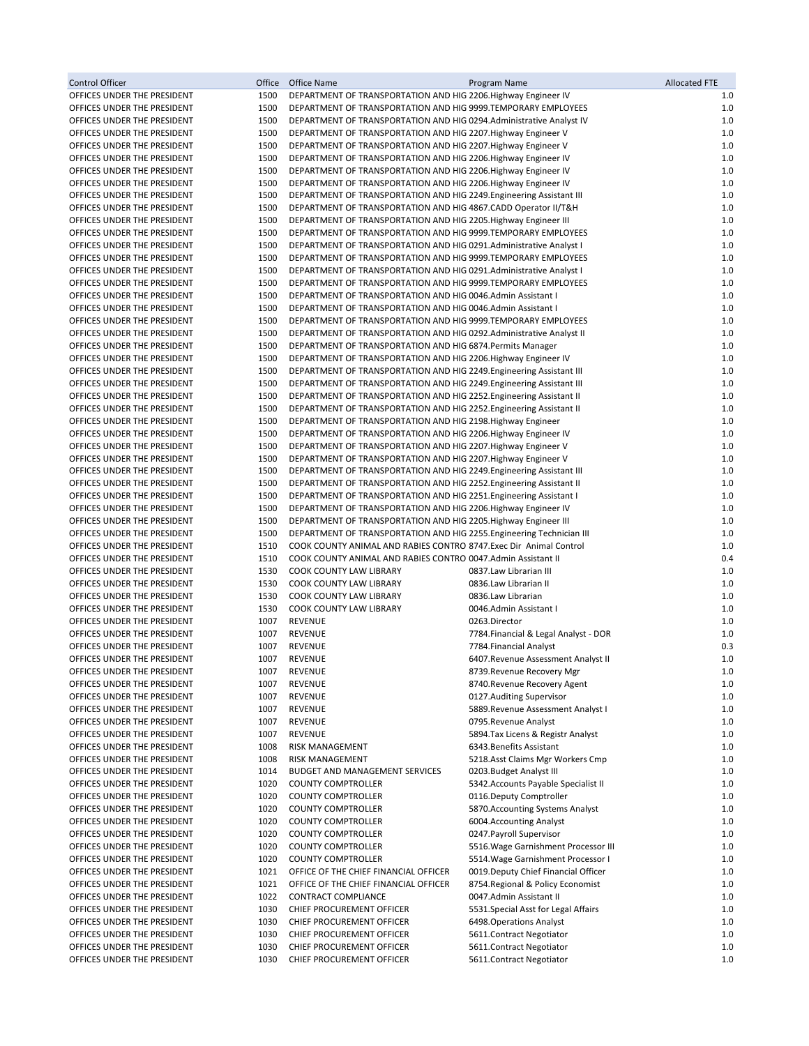| Control Officer                                            | Office       | Office Name                                                                                                                              | Program Name                                                               | <b>Allocated FTE</b> |
|------------------------------------------------------------|--------------|------------------------------------------------------------------------------------------------------------------------------------------|----------------------------------------------------------------------------|----------------------|
| OFFICES UNDER THE PRESIDENT                                | 1500         | DEPARTMENT OF TRANSPORTATION AND HIG 2206. Highway Engineer IV                                                                           |                                                                            | 1.0                  |
| OFFICES UNDER THE PRESIDENT                                | 1500         | DEPARTMENT OF TRANSPORTATION AND HIG 9999.TEMPORARY EMPLOYEES                                                                            |                                                                            | 1.0                  |
| OFFICES UNDER THE PRESIDENT                                | 1500         | DEPARTMENT OF TRANSPORTATION AND HIG 0294. Administrative Analyst IV                                                                     |                                                                            | 1.0                  |
| OFFICES UNDER THE PRESIDENT                                | 1500         | DEPARTMENT OF TRANSPORTATION AND HIG 2207. Highway Engineer V                                                                            |                                                                            | 1.0                  |
| OFFICES UNDER THE PRESIDENT<br>OFFICES UNDER THE PRESIDENT | 1500         | DEPARTMENT OF TRANSPORTATION AND HIG 2207. Highway Engineer V                                                                            |                                                                            | 1.0                  |
| OFFICES UNDER THE PRESIDENT                                | 1500<br>1500 | DEPARTMENT OF TRANSPORTATION AND HIG 2206. Highway Engineer IV<br>DEPARTMENT OF TRANSPORTATION AND HIG 2206. Highway Engineer IV         |                                                                            | $1.0$<br>1.0         |
| OFFICES UNDER THE PRESIDENT                                | 1500         | DEPARTMENT OF TRANSPORTATION AND HIG 2206. Highway Engineer IV                                                                           |                                                                            | $1.0$                |
| OFFICES UNDER THE PRESIDENT                                | 1500         | DEPARTMENT OF TRANSPORTATION AND HIG 2249. Engineering Assistant III                                                                     |                                                                            | $1.0$                |
| OFFICES UNDER THE PRESIDENT                                | 1500         | DEPARTMENT OF TRANSPORTATION AND HIG 4867.CADD Operator II/T&H                                                                           |                                                                            | 1.0                  |
| OFFICES UNDER THE PRESIDENT                                | 1500         | DEPARTMENT OF TRANSPORTATION AND HIG 2205. Highway Engineer III                                                                          |                                                                            | 1.0                  |
| OFFICES UNDER THE PRESIDENT                                | 1500         | DEPARTMENT OF TRANSPORTATION AND HIG 9999.TEMPORARY EMPLOYEES                                                                            |                                                                            | 1.0                  |
| OFFICES UNDER THE PRESIDENT                                | 1500         | DEPARTMENT OF TRANSPORTATION AND HIG 0291. Administrative Analyst I                                                                      |                                                                            | 1.0                  |
| OFFICES UNDER THE PRESIDENT                                | 1500         | DEPARTMENT OF TRANSPORTATION AND HIG 9999.TEMPORARY EMPLOYEES                                                                            |                                                                            | 1.0                  |
| OFFICES UNDER THE PRESIDENT                                | 1500         | DEPARTMENT OF TRANSPORTATION AND HIG 0291. Administrative Analyst I                                                                      |                                                                            | $1.0$                |
| OFFICES UNDER THE PRESIDENT                                | 1500         | DEPARTMENT OF TRANSPORTATION AND HIG 9999.TEMPORARY EMPLOYEES                                                                            |                                                                            | 1.0                  |
| OFFICES UNDER THE PRESIDENT                                | 1500         | DEPARTMENT OF TRANSPORTATION AND HIG 0046.Admin Assistant I                                                                              |                                                                            | 1.0                  |
| OFFICES UNDER THE PRESIDENT                                | 1500         | DEPARTMENT OF TRANSPORTATION AND HIG 0046.Admin Assistant I                                                                              |                                                                            | 1.0                  |
| OFFICES UNDER THE PRESIDENT                                | 1500         | DEPARTMENT OF TRANSPORTATION AND HIG 9999.TEMPORARY EMPLOYEES                                                                            |                                                                            | 1.0                  |
| OFFICES UNDER THE PRESIDENT<br>OFFICES UNDER THE PRESIDENT | 1500<br>1500 | DEPARTMENT OF TRANSPORTATION AND HIG 0292. Administrative Analyst II<br>DEPARTMENT OF TRANSPORTATION AND HIG 6874. Permits Manager       |                                                                            | $1.0$<br>1.0         |
| OFFICES UNDER THE PRESIDENT                                | 1500         | DEPARTMENT OF TRANSPORTATION AND HIG 2206. Highway Engineer IV                                                                           |                                                                            | 1.0                  |
| OFFICES UNDER THE PRESIDENT                                | 1500         | DEPARTMENT OF TRANSPORTATION AND HIG 2249. Engineering Assistant III                                                                     |                                                                            | 1.0                  |
| OFFICES UNDER THE PRESIDENT                                | 1500         | DEPARTMENT OF TRANSPORTATION AND HIG 2249. Engineering Assistant III                                                                     |                                                                            | 1.0                  |
| OFFICES UNDER THE PRESIDENT                                | 1500         | DEPARTMENT OF TRANSPORTATION AND HIG 2252. Engineering Assistant II                                                                      |                                                                            | 1.0                  |
| OFFICES UNDER THE PRESIDENT                                | 1500         | DEPARTMENT OF TRANSPORTATION AND HIG 2252. Engineering Assistant II                                                                      |                                                                            | 1.0                  |
| OFFICES UNDER THE PRESIDENT                                | 1500         | DEPARTMENT OF TRANSPORTATION AND HIG 2198. Highway Engineer                                                                              |                                                                            | $1.0$                |
| OFFICES UNDER THE PRESIDENT                                | 1500         | DEPARTMENT OF TRANSPORTATION AND HIG 2206. Highway Engineer IV                                                                           |                                                                            | 1.0                  |
| OFFICES UNDER THE PRESIDENT                                | 1500         | DEPARTMENT OF TRANSPORTATION AND HIG 2207. Highway Engineer V                                                                            |                                                                            | 1.0                  |
| OFFICES UNDER THE PRESIDENT                                | 1500         | DEPARTMENT OF TRANSPORTATION AND HIG 2207. Highway Engineer V                                                                            |                                                                            | 1.0                  |
| OFFICES UNDER THE PRESIDENT                                | 1500         | DEPARTMENT OF TRANSPORTATION AND HIG 2249. Engineering Assistant III                                                                     |                                                                            | 1.0                  |
| OFFICES UNDER THE PRESIDENT                                | 1500         | DEPARTMENT OF TRANSPORTATION AND HIG 2252. Engineering Assistant II                                                                      |                                                                            | 1.0                  |
| OFFICES UNDER THE PRESIDENT                                | 1500         | DEPARTMENT OF TRANSPORTATION AND HIG 2251. Engineering Assistant I                                                                       |                                                                            | 1.0                  |
| OFFICES UNDER THE PRESIDENT                                | 1500         | DEPARTMENT OF TRANSPORTATION AND HIG 2206. Highway Engineer IV                                                                           |                                                                            | 1.0                  |
| OFFICES UNDER THE PRESIDENT<br>OFFICES UNDER THE PRESIDENT | 1500<br>1500 | DEPARTMENT OF TRANSPORTATION AND HIG 2205. Highway Engineer III<br>DEPARTMENT OF TRANSPORTATION AND HIG 2255. Engineering Technician III |                                                                            | 1.0<br>1.0           |
| OFFICES UNDER THE PRESIDENT                                | 1510         | COOK COUNTY ANIMAL AND RABIES CONTRO 8747.Exec Dir Animal Control                                                                        |                                                                            | $1.0$                |
| OFFICES UNDER THE PRESIDENT                                | 1510         | COOK COUNTY ANIMAL AND RABIES CONTRO 0047.Admin Assistant II                                                                             |                                                                            | 0.4                  |
| OFFICES UNDER THE PRESIDENT                                | 1530         | COOK COUNTY LAW LIBRARY                                                                                                                  | 0837.Law Librarian III                                                     | $1.0$                |
| OFFICES UNDER THE PRESIDENT                                | 1530         | COOK COUNTY LAW LIBRARY                                                                                                                  | 0836.Law Librarian II                                                      | 1.0                  |
| OFFICES UNDER THE PRESIDENT                                | 1530         | COOK COUNTY LAW LIBRARY                                                                                                                  | 0836.Law Librarian                                                         | 1.0                  |
| OFFICES UNDER THE PRESIDENT                                | 1530         | COOK COUNTY LAW LIBRARY                                                                                                                  | 0046.Admin Assistant I                                                     | 1.0                  |
| OFFICES UNDER THE PRESIDENT                                | 1007         | REVENUE                                                                                                                                  | 0263.Director                                                              | 1.0                  |
| OFFICES UNDER THE PRESIDENT                                | 1007         | <b>REVENUE</b>                                                                                                                           | 7784. Financial & Legal Analyst - DOR                                      | 1.0                  |
| OFFICES UNDER THE PRESIDENT                                | 1007         | REVENUE                                                                                                                                  | 7784. Financial Analyst                                                    | 0.3                  |
| OFFICES UNDER THE PRESIDENT                                | 1007         | REVENUE                                                                                                                                  | 6407. Revenue Assessment Analyst II                                        | 1.0                  |
| OFFICES UNDER THE PRESIDENT                                | 1007         | REVENUE                                                                                                                                  | 8739.Revenue Recovery Mgr                                                  | 1.0                  |
| OFFICES UNDER THE PRESIDENT                                | 1007         | REVENUE                                                                                                                                  | 8740.Revenue Recovery Agent                                                | 1.0                  |
| OFFICES UNDER THE PRESIDENT<br>OFFICES UNDER THE PRESIDENT | 1007<br>1007 | REVENUE<br>REVENUE                                                                                                                       | 0127. Auditing Supervisor<br>5889. Revenue Assessment Analyst I            | 1.0<br>$1.0$         |
| OFFICES UNDER THE PRESIDENT                                | 1007         | REVENUE                                                                                                                                  | 0795.Revenue Analyst                                                       | 1.0                  |
| OFFICES UNDER THE PRESIDENT                                | 1007         | REVENUE                                                                                                                                  | 5894. Tax Licens & Registr Analyst                                         | 1.0                  |
| OFFICES UNDER THE PRESIDENT                                | 1008         | RISK MANAGEMENT                                                                                                                          | 6343. Benefits Assistant                                                   | 1.0                  |
| OFFICES UNDER THE PRESIDENT                                | 1008         | RISK MANAGEMENT                                                                                                                          | 5218.Asst Claims Mgr Workers Cmp                                           | 1.0                  |
| OFFICES UNDER THE PRESIDENT                                | 1014         | <b>BUDGET AND MANAGEMENT SERVICES</b>                                                                                                    | 0203. Budget Analyst III                                                   | 1.0                  |
| OFFICES UNDER THE PRESIDENT                                | 1020         | <b>COUNTY COMPTROLLER</b>                                                                                                                | 5342. Accounts Payable Specialist II                                       | 1.0                  |
| OFFICES UNDER THE PRESIDENT                                | 1020         | <b>COUNTY COMPTROLLER</b>                                                                                                                | 0116.Deputy Comptroller                                                    | 1.0                  |
| OFFICES UNDER THE PRESIDENT                                | 1020         | <b>COUNTY COMPTROLLER</b>                                                                                                                | 5870. Accounting Systems Analyst                                           | 1.0                  |
| OFFICES UNDER THE PRESIDENT                                | 1020         | <b>COUNTY COMPTROLLER</b>                                                                                                                | 6004. Accounting Analyst                                                   | 1.0                  |
| OFFICES UNDER THE PRESIDENT                                | 1020         | <b>COUNTY COMPTROLLER</b>                                                                                                                | 0247. Payroll Supervisor                                                   | 1.0                  |
| OFFICES UNDER THE PRESIDENT                                | 1020         | <b>COUNTY COMPTROLLER</b>                                                                                                                | 5516. Wage Garnishment Processor III                                       | $1.0$                |
| OFFICES UNDER THE PRESIDENT<br>OFFICES UNDER THE PRESIDENT | 1020<br>1021 | <b>COUNTY COMPTROLLER</b><br>OFFICE OF THE CHIEF FINANCIAL OFFICER                                                                       | 5514. Wage Garnishment Processor I<br>0019. Deputy Chief Financial Officer | $1.0$<br>1.0         |
| OFFICES UNDER THE PRESIDENT                                | 1021         | OFFICE OF THE CHIEF FINANCIAL OFFICER                                                                                                    | 8754. Regional & Policy Economist                                          | 1.0                  |
| OFFICES UNDER THE PRESIDENT                                | 1022         | CONTRACT COMPLIANCE                                                                                                                      | 0047.Admin Assistant II                                                    | 1.0                  |
| OFFICES UNDER THE PRESIDENT                                | 1030         | CHIEF PROCUREMENT OFFICER                                                                                                                | 5531. Special Asst for Legal Affairs                                       | 1.0                  |
| OFFICES UNDER THE PRESIDENT                                | 1030         | CHIEF PROCUREMENT OFFICER                                                                                                                | 6498. Operations Analyst                                                   | $1.0$                |
| OFFICES UNDER THE PRESIDENT                                | 1030         | CHIEF PROCUREMENT OFFICER                                                                                                                | 5611.Contract Negotiator                                                   | 1.0                  |
| OFFICES UNDER THE PRESIDENT                                | 1030         | CHIEF PROCUREMENT OFFICER                                                                                                                | 5611. Contract Negotiator                                                  | 1.0                  |
| OFFICES UNDER THE PRESIDENT                                | 1030         | CHIEF PROCUREMENT OFFICER                                                                                                                | 5611. Contract Negotiator                                                  | 1.0                  |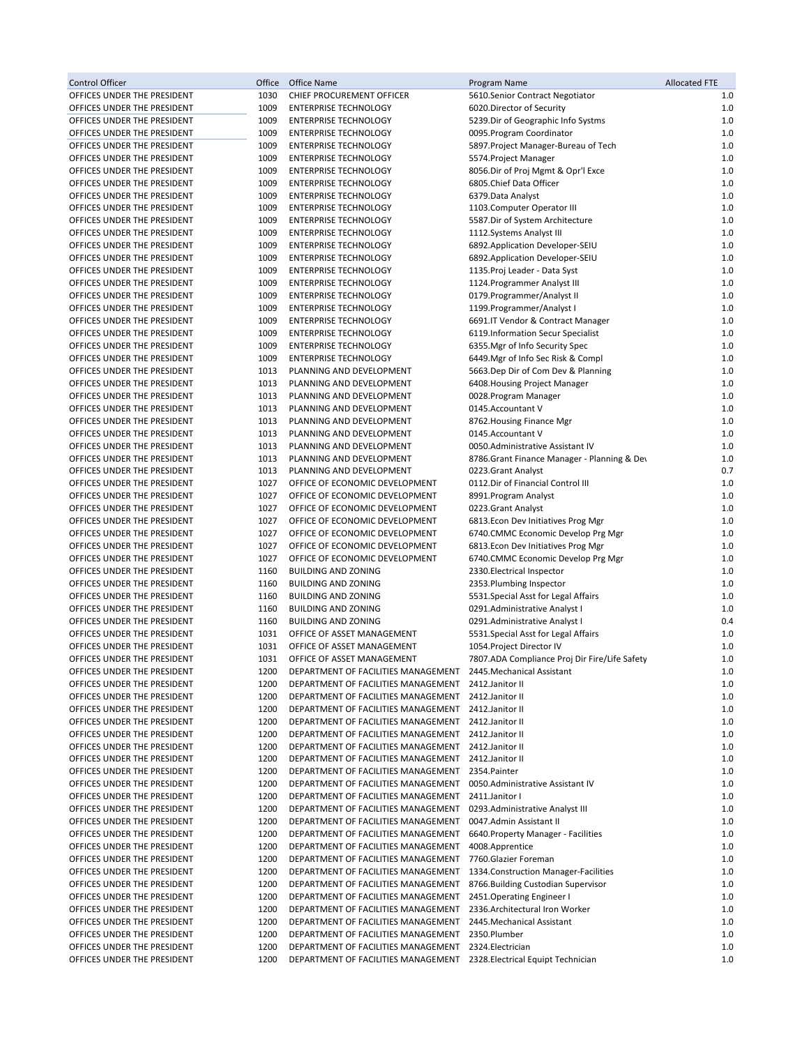| Control Officer             | Office | Office Name                                         | Program Name                                  | <b>Allocated FTE</b> |
|-----------------------------|--------|-----------------------------------------------------|-----------------------------------------------|----------------------|
| OFFICES UNDER THE PRESIDENT | 1030   | CHIEF PROCUREMENT OFFICER                           | 5610.Senior Contract Negotiator               | 1.0                  |
| OFFICES UNDER THE PRESIDENT | 1009   | <b>ENTERPRISE TECHNOLOGY</b>                        | 6020. Director of Security                    | 1.0                  |
| OFFICES UNDER THE PRESIDENT | 1009   | ENTERPRISE TECHNOLOGY                               | 5239. Dir of Geographic Info Systms           | 1.0                  |
| OFFICES UNDER THE PRESIDENT | 1009   | <b>ENTERPRISE TECHNOLOGY</b>                        | 0095. Program Coordinator                     | 1.0                  |
| OFFICES UNDER THE PRESIDENT | 1009   | <b>ENTERPRISE TECHNOLOGY</b>                        | 5897. Project Manager-Bureau of Tech          | 1.0                  |
| OFFICES UNDER THE PRESIDENT | 1009   | <b>ENTERPRISE TECHNOLOGY</b>                        | 5574. Project Manager                         | 1.0                  |
| OFFICES UNDER THE PRESIDENT | 1009   | <b>ENTERPRISE TECHNOLOGY</b>                        | 8056.Dir of Proj Mgmt & Opr'l Exce            | 1.0                  |
| OFFICES UNDER THE PRESIDENT | 1009   | <b>ENTERPRISE TECHNOLOGY</b>                        | 6805.Chief Data Officer                       | 1.0                  |
| OFFICES UNDER THE PRESIDENT | 1009   | <b>ENTERPRISE TECHNOLOGY</b>                        | 6379.Data Analyst                             | 1.0                  |
| OFFICES UNDER THE PRESIDENT | 1009   | <b>ENTERPRISE TECHNOLOGY</b>                        | 1103. Computer Operator III                   | 1.0                  |
| OFFICES UNDER THE PRESIDENT | 1009   | <b>ENTERPRISE TECHNOLOGY</b>                        | 5587.Dir of System Architecture               | 1.0                  |
| OFFICES UNDER THE PRESIDENT | 1009   | <b>ENTERPRISE TECHNOLOGY</b>                        | 1112.Systems Analyst III                      | 1.0                  |
| OFFICES UNDER THE PRESIDENT | 1009   | <b>ENTERPRISE TECHNOLOGY</b>                        | 6892. Application Developer-SEIU              | 1.0                  |
| OFFICES UNDER THE PRESIDENT | 1009   | <b>ENTERPRISE TECHNOLOGY</b>                        | 6892. Application Developer-SEIU              | 1.0                  |
| OFFICES UNDER THE PRESIDENT | 1009   | <b>ENTERPRISE TECHNOLOGY</b>                        | 1135. Proj Leader - Data Syst                 | 1.0                  |
| OFFICES UNDER THE PRESIDENT | 1009   | <b>ENTERPRISE TECHNOLOGY</b>                        | 1124. Programmer Analyst III                  | 1.0                  |
| OFFICES UNDER THE PRESIDENT | 1009   | <b>ENTERPRISE TECHNOLOGY</b>                        | 0179. Programmer/Analyst II                   | 1.0                  |
| OFFICES UNDER THE PRESIDENT | 1009   | <b>ENTERPRISE TECHNOLOGY</b>                        | 1199. Programmer/Analyst I                    | 1.0                  |
| OFFICES UNDER THE PRESIDENT | 1009   | <b>ENTERPRISE TECHNOLOGY</b>                        | 6691.IT Vendor & Contract Manager             | 1.0                  |
| OFFICES UNDER THE PRESIDENT | 1009   | <b>ENTERPRISE TECHNOLOGY</b>                        | 6119.Information Secur Specialist             | 1.0                  |
| OFFICES UNDER THE PRESIDENT | 1009   | <b>ENTERPRISE TECHNOLOGY</b>                        | 6355. Mgr of Info Security Spec               | 1.0                  |
| OFFICES UNDER THE PRESIDENT | 1009   | <b>ENTERPRISE TECHNOLOGY</b>                        | 6449. Mgr of Info Sec Risk & Compl            | 1.0                  |
| OFFICES UNDER THE PRESIDENT | 1013   | PLANNING AND DEVELOPMENT                            | 5663.Dep Dir of Com Dev & Planning            | 1.0                  |
| OFFICES UNDER THE PRESIDENT | 1013   | PLANNING AND DEVELOPMENT                            | 6408. Housing Project Manager                 | 1.0                  |
| OFFICES UNDER THE PRESIDENT | 1013   | PLANNING AND DEVELOPMENT                            | 0028. Program Manager                         | 1.0                  |
| OFFICES UNDER THE PRESIDENT | 1013   | PLANNING AND DEVELOPMENT                            | 0145.Accountant V                             | 1.0                  |
| OFFICES UNDER THE PRESIDENT | 1013   | PLANNING AND DEVELOPMENT                            | 8762. Housing Finance Mgr                     | 1.0                  |
| OFFICES UNDER THE PRESIDENT | 1013   | PLANNING AND DEVELOPMENT                            | 0145.Accountant V                             | 1.0                  |
| OFFICES UNDER THE PRESIDENT | 1013   | PLANNING AND DEVELOPMENT                            | 0050.Administrative Assistant IV              | 1.0                  |
| OFFICES UNDER THE PRESIDENT | 1013   | PLANNING AND DEVELOPMENT                            | 8786. Grant Finance Manager - Planning & Dev  | 1.0                  |
| OFFICES UNDER THE PRESIDENT | 1013   | PLANNING AND DEVELOPMENT                            | 0223.Grant Analyst                            | 0.7                  |
| OFFICES UNDER THE PRESIDENT | 1027   | OFFICE OF ECONOMIC DEVELOPMENT                      | 0112. Dir of Financial Control III            | 1.0                  |
| OFFICES UNDER THE PRESIDENT | 1027   | OFFICE OF ECONOMIC DEVELOPMENT                      | 8991.Program Analyst                          | 1.0                  |
| OFFICES UNDER THE PRESIDENT | 1027   | OFFICE OF ECONOMIC DEVELOPMENT                      | 0223.Grant Analyst                            | 1.0                  |
| OFFICES UNDER THE PRESIDENT | 1027   | OFFICE OF ECONOMIC DEVELOPMENT                      | 6813.Econ Dev Initiatives Prog Mgr            | 1.0                  |
| OFFICES UNDER THE PRESIDENT | 1027   | OFFICE OF ECONOMIC DEVELOPMENT                      | 6740.CMMC Economic Develop Prg Mgr            | 1.0                  |
| OFFICES UNDER THE PRESIDENT | 1027   | OFFICE OF ECONOMIC DEVELOPMENT                      | 6813. Econ Dev Initiatives Prog Mgr           | 1.0                  |
| OFFICES UNDER THE PRESIDENT | 1027   | OFFICE OF ECONOMIC DEVELOPMENT                      | 6740.CMMC Economic Develop Prg Mgr            | 1.0                  |
| OFFICES UNDER THE PRESIDENT | 1160   | <b>BUILDING AND ZONING</b>                          | 2330. Electrical Inspector                    | 1.0                  |
| OFFICES UNDER THE PRESIDENT | 1160   | <b>BUILDING AND ZONING</b>                          | 2353. Plumbing Inspector                      | 1.0                  |
| OFFICES UNDER THE PRESIDENT | 1160   | <b>BUILDING AND ZONING</b>                          | 5531. Special Asst for Legal Affairs          | 1.0                  |
| OFFICES UNDER THE PRESIDENT | 1160   | <b>BUILDING AND ZONING</b>                          | 0291.Administrative Analyst I                 | 1.0                  |
| OFFICES UNDER THE PRESIDENT | 1160   | <b>BUILDING AND ZONING</b>                          | 0291.Administrative Analyst I                 | 0.4                  |
| OFFICES UNDER THE PRESIDENT | 1031   | OFFICE OF ASSET MANAGEMENT                          | 5531. Special Asst for Legal Affairs          | 1.0                  |
| OFFICES UNDER THE PRESIDENT | 1031   | OFFICE OF ASSET MANAGEMENT                          | 1054. Project Director IV                     | 1.0                  |
| OFFICES UNDER THE PRESIDENT | 1031   | OFFICE OF ASSET MANAGEMENT                          | 7807.ADA Compliance Proj Dir Fire/Life Safety | 1.0                  |
| OFFICES UNDER THE PRESIDENT | 1200   | DEPARTMENT OF FACILITIES MANAGEMENT                 | 2445. Mechanical Assistant                    | 1.0                  |
| OFFICES UNDER THE PRESIDENT | 1200   | DEPARTMENT OF FACILITIES MANAGEMENT                 | 2412. Janitor II                              | 1.0                  |
| OFFICES UNDER THE PRESIDENT | 1200   | DEPARTMENT OF FACILITIES MANAGEMENT                 | 2412.Janitor II                               | 1.0                  |
| OFFICES UNDER THE PRESIDENT | 1200   | DEPARTMENT OF FACILITIES MANAGEMENT                 | 2412.Janitor II                               | 1.0                  |
| OFFICES UNDER THE PRESIDENT | 1200   | DEPARTMENT OF FACILITIES MANAGEMENT 2412.Janitor II |                                               | 1.0                  |
| OFFICES UNDER THE PRESIDENT | 1200   | DEPARTMENT OF FACILITIES MANAGEMENT 2412.Janitor II |                                               | 1.0                  |
| OFFICES UNDER THE PRESIDENT | 1200   | DEPARTMENT OF FACILITIES MANAGEMENT                 | 2412.Janitor II                               | 1.0                  |
| OFFICES UNDER THE PRESIDENT | 1200   | DEPARTMENT OF FACILITIES MANAGEMENT                 | 2412.Janitor II                               | 1.0                  |
| OFFICES UNDER THE PRESIDENT | 1200   | DEPARTMENT OF FACILITIES MANAGEMENT                 | 2354. Painter                                 | 1.0                  |
| OFFICES UNDER THE PRESIDENT | 1200   | DEPARTMENT OF FACILITIES MANAGEMENT                 | 0050. Administrative Assistant IV             | 1.0                  |
| OFFICES UNDER THE PRESIDENT | 1200   | DEPARTMENT OF FACILITIES MANAGEMENT                 | 2411.Janitor I                                | 1.0                  |
| OFFICES UNDER THE PRESIDENT | 1200   | DEPARTMENT OF FACILITIES MANAGEMENT                 | 0293.Administrative Analyst III               | 1.0                  |
| OFFICES UNDER THE PRESIDENT | 1200   | DEPARTMENT OF FACILITIES MANAGEMENT                 | 0047.Admin Assistant II                       | 1.0                  |
| OFFICES UNDER THE PRESIDENT | 1200   | DEPARTMENT OF FACILITIES MANAGEMENT                 | 6640. Property Manager - Facilities           | 1.0                  |
| OFFICES UNDER THE PRESIDENT | 1200   | DEPARTMENT OF FACILITIES MANAGEMENT                 | 4008.Apprentice                               | 1.0                  |
| OFFICES UNDER THE PRESIDENT | 1200   | DEPARTMENT OF FACILITIES MANAGEMENT                 | 7760.Glazier Foreman                          | 1.0                  |
| OFFICES UNDER THE PRESIDENT | 1200   | DEPARTMENT OF FACILITIES MANAGEMENT                 | 1334. Construction Manager-Facilities         | 1.0                  |
| OFFICES UNDER THE PRESIDENT | 1200   | DEPARTMENT OF FACILITIES MANAGEMENT                 | 8766. Building Custodian Supervisor           | 1.0                  |
| OFFICES UNDER THE PRESIDENT | 1200   | DEPARTMENT OF FACILITIES MANAGEMENT                 | 2451. Operating Engineer I                    | 1.0                  |
| OFFICES UNDER THE PRESIDENT | 1200   | DEPARTMENT OF FACILITIES MANAGEMENT                 | 2336.Architectural Iron Worker                | 1.0                  |
| OFFICES UNDER THE PRESIDENT | 1200   | DEPARTMENT OF FACILITIES MANAGEMENT                 | 2445. Mechanical Assistant                    | 1.0                  |
| OFFICES UNDER THE PRESIDENT | 1200   | DEPARTMENT OF FACILITIES MANAGEMENT                 | 2350.Plumber                                  | 1.0                  |
| OFFICES UNDER THE PRESIDENT | 1200   | DEPARTMENT OF FACILITIES MANAGEMENT                 | 2324.Electrician                              | 1.0                  |
| OFFICES UNDER THE PRESIDENT | 1200   | DEPARTMENT OF FACILITIES MANAGEMENT                 | 2328. Electrical Equipt Technician            | 1.0                  |
|                             |        |                                                     |                                               |                      |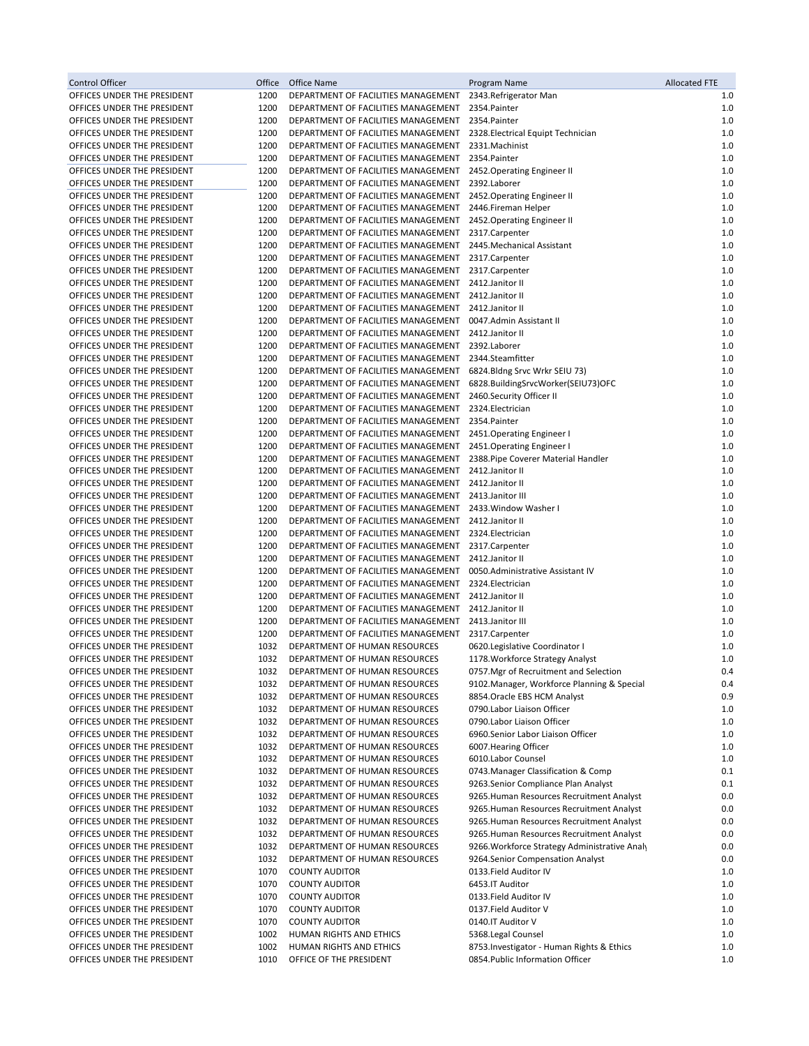| Control Officer                                            | Office       | <b>Office Name</b>                                                         | Program Name                                  | <b>Allocated FTE</b> |
|------------------------------------------------------------|--------------|----------------------------------------------------------------------------|-----------------------------------------------|----------------------|
| OFFICES UNDER THE PRESIDENT                                | 1200         | DEPARTMENT OF FACILITIES MANAGEMENT                                        | 2343.Refrigerator Man                         | 1.0                  |
| OFFICES UNDER THE PRESIDENT                                | 1200         | DEPARTMENT OF FACILITIES MANAGEMENT                                        | 2354.Painter                                  | 1.0                  |
| OFFICES UNDER THE PRESIDENT                                | 1200         | DEPARTMENT OF FACILITIES MANAGEMENT                                        | 2354.Painter                                  | 1.0                  |
| OFFICES UNDER THE PRESIDENT                                | 1200         | DEPARTMENT OF FACILITIES MANAGEMENT                                        | 2328. Electrical Equipt Technician            | 1.0                  |
| OFFICES UNDER THE PRESIDENT                                | 1200         | DEPARTMENT OF FACILITIES MANAGEMENT                                        | 2331.Machinist                                | 1.0                  |
| OFFICES UNDER THE PRESIDENT                                | 1200         | DEPARTMENT OF FACILITIES MANAGEMENT                                        | 2354.Painter                                  | 1.0                  |
| OFFICES UNDER THE PRESIDENT                                | 1200         | DEPARTMENT OF FACILITIES MANAGEMENT                                        | 2452. Operating Engineer II                   | 1.0                  |
| OFFICES UNDER THE PRESIDENT                                | 1200         | DEPARTMENT OF FACILITIES MANAGEMENT                                        | 2392.Laborer                                  | 1.0                  |
| OFFICES UNDER THE PRESIDENT                                | 1200         | DEPARTMENT OF FACILITIES MANAGEMENT                                        | 2452. Operating Engineer II                   | 1.0                  |
| OFFICES UNDER THE PRESIDENT                                | 1200         | DEPARTMENT OF FACILITIES MANAGEMENT                                        | 2446.Fireman Helper                           | 1.0                  |
| OFFICES UNDER THE PRESIDENT                                | 1200         | DEPARTMENT OF FACILITIES MANAGEMENT                                        | 2452. Operating Engineer II                   | 1.0                  |
| OFFICES UNDER THE PRESIDENT                                | 1200         | DEPARTMENT OF FACILITIES MANAGEMENT                                        | 2317.Carpenter                                | 1.0                  |
| OFFICES UNDER THE PRESIDENT                                | 1200         | DEPARTMENT OF FACILITIES MANAGEMENT                                        | 2445. Mechanical Assistant                    | 1.0                  |
| OFFICES UNDER THE PRESIDENT                                | 1200         | DEPARTMENT OF FACILITIES MANAGEMENT                                        | 2317.Carpenter                                | 1.0<br>1.0           |
| OFFICES UNDER THE PRESIDENT                                | 1200<br>1200 | DEPARTMENT OF FACILITIES MANAGEMENT<br>DEPARTMENT OF FACILITIES MANAGEMENT | 2317.Carpenter<br>2412.Janitor II             | 1.0                  |
| OFFICES UNDER THE PRESIDENT<br>OFFICES UNDER THE PRESIDENT | 1200         | DEPARTMENT OF FACILITIES MANAGEMENT                                        | 2412. Janitor II                              | 1.0                  |
| OFFICES UNDER THE PRESIDENT                                | 1200         | DEPARTMENT OF FACILITIES MANAGEMENT                                        | 2412. Janitor II                              | 1.0                  |
| OFFICES UNDER THE PRESIDENT                                | 1200         | DEPARTMENT OF FACILITIES MANAGEMENT                                        | 0047.Admin Assistant II                       | 1.0                  |
| OFFICES UNDER THE PRESIDENT                                | 1200         | DEPARTMENT OF FACILITIES MANAGEMENT                                        | 2412.Janitor II                               | 1.0                  |
| OFFICES UNDER THE PRESIDENT                                | 1200         | DEPARTMENT OF FACILITIES MANAGEMENT                                        | 2392.Laborer                                  | 1.0                  |
| OFFICES UNDER THE PRESIDENT                                | 1200         | DEPARTMENT OF FACILITIES MANAGEMENT                                        | 2344.Steamfitter                              | 1.0                  |
| OFFICES UNDER THE PRESIDENT                                | 1200         | DEPARTMENT OF FACILITIES MANAGEMENT                                        | 6824.Bldng Srvc Wrkr SEIU 73)                 | 1.0                  |
| OFFICES UNDER THE PRESIDENT                                | 1200         | DEPARTMENT OF FACILITIES MANAGEMENT                                        | 6828.BuildingSrvcWorker(SEIU73)OFC            | 1.0                  |
| OFFICES UNDER THE PRESIDENT                                | 1200         | DEPARTMENT OF FACILITIES MANAGEMENT                                        | 2460.Security Officer II                      | 1.0                  |
| OFFICES UNDER THE PRESIDENT                                | 1200         | DEPARTMENT OF FACILITIES MANAGEMENT                                        | 2324.Electrician                              | 1.0                  |
| OFFICES UNDER THE PRESIDENT                                | 1200         | DEPARTMENT OF FACILITIES MANAGEMENT                                        | 2354.Painter                                  | 1.0                  |
| OFFICES UNDER THE PRESIDENT                                | 1200         | DEPARTMENT OF FACILITIES MANAGEMENT                                        | 2451. Operating Engineer I                    | 1.0                  |
| OFFICES UNDER THE PRESIDENT                                | 1200         | DEPARTMENT OF FACILITIES MANAGEMENT                                        | 2451. Operating Engineer I                    | 1.0                  |
| OFFICES UNDER THE PRESIDENT                                | 1200         | DEPARTMENT OF FACILITIES MANAGEMENT                                        | 2388. Pipe Coverer Material Handler           | 1.0                  |
| OFFICES UNDER THE PRESIDENT                                | 1200         | DEPARTMENT OF FACILITIES MANAGEMENT                                        | 2412. Janitor II                              | 1.0                  |
| OFFICES UNDER THE PRESIDENT                                | 1200         | DEPARTMENT OF FACILITIES MANAGEMENT                                        | 2412.Janitor II                               | 1.0                  |
| OFFICES UNDER THE PRESIDENT                                | 1200         | DEPARTMENT OF FACILITIES MANAGEMENT                                        | 2413. Janitor III                             | 1.0                  |
| OFFICES UNDER THE PRESIDENT                                | 1200         | DEPARTMENT OF FACILITIES MANAGEMENT                                        | 2433. Window Washer I                         | 1.0                  |
| OFFICES UNDER THE PRESIDENT                                | 1200         | DEPARTMENT OF FACILITIES MANAGEMENT                                        | 2412. Janitor II                              | 1.0                  |
| OFFICES UNDER THE PRESIDENT                                | 1200         | DEPARTMENT OF FACILITIES MANAGEMENT                                        | 2324. Electrician                             | 1.0                  |
| OFFICES UNDER THE PRESIDENT                                | 1200         | DEPARTMENT OF FACILITIES MANAGEMENT                                        | 2317.Carpenter                                | 1.0                  |
| OFFICES UNDER THE PRESIDENT                                | 1200         | DEPARTMENT OF FACILITIES MANAGEMENT                                        | 2412. Janitor II                              | 1.0                  |
| OFFICES UNDER THE PRESIDENT                                | 1200         | DEPARTMENT OF FACILITIES MANAGEMENT                                        | 0050. Administrative Assistant IV             | 1.0                  |
| OFFICES UNDER THE PRESIDENT                                | 1200<br>1200 | DEPARTMENT OF FACILITIES MANAGEMENT<br>DEPARTMENT OF FACILITIES MANAGEMENT | 2324.Electrician<br>2412. Janitor II          | 1.0<br>1.0           |
| OFFICES UNDER THE PRESIDENT<br>OFFICES UNDER THE PRESIDENT | 1200         | DEPARTMENT OF FACILITIES MANAGEMENT                                        | 2412. Janitor II                              | 1.0                  |
| OFFICES UNDER THE PRESIDENT                                | 1200         | DEPARTMENT OF FACILITIES MANAGEMENT                                        | 2413. Janitor III                             | 1.0                  |
| OFFICES UNDER THE PRESIDENT                                | 1200         | DEPARTMENT OF FACILITIES MANAGEMENT                                        | 2317.Carpenter                                | 1.0                  |
| OFFICES UNDER THE PRESIDENT                                | 1032         | DEPARTMENT OF HUMAN RESOURCES                                              | 0620.Legislative Coordinator I                | 1.0                  |
| OFFICES UNDER THE PRESIDENT                                | 1032         | DEPARTMENT OF HUMAN RESOURCES                                              | 1178. Workforce Strategy Analyst              | 1.0                  |
| OFFICES UNDER THE PRESIDENT                                | 1032         | DEPARTMENT OF HUMAN RESOURCES                                              | 0757. Mgr of Recruitment and Selection        | 0.4                  |
| OFFICES UNDER THE PRESIDENT                                | 1032         | DEPARTMENT OF HUMAN RESOURCES                                              | 9102. Manager, Workforce Planning & Special   | 0.4                  |
| OFFICES UNDER THE PRESIDENT                                | 1032         | DEPARTMENT OF HUMAN RESOURCES                                              | 8854. Oracle EBS HCM Analyst                  | 0.9                  |
| OFFICES UNDER THE PRESIDENT                                | 1032         | DEPARTMENT OF HUMAN RESOURCES                                              | 0790.Labor Liaison Officer                    | 1.0                  |
| OFFICES UNDER THE PRESIDENT                                | 1032         | DEPARTMENT OF HUMAN RESOURCES                                              | 0790.Labor Liaison Officer                    | 1.0                  |
| OFFICES UNDER THE PRESIDENT                                | 1032         | DEPARTMENT OF HUMAN RESOURCES                                              | 6960.Senior Labor Liaison Officer             | 1.0                  |
| OFFICES UNDER THE PRESIDENT                                | 1032         | DEPARTMENT OF HUMAN RESOURCES                                              | 6007. Hearing Officer                         | 1.0                  |
| OFFICES UNDER THE PRESIDENT                                | 1032         | DEPARTMENT OF HUMAN RESOURCES                                              | 6010.Labor Counsel                            | 1.0                  |
| OFFICES UNDER THE PRESIDENT                                | 1032         | DEPARTMENT OF HUMAN RESOURCES                                              | 0743. Manager Classification & Comp           | 0.1                  |
| OFFICES UNDER THE PRESIDENT                                | 1032         | DEPARTMENT OF HUMAN RESOURCES                                              | 9263.Senior Compliance Plan Analyst           | 0.1                  |
| OFFICES UNDER THE PRESIDENT                                | 1032         | DEPARTMENT OF HUMAN RESOURCES                                              | 9265. Human Resources Recruitment Analyst     | 0.0                  |
| OFFICES UNDER THE PRESIDENT                                | 1032         | DEPARTMENT OF HUMAN RESOURCES                                              | 9265. Human Resources Recruitment Analyst     | 0.0                  |
| OFFICES UNDER THE PRESIDENT                                | 1032         | DEPARTMENT OF HUMAN RESOURCES                                              | 9265. Human Resources Recruitment Analyst     | 0.0                  |
| OFFICES UNDER THE PRESIDENT                                | 1032         | DEPARTMENT OF HUMAN RESOURCES                                              | 9265. Human Resources Recruitment Analyst     | 0.0                  |
| OFFICES UNDER THE PRESIDENT                                | 1032         | DEPARTMENT OF HUMAN RESOURCES                                              | 9266. Workforce Strategy Administrative Analy | 0.0                  |
| OFFICES UNDER THE PRESIDENT                                | 1032         | DEPARTMENT OF HUMAN RESOURCES                                              | 9264.Senior Compensation Analyst              | 0.0                  |
| OFFICES UNDER THE PRESIDENT                                | 1070         | <b>COUNTY AUDITOR</b>                                                      | 0133. Field Auditor IV                        | 1.0                  |
| OFFICES UNDER THE PRESIDENT                                | 1070         | <b>COUNTY AUDITOR</b>                                                      | 6453.IT Auditor                               | 1.0                  |
| OFFICES UNDER THE PRESIDENT                                | 1070         | <b>COUNTY AUDITOR</b>                                                      | 0133.Field Auditor IV                         | 1.0                  |
| OFFICES UNDER THE PRESIDENT<br>OFFICES UNDER THE PRESIDENT | 1070<br>1070 | <b>COUNTY AUDITOR</b><br><b>COUNTY AUDITOR</b>                             | 0137.Field Auditor V<br>0140.IT Auditor V     | 1.0<br>1.0           |
| OFFICES UNDER THE PRESIDENT                                | 1002         | HUMAN RIGHTS AND ETHICS                                                    | 5368.Legal Counsel                            | 1.0                  |
| OFFICES UNDER THE PRESIDENT                                | 1002         | HUMAN RIGHTS AND ETHICS                                                    | 8753. Investigator - Human Rights & Ethics    | 1.0                  |
| OFFICES UNDER THE PRESIDENT                                | 1010         | OFFICE OF THE PRESIDENT                                                    | 0854. Public Information Officer              | 1.0                  |
|                                                            |              |                                                                            |                                               |                      |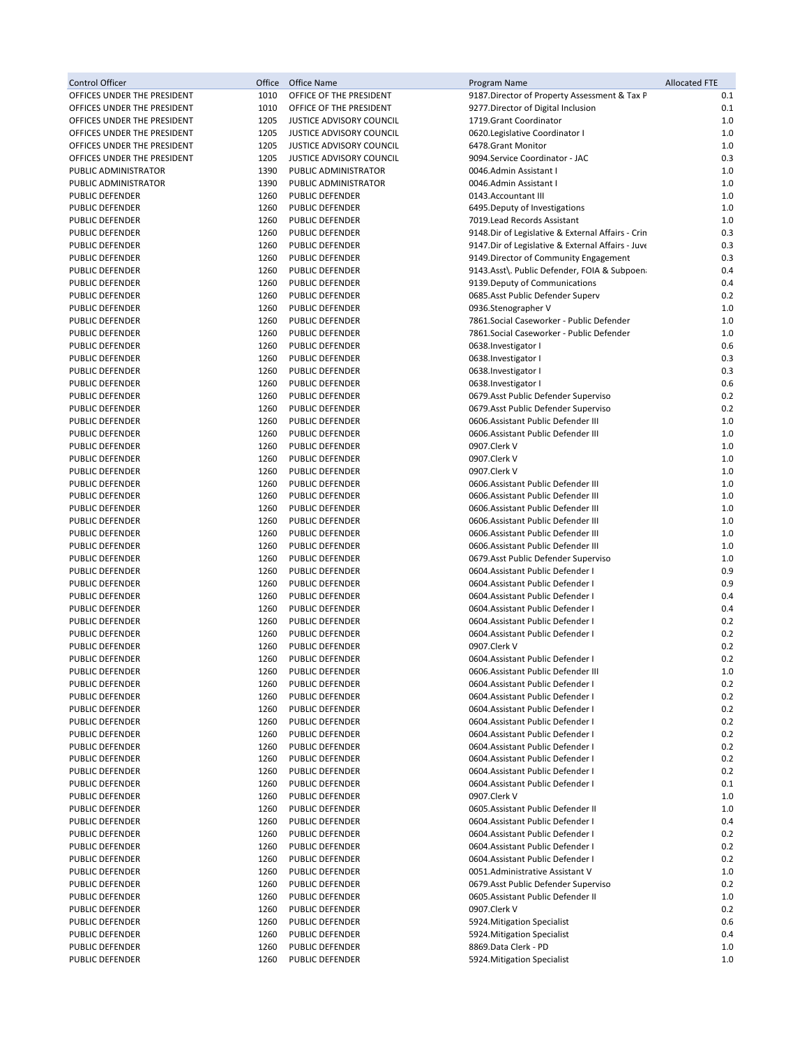| <b>Control Officer</b>                    | Office       | Office Name                                      | Program Name                                                                          | <b>Allocated FTE</b> |
|-------------------------------------------|--------------|--------------------------------------------------|---------------------------------------------------------------------------------------|----------------------|
| OFFICES UNDER THE PRESIDENT               | 1010         | OFFICE OF THE PRESIDENT                          | 9187. Director of Property Assessment & Tax P                                         | 0.1                  |
| OFFICES UNDER THE PRESIDENT               | 1010         | OFFICE OF THE PRESIDENT                          | 9277. Director of Digital Inclusion                                                   | 0.1                  |
| OFFICES UNDER THE PRESIDENT               | 1205         | JUSTICE ADVISORY COUNCIL                         | 1719. Grant Coordinator                                                               | 1.0                  |
| OFFICES UNDER THE PRESIDENT               | 1205         | JUSTICE ADVISORY COUNCIL                         | 0620.Legislative Coordinator I                                                        | 1.0                  |
| OFFICES UNDER THE PRESIDENT               | 1205         | <b>JUSTICE ADVISORY COUNCIL</b>                  | 6478.Grant Monitor                                                                    | 1.0                  |
| OFFICES UNDER THE PRESIDENT               | 1205         | JUSTICE ADVISORY COUNCIL                         | 9094.Service Coordinator - JAC                                                        | 0.3                  |
| PUBLIC ADMINISTRATOR                      | 1390         | PUBLIC ADMINISTRATOR                             | 0046.Admin Assistant I                                                                | 1.0                  |
| PUBLIC ADMINISTRATOR                      | 1390         | PUBLIC ADMINISTRATOR                             | 0046.Admin Assistant I                                                                | 1.0                  |
| PUBLIC DEFENDER                           | 1260         | PUBLIC DEFENDER                                  | 0143.Accountant III                                                                   | 1.0                  |
| PUBLIC DEFENDER                           | 1260         | PUBLIC DEFENDER                                  | 6495. Deputy of Investigations                                                        | 1.0                  |
| <b>PUBLIC DEFENDER</b>                    | 1260         | PUBLIC DEFENDER                                  | 7019. Lead Records Assistant                                                          | 1.0                  |
| <b>PUBLIC DEFENDER</b>                    | 1260         | PUBLIC DEFENDER                                  | 9148. Dir of Legislative & External Affairs - Crin                                    | 0.3                  |
| PUBLIC DEFENDER<br><b>PUBLIC DEFENDER</b> | 1260<br>1260 | PUBLIC DEFENDER                                  | 9147. Dir of Legislative & External Affairs - Juve                                    | 0.3                  |
| PUBLIC DEFENDER                           | 1260         | <b>PUBLIC DEFENDER</b><br><b>PUBLIC DEFENDER</b> | 9149. Director of Community Engagement<br>9143.Asst\. Public Defender, FOIA & Subpoen | 0.3<br>0.4           |
| PUBLIC DEFENDER                           | 1260         | PUBLIC DEFENDER                                  | 9139. Deputy of Communications                                                        | 0.4                  |
| <b>PUBLIC DEFENDER</b>                    | 1260         | <b>PUBLIC DEFENDER</b>                           | 0685.Asst Public Defender Superv                                                      | 0.2                  |
| PUBLIC DEFENDER                           | 1260         | PUBLIC DEFENDER                                  | 0936.Stenographer V                                                                   | 1.0                  |
| PUBLIC DEFENDER                           | 1260         | PUBLIC DEFENDER                                  | 7861.Social Caseworker - Public Defender                                              | 1.0                  |
| PUBLIC DEFENDER                           | 1260         | PUBLIC DEFENDER                                  | 7861.Social Caseworker - Public Defender                                              | 1.0                  |
| <b>PUBLIC DEFENDER</b>                    | 1260         | PUBLIC DEFENDER                                  | 0638. Investigator I                                                                  | 0.6                  |
| PUBLIC DEFENDER                           | 1260         | PUBLIC DEFENDER                                  | 0638. Investigator I                                                                  | 0.3                  |
| <b>PUBLIC DEFENDER</b>                    | 1260         | <b>PUBLIC DEFENDER</b>                           | 0638. Investigator I                                                                  | 0.3                  |
| <b>PUBLIC DEFENDER</b>                    | 1260         | <b>PUBLIC DEFENDER</b>                           | 0638. Investigator I                                                                  | 0.6                  |
| PUBLIC DEFENDER                           | 1260         | PUBLIC DEFENDER                                  | 0679.Asst Public Defender Superviso                                                   | 0.2                  |
| PUBLIC DEFENDER                           | 1260         | PUBLIC DEFENDER                                  | 0679.Asst Public Defender Superviso                                                   | 0.2                  |
| <b>PUBLIC DEFENDER</b>                    | 1260         | <b>PUBLIC DEFENDER</b>                           | 0606.Assistant Public Defender III                                                    | 1.0                  |
| <b>PUBLIC DEFENDER</b>                    | 1260         | PUBLIC DEFENDER                                  | 0606.Assistant Public Defender III                                                    | 1.0                  |
| PUBLIC DEFENDER                           | 1260         | PUBLIC DEFENDER                                  | 0907.Clerk V                                                                          | 1.0                  |
| PUBLIC DEFENDER                           | 1260         | PUBLIC DEFENDER                                  | 0907.Clerk V                                                                          | 1.0                  |
| PUBLIC DEFENDER                           | 1260         | PUBLIC DEFENDER                                  | 0907.Clerk V                                                                          | 1.0                  |
| PUBLIC DEFENDER                           | 1260         | PUBLIC DEFENDER                                  | 0606.Assistant Public Defender III                                                    | 1.0                  |
| <b>PUBLIC DEFENDER</b>                    | 1260         | <b>PUBLIC DEFENDER</b>                           | 0606.Assistant Public Defender III                                                    | 1.0                  |
| PUBLIC DEFENDER                           | 1260         | PUBLIC DEFENDER                                  | 0606.Assistant Public Defender III                                                    | 1.0                  |
| PUBLIC DEFENDER                           | 1260         | PUBLIC DEFENDER                                  | 0606.Assistant Public Defender III                                                    | 1.0                  |
| <b>PUBLIC DEFENDER</b>                    | 1260         | <b>PUBLIC DEFENDER</b>                           | 0606.Assistant Public Defender III                                                    | 1.0                  |
| PUBLIC DEFENDER                           | 1260         | PUBLIC DEFENDER                                  | 0606.Assistant Public Defender III                                                    | 1.0                  |
| PUBLIC DEFENDER                           | 1260         | PUBLIC DEFENDER                                  | 0679.Asst Public Defender Superviso                                                   | 1.0                  |
| PUBLIC DEFENDER                           | 1260         | PUBLIC DEFENDER                                  | 0604.Assistant Public Defender I                                                      | 0.9                  |
| PUBLIC DEFENDER                           | 1260         | PUBLIC DEFENDER                                  | 0604.Assistant Public Defender I                                                      | 0.9                  |
| PUBLIC DEFENDER                           | 1260         | PUBLIC DEFENDER                                  | 0604.Assistant Public Defender I                                                      | 0.4                  |
| PUBLIC DEFENDER                           | 1260         | PUBLIC DEFENDER                                  | 0604.Assistant Public Defender I                                                      | 0.4                  |
| PUBLIC DEFENDER                           | 1260         | PUBLIC DEFENDER                                  | 0604.Assistant Public Defender I                                                      | 0.2                  |
| PUBLIC DEFENDER                           | 1260         | PUBLIC DEFENDER                                  | 0604. Assistant Public Defender I                                                     | 0.2                  |
| PUBLIC DEFENDER<br><b>PUBLIC DEFENDER</b> | 1260<br>1260 | <b>PUBLIC DEFENDER</b><br><b>PUBLIC DEFENDER</b> | 0907.Clerk V<br>0604.Assistant Public Defender I                                      | 0.2<br>0.2           |
| PUBLIC DEFENDER                           | 1260         | PUBLIC DEFENDER                                  | 0606.Assistant Public Defender III                                                    | $1.0\,$              |
| PUBLIC DEFENDER                           | 1260         | <b>PUBLIC DEFENDER</b>                           | 0604.Assistant Public Defender I                                                      | 0.2                  |
| PUBLIC DEFENDER                           | 1260         | PUBLIC DEFENDER                                  | 0604.Assistant Public Defender I                                                      | 0.2                  |
| PUBLIC DEFENDER                           | 1260         | PUBLIC DEFENDER                                  | 0604. Assistant Public Defender I                                                     | 0.2                  |
| PUBLIC DEFENDER                           | 1260         | PUBLIC DEFENDER                                  | 0604.Assistant Public Defender I                                                      | 0.2                  |
| PUBLIC DEFENDER                           | 1260         | PUBLIC DEFENDER                                  | 0604.Assistant Public Defender I                                                      | 0.2                  |
| PUBLIC DEFENDER                           | 1260         | PUBLIC DEFENDER                                  | 0604.Assistant Public Defender I                                                      | 0.2                  |
| PUBLIC DEFENDER                           | 1260         | PUBLIC DEFENDER                                  | 0604.Assistant Public Defender I                                                      | 0.2                  |
| PUBLIC DEFENDER                           | 1260         | <b>PUBLIC DEFENDER</b>                           | 0604.Assistant Public Defender I                                                      | 0.2                  |
| PUBLIC DEFENDER                           | 1260         | PUBLIC DEFENDER                                  | 0604.Assistant Public Defender I                                                      | 0.1                  |
| PUBLIC DEFENDER                           | 1260         | PUBLIC DEFENDER                                  | 0907.Clerk V                                                                          | 1.0                  |
| PUBLIC DEFENDER                           | 1260         | <b>PUBLIC DEFENDER</b>                           | 0605.Assistant Public Defender II                                                     | 1.0                  |
| PUBLIC DEFENDER                           | 1260         | PUBLIC DEFENDER                                  | 0604.Assistant Public Defender I                                                      | 0.4                  |
| PUBLIC DEFENDER                           | 1260         | PUBLIC DEFENDER                                  | 0604. Assistant Public Defender I                                                     | 0.2                  |
| PUBLIC DEFENDER                           | 1260         | PUBLIC DEFENDER                                  | 0604. Assistant Public Defender I                                                     | 0.2                  |
| PUBLIC DEFENDER                           | 1260         | PUBLIC DEFENDER                                  | 0604.Assistant Public Defender I                                                      | 0.2                  |
| PUBLIC DEFENDER                           | 1260         | PUBLIC DEFENDER                                  | 0051.Administrative Assistant V                                                       | 1.0                  |
| PUBLIC DEFENDER                           | 1260         | PUBLIC DEFENDER                                  | 0679. Asst Public Defender Superviso                                                  | 0.2                  |
| PUBLIC DEFENDER                           | 1260         | PUBLIC DEFENDER                                  | 0605.Assistant Public Defender II                                                     | 1.0                  |
| PUBLIC DEFENDER                           | 1260         | PUBLIC DEFENDER                                  | 0907.Clerk V                                                                          | 0.2                  |
| PUBLIC DEFENDER                           | 1260         | PUBLIC DEFENDER                                  | 5924. Mitigation Specialist                                                           | 0.6                  |
| PUBLIC DEFENDER                           | 1260         | PUBLIC DEFENDER                                  | 5924. Mitigation Specialist                                                           | 0.4                  |
| PUBLIC DEFENDER                           | 1260         | PUBLIC DEFENDER                                  | 8869.Data Clerk - PD                                                                  | 1.0                  |
| PUBLIC DEFENDER                           | 1260         | PUBLIC DEFENDER                                  | 5924. Mitigation Specialist                                                           | 1.0                  |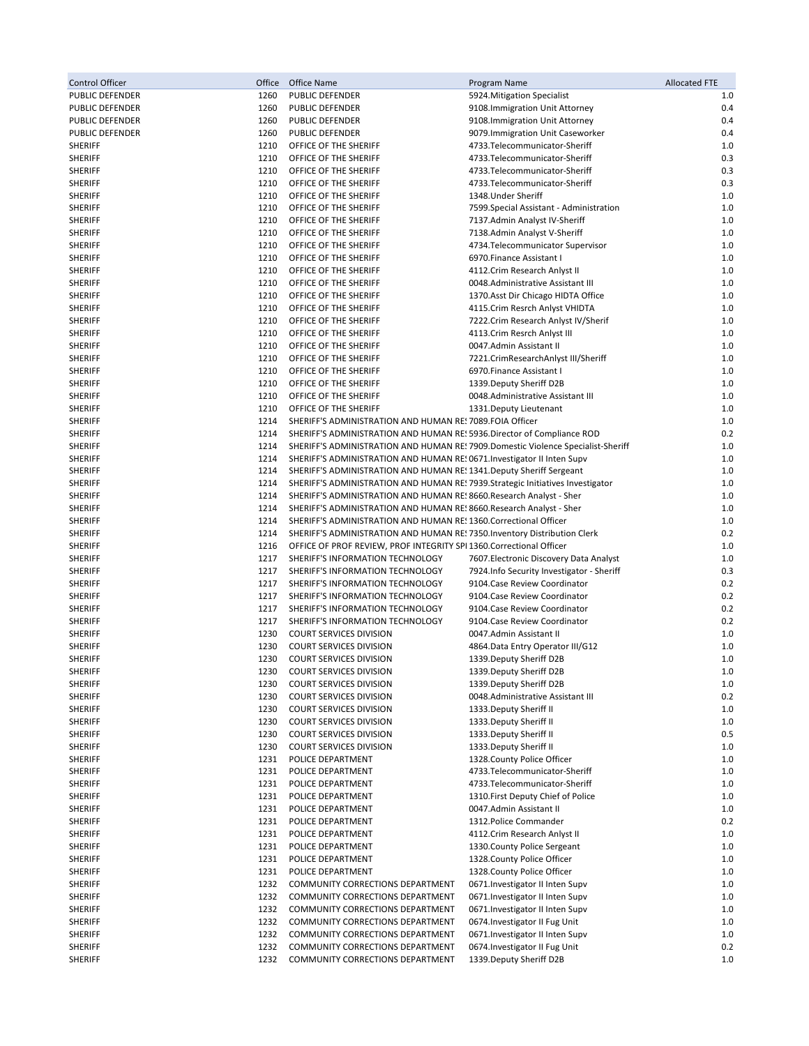| Control Officer                  | Office       | Office Name                                                                                                                         | Program Name                                                                          | <b>Allocated FTE</b> |
|----------------------------------|--------------|-------------------------------------------------------------------------------------------------------------------------------------|---------------------------------------------------------------------------------------|----------------------|
| PUBLIC DEFENDER                  | 1260         | PUBLIC DEFENDER                                                                                                                     | 5924. Mitigation Specialist                                                           | 1.0                  |
| PUBLIC DEFENDER                  | 1260         | PUBLIC DEFENDER                                                                                                                     | 9108. Immigration Unit Attorney                                                       | 0.4                  |
| PUBLIC DEFENDER                  | 1260         | PUBLIC DEFENDER                                                                                                                     | 9108. Immigration Unit Attorney                                                       | 0.4                  |
| PUBLIC DEFENDER                  | 1260         | PUBLIC DEFENDER                                                                                                                     | 9079. Immigration Unit Caseworker                                                     | 0.4                  |
| <b>SHERIFF</b><br><b>SHERIFF</b> | 1210<br>1210 | OFFICE OF THE SHERIFF<br>OFFICE OF THE SHERIFF                                                                                      | 4733.Telecommunicator-Sheriff<br>4733.Telecommunicator-Sheriff                        | 1.0<br>0.3           |
| <b>SHERIFF</b>                   | 1210         | OFFICE OF THE SHERIFF                                                                                                               | 4733.Telecommunicator-Sheriff                                                         | 0.3                  |
| <b>SHERIFF</b>                   | 1210         | OFFICE OF THE SHERIFF                                                                                                               | 4733.Telecommunicator-Sheriff                                                         | 0.3                  |
| <b>SHERIFF</b>                   | 1210         | OFFICE OF THE SHERIFF                                                                                                               | 1348. Under Sheriff                                                                   | 1.0                  |
| <b>SHERIFF</b>                   | 1210         | OFFICE OF THE SHERIFF                                                                                                               | 7599. Special Assistant - Administration                                              | 1.0                  |
| <b>SHERIFF</b>                   | 1210         | OFFICE OF THE SHERIFF                                                                                                               | 7137.Admin Analyst IV-Sheriff                                                         | 1.0                  |
| <b>SHERIFF</b>                   | 1210         | OFFICE OF THE SHERIFF                                                                                                               | 7138.Admin Analyst V-Sheriff                                                          | 1.0                  |
| <b>SHERIFF</b>                   | 1210         | OFFICE OF THE SHERIFF                                                                                                               | 4734. Telecommunicator Supervisor                                                     | 1.0                  |
| SHERIFF                          | 1210         | OFFICE OF THE SHERIFF                                                                                                               | 6970. Finance Assistant I                                                             | 1.0                  |
| <b>SHERIFF</b>                   | 1210         | OFFICE OF THE SHERIFF                                                                                                               | 4112. Crim Research Anlyst II                                                         | 1.0                  |
| <b>SHERIFF</b><br><b>SHERIFF</b> | 1210<br>1210 | OFFICE OF THE SHERIFF<br>OFFICE OF THE SHERIFF                                                                                      | 0048.Administrative Assistant III<br>1370. Asst Dir Chicago HIDTA Office              | 1.0<br>1.0           |
| <b>SHERIFF</b>                   | 1210         | OFFICE OF THE SHERIFF                                                                                                               | 4115.Crim Resrch Anlyst VHIDTA                                                        | 1.0                  |
| <b>SHERIFF</b>                   | 1210         | OFFICE OF THE SHERIFF                                                                                                               | 7222.Crim Research Anlyst IV/Sherif                                                   | 1.0                  |
| <b>SHERIFF</b>                   | 1210         | OFFICE OF THE SHERIFF                                                                                                               | 4113. Crim Resrch Anlyst III                                                          | 1.0                  |
| <b>SHERIFF</b>                   | 1210         | OFFICE OF THE SHERIFF                                                                                                               | 0047.Admin Assistant II                                                               | 1.0                  |
| <b>SHERIFF</b>                   | 1210         | OFFICE OF THE SHERIFF                                                                                                               | 7221.CrimResearchAnlyst III/Sheriff                                                   | 1.0                  |
| <b>SHERIFF</b>                   | 1210         | OFFICE OF THE SHERIFF                                                                                                               | 6970. Finance Assistant I                                                             | 1.0                  |
| <b>SHERIFF</b>                   | 1210         | OFFICE OF THE SHERIFF                                                                                                               | 1339. Deputy Sheriff D2B                                                              | 1.0                  |
| <b>SHERIFF</b>                   | 1210         | OFFICE OF THE SHERIFF                                                                                                               | 0048.Administrative Assistant III                                                     | 1.0                  |
| <b>SHERIFF</b>                   | 1210         | OFFICE OF THE SHERIFF                                                                                                               | 1331. Deputy Lieutenant                                                               | 1.0                  |
| <b>SHERIFF</b><br><b>SHERIFF</b> | 1214<br>1214 | SHERIFF'S ADMINISTRATION AND HUMAN RES 7089.FOIA Officer<br>SHERIFF'S ADMINISTRATION AND HUMAN RE: 5936. Director of Compliance ROD |                                                                                       | 1.0                  |
| <b>SHERIFF</b>                   | 1214         | SHERIFF'S ADMINISTRATION AND HUMAN RES 7909. Domestic Violence Specialist-Sheriff                                                   |                                                                                       | 0.2<br>1.0           |
| <b>SHERIFF</b>                   | 1214         | SHERIFF'S ADMINISTRATION AND HUMAN RE! 0671. Investigator II Inten Supv                                                             |                                                                                       | 1.0                  |
| <b>SHERIFF</b>                   | 1214         | SHERIFF'S ADMINISTRATION AND HUMAN RE: 1341. Deputy Sheriff Sergeant                                                                |                                                                                       | 1.0                  |
| <b>SHERIFF</b>                   | 1214         | SHERIFF'S ADMINISTRATION AND HUMAN RES 7939. Strategic Initiatives Investigator                                                     |                                                                                       | 1.0                  |
| <b>SHERIFF</b>                   | 1214         | SHERIFF'S ADMINISTRATION AND HUMAN RES 8660. Research Analyst - Sher                                                                |                                                                                       | 1.0                  |
| <b>SHERIFF</b>                   | 1214         | SHERIFF'S ADMINISTRATION AND HUMAN RES 8660. Research Analyst - Sher                                                                |                                                                                       | 1.0                  |
| <b>SHERIFF</b>                   | 1214         | SHERIFF'S ADMINISTRATION AND HUMAN RE: 1360. Correctional Officer                                                                   |                                                                                       | 1.0                  |
| <b>SHERIFF</b>                   | 1214         | SHERIFF'S ADMINISTRATION AND HUMAN RE! 7350. Inventory Distribution Clerk                                                           |                                                                                       | 0.2                  |
| <b>SHERIFF</b>                   | 1216         | OFFICE OF PROF REVIEW, PROF INTEGRITY SPI 1360. Correctional Officer                                                                |                                                                                       | 1.0                  |
| <b>SHERIFF</b><br><b>SHERIFF</b> | 1217<br>1217 | SHERIFF'S INFORMATION TECHNOLOGY<br>SHERIFF'S INFORMATION TECHNOLOGY                                                                | 7607. Electronic Discovery Data Analyst<br>7924. Info Security Investigator - Sheriff | 1.0<br>0.3           |
| <b>SHERIFF</b>                   | 1217         | SHERIFF'S INFORMATION TECHNOLOGY                                                                                                    | 9104. Case Review Coordinator                                                         | 0.2                  |
| <b>SHERIFF</b>                   | 1217         | SHERIFF'S INFORMATION TECHNOLOGY                                                                                                    | 9104. Case Review Coordinator                                                         | 0.2                  |
| <b>SHERIFF</b>                   | 1217         | SHERIFF'S INFORMATION TECHNOLOGY                                                                                                    | 9104. Case Review Coordinator                                                         | 0.2                  |
| <b>SHERIFF</b>                   | 1217         | SHERIFF'S INFORMATION TECHNOLOGY                                                                                                    | 9104. Case Review Coordinator                                                         | 0.2                  |
| <b>SHERIFF</b>                   | 1230         | <b>COURT SERVICES DIVISION</b>                                                                                                      | 0047.Admin Assistant II                                                               | 1.0                  |
| <b>SHERIFF</b>                   | 1230         | <b>COURT SERVICES DIVISION</b>                                                                                                      | 4864. Data Entry Operator III/G12                                                     | 1.0                  |
| <b>SHERIFF</b>                   | 1230         | <b>COURT SERVICES DIVISION</b>                                                                                                      | 1339. Deputy Sheriff D2B                                                              | 1.0                  |
| <b>SHERIFF</b>                   | 1230         | <b>COURT SERVICES DIVISION</b>                                                                                                      | 1339. Deputy Sheriff D2B                                                              | 1.0                  |
| <b>SHERIFF</b><br><b>SHERIFF</b> | 1230<br>1230 | <b>COURT SERVICES DIVISION</b>                                                                                                      | 1339. Deputy Sheriff D2B                                                              | 1.0<br>0.2           |
| <b>SHERIFF</b>                   | 1230         | <b>COURT SERVICES DIVISION</b><br><b>COURT SERVICES DIVISION</b>                                                                    | 0048.Administrative Assistant III<br>1333. Deputy Sheriff II                          | 1.0                  |
| <b>SHERIFF</b>                   | 1230         | <b>COURT SERVICES DIVISION</b>                                                                                                      | 1333. Deputy Sheriff II                                                               | 1.0                  |
| <b>SHERIFF</b>                   | 1230         | <b>COURT SERVICES DIVISION</b>                                                                                                      | 1333. Deputy Sheriff II                                                               | 0.5                  |
| <b>SHERIFF</b>                   | 1230         | <b>COURT SERVICES DIVISION</b>                                                                                                      | 1333. Deputy Sheriff II                                                               | 1.0                  |
| <b>SHERIFF</b>                   | 1231         | POLICE DEPARTMENT                                                                                                                   | 1328. County Police Officer                                                           | 1.0                  |
| <b>SHERIFF</b>                   | 1231         | POLICE DEPARTMENT                                                                                                                   | 4733.Telecommunicator-Sheriff                                                         | 1.0                  |
| <b>SHERIFF</b>                   | 1231         | POLICE DEPARTMENT                                                                                                                   | 4733.Telecommunicator-Sheriff                                                         | 1.0                  |
| <b>SHERIFF</b>                   | 1231         | POLICE DEPARTMENT                                                                                                                   | 1310. First Deputy Chief of Police                                                    | 1.0                  |
| <b>SHERIFF</b>                   | 1231         | POLICE DEPARTMENT                                                                                                                   | 0047.Admin Assistant II                                                               | 1.0                  |
| <b>SHERIFF</b><br><b>SHERIFF</b> | 1231<br>1231 | POLICE DEPARTMENT<br>POLICE DEPARTMENT                                                                                              | 1312. Police Commander<br>4112. Crim Research Anlyst II                               | 0.2<br>1.0           |
| <b>SHERIFF</b>                   | 1231         | POLICE DEPARTMENT                                                                                                                   | 1330. County Police Sergeant                                                          | 1.0                  |
| <b>SHERIFF</b>                   | 1231         | POLICE DEPARTMENT                                                                                                                   | 1328. County Police Officer                                                           | 1.0                  |
| <b>SHERIFF</b>                   | 1231         | POLICE DEPARTMENT                                                                                                                   | 1328. County Police Officer                                                           | 1.0                  |
| <b>SHERIFF</b>                   | 1232         | COMMUNITY CORRECTIONS DEPARTMENT                                                                                                    | 0671. Investigator II Inten Supv                                                      | 1.0                  |
| <b>SHERIFF</b>                   | 1232         | COMMUNITY CORRECTIONS DEPARTMENT                                                                                                    | 0671. Investigator II Inten Supv                                                      | 1.0                  |
| <b>SHERIFF</b>                   | 1232         | COMMUNITY CORRECTIONS DEPARTMENT                                                                                                    | 0671. Investigator II Inten Supv                                                      | 1.0                  |
| <b>SHERIFF</b>                   | 1232         | COMMUNITY CORRECTIONS DEPARTMENT                                                                                                    | 0674. Investigator II Fug Unit                                                        | 1.0                  |
| <b>SHERIFF</b>                   | 1232         | COMMUNITY CORRECTIONS DEPARTMENT                                                                                                    | 0671. Investigator II Inten Supv                                                      | 1.0                  |
| <b>SHERIFF</b><br><b>SHERIFF</b> | 1232<br>1232 | COMMUNITY CORRECTIONS DEPARTMENT<br>COMMUNITY CORRECTIONS DEPARTMENT                                                                | 0674. Investigator II Fug Unit<br>1339. Deputy Sheriff D2B                            | 0.2<br>1.0           |
|                                  |              |                                                                                                                                     |                                                                                       |                      |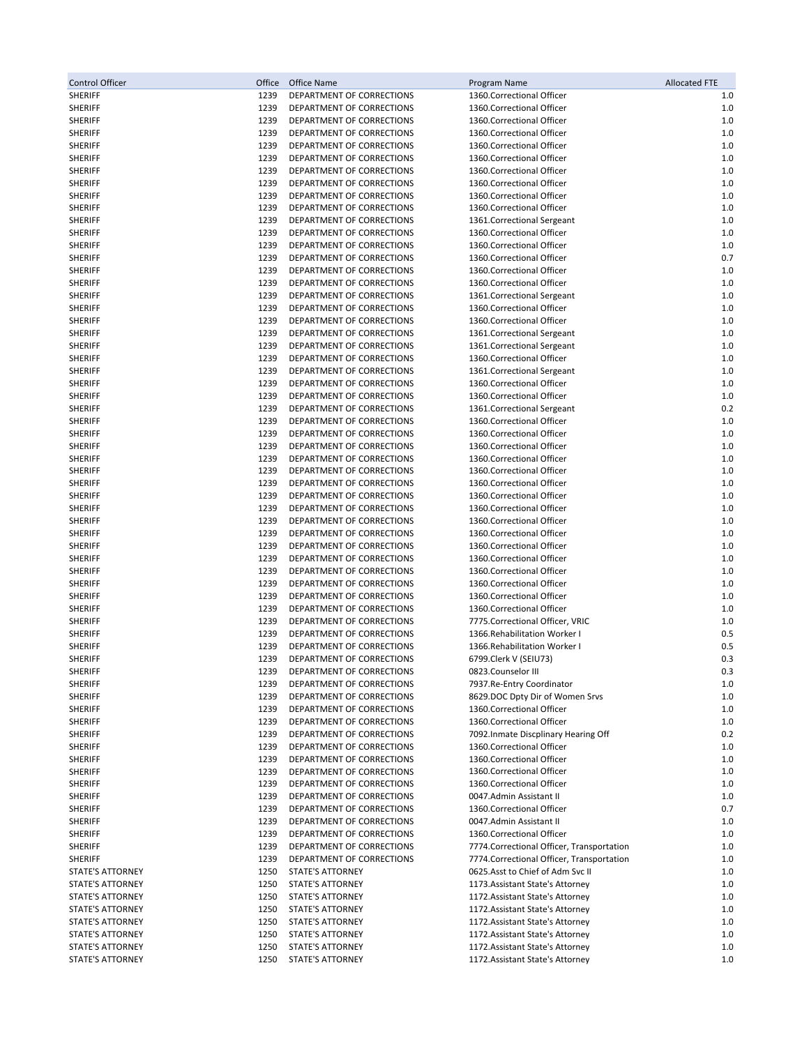| <b>Control Officer</b>             | Office       | Office Name                                            | Program Name                                                                   | <b>Allocated FTE</b> |
|------------------------------------|--------------|--------------------------------------------------------|--------------------------------------------------------------------------------|----------------------|
| <b>SHERIFF</b>                     | 1239         | DEPARTMENT OF CORRECTIONS                              | 1360.Correctional Officer                                                      | 1.0                  |
| <b>SHERIFF</b>                     | 1239         | DEPARTMENT OF CORRECTIONS                              | 1360.Correctional Officer                                                      | 1.0                  |
| <b>SHERIFF</b>                     | 1239         | DEPARTMENT OF CORRECTIONS                              | 1360.Correctional Officer                                                      | 1.0                  |
| <b>SHERIFF</b>                     | 1239         | DEPARTMENT OF CORRECTIONS                              | 1360.Correctional Officer                                                      | 1.0                  |
| <b>SHERIFF</b>                     | 1239         | DEPARTMENT OF CORRECTIONS                              | 1360.Correctional Officer                                                      | 1.0                  |
| <b>SHERIFF</b>                     | 1239         | DEPARTMENT OF CORRECTIONS                              | 1360.Correctional Officer                                                      | 1.0                  |
| <b>SHERIFF</b>                     | 1239         | DEPARTMENT OF CORRECTIONS                              | 1360.Correctional Officer                                                      | 1.0                  |
| <b>SHERIFF</b>                     | 1239         | DEPARTMENT OF CORRECTIONS                              | 1360.Correctional Officer                                                      | 1.0                  |
| <b>SHERIFF</b>                     | 1239         | DEPARTMENT OF CORRECTIONS                              | 1360.Correctional Officer                                                      | 1.0                  |
| <b>SHERIFF</b>                     | 1239         | DEPARTMENT OF CORRECTIONS                              | 1360.Correctional Officer                                                      | 1.0                  |
| <b>SHERIFF</b>                     | 1239         | DEPARTMENT OF CORRECTIONS                              | 1361.Correctional Sergeant                                                     | 1.0                  |
| <b>SHERIFF</b>                     | 1239         | DEPARTMENT OF CORRECTIONS                              | 1360.Correctional Officer                                                      | 1.0                  |
| <b>SHERIFF</b>                     | 1239         | DEPARTMENT OF CORRECTIONS                              | 1360.Correctional Officer                                                      | 1.0                  |
| <b>SHERIFF</b>                     | 1239         | DEPARTMENT OF CORRECTIONS                              | 1360.Correctional Officer                                                      | 0.7                  |
| <b>SHERIFF</b>                     | 1239         | DEPARTMENT OF CORRECTIONS                              | 1360.Correctional Officer                                                      | 1.0                  |
| <b>SHERIFF</b>                     | 1239         | DEPARTMENT OF CORRECTIONS                              | 1360.Correctional Officer                                                      | 1.0                  |
| <b>SHERIFF</b>                     | 1239<br>1239 | DEPARTMENT OF CORRECTIONS                              | 1361.Correctional Sergeant<br>1360.Correctional Officer                        | 1.0<br>1.0           |
| <b>SHERIFF</b><br><b>SHERIFF</b>   | 1239         | DEPARTMENT OF CORRECTIONS<br>DEPARTMENT OF CORRECTIONS | 1360.Correctional Officer                                                      | 1.0                  |
| <b>SHERIFF</b>                     | 1239         | DEPARTMENT OF CORRECTIONS                              | 1361.Correctional Sergeant                                                     | 1.0                  |
| <b>SHERIFF</b>                     | 1239         | DEPARTMENT OF CORRECTIONS                              | 1361.Correctional Sergeant                                                     | 1.0                  |
| <b>SHERIFF</b>                     | 1239         | DEPARTMENT OF CORRECTIONS                              | 1360.Correctional Officer                                                      | 1.0                  |
| <b>SHERIFF</b>                     | 1239         | DEPARTMENT OF CORRECTIONS                              | 1361.Correctional Sergeant                                                     | 1.0                  |
| <b>SHERIFF</b>                     | 1239         | DEPARTMENT OF CORRECTIONS                              | 1360.Correctional Officer                                                      | 1.0                  |
| <b>SHERIFF</b>                     | 1239         | DEPARTMENT OF CORRECTIONS                              | 1360.Correctional Officer                                                      | 1.0                  |
| <b>SHERIFF</b>                     | 1239         | DEPARTMENT OF CORRECTIONS                              | 1361.Correctional Sergeant                                                     | 0.2                  |
| <b>SHERIFF</b>                     | 1239         | DEPARTMENT OF CORRECTIONS                              | 1360.Correctional Officer                                                      | 1.0                  |
| <b>SHERIFF</b>                     | 1239         | DEPARTMENT OF CORRECTIONS                              | 1360.Correctional Officer                                                      | 1.0                  |
| <b>SHERIFF</b>                     | 1239         | DEPARTMENT OF CORRECTIONS                              | 1360.Correctional Officer                                                      | 1.0                  |
| <b>SHERIFF</b>                     | 1239         | DEPARTMENT OF CORRECTIONS                              | 1360.Correctional Officer                                                      | 1.0                  |
| <b>SHERIFF</b>                     | 1239         | DEPARTMENT OF CORRECTIONS                              | 1360.Correctional Officer                                                      | 1.0                  |
| <b>SHERIFF</b>                     | 1239         | DEPARTMENT OF CORRECTIONS                              | 1360.Correctional Officer                                                      | 1.0                  |
| <b>SHERIFF</b>                     | 1239         | DEPARTMENT OF CORRECTIONS                              | 1360.Correctional Officer                                                      | 1.0                  |
| <b>SHERIFF</b>                     | 1239         | DEPARTMENT OF CORRECTIONS                              | 1360.Correctional Officer                                                      | 1.0                  |
| <b>SHERIFF</b>                     | 1239         | DEPARTMENT OF CORRECTIONS                              | 1360.Correctional Officer                                                      | 1.0                  |
| <b>SHERIFF</b>                     | 1239         | DEPARTMENT OF CORRECTIONS                              | 1360.Correctional Officer                                                      | 1.0                  |
| <b>SHERIFF</b>                     | 1239         | DEPARTMENT OF CORRECTIONS                              | 1360.Correctional Officer                                                      | 1.0                  |
| <b>SHERIFF</b>                     | 1239         | DEPARTMENT OF CORRECTIONS                              | 1360.Correctional Officer                                                      | 1.0                  |
| <b>SHERIFF</b><br><b>SHERIFF</b>   | 1239<br>1239 | DEPARTMENT OF CORRECTIONS<br>DEPARTMENT OF CORRECTIONS | 1360.Correctional Officer<br>1360.Correctional Officer                         | 1.0<br>1.0           |
| <b>SHERIFF</b>                     | 1239         | DEPARTMENT OF CORRECTIONS                              | 1360.Correctional Officer                                                      | 1.0                  |
| <b>SHERIFF</b>                     | 1239         | DEPARTMENT OF CORRECTIONS                              | 1360.Correctional Officer                                                      | 1.0                  |
| <b>SHERIFF</b>                     | 1239         | DEPARTMENT OF CORRECTIONS                              | 7775. Correctional Officer, VRIC                                               | 1.0                  |
| <b>SHERIFF</b>                     | 1239         | DEPARTMENT OF CORRECTIONS                              | 1366. Rehabilitation Worker                                                    | 0.5                  |
| <b>SHERIFF</b>                     | 1239         | DEPARTMENT OF CORRECTIONS                              | 1366. Rehabilitation Worker I                                                  | 0.5                  |
| <b>SHERIFF</b>                     | 1239         | DEPARTMENT OF CORRECTIONS                              | 6799.Clerk V (SEIU73)                                                          | 0.3                  |
| <b>SHERIFF</b>                     | 1239         | DEPARTMENT OF CORRECTIONS                              | 0823.Counselor III                                                             | 0.3                  |
| <b>SHERIFF</b>                     | 1239         | DEPARTMENT OF CORRECTIONS                              | 7937. Re-Entry Coordinator                                                     | 1.0                  |
| <b>SHERIFF</b>                     | 1239         | DEPARTMENT OF CORRECTIONS                              | 8629.DOC Dpty Dir of Women Srvs                                                | 1.0                  |
| <b>SHERIFF</b>                     | 1239         | DEPARTMENT OF CORRECTIONS                              | 1360.Correctional Officer                                                      | 1.0                  |
| <b>SHERIFF</b>                     | 1239         | DEPARTMENT OF CORRECTIONS                              | 1360.Correctional Officer                                                      | 1.0                  |
| <b>SHERIFF</b>                     | 1239         | DEPARTMENT OF CORRECTIONS                              | 7092. Inmate Discplinary Hearing Off                                           | 0.2                  |
| <b>SHERIFF</b>                     | 1239         | DEPARTMENT OF CORRECTIONS                              | 1360.Correctional Officer                                                      | 1.0                  |
| <b>SHERIFF</b>                     | 1239         | DEPARTMENT OF CORRECTIONS                              | 1360.Correctional Officer                                                      | 1.0                  |
| <b>SHERIFF</b>                     | 1239         | DEPARTMENT OF CORRECTIONS                              | 1360.Correctional Officer                                                      | 1.0                  |
| <b>SHERIFF</b>                     | 1239         | DEPARTMENT OF CORRECTIONS                              | 1360.Correctional Officer                                                      | 1.0                  |
| <b>SHERIFF</b>                     | 1239         | DEPARTMENT OF CORRECTIONS                              | 0047.Admin Assistant II                                                        | 1.0                  |
| <b>SHERIFF</b>                     | 1239         | DEPARTMENT OF CORRECTIONS                              | 1360. Correctional Officer                                                     | 0.7                  |
| <b>SHERIFF</b>                     | 1239         | DEPARTMENT OF CORRECTIONS                              | 0047.Admin Assistant II                                                        | 1.0                  |
| <b>SHERIFF</b>                     | 1239         | DEPARTMENT OF CORRECTIONS                              | 1360.Correctional Officer                                                      | 1.0                  |
| <b>SHERIFF</b>                     | 1239         | DEPARTMENT OF CORRECTIONS                              | 7774. Correctional Officer, Transportation                                     | 1.0                  |
| <b>SHERIFF</b><br>STATE'S ATTORNEY | 1239<br>1250 | DEPARTMENT OF CORRECTIONS<br>STATE'S ATTORNEY          | 7774. Correctional Officer, Transportation<br>0625.Asst to Chief of Adm Svc II | 1.0<br>1.0           |
| STATE'S ATTORNEY                   | 1250         | STATE'S ATTORNEY                                       | 1173. Assistant State's Attorney                                               | 1.0                  |
| STATE'S ATTORNEY                   | 1250         | STATE'S ATTORNEY                                       | 1172. Assistant State's Attorney                                               | 1.0                  |
| STATE'S ATTORNEY                   | 1250         | <b>STATE'S ATTORNEY</b>                                | 1172. Assistant State's Attorney                                               | 1.0                  |
| STATE'S ATTORNEY                   | 1250         | STATE'S ATTORNEY                                       | 1172. Assistant State's Attorney                                               | 1.0                  |
| STATE'S ATTORNEY                   | 1250         | STATE'S ATTORNEY                                       | 1172. Assistant State's Attorney                                               | 1.0                  |
| STATE'S ATTORNEY                   | 1250         | <b>STATE'S ATTORNEY</b>                                | 1172. Assistant State's Attorney                                               | 1.0                  |
| STATE'S ATTORNEY                   | 1250         | <b>STATE'S ATTORNEY</b>                                | 1172. Assistant State's Attorney                                               | 1.0                  |
|                                    |              |                                                        |                                                                                |                      |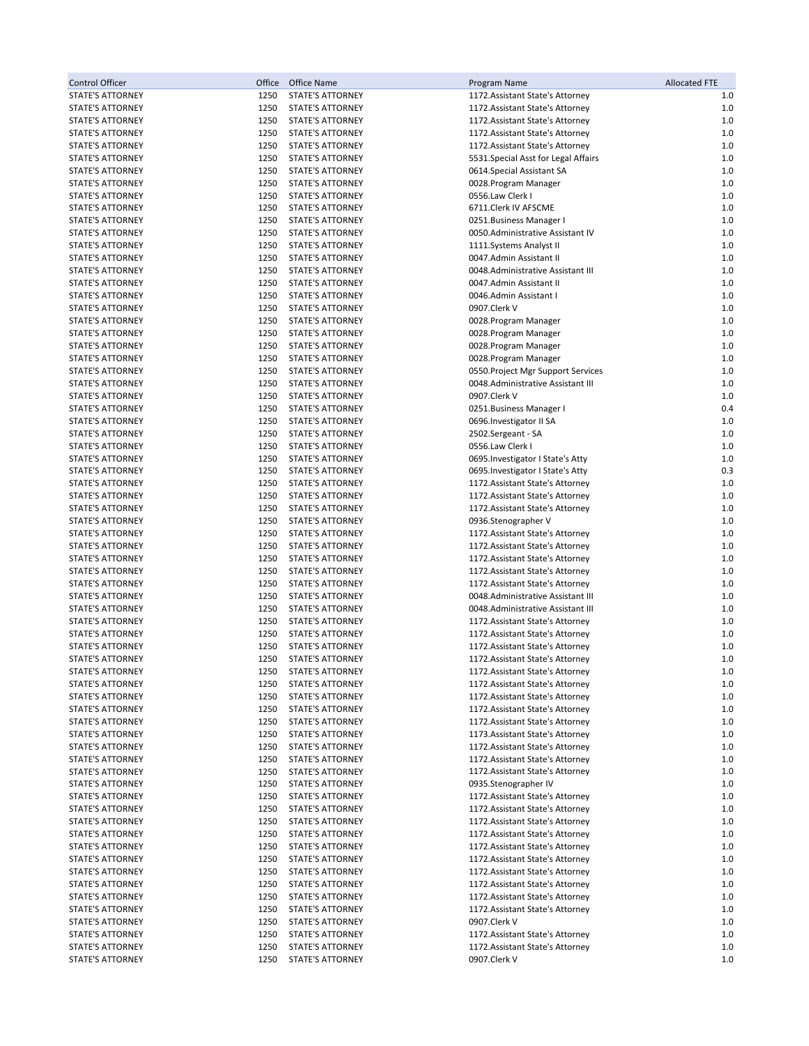| Control Officer                                    | Office       | Office Name                                        | Program Name                                                         | <b>Allocated FTE</b> |
|----------------------------------------------------|--------------|----------------------------------------------------|----------------------------------------------------------------------|----------------------|
| <b>STATE'S ATTORNEY</b>                            | 1250         | <b>STATE'S ATTORNEY</b>                            | 1172. Assistant State's Attorney                                     | 1.0                  |
| STATE'S ATTORNEY                                   | 1250         | <b>STATE'S ATTORNEY</b>                            | 1172. Assistant State's Attorney                                     | $1.0$                |
| STATE'S ATTORNEY                                   | 1250         | STATE'S ATTORNEY                                   | 1172. Assistant State's Attorney                                     | 1.0                  |
| <b>STATE'S ATTORNEY</b>                            | 1250         | STATE'S ATTORNEY                                   | 1172. Assistant State's Attorney                                     | $1.0$                |
| <b>STATE'S ATTORNEY</b>                            | 1250         | STATE'S ATTORNEY                                   | 1172. Assistant State's Attorney                                     | $1.0$                |
| <b>STATE'S ATTORNEY</b>                            | 1250         | <b>STATE'S ATTORNEY</b>                            | 5531. Special Asst for Legal Affairs                                 | 1.0                  |
| <b>STATE'S ATTORNEY</b>                            | 1250         | <b>STATE'S ATTORNEY</b>                            | 0614.Special Assistant SA                                            | 1.0                  |
| STATE'S ATTORNEY                                   | 1250         | STATE'S ATTORNEY                                   | 0028.Program Manager                                                 | 1.0                  |
| STATE'S ATTORNEY                                   | 1250         | STATE'S ATTORNEY                                   | 0556.Law Clerk I                                                     | 1.0                  |
| <b>STATE'S ATTORNEY</b>                            | 1250         | STATE'S ATTORNEY                                   | 6711.Clerk IV AFSCME                                                 | $1.0$                |
| <b>STATE'S ATTORNEY</b>                            | 1250         | STATE'S ATTORNEY                                   | 0251. Business Manager I                                             | 1.0                  |
| STATE'S ATTORNEY                                   | 1250         | STATE'S ATTORNEY                                   | 0050. Administrative Assistant IV                                    | 1.0                  |
| <b>STATE'S ATTORNEY</b>                            | 1250         | STATE'S ATTORNEY                                   | 1111.Systems Analyst II                                              | 1.0                  |
| <b>STATE'S ATTORNEY</b>                            | 1250         | <b>STATE'S ATTORNEY</b>                            | 0047.Admin Assistant II                                              | 1.0                  |
| STATE'S ATTORNEY                                   | 1250         | <b>STATE'S ATTORNEY</b>                            | 0048.Administrative Assistant III                                    | 1.0                  |
| <b>STATE'S ATTORNEY</b>                            | 1250         | STATE'S ATTORNEY                                   | 0047.Admin Assistant II                                              | 1.0                  |
| <b>STATE'S ATTORNEY</b>                            | 1250<br>1250 | <b>STATE'S ATTORNEY</b>                            | 0046.Admin Assistant I                                               | $1.0$<br>1.0         |
| <b>STATE'S ATTORNEY</b><br><b>STATE'S ATTORNEY</b> | 1250         | <b>STATE'S ATTORNEY</b><br><b>STATE'S ATTORNEY</b> | 0907.Clerk V                                                         | 1.0                  |
| <b>STATE'S ATTORNEY</b>                            | 1250         | <b>STATE'S ATTORNEY</b>                            | 0028.Program Manager<br>0028.Program Manager                         | 1.0                  |
| <b>STATE'S ATTORNEY</b>                            | 1250         | <b>STATE'S ATTORNEY</b>                            | 0028.Program Manager                                                 | 1.0                  |
| <b>STATE'S ATTORNEY</b>                            | 1250         | <b>STATE'S ATTORNEY</b>                            | 0028. Program Manager                                                | 1.0                  |
| <b>STATE'S ATTORNEY</b>                            | 1250         | <b>STATE'S ATTORNEY</b>                            | 0550. Project Mgr Support Services                                   | 1.0                  |
| <b>STATE'S ATTORNEY</b>                            | 1250         | <b>STATE'S ATTORNEY</b>                            | 0048.Administrative Assistant III                                    | 1.0                  |
| STATE'S ATTORNEY                                   | 1250         | <b>STATE'S ATTORNEY</b>                            | 0907.Clerk V                                                         | 1.0                  |
| <b>STATE'S ATTORNEY</b>                            | 1250         | <b>STATE'S ATTORNEY</b>                            | 0251. Business Manager I                                             | 0.4                  |
| <b>STATE'S ATTORNEY</b>                            | 1250         | <b>STATE'S ATTORNEY</b>                            | 0696. Investigator II SA                                             | 1.0                  |
| <b>STATE'S ATTORNEY</b>                            | 1250         | <b>STATE'S ATTORNEY</b>                            | 2502.Sergeant - SA                                                   | 1.0                  |
| <b>STATE'S ATTORNEY</b>                            | 1250         | <b>STATE'S ATTORNEY</b>                            | 0556.Law Clerk I                                                     | $1.0$                |
| <b>STATE'S ATTORNEY</b>                            | 1250         | <b>STATE'S ATTORNEY</b>                            | 0695. Investigator I State's Atty                                    | 1.0                  |
| STATE'S ATTORNEY                                   | 1250         | <b>STATE'S ATTORNEY</b>                            | 0695. Investigator I State's Atty                                    | 0.3                  |
| STATE'S ATTORNEY                                   | 1250         | STATE'S ATTORNEY                                   | 1172. Assistant State's Attorney                                     | 1.0                  |
| STATE'S ATTORNEY                                   | 1250         | <b>STATE'S ATTORNEY</b>                            | 1172. Assistant State's Attorney                                     | 1.0                  |
| STATE'S ATTORNEY                                   | 1250         | STATE'S ATTORNEY                                   | 1172. Assistant State's Attorney                                     | 1.0                  |
| <b>STATE'S ATTORNEY</b>                            | 1250         | STATE'S ATTORNEY                                   | 0936.Stenographer V                                                  | 1.0                  |
| STATE'S ATTORNEY                                   | 1250         | STATE'S ATTORNEY                                   | 1172. Assistant State's Attorney                                     | 1.0                  |
| STATE'S ATTORNEY                                   | 1250         | <b>STATE'S ATTORNEY</b>                            | 1172. Assistant State's Attorney                                     | 1.0                  |
| STATE'S ATTORNEY                                   | 1250         | <b>STATE'S ATTORNEY</b>                            | 1172. Assistant State's Attorney                                     | 1.0                  |
| STATE'S ATTORNEY                                   | 1250         | STATE'S ATTORNEY                                   | 1172. Assistant State's Attorney                                     | 1.0                  |
| STATE'S ATTORNEY                                   | 1250         | STATE'S ATTORNEY                                   | 1172. Assistant State's Attorney                                     | 1.0                  |
| <b>STATE'S ATTORNEY</b>                            | 1250         | STATE'S ATTORNEY                                   | 0048.Administrative Assistant III                                    | 1.0                  |
| STATE'S ATTORNEY                                   | 1250         | <b>STATE'S ATTORNEY</b>                            | 0048.Administrative Assistant III                                    | 1.0                  |
| STATE'S ATTORNEY                                   | 1250         | STATE'S ATTORNEY                                   | 1172. Assistant State's Attorney                                     | 1.0                  |
| <b>STATE'S ATTORNEY</b>                            | 1250         | STATE'S ATTORNEY                                   | 1172. Assistant State's Attorney                                     | 1.0                  |
| <b>STATE'S ATTORNEY</b>                            | 1250         | <b>STATE'S ATTORNEY</b>                            | 1172. Assistant State's Attorney                                     | 1.0                  |
| <b>STATE'S ATTORNEY</b>                            | 1250         | <b>STATE'S ATTORNEY</b>                            | 1172. Assistant State's Attorney                                     | 1.0                  |
| STATE'S ATTORNEY                                   | 1250         | STATE'S ATTORNEY                                   | 1172. Assistant State's Attorney                                     | 1.0                  |
| STATE'S ATTORNEY<br>STATE'S ATTORNEY               | 1250<br>1250 | STATE'S ATTORNEY<br><b>STATE'S ATTORNEY</b>        | 1172. Assistant State's Attorney<br>1172. Assistant State's Attorney | 1.0                  |
| <b>STATE'S ATTORNEY</b>                            | 1250         | <b>STATE'S ATTORNEY</b>                            | 1172. Assistant State's Attorney                                     | 1.0<br>1.0           |
| <b>STATE'S ATTORNEY</b>                            | 1250         | STATE'S ATTORNEY                                   | 1172. Assistant State's Attorney                                     | 1.0                  |
| STATE'S ATTORNEY                                   | 1250         | STATE'S ATTORNEY                                   | 1173. Assistant State's Attorney                                     | 1.0                  |
| STATE'S ATTORNEY                                   | 1250         | <b>STATE'S ATTORNEY</b>                            | 1172. Assistant State's Attorney                                     | 1.0                  |
| <b>STATE'S ATTORNEY</b>                            | 1250         | STATE'S ATTORNEY                                   | 1172. Assistant State's Attorney                                     | 1.0                  |
| STATE'S ATTORNEY                                   | 1250         | STATE'S ATTORNEY                                   | 1172. Assistant State's Attorney                                     | 1.0                  |
| STATE'S ATTORNEY                                   | 1250         | <b>STATE'S ATTORNEY</b>                            | 0935.Stenographer IV                                                 | 1.0                  |
| <b>STATE'S ATTORNEY</b>                            | 1250         | <b>STATE'S ATTORNEY</b>                            | 1172. Assistant State's Attorney                                     | 1.0                  |
| STATE'S ATTORNEY                                   | 1250         | <b>STATE'S ATTORNEY</b>                            | 1172. Assistant State's Attorney                                     | 1.0                  |
| STATE'S ATTORNEY                                   | 1250         | <b>STATE'S ATTORNEY</b>                            | 1172. Assistant State's Attorney                                     | 1.0                  |
| STATE'S ATTORNEY                                   | 1250         | <b>STATE'S ATTORNEY</b>                            | 1172. Assistant State's Attorney                                     | 1.0                  |
| STATE'S ATTORNEY                                   | 1250         | STATE'S ATTORNEY                                   | 1172. Assistant State's Attorney                                     | 1.0                  |
| STATE'S ATTORNEY                                   | 1250         | STATE'S ATTORNEY                                   | 1172. Assistant State's Attorney                                     | 1.0                  |
| STATE'S ATTORNEY                                   | 1250         | STATE'S ATTORNEY                                   | 1172. Assistant State's Attorney                                     | 1.0                  |
| STATE'S ATTORNEY                                   | 1250         | STATE'S ATTORNEY                                   | 1172. Assistant State's Attorney                                     | 1.0                  |
| STATE'S ATTORNEY                                   | 1250         | STATE'S ATTORNEY                                   | 1172. Assistant State's Attorney                                     | 1.0                  |
| STATE'S ATTORNEY                                   | 1250         | STATE'S ATTORNEY                                   | 1172. Assistant State's Attorney                                     | 1.0                  |
| STATE'S ATTORNEY                                   | 1250         | STATE'S ATTORNEY                                   | 0907.Clerk V                                                         | 1.0                  |
| STATE'S ATTORNEY                                   | 1250         | STATE'S ATTORNEY                                   | 1172. Assistant State's Attorney                                     | 1.0                  |
| STATE'S ATTORNEY                                   | 1250         | STATE'S ATTORNEY                                   | 1172. Assistant State's Attorney                                     | 1.0                  |
| STATE'S ATTORNEY                                   | 1250         | STATE'S ATTORNEY                                   | 0907.Clerk V                                                         | 1.0                  |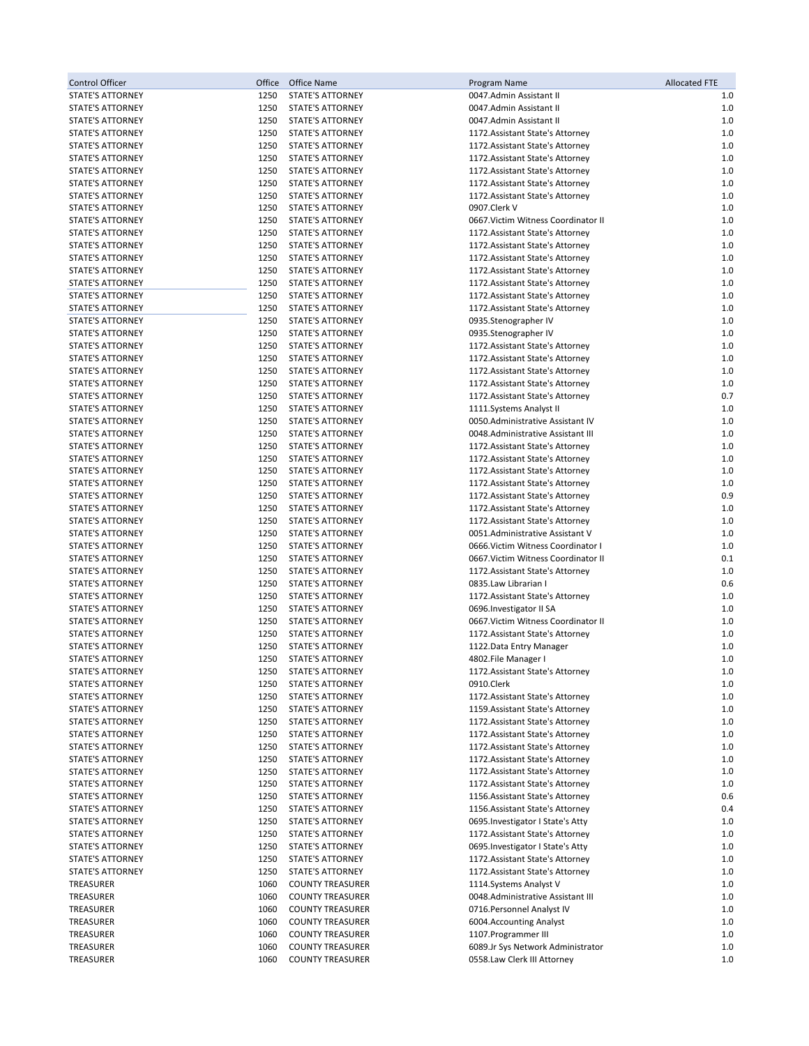| <b>Control Officer</b>                      | Office       | <b>Office Name</b>                                 | Program Name                                                         | <b>Allocated FTE</b> |
|---------------------------------------------|--------------|----------------------------------------------------|----------------------------------------------------------------------|----------------------|
| <b>STATE'S ATTORNEY</b>                     | 1250         | <b>STATE'S ATTORNEY</b>                            | 0047.Admin Assistant II                                              | 1.0                  |
| <b>STATE'S ATTORNEY</b>                     | 1250         | <b>STATE'S ATTORNEY</b>                            | 0047.Admin Assistant II                                              | $1.0$                |
| STATE'S ATTORNEY                            | 1250         | <b>STATE'S ATTORNEY</b>                            | 0047.Admin Assistant II                                              | 1.0                  |
| <b>STATE'S ATTORNEY</b>                     | 1250         | STATE'S ATTORNEY                                   | 1172. Assistant State's Attorney                                     | $1.0$                |
| STATE'S ATTORNEY                            | 1250         | STATE'S ATTORNEY                                   | 1172. Assistant State's Attorney                                     | $1.0$                |
| <b>STATE'S ATTORNEY</b>                     | 1250         | <b>STATE'S ATTORNEY</b>                            | 1172. Assistant State's Attorney                                     | 1.0                  |
| <b>STATE'S ATTORNEY</b>                     | 1250         | STATE'S ATTORNEY                                   | 1172. Assistant State's Attorney                                     | 1.0                  |
| STATE'S ATTORNEY                            | 1250         | STATE'S ATTORNEY                                   | 1172. Assistant State's Attorney                                     | 1.0                  |
| STATE'S ATTORNEY                            | 1250         | STATE'S ATTORNEY                                   | 1172. Assistant State's Attorney                                     | 1.0                  |
| <b>STATE'S ATTORNEY</b>                     | 1250         | STATE'S ATTORNEY                                   | 0907.Clerk V                                                         | $1.0$                |
| <b>STATE'S ATTORNEY</b>                     | 1250         | <b>STATE'S ATTORNEY</b>                            | 0667. Victim Witness Coordinator II                                  | 1.0                  |
| STATE'S ATTORNEY                            | 1250         | STATE'S ATTORNEY                                   | 1172. Assistant State's Attorney                                     | 1.0                  |
| <b>STATE'S ATTORNEY</b>                     | 1250         | <b>STATE'S ATTORNEY</b>                            | 1172. Assistant State's Attorney                                     | 1.0                  |
| <b>STATE'S ATTORNEY</b>                     | 1250         | STATE'S ATTORNEY                                   | 1172. Assistant State's Attorney                                     | 1.0                  |
| STATE'S ATTORNEY                            | 1250         | STATE'S ATTORNEY                                   | 1172. Assistant State's Attorney                                     | $1.0$                |
| STATE'S ATTORNEY                            | 1250<br>1250 | STATE'S ATTORNEY<br>STATE'S ATTORNEY               | 1172. Assistant State's Attorney                                     | 1.0<br>$1.0$         |
| STATE'S ATTORNEY<br>STATE'S ATTORNEY        | 1250         | STATE'S ATTORNEY                                   | 1172. Assistant State's Attorney<br>1172. Assistant State's Attorney | 1.0                  |
| STATE'S ATTORNEY                            | 1250         | STATE'S ATTORNEY                                   | 0935.Stenographer IV                                                 | 1.0                  |
| <b>STATE'S ATTORNEY</b>                     | 1250         | STATE'S ATTORNEY                                   | 0935.Stenographer IV                                                 | 1.0                  |
| <b>STATE'S ATTORNEY</b>                     | 1250         | <b>STATE'S ATTORNEY</b>                            | 1172. Assistant State's Attorney                                     | 1.0                  |
| <b>STATE'S ATTORNEY</b>                     | 1250         | STATE'S ATTORNEY                                   | 1172. Assistant State's Attorney                                     | $1.0$                |
| STATE'S ATTORNEY                            | 1250         | STATE'S ATTORNEY                                   | 1172. Assistant State's Attorney                                     | 1.0                  |
| STATE'S ATTORNEY                            | 1250         | <b>STATE'S ATTORNEY</b>                            | 1172. Assistant State's Attorney                                     | 1.0                  |
| STATE'S ATTORNEY                            | 1250         | STATE'S ATTORNEY                                   | 1172. Assistant State's Attorney                                     | 0.7                  |
| <b>STATE'S ATTORNEY</b>                     | 1250         | STATE'S ATTORNEY                                   | 1111. Systems Analyst II                                             | 1.0                  |
| <b>STATE'S ATTORNEY</b>                     | 1250         | STATE'S ATTORNEY                                   | 0050. Administrative Assistant IV                                    | 1.0                  |
| STATE'S ATTORNEY                            | 1250         | STATE'S ATTORNEY                                   | 0048.Administrative Assistant III                                    | 1.0                  |
| <b>STATE'S ATTORNEY</b>                     | 1250         | <b>STATE'S ATTORNEY</b>                            | 1172. Assistant State's Attorney                                     | 1.0                  |
| STATE'S ATTORNEY                            | 1250         | <b>STATE'S ATTORNEY</b>                            | 1172. Assistant State's Attorney                                     | 1.0                  |
| STATE'S ATTORNEY                            | 1250         | <b>STATE'S ATTORNEY</b>                            | 1172. Assistant State's Attorney                                     | 1.0                  |
| STATE'S ATTORNEY                            | 1250         | <b>STATE'S ATTORNEY</b>                            | 1172. Assistant State's Attorney                                     | 1.0                  |
| STATE'S ATTORNEY                            | 1250         | <b>STATE'S ATTORNEY</b>                            | 1172. Assistant State's Attorney                                     | 0.9                  |
| STATE'S ATTORNEY                            | 1250         | STATE'S ATTORNEY                                   | 1172. Assistant State's Attorney                                     | 1.0                  |
| <b>STATE'S ATTORNEY</b>                     | 1250         | <b>STATE'S ATTORNEY</b>                            | 1172. Assistant State's Attorney                                     | 1.0                  |
| STATE'S ATTORNEY                            | 1250         | <b>STATE'S ATTORNEY</b>                            | 0051.Administrative Assistant V                                      | $1.0$                |
| <b>STATE'S ATTORNEY</b>                     | 1250         | <b>STATE'S ATTORNEY</b>                            | 0666. Victim Witness Coordinator I                                   | 1.0                  |
| <b>STATE'S ATTORNEY</b>                     | 1250         | <b>STATE'S ATTORNEY</b>                            | 0667. Victim Witness Coordinator II                                  | 0.1                  |
| STATE'S ATTORNEY                            | 1250         | <b>STATE'S ATTORNEY</b>                            | 1172. Assistant State's Attorney                                     | 1.0                  |
| STATE'S ATTORNEY<br><b>STATE'S ATTORNEY</b> | 1250<br>1250 | <b>STATE'S ATTORNEY</b><br><b>STATE'S ATTORNEY</b> | 0835.Law Librarian I                                                 | 0.6<br>1.0           |
| <b>STATE'S ATTORNEY</b>                     | 1250         | <b>STATE'S ATTORNEY</b>                            | 1172. Assistant State's Attorney<br>0696. Investigator II SA         | 1.0                  |
| STATE'S ATTORNEY                            | 1250         | <b>STATE'S ATTORNEY</b>                            | 0667. Victim Witness Coordinator II                                  | 1.0                  |
| <b>STATE'S ATTORNEY</b>                     | 1250         | <b>STATE'S ATTORNEY</b>                            | 1172. Assistant State's Attorney                                     | 1.0                  |
| <b>STATE'S ATTORNEY</b>                     | 1250         | <b>STATE'S ATTORNEY</b>                            | 1122. Data Entry Manager                                             | 1.0                  |
| <b>STATE'S ATTORNEY</b>                     | 1250         | <b>STATE'S ATTORNEY</b>                            | 4802.File Manager I                                                  | 1.0                  |
| STATE'S ATTORNEY                            | 1250         | STATE'S ATTORNEY                                   | 1172. Assistant State's Attorney                                     | 1.0                  |
| STATE'S ATTORNEY                            | 1250         | STATE'S ATTORNEY                                   | 0910.Clerk                                                           | 1.0                  |
| STATE'S ATTORNEY                            | 1250         | STATE'S ATTORNEY                                   | 1172. Assistant State's Attorney                                     | 1.0                  |
| STATE'S ATTORNEY                            | 1250         | <b>STATE'S ATTORNEY</b>                            | 1159. Assistant State's Attorney                                     | 1.0                  |
| STATE'S ATTORNEY                            | 1250         | STATE'S ATTORNEY                                   | 1172. Assistant State's Attorney                                     | 1.0                  |
| STATE'S ATTORNEY                            | 1250         | STATE'S ATTORNEY                                   | 1172. Assistant State's Attorney                                     | 1.0                  |
| <b>STATE'S ATTORNEY</b>                     | 1250         | STATE'S ATTORNEY                                   | 1172. Assistant State's Attorney                                     | 1.0                  |
| STATE'S ATTORNEY                            | 1250         | STATE'S ATTORNEY                                   | 1172. Assistant State's Attorney                                     | 1.0                  |
| STATE'S ATTORNEY                            | 1250         | STATE'S ATTORNEY                                   | 1172. Assistant State's Attorney                                     | 1.0                  |
| STATE'S ATTORNEY                            | 1250         | STATE'S ATTORNEY                                   | 1172. Assistant State's Attorney                                     | 1.0                  |
| <b>STATE'S ATTORNEY</b>                     | 1250         | STATE'S ATTORNEY                                   | 1156. Assistant State's Attorney                                     | 0.6                  |
| <b>STATE'S ATTORNEY</b>                     | 1250         | STATE'S ATTORNEY                                   | 1156. Assistant State's Attorney                                     | 0.4                  |
| STATE'S ATTORNEY                            | 1250         | STATE'S ATTORNEY                                   | 0695. Investigator I State's Atty                                    | 1.0                  |
| <b>STATE'S ATTORNEY</b>                     | 1250         | <b>STATE'S ATTORNEY</b>                            | 1172. Assistant State's Attorney                                     | 1.0                  |
| STATE'S ATTORNEY                            | 1250         | STATE'S ATTORNEY                                   | 0695. Investigator I State's Atty                                    | 1.0                  |
| STATE'S ATTORNEY                            | 1250         | STATE'S ATTORNEY                                   | 1172. Assistant State's Attorney                                     | 1.0                  |
| STATE'S ATTORNEY                            | 1250         | STATE'S ATTORNEY                                   | 1172. Assistant State's Attorney                                     | 1.0                  |
| TREASURER                                   | 1060         | <b>COUNTY TREASURER</b>                            | 1114. Systems Analyst V                                              | 1.0                  |
| TREASURER                                   | 1060         | <b>COUNTY TREASURER</b>                            | 0048.Administrative Assistant III<br>0716. Personnel Analyst IV      | 1.0                  |
| TREASURER<br>TREASURER                      | 1060<br>1060 | <b>COUNTY TREASURER</b><br><b>COUNTY TREASURER</b> | 6004.Accounting Analyst                                              | 1.0<br>1.0           |
| TREASURER                                   | 1060         | <b>COUNTY TREASURER</b>                            | 1107. Programmer III                                                 | 1.0                  |
| TREASURER                                   | 1060         | <b>COUNTY TREASURER</b>                            | 6089.Jr Sys Network Administrator                                    | 1.0                  |
| TREASURER                                   | 1060         | <b>COUNTY TREASURER</b>                            | 0558.Law Clerk III Attorney                                          | 1.0                  |
|                                             |              |                                                    |                                                                      |                      |